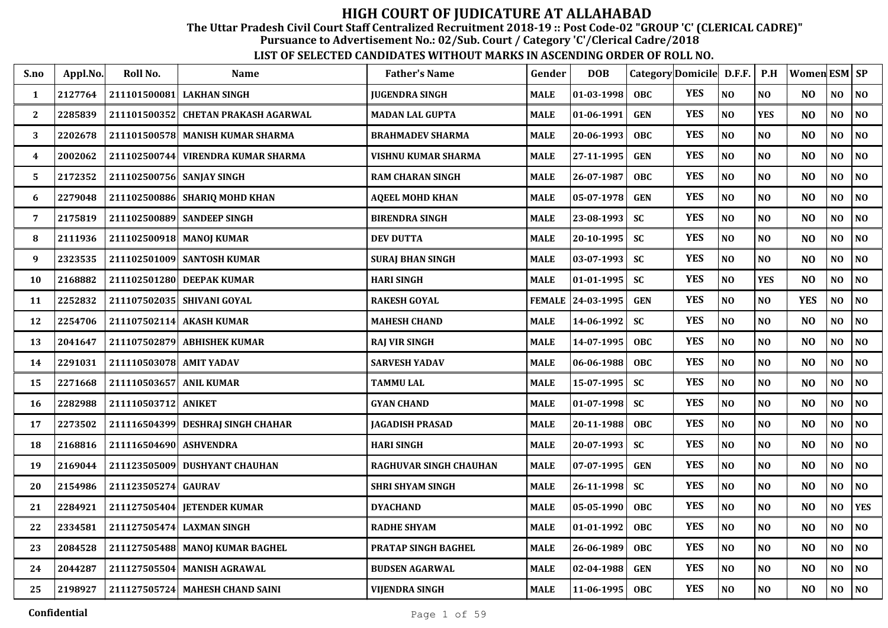The Uttar Pradesh Civil Court Staff Centralized Recruitment 2018-19 :: Post Code-02 "GROUP 'C' (CLERICAL CADRE)"

Pursuance to Advertisement No.: 02/Sub. Court / Category 'C'/Clerical Cadre/2018

| S.no         | Appl.No. | Roll No.                  | <b>Name</b>                         | <b>Father's Name</b>    | Gender        | <b>DOB</b>                 |            | Category Domicile D.F.F. |                | P.H            | Women ESM   SP |                |                |
|--------------|----------|---------------------------|-------------------------------------|-------------------------|---------------|----------------------------|------------|--------------------------|----------------|----------------|----------------|----------------|----------------|
| $\mathbf{1}$ | 2127764  |                           | 211101500081 LAKHAN SINGH           | <b>JUGENDRA SINGH</b>   | MALE          | $ 01-03-1998 $             | <b>OBC</b> | <b>YES</b>               | N <sub>O</sub> | N <sub>O</sub> | N <sub>O</sub> | NO             | N <sub>O</sub> |
| $\mathbf{2}$ | 2285839  |                           | 211101500352 CHETAN PRAKASH AGARWAL | <b>MADAN LAL GUPTA</b>  | MALE          | 01-06-1991                 | <b>GEN</b> | <b>YES</b>               | N <sub>O</sub> | <b>YES</b>     | N <sub>O</sub> | NO             | NO             |
| 3            | 2202678  |                           | 211101500578 MANISH KUMAR SHARMA    | <b>BRAHMADEV SHARMA</b> | MALE          | 20-06-1993                 | <b>OBC</b> | <b>YES</b>               | N <sub>O</sub> | NO             | N <sub>O</sub> | NO             | N <sub>O</sub> |
| 4            | 2002062  | 211102500744              | VIRENDRA KUMAR SHARMA               | VISHNU KUMAR SHARMA     | MALE          | 27-11-1995                 | <b>GEN</b> | <b>YES</b>               | N <sub>O</sub> | NO             | N <sub>O</sub> | NO             | NO             |
| 5            | 2172352  | 211102500756 SANJAY SINGH |                                     | <b>RAM CHARAN SINGH</b> | <b>MALE</b>   | 26-07-1987                 | <b>OBC</b> | <b>YES</b>               | N <sub>O</sub> | NO             | N <sub>O</sub> | NO             | N <sub>O</sub> |
| 6            | 2279048  |                           | 211102500886 SHARIQ MOHD KHAN       | AQEEL MOHD KHAN         | MALE          | 05-07-1978                 | <b>GEN</b> | <b>YES</b>               | N <sub>O</sub> | NO             | N <sub>O</sub> | N <sub>O</sub> | NO             |
| 7            | 2175819  |                           | 211102500889 SANDEEP SINGH          | <b>BIRENDRA SINGH</b>   | MALE          | 23-08-1993                 | <b>SC</b>  | <b>YES</b>               | NO             | NO             | N <sub>O</sub> | NO             | NO             |
| 8            | 2111936  |                           | 211102500918 MANOJ KUMAR            | <b>DEV DUTTA</b>        | MALE          | 20-10-1995                 | <b>SC</b>  | <b>YES</b>               | N <sub>O</sub> | NO             | N <sub>O</sub> | NO             | NO             |
| 9            | 2323535  |                           | 211102501009 SANTOSH KUMAR          | <b>SURAJ BHAN SINGH</b> | MALE          | $03-07-1993$               | <b>SC</b>  | <b>YES</b>               | NO             | NO             | N <sub>O</sub> | NO             | N <sub>O</sub> |
| 10           | 2168882  |                           | 211102501280 DEEPAK KUMAR           | <b>HARI SINGH</b>       | <b>MALE</b>   | $01 - 01 - 1995$           | <b>SC</b>  | <b>YES</b>               | N <sub>O</sub> | <b>YES</b>     | N <sub>O</sub> | NO             | N <sub>O</sub> |
| 11           | 2252832  |                           | 211107502035 SHIVANI GOYAL          | <b>RAKESH GOYAL</b>     | <b>FEMALE</b> | $\vert$ 24-03-1995 $\vert$ | <b>GEN</b> | <b>YES</b>               | N <sub>O</sub> | NO             | <b>YES</b>     | NO             | NO             |
| 12           | 2254706  |                           | 211107502114 AKASH KUMAR            | <b>MAHESH CHAND</b>     | MALE          | 14-06-1992                 | <b>SC</b>  | <b>YES</b>               | N <sub>O</sub> | N <sub>0</sub> | N <sub>O</sub> | NO             | NO             |
| 13           | 2041647  |                           | 211107502879 ABHISHEK KUMAR         | <b>RAJ VIR SINGH</b>    | <b>MALE</b>   | 14-07-1995                 | <b>OBC</b> | <b>YES</b>               | NO             | NO             | N <sub>O</sub> | NO             | N <sub>0</sub> |
| 14           | 2291031  | 211110503078 AMIT YADAV   |                                     | <b>SARVESH YADAV</b>    | MALE          | 06-06-1988                 | <b>OBC</b> | <b>YES</b>               | N <sub>O</sub> | NO             | N <sub>O</sub> | NO             | NO             |
| 15           | 2271668  | 211110503657 ANIL KUMAR   |                                     | <b>TAMMU LAL</b>        | MALE          | 15-07-1995                 | SC         | <b>YES</b>               | N <sub>O</sub> | NO             | N <sub>O</sub> | NO             | NO             |
| 16           | 2282988  | 211110503712 ANIKET       |                                     | <b>GYAN CHAND</b>       | MALE          | $01 - 07 - 1998$           | <b>SC</b>  | <b>YES</b>               | N <sub>O</sub> | NO             | N <sub>O</sub> | NO             | NO             |
| 17           | 2273502  |                           | 211116504399 DESHRAJ SINGH CHAHAR   | JAGADISH PRASAD         | MALE          | 20-11-1988                 | <b>OBC</b> | <b>YES</b>               | N <sub>O</sub> | NO             | N <sub>O</sub> | NO             | NO             |
| 18           | 2168816  | 211116504690 ASHVENDRA    |                                     | <b>HARI SINGH</b>       | <b>MALE</b>   | 20-07-1993                 | <b>SC</b>  | <b>YES</b>               | N <sub>O</sub> | NO             | N <sub>O</sub> | NO             | NO             |
| 19           | 2169044  |                           | 211123505009 DUSHYANT CHAUHAN       | RAGHUVAR SINGH CHAUHAN  | <b>MALE</b>   | $07 - 07 - 1995$           | <b>GEN</b> | <b>YES</b>               | N <sub>O</sub> | NO             | N <sub>O</sub> | NO             | N <sub>O</sub> |
| 20           | 2154986  | 211123505274 GAURAV       |                                     | <b>SHRI SHYAM SINGH</b> | MALE          | 26-11-1998                 | <b>SC</b>  | <b>YES</b>               | $\bf NO$       | NO             | NO             | NO             | $\bf NO$       |
| 21           | 2284921  |                           | 211127505404 JETENDER KUMAR         | <b>DYACHAND</b>         | MALE          | 05-05-1990                 | OBC.       | <b>YES</b>               | N <sub>O</sub> | NO             | NO             | NO             | <b>YES</b>     |
| 22           | 2334581  |                           | 211127505474 LAXMAN SINGH           | <b>RADHE SHYAM</b>      | <b>MALE</b>   | 01-01-1992                 | <b>OBC</b> | <b>YES</b>               | N <sub>0</sub> | NO             | NO             | NO             | N <sub>O</sub> |
| 23           | 2084528  |                           | 211127505488 MANOJ KUMAR BAGHEL     | PRATAP SINGH BAGHEL     | <b>MALE</b>   | 26-06-1989                 | <b>OBC</b> | <b>YES</b>               | N <sub>O</sub> | NO             | N <sub>O</sub> | N <sub>O</sub> | N <sub>O</sub> |
| 24           | 2044287  |                           | 211127505504 MANISH AGRAWAL         | <b>BUDSEN AGARWAL</b>   | <b>MALE</b>   | $02 - 04 - 1988$           | <b>GEN</b> | <b>YES</b>               | N <sub>O</sub> | NO             | N <sub>O</sub> | N <sub>O</sub> | NO             |
| 25           | 2198927  |                           | 211127505724 MAHESH CHAND SAINI     | <b>VIJENDRA SINGH</b>   | <b>MALE</b>   | 11-06-1995                 | <b>OBC</b> | <b>YES</b>               | N <sub>O</sub> | N <sub>O</sub> | N <sub>O</sub> | NO             | N <sub>O</sub> |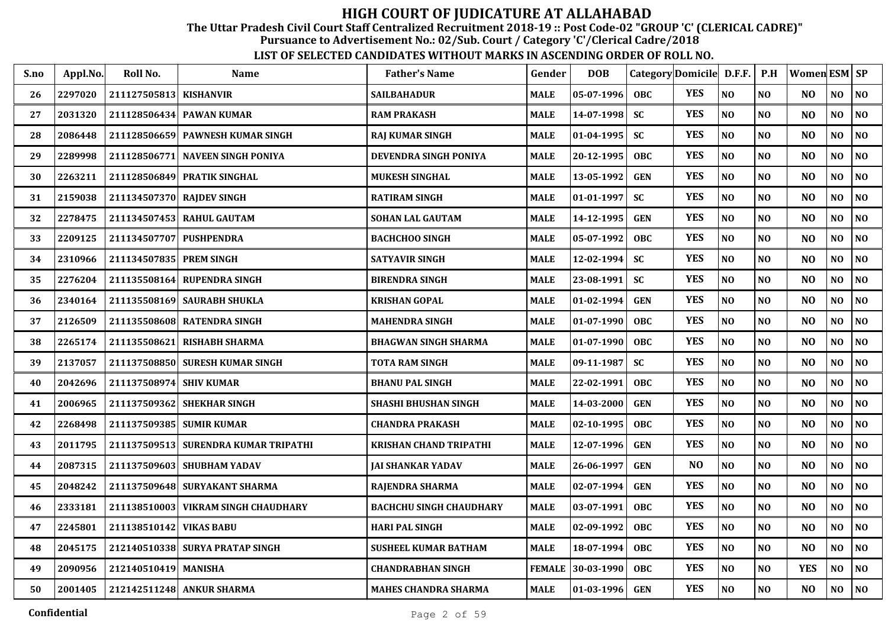The Uttar Pradesh Civil Court Staff Centralized Recruitment 2018-19 :: Post Code-02 "GROUP 'C' (CLERICAL CADRE)"

Pursuance to Advertisement No.: 02/Sub. Court / Category 'C'/Clerical Cadre/2018

| S.no | Appl.No. | Roll No.                  | <b>Name</b>                          | <b>Father's Name</b>           | Gender        | <b>DOB</b> | Category Domicile D.F.F. |                |                | P.H            | <b>Women ESM SP</b> |                |                |
|------|----------|---------------------------|--------------------------------------|--------------------------------|---------------|------------|--------------------------|----------------|----------------|----------------|---------------------|----------------|----------------|
| 26   | 2297020  | 211127505813 KISHANVIR    |                                      | <b>SAILBAHADUR</b>             | <b>MALE</b>   | 05-07-1996 | <b>OBC</b>               | <b>YES</b>     | NO             | N <sub>O</sub> | N <sub>O</sub>      | NO             | NO             |
| 27   | 2031320  |                           | 211128506434 PAWAN KUMAR             | <b>RAM PRAKASH</b>             | <b>MALE</b>   | 14-07-1998 | <b>SC</b>                | <b>YES</b>     | NO             | NO             | N <sub>O</sub>      | NO             | N <sub>0</sub> |
| 28   | 2086448  |                           | 211128506659 PAWNESH KUMAR SINGH     | <b>RAJ KUMAR SINGH</b>         | <b>MALE</b>   | 01-04-1995 | <b>SC</b>                | <b>YES</b>     | NO             | NO             | N <sub>O</sub>      | NO             | N <sub>0</sub> |
| 29   | 2289998  | 211128506771              | <b>NAVEEN SINGH PONIYA</b>           | DEVENDRA SINGH PONIYA          | <b>MALE</b>   | 20-12-1995 | <b>OBC</b>               | <b>YES</b>     | NO             | NO             | N <sub>O</sub>      | NO             | NO             |
| 30   | 2263211  |                           | 211128506849 PRATIK SINGHAL          | <b>MUKESH SINGHAL</b>          | <b>MALE</b>   | 13-05-1992 | <b>GEN</b>               | <b>YES</b>     | NO             | N <sub>O</sub> | N <sub>O</sub>      | NO             | N <sub>0</sub> |
| 31   | 2159038  | 211134507370 RAJDEV SINGH |                                      | <b>RATIRAM SINGH</b>           | <b>MALE</b>   | 01-01-1997 | <b>SC</b>                | <b>YES</b>     | NO             | N <sub>O</sub> | NO                  | NO             | $\bf NO$       |
| 32   | 2278475  |                           | 211134507453 RAHUL GAUTAM            | <b>SOHAN LAL GAUTAM</b>        | <b>MALE</b>   | 14-12-1995 | <b>GEN</b>               | <b>YES</b>     | N <sub>O</sub> | N <sub>O</sub> | N <sub>O</sub>      | NO.            | N <sub>O</sub> |
| 33   | 2209125  | 211134507707 PUSHPENDRA   |                                      | <b>BACHCHOO SINGH</b>          | <b>MALE</b>   | 05-07-1992 | <b>OBC</b>               | <b>YES</b>     | NO             | N <sub>O</sub> | N <sub>O</sub>      | NO             | NO             |
| 34   | 2310966  | 211134507835 PREM SINGH   |                                      | <b>SATYAVIR SINGH</b>          | <b>MALE</b>   | 12-02-1994 | <b>SC</b>                | <b>YES</b>     | NO             | N <sub>O</sub> | N <sub>O</sub>      | NO             | NO             |
| 35   | 2276204  |                           | 211135508164 RUPENDRA SINGH          | <b>BIRENDRA SINGH</b>          | <b>MALE</b>   | 23-08-1991 | <b>SC</b>                | <b>YES</b>     | NO             | N <sub>O</sub> | N <sub>O</sub>      | NO             | NO             |
| 36   | 2340164  |                           | 211135508169 SAURABH SHUKLA          | KRISHAN GOPAL                  | <b>MALE</b>   | 01-02-1994 | <b>GEN</b>               | <b>YES</b>     | NO             | N <sub>O</sub> | N <sub>O</sub>      | NO             | NO             |
| 37   | 2126509  |                           | 211135508608 RATENDRA SINGH          | <b>MAHENDRA SINGH</b>          | <b>MALE</b>   | 01-07-1990 | <b>OBC</b>               | <b>YES</b>     | NO             | N <sub>O</sub> | N <sub>O</sub>      | NO             | NO             |
| 38   | 2265174  | 211135508621              | <b>RISHABH SHARMA</b>                | <b>BHAGWAN SINGH SHARMA</b>    | <b>MALE</b>   | 01-07-1990 | <b>OBC</b>               | <b>YES</b>     | NO             | N <sub>O</sub> | N <sub>O</sub>      | NO             | NO             |
| 39   | 2137057  |                           | 211137508850 SURESH KUMAR SINGH      | <b>TOTA RAM SINGH</b>          | <b>MALE</b>   | 09-11-1987 | <b>SC</b>                | <b>YES</b>     | NO             | N <sub>O</sub> | N <sub>O</sub>      | NO             | NO             |
| 40   | 2042696  | 211137508974 SHIV KUMAR   |                                      | <b>BHANU PAL SINGH</b>         | <b>MALE</b>   | 22-02-1991 | <b>OBC</b>               | <b>YES</b>     | NO             | N <sub>O</sub> | N <sub>O</sub>      | NO             | $\bf NO$       |
| 41   | 2006965  |                           | 211137509362 SHEKHAR SINGH           | <b>SHASHI BHUSHAN SINGH</b>    | <b>MALE</b>   | 14-03-2000 | <b>GEN</b>               | <b>YES</b>     | N <sub>O</sub> | N <sub>O</sub> | N <sub>O</sub>      | NO             | $\bf NO$       |
| 42   | 2268498  | 211137509385 SUMIR KUMAR  |                                      | <b>CHANDRA PRAKASH</b>         | <b>MALE</b>   | 02-10-1995 | <b>OBC</b>               | <b>YES</b>     | NO             | NO             | N <sub>O</sub>      | N <sub>O</sub> | NO             |
| 43   | 2011795  |                           | 211137509513 SURENDRA KUMAR TRIPATHI | KRISHAN CHAND TRIPATHI         | <b>MALE</b>   | 12-07-1996 | <b>GEN</b>               | <b>YES</b>     | N <sub>O</sub> | N <sub>O</sub> | N <sub>O</sub>      | NO             | N <sub>O</sub> |
| 44   | 2087315  |                           | 211137509603 SHUBHAM YADAV           | <b>JAI SHANKAR YADAV</b>       | <b>MALE</b>   | 26-06-1997 | <b>GEN</b>               | N <sub>O</sub> | NO             | N <sub>O</sub> | N <sub>O</sub>      | NO             | NO             |
| 45   | 2048242  |                           | 211137509648 SURYAKANT SHARMA        | RAJENDRA SHARMA                | <b>MALE</b>   | 02-07-1994 | <b>GEN</b>               | <b>YES</b>     | NO             | N <sub>O</sub> | N <sub>O</sub>      | NO             | NO             |
| 46   | 2333181  | 211138510003              | <b>VIKRAM SINGH CHAUDHARY</b>        | <b>BACHCHU SINGH CHAUDHARY</b> | <b>MALE</b>   | 03-07-1991 | <b>OBC</b>               | <b>YES</b>     | NO             | N <sub>O</sub> | N <sub>O</sub>      | N <sub>O</sub> | NO             |
| 47   | 2245801  | 211138510142              | <b>VIKAS BABU</b>                    | <b>HARI PAL SINGH</b>          | <b>MALE</b>   | 02-09-1992 | <b>OBC</b>               | <b>YES</b>     | NO             | N <sub>O</sub> | N <sub>O</sub>      | NO             | N <sub>0</sub> |
| 48   | 2045175  |                           | 212140510338 SURYA PRATAP SINGH      | <b>SUSHEEL KUMAR BATHAM</b>    | <b>MALE</b>   | 18-07-1994 | <b>OBC</b>               | <b>YES</b>     | NO             | N <sub>O</sub> | N <sub>O</sub>      | NO             | N <sub>0</sub> |
| 49   | 2090956  | 212140510419 MANISHA      |                                      | <b>CHANDRABHAN SINGH</b>       | <b>FEMALE</b> | 30-03-1990 | <b>OBC</b>               | <b>YES</b>     | NO             | $\bf NO$       | <b>YES</b>          | NO             | $\bf NO$       |
| 50   | 2001405  |                           | 212142511248 ANKUR SHARMA            | <b>MAHES CHANDRA SHARMA</b>    | <b>MALE</b>   | 01-03-1996 | <b>GEN</b>               | <b>YES</b>     | $\bf NO$       | $\bf NO$       | N <sub>O</sub>      | NO             | NO             |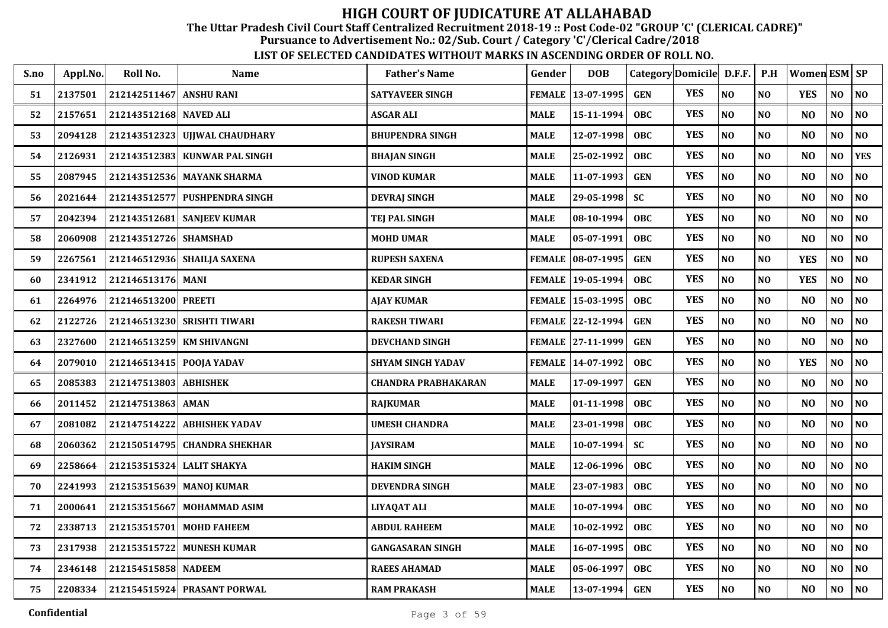The Uttar Pradesh Civil Court Staff Centralized Recruitment 2018-19 :: Post Code-02 "GROUP 'C' (CLERICAL CADRE)"

Pursuance to Advertisement No.: 02/Sub. Court / Category 'C'/Clerical Cadre/2018

| S.no | Appl.No. | Roll No.                 | <b>Name</b>                   | <b>Father's Name</b>       | Gender      | <b>DOB</b>          | Category Domicile D.F.F. P.H |            |          |                | <b>Women ESM SP</b> |                |                |
|------|----------|--------------------------|-------------------------------|----------------------------|-------------|---------------------|------------------------------|------------|----------|----------------|---------------------|----------------|----------------|
| 51   | 2137501  | 212142511467 ANSHU RANI  |                               | <b>SATYAVEER SINGH</b>     |             | FEMALE 13-07-1995   | <b>GEN</b>                   | <b>YES</b> | NO       | NO             | <b>YES</b>          | NO             | NO             |
| 52   | 2157651  | 212143512168             | <b>NAVED ALI</b>              | <b>ASGAR ALI</b>           | <b>MALE</b> | 15-11-1994          | <b>OBC</b>                   | <b>YES</b> | NO       | NO             | N <sub>O</sub>      | NO             | $\bf NO$       |
| 53   | 2094128  | 212143512323             | <b>UJJWAL CHAUDHARY</b>       | <b>BHUPENDRA SINGH</b>     | <b>MALE</b> | 12-07-1998          | OBC                          | <b>YES</b> | $\bf NO$ | NO             | N <sub>O</sub>      | NO             | NO             |
| 54   | 2126931  | 212143512383             | <b>KUNWAR PAL SINGH</b>       | <b>BHAJAN SINGH</b>        | <b>MALE</b> | 25-02-1992          | <b>OBC</b>                   | <b>YES</b> | NO       | NO             | N <sub>O</sub>      | NO             | <b>YES</b>     |
| 55   | 2087945  |                          | 212143512536 MAYANK SHARMA    | <b>VINOD KUMAR</b>         | <b>MALE</b> | 11-07-1993          | <b>GEN</b>                   | <b>YES</b> | NO       | N <sub>O</sub> | N <sub>O</sub>      | NO             | NO             |
| 56   | 2021644  |                          | 212143512577 PUSHPENDRA SINGH | <b>DEVRAJ SINGH</b>        | <b>MALE</b> | 29-05-1998          | <b>SC</b>                    | <b>YES</b> | NO       | NO             | N <sub>O</sub>      | NO             | $\bf NO$       |
| 57   | 2042394  |                          | 212143512681 SANJEEV KUMAR    | <b>TEJ PAL SINGH</b>       | <b>MALE</b> | 08-10-1994          | <b>OBC</b>                   | <b>YES</b> | NO       | N <sub>O</sub> | N <sub>O</sub>      | NO             | NO             |
| 58   | 2060908  | 212143512726 SHAMSHAD    |                               | <b>MOHD UMAR</b>           | <b>MALE</b> | 05-07-1991          | <b>OBC</b>                   | <b>YES</b> | NO       | NO             | N <sub>O</sub>      | NO             | NO             |
| 59   | 2267561  |                          | 212146512936 SHAILJA SAXENA   | <b>RUPESH SAXENA</b>       |             | FEMALE 08-07-1995   | <b>GEN</b>                   | <b>YES</b> | NO       | NO             | <b>YES</b>          | NO             | N <sub>0</sub> |
| 60   | 2341912  | 212146513176 MANI        |                               | <b>KEDAR SINGH</b>         |             | FEMALE   19-05-1994 | OBC                          | <b>YES</b> | $\bf NO$ | NO             | <b>YES</b>          | NO             | $\bf NO$       |
| 61   | 2264976  | 212146513200 PREETI      |                               | <b>AJAY KUMAR</b>          |             | FEMALE   15-03-1995 | <b>OBC</b>                   | <b>YES</b> | $\bf NO$ | NO             | N <sub>O</sub>      | NO             | $\bf NO$       |
| 62   | 2122726  | 212146513230             | <b>SRISHTI TIWARI</b>         | <b>RAKESH TIWARI</b>       |             | FEMALE 22-12-1994   | <b>GEN</b>                   | <b>YES</b> | NO       | NO             | N <sub>O</sub>      | NO             | N <sub>0</sub> |
| 63   | 2327600  | 212146513259             | <b>KM SHIVANGNI</b>           | <b>DEVCHAND SINGH</b>      |             | FEMALE 27-11-1999   | <b>GEN</b>                   | <b>YES</b> | NO       | NO             | N <sub>O</sub>      | NO             | N <sub>0</sub> |
| 64   | 2079010  | 212146513415 POOJA YADAV |                               | <b>SHYAM SINGH YADAV</b>   |             | FEMALE 14-07-1992   | OBC                          | <b>YES</b> | NO       | N <sub>O</sub> | <b>YES</b>          | NO             | NO             |
| 65   | 2085383  | 212147513803 ABHISHEK    |                               | <b>CHANDRA PRABHAKARAN</b> | <b>MALE</b> | 17-09-1997          | <b>GEN</b>                   | <b>YES</b> | NO       | NO             | N <sub>O</sub>      | NO             | NO             |
| 66   | 2011452  | 212147513863 AMAN        |                               | <b>RAJKUMAR</b>            | <b>MALE</b> | $ 01-11-1998 $      | <b>OBC</b>                   | <b>YES</b> | NO       | NO             | N <sub>O</sub>      | NO             | NO             |
| 67   | 2081082  | 212147514222             | <b>ABHISHEK YADAV</b>         | <b>UMESH CHANDRA</b>       | <b>MALE</b> | 23-01-1998          | OBC                          | <b>YES</b> | NO       | NO             | N <sub>O</sub>      | NO             | $\bf NO$       |
| 68   | 2060362  |                          | 212150514795 CHANDRA SHEKHAR  | <b>JAYSIRAM</b>            | <b>MALE</b> | 10-07-1994          | <b>SC</b>                    | <b>YES</b> | NO       | NO             | N <sub>O</sub>      | NO             | $\bf NO$       |
| 69   | 2258664  |                          | 212153515324 LALIT SHAKYA     | <b>HAKIM SINGH</b>         | <b>MALE</b> | 12-06-1996          | <b>OBC</b>                   | <b>YES</b> | NO       | N <sub>O</sub> | N <sub>O</sub>      | NO             | N <sub>0</sub> |
| 70   | 2241993  |                          | 212153515639 MANOJ KUMAR      | <b>DEVENDRA SINGH</b>      | <b>MALE</b> | 23-07-1983          | OBC                          | <b>YES</b> | NO       | NO             | N <sub>O</sub>      | NO             | $\bf NO$       |
| 71   | 2000641  | 212153515667             | <b>MOHAMMAD ASIM</b>          | <b>LIYAQAT ALI</b>         | <b>MALE</b> | 10-07-1994          | <b>OBC</b>                   | <b>YES</b> | NO       | NO             | N <sub>O</sub>      | N <sub>O</sub> | N <sub>0</sub> |
| 72   | 2338713  | 212153515701             | <b>MOHD FAHEEM</b>            | <b>ABDUL RAHEEM</b>        | <b>MALE</b> | 10-02-1992          | OBC                          | <b>YES</b> | NO       | NO             | NO                  | NO             | NO             |
| 73   | 2317938  | 212153515722             | <b>MUNESH KUMAR</b>           | <b>GANGASARAN SINGH</b>    | <b>MALE</b> | 16-07-1995          | <b>OBC</b>                   | <b>YES</b> | NO       | N <sub>O</sub> | N <sub>O</sub>      | NO             | NO             |
| 74   | 2346148  | 212154515858 NADEEM      |                               | <b>RAEES AHAMAD</b>        | <b>MALE</b> | 05-06-1997          | OBC                          | <b>YES</b> | $\bf NO$ | NO             | N <sub>O</sub>      | NO             | NO             |
| 75   | 2208334  |                          | 212154515924 PRASANT PORWAL   | <b>RAM PRAKASH</b>         | <b>MALE</b> | 13-07-1994          | <b>GEN</b>                   | <b>YES</b> | $\bf NO$ | NO             | NO                  | NO             | NO             |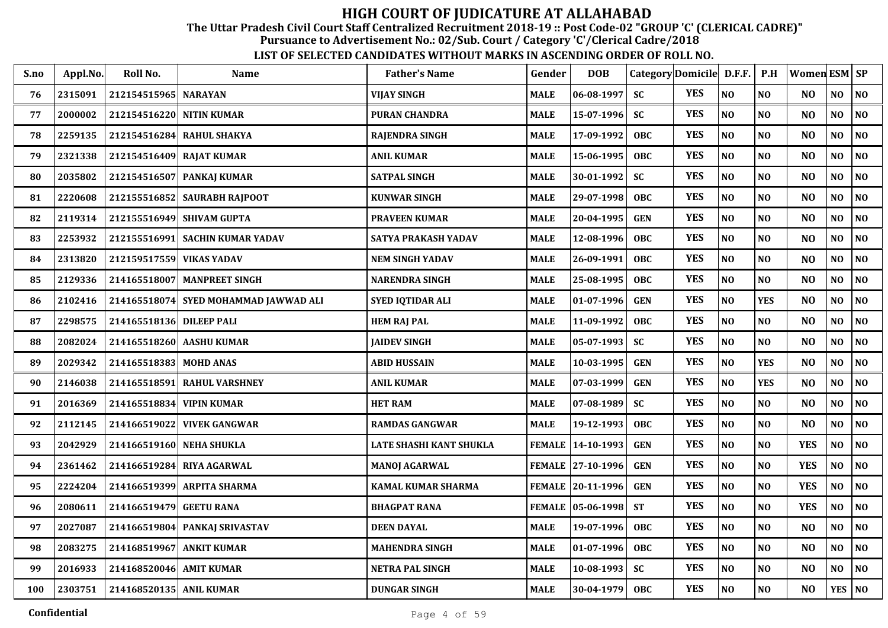The Uttar Pradesh Civil Court Staff Centralized Recruitment 2018-19 :: Post Code-02 "GROUP 'C' (CLERICAL CADRE)"

Pursuance to Advertisement No.: 02/Sub. Court / Category 'C'/Clerical Cadre/2018

| S.no | Appl.No. | Roll No.                 | <b>Name</b>                           | <b>Father's Name</b>      | Gender        | <b>DOB</b>          |            | Category Domicile D.F.F. |                | P.H            | Women ESM   SP |                |                |
|------|----------|--------------------------|---------------------------------------|---------------------------|---------------|---------------------|------------|--------------------------|----------------|----------------|----------------|----------------|----------------|
| 76   | 2315091  | 212154515965 NARAYAN     |                                       | <b>VIJAY SINGH</b>        | <b>MALE</b>   | $06 - 08 - 1997$    | <b>SC</b>  | <b>YES</b>               | N <sub>O</sub> | N <sub>0</sub> | N <sub>O</sub> | NO             | N <sub>O</sub> |
| 77   | 2000002  | 212154516220 NITIN KUMAR |                                       | <b>PURAN CHANDRA</b>      | <b>MALE</b>   | 15-07-1996          | <b>SC</b>  | <b>YES</b>               | NO             | NO             | N <sub>O</sub> | NO             | NO             |
| 78   | 2259135  |                          | 212154516284 RAHUL SHAKYA             | <b>RAJENDRA SINGH</b>     | <b>MALE</b>   | 17-09-1992          | <b>OBC</b> | <b>YES</b>               | N <sub>O</sub> | NO             | N <sub>O</sub> | NO             | N <sub>O</sub> |
| 79   | 2321338  | 212154516409 RAJAT KUMAR |                                       | <b>ANIL KUMAR</b>         | <b>MALE</b>   | 15-06-1995          | <b>OBC</b> | <b>YES</b>               | NO             | NO             | N <sub>O</sub> | NO             | NO             |
| 80   | 2035802  |                          | 212154516507 PANKAJ KUMAR             | <b>SATPAL SINGH</b>       | <b>MALE</b>   | 30-01-1992          | <b>SC</b>  | <b>YES</b>               | N <sub>O</sub> | N <sub>O</sub> | N <sub>O</sub> | NO             | N <sub>O</sub> |
| 81   | 2220608  |                          | 212155516852 SAURABH RAJPOOT          | <b>KUNWAR SINGH</b>       | <b>MALE</b>   | 29-07-1998          | <b>OBC</b> | <b>YES</b>               | N <sub>O</sub> | NO             | NO             | N <sub>O</sub> | NO             |
| 82   | 2119314  |                          | 212155516949 SHIVAM GUPTA             | <b>PRAVEEN KUMAR</b>      | <b>MALE</b>   | 20-04-1995          | <b>GEN</b> | <b>YES</b>               | N <sub>O</sub> | N <sub>O</sub> | N <sub>O</sub> | N <sub>O</sub> | N <sub>O</sub> |
| 83   | 2253932  |                          | 212155516991 SACHIN KUMAR YADAV       | SATYA PRAKASH YADAV       | <b>MALE</b>   | 12-08-1996          | <b>OBC</b> | <b>YES</b>               | NO             | NO             | N <sub>O</sub> | NO             | NO             |
| 84   | 2313820  | 212159517559 VIKAS YADAV |                                       | <b>NEM SINGH YADAV</b>    | <b>MALE</b>   | 26-09-1991          | <b>OBC</b> | <b>YES</b>               | NO             | N <sub>0</sub> | N <sub>O</sub> | NO             | N <sub>O</sub> |
| 85   | 2129336  |                          | 214165518007   MANPREET SINGH         | <b>NARENDRA SINGH</b>     | <b>MALE</b>   | 25-08-1995          | <b>OBC</b> | <b>YES</b>               | N <sub>O</sub> | NO             | NO             | NO             | NO             |
| 86   | 2102416  |                          | 214165518074 SYED MOHAMMAD JAWWAD ALI | SYED IQTIDAR ALI          | <b>MALE</b>   | $01-07-1996$        | <b>GEN</b> | <b>YES</b>               | $\bf NO$       | <b>YES</b>     | N <sub>O</sub> | NO             | $\bf NO$       |
| 87   | 2298575  | 214165518136 DILEEP PALI |                                       | <b>HEM RAJ PAL</b>        | <b>MALE</b>   | 11-09-1992          | <b>OBC</b> | <b>YES</b>               | N <sub>O</sub> | NO             | N <sub>O</sub> | NO             | N <sub>O</sub> |
| 88   | 2082024  |                          | 214165518260 AASHU KUMAR              | <b>JAIDEV SINGH</b>       | <b>MALE</b>   | $05-07-1993$        | <b>SC</b>  | <b>YES</b>               | NO             | NO             | N <sub>O</sub> | NO             | NO             |
| 89   | 2029342  | 214165518383 MOHD ANAS   |                                       | <b>ABID HUSSAIN</b>       | <b>MALE</b>   | 10-03-1995          | <b>GEN</b> | <b>YES</b>               | N <sub>O</sub> | <b>YES</b>     | N <sub>O</sub> | NO             | N <sub>0</sub> |
| 90   | 2146038  |                          | 214165518591 RAHUL VARSHNEY           | <b>ANIL KUMAR</b>         | <b>MALE</b>   | 07-03-1999          | <b>GEN</b> | <b>YES</b>               | N <sub>O</sub> | <b>YES</b>     | N <sub>O</sub> | N <sub>O</sub> | N <sub>0</sub> |
| 91   | 2016369  | 214165518834 VIPIN KUMAR |                                       | <b>HET RAM</b>            | <b>MALE</b>   | $07 - 08 - 1989$    | <b>SC</b>  | <b>YES</b>               | NO             | NO             | NO             | N <sub>O</sub> | N <sub>0</sub> |
| 92   | 2112145  |                          | 214166519022 VIVEK GANGWAR            | <b>RAMDAS GANGWAR</b>     | <b>MALE</b>   | 19-12-1993          | OBC        | <b>YES</b>               | NO             | NO             | N <sub>O</sub> | NO             | NO             |
| 93   | 2042929  | 214166519160 NEHA SHUKLA |                                       | LATE SHASHI KANT SHUKLA   |               | FEMALE   14-10-1993 | <b>GEN</b> | <b>YES</b>               | N <sub>O</sub> | N <sub>O</sub> | <b>YES</b>     | NO             | N <sub>O</sub> |
| 94   | 2361462  |                          | 214166519284 RIYA AGARWAL             | <b>MANOJ AGARWAL</b>      |               | FEMALE 27-10-1996   | <b>GEN</b> | <b>YES</b>               | N <sub>O</sub> | N <sub>O</sub> | <b>YES</b>     | N <sub>O</sub> | N <sub>O</sub> |
| 95   | 2224204  |                          | 214166519399 ARPITA SHARMA            | <b>KAMAL KUMAR SHARMA</b> |               | FEMALE 20-11-1996   | <b>GEN</b> | <b>YES</b>               | NO             | NO             | <b>YES</b>     | NO             | NO             |
| 96   | 2080611  | 214166519479 GEETU RANA  |                                       | <b>BHAGPAT RANA</b>       | <b>FEMALE</b> | $ 05-06-1998 $      | <b>ST</b>  | <b>YES</b>               | N <sub>O</sub> | N <sub>0</sub> | <b>YES</b>     | N <sub>O</sub> | N <sub>O</sub> |
| 97   | 2027087  |                          | 214166519804 PANKAJ SRIVASTAV         | <b>DEEN DAYAL</b>         | <b>MALE</b>   | 19-07-1996          | OBC        | <b>YES</b>               | NO             | NO             | N <sub>O</sub> | NO             | N <sub>0</sub> |
| 98   | 2083275  | 214168519967 ANKIT KUMAR |                                       | <b>MAHENDRA SINGH</b>     | <b>MALE</b>   | 01-07-1996          | <b>OBC</b> | <b>YES</b>               | NO             | NO             | N <sub>O</sub> | NO             | N <sub>0</sub> |
| 99   | 2016933  | 214168520046 AMIT KUMAR  |                                       | <b>NETRA PAL SINGH</b>    | <b>MALE</b>   | $10 - 08 - 1993$    | <b>SC</b>  | <b>YES</b>               | $\bf NO$       | NO             | N <sub>O</sub> | NO             | NO             |
| 100  | 2303751  | 214168520135 ANIL KUMAR  |                                       | <b>DUNGAR SINGH</b>       | <b>MALE</b>   | $30 - 04 - 1979$    | OBC        | <b>YES</b>               | $\bf NO$       | $\bf NO$       | N <sub>O</sub> | <b>YES</b>     | <b>NO</b>      |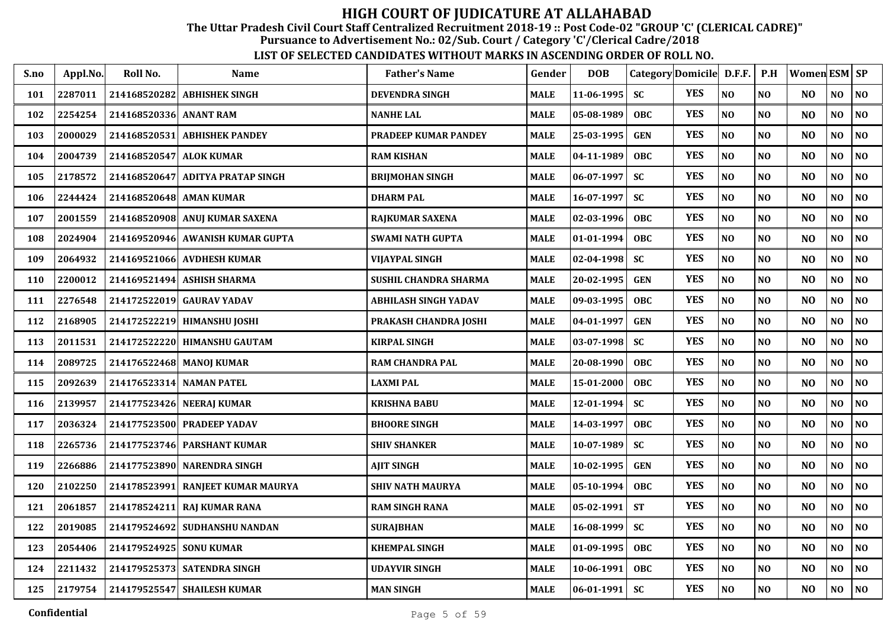The Uttar Pradesh Civil Court Staff Centralized Recruitment 2018-19 :: Post Code-02 "GROUP 'C' (CLERICAL CADRE)"

Pursuance to Advertisement No.: 02/Sub. Court / Category 'C'/Clerical Cadre/2018

| S.no | Appl.No. | Roll No.                 | <b>Name</b>                      | <b>Father's Name</b>        | Gender      | <b>DOB</b> | Category Domicile D.F.F. |            |                | P.H            | Women ESM SP   |                |                |
|------|----------|--------------------------|----------------------------------|-----------------------------|-------------|------------|--------------------------|------------|----------------|----------------|----------------|----------------|----------------|
| 101  | 2287011  | 214168520282             | <b>ABHISHEK SINGH</b>            | <b>DEVENDRA SINGH</b>       | <b>MALE</b> | 11-06-1995 | <b>SC</b>                | <b>YES</b> | N <sub>O</sub> | N <sub>0</sub> | N <sub>O</sub> | NO.            | <b>NO</b>      |
| 102  | 2254254  | 214168520336             | <b>ANANT RAM</b>                 | <b>NANHE LAL</b>            | <b>MALE</b> | 05-08-1989 | <b>OBC</b>               | <b>YES</b> | NO             | N <sub>O</sub> | N <sub>O</sub> | N <sub>O</sub> | <b>NO</b>      |
| 103  | 2000029  | 214168520531             | <b>ABHISHEK PANDEY</b>           | <b>PRADEEP KUMAR PANDEY</b> | <b>MALE</b> | 25-03-1995 | <b>GEN</b>               | <b>YES</b> | NO             | N <sub>O</sub> | N <sub>O</sub> | N <sub>O</sub> | NO             |
| 104  | 2004739  | 214168520547             | <b>ALOK KUMAR</b>                | <b>RAM KISHAN</b>           | <b>MALE</b> | 04-11-1989 | <b>OBC</b>               | <b>YES</b> | NO             | N <sub>O</sub> | N <sub>O</sub> | $\bf NO$       | $\bf NO$       |
| 105  | 2178572  | 214168520647             | <b>ADITYA PRATAP SINGH</b>       | <b>BRIJMOHAN SINGH</b>      | <b>MALE</b> | 06-07-1997 | <b>SC</b>                | <b>YES</b> | NO             | NO             | N <sub>O</sub> | NO             | NO             |
| 106  | 2244424  | 214168520648 AMAN KUMAR  |                                  | <b>DHARM PAL</b>            | <b>MALE</b> | 16-07-1997 | <b>SC</b>                | <b>YES</b> | NO             | N <sub>O</sub> | N <sub>O</sub> | NO             | $\bf NO$       |
| 107  | 2001559  |                          | 214168520908 ANUJ KUMAR SAXENA   | RAJKUMAR SAXENA             | <b>MALE</b> | 02-03-1996 | OBC                      | <b>YES</b> | $\bf NO$       | NO             | N <sub>O</sub> | N <sub>0</sub> | $\bf NO$       |
| 108  | 2024904  |                          | 214169520946 AWANISH KUMAR GUPTA | <b>SWAMI NATH GUPTA</b>     | <b>MALE</b> | 01-01-1994 | OBC                      | <b>YES</b> | NO             | N <sub>O</sub> | N <sub>O</sub> | NO             | $\bf NO$       |
| 109  | 2064932  |                          | 214169521066 AVDHESH KUMAR       | VIJAYPAL SINGH              | <b>MALE</b> | 02-04-1998 | <b>SC</b>                | <b>YES</b> | N <sub>O</sub> | N <sub>O</sub> | N <sub>O</sub> | NO             | NO             |
| 110  | 2200012  |                          | 214169521494 ASHISH SHARMA       | SUSHIL CHANDRA SHARMA       | <b>MALE</b> | 20-02-1995 | <b>GEN</b>               | <b>YES</b> | NO             | N <sub>O</sub> | N <sub>O</sub> | NO             | NO             |
| 111  | 2276548  |                          | 214172522019 GAURAV YADAV        | <b>ABHILASH SINGH YADAV</b> | <b>MALE</b> | 09-03-1995 | <b>OBC</b>               | <b>YES</b> | NO             | N <sub>O</sub> | N <sub>O</sub> | N <sub>0</sub> | <b>NO</b>      |
| 112  | 2168905  |                          | 214172522219 HIMANSHU JOSHI      | PRAKASH CHANDRA JOSHI       | <b>MALE</b> | 04-01-1997 | <b>GEN</b>               | <b>YES</b> | NO             | N <sub>O</sub> | N <sub>O</sub> | N <sub>O</sub> | NO             |
| 113  | 2011531  |                          | 214172522220 HIMANSHU GAUTAM     | KIRPAL SINGH                | <b>MALE</b> | 03-07-1998 | <b>SC</b>                | <b>YES</b> | NO             | NO             | N <sub>O</sub> | NO             | N <sub>0</sub> |
| 114  | 2089725  | 214176522468 MANOJ KUMAR |                                  | <b>RAM CHANDRA PAL</b>      | <b>MALE</b> | 20-08-1990 | <b>OBC</b>               | <b>YES</b> | NO             | N <sub>O</sub> | N <sub>O</sub> | NO             | NO             |
| 115  | 2092639  | 214176523314 NAMAN PATEL |                                  | <b>LAXMI PAL</b>            | <b>MALE</b> | 15-01-2000 | <b>OBC</b>               | <b>YES</b> | NO             | NO             | N <sub>O</sub> | NO             | N <sub>0</sub> |
| 116  | 2139957  |                          | 214177523426 NEERAJ KUMAR        | <b>KRISHNA BABU</b>         | <b>MALE</b> | 12-01-1994 | <b>SC</b>                | <b>YES</b> | NO             | NO             | N <sub>O</sub> | NO             | N <sub>0</sub> |
| 117  | 2036324  |                          | 214177523500 PRADEEP YADAV       | <b>BHOORE SINGH</b>         | <b>MALE</b> | 14-03-1997 | <b>OBC</b>               | <b>YES</b> | NO             | N <sub>O</sub> | N <sub>O</sub> | NO             | N <sub>0</sub> |
| 118  | 2265736  |                          | 214177523746 PARSHANT KUMAR      | <b>SHIV SHANKER</b>         | <b>MALE</b> | 10-07-1989 | <b>SC</b>                | <b>YES</b> | N <sub>O</sub> | N <sub>O</sub> | N <sub>O</sub> | NO             | NO             |
| 119  | 2266886  |                          | 214177523890 NARENDRA SINGH      | <b>AIIT SINGH</b>           | <b>MALE</b> | 10-02-1995 | <b>GEN</b>               | <b>YES</b> | NO             | N <sub>O</sub> | N <sub>O</sub> | NO             | N <sub>O</sub> |
| 120  | 2102250  | 214178523991             | RANJEET KUMAR MAURYA             | <b>SHIV NATH MAURYA</b>     | <b>MALE</b> | 05-10-1994 | <b>OBC</b>               | <b>YES</b> | NO             | N <sub>O</sub> | N <sub>O</sub> | NO             | N <sub>O</sub> |
| 121  | 2061857  | 214178524211             | <b>RAJ KUMAR RANA</b>            | <b>RAM SINGH RANA</b>       | <b>MALE</b> | 05-02-1991 | <b>ST</b>                | <b>YES</b> | NO             | N <sub>O</sub> | N <sub>O</sub> | N <sub>O</sub> | NO             |
| 122  | 2019085  | 214179524692             | SUDHANSHU NANDAN                 | <b>SURAJBHAN</b>            | <b>MALE</b> | 16-08-1999 | <b>SC</b>                | <b>YES</b> | NO             | N <sub>O</sub> | N <sub>O</sub> | $\bf NO$       | NO             |
| 123  | 2054406  | 214179524925 SONU KUMAR  |                                  | <b>KHEMPAL SINGH</b>        | <b>MALE</b> | 01-09-1995 | <b>OBC</b>               | <b>YES</b> | NO             | N <sub>O</sub> | N <sub>O</sub> | N <sub>O</sub> | NO             |
| 124  | 2211432  |                          | 214179525373 SATENDRA SINGH      | <b>UDAYVIR SINGH</b>        | <b>MALE</b> | 10-06-1991 | <b>OBC</b>               | <b>YES</b> | NO             | NO             | N <sub>O</sub> | N <sub>0</sub> | NO             |
| 125  | 2179754  |                          | 214179525547 SHAILESH KUMAR      | <b>MAN SINGH</b>            | <b>MALE</b> | 06-01-1991 | <b>SC</b>                | <b>YES</b> | NO             | N <sub>O</sub> | N <sub>O</sub> | N <sub>O</sub> | <b>NO</b>      |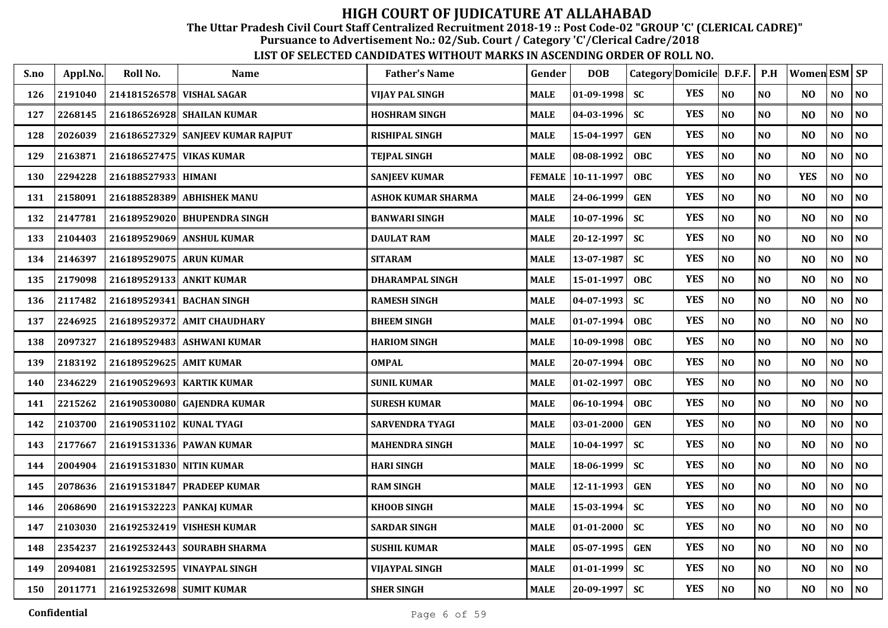The Uttar Pradesh Civil Court Staff Centralized Recruitment 2018-19 :: Post Code-02 "GROUP 'C' (CLERICAL CADRE)"

Pursuance to Advertisement No.: 02/Sub. Court / Category 'C'/Clerical Cadre/2018

| S.no | Appl.No. | Roll No.                  | <b>Name</b>                       | <b>Father's Name</b>      | Gender        | <b>DOB</b>       | Category Domicile D.F.F. |            |                | P.H            | <b>Women ESM SP</b> |                |                |
|------|----------|---------------------------|-----------------------------------|---------------------------|---------------|------------------|--------------------------|------------|----------------|----------------|---------------------|----------------|----------------|
| 126  | 2191040  | 214181526578 VISHAL SAGAR |                                   | <b>VIJAY PAL SINGH</b>    | <b>MALE</b>   | $01-09-1998$     | <b>SC</b>                | <b>YES</b> | N <sub>O</sub> | N <sub>O</sub> | N <sub>O</sub>      | NO             | NO             |
| 127  | 2268145  |                           | 216186526928 SHAILAN KUMAR        | <b>HOSHRAM SINGH</b>      | <b>MALE</b>   | $04 - 03 - 1996$ | <b>SC</b>                | <b>YES</b> | NO             | N <sub>O</sub> | N <sub>O</sub>      | NO             | N <sub>0</sub> |
| 128  | 2026039  |                           | 216186527329 SANJEEV KUMAR RAJPUT | <b>RISHIPAL SINGH</b>     | <b>MALE</b>   | 15-04-1997       | <b>GEN</b>               | <b>YES</b> | NO             | N <sub>O</sub> | N <sub>O</sub>      | N <sub>O</sub> | N <sub>0</sub> |
| 129  | 2163871  | 216186527475              | <b>VIKAS KUMAR</b>                | <b>TEIPAL SINGH</b>       | <b>MALE</b>   | 08-08-1992       | <b>OBC</b>               | <b>YES</b> | NO             | N <sub>O</sub> | N <sub>O</sub>      | NO             | NO             |
| 130  | 2294228  | 216188527933 HIMANI       |                                   | <b>SANJEEV KUMAR</b>      | <b>FEMALE</b> | 10-11-1997       | <b>OBC</b>               | <b>YES</b> | N <sub>O</sub> | N <sub>O</sub> | <b>YES</b>          | N <sub>O</sub> | N <sub>O</sub> |
| 131  | 2158091  | 216188528389              | <b>ABHISHEK MANU</b>              | <b>ASHOK KUMAR SHARMA</b> | <b>MALE</b>   | 24-06-1999       | <b>GEN</b>               | <b>YES</b> | NO             | N <sub>0</sub> | N <sub>O</sub>      | NO             | N <sub>0</sub> |
| 132  | 2147781  |                           | 216189529020 BHUPENDRA SINGH      | <b>BANWARI SINGH</b>      | <b>MALE</b>   | 10-07-1996       | <b>SC</b>                | <b>YES</b> | NO             | N <sub>0</sub> | N <sub>O</sub>      | NO             | N <sub>0</sub> |
| 133  | 2104403  | 216189529069              | <b>ANSHUL KUMAR</b>               | <b>DAULAT RAM</b>         | <b>MALE</b>   | 20-12-1997       | <b>SC</b>                | <b>YES</b> | NO             | N <sub>O</sub> | N <sub>O</sub>      | NO             | N <sub>0</sub> |
| 134  | 2146397  | 216189529075 ARUN KUMAR   |                                   | <b>SITARAM</b>            | <b>MALE</b>   | 13-07-1987       | <b>SC</b>                | <b>YES</b> | NO             | N <sub>O</sub> | N <sub>O</sub>      | NO             | N <sub>0</sub> |
| 135  | 2179098  | 216189529133 ANKIT KUMAR  |                                   | <b>DHARAMPAL SINGH</b>    | <b>MALE</b>   | 15-01-1997       | <b>OBC</b>               | <b>YES</b> | NO             | N <sub>O</sub> | N <sub>O</sub>      | NO             | NO             |
| 136  | 2117482  |                           | 216189529341 BACHAN SINGH         | <b>RAMESH SINGH</b>       | <b>MALE</b>   | 04-07-1993       | <b>SC</b>                | <b>YES</b> | NO             | N <sub>O</sub> | N <sub>O</sub>      | NO             | N <sub>0</sub> |
| 137  | 2246925  | 216189529372              | <b>AMIT CHAUDHARY</b>             | <b>BHEEM SINGH</b>        | <b>MALE</b>   | 01-07-1994       | <b>OBC</b>               | <b>YES</b> | NO             | N <sub>O</sub> | N <sub>O</sub>      | N <sub>O</sub> | N <sub>0</sub> |
| 138  | 2097327  |                           | 216189529483 ASHWANI KUMAR        | <b>HARIOM SINGH</b>       | <b>MALE</b>   | 10-09-1998       | <b>OBC</b>               | <b>YES</b> | NO             | N <sub>O</sub> | N <sub>O</sub>      | NO             | N <sub>0</sub> |
| 139  | 2183192  | 216189529625 AMIT KUMAR   |                                   | <b>OMPAL</b>              | <b>MALE</b>   | 20-07-1994       | <b>OBC</b>               | <b>YES</b> | NO             | N <sub>O</sub> | N <sub>O</sub>      | N <sub>O</sub> | N <sub>0</sub> |
| 140  | 2346229  |                           | 216190529693 KARTIK KUMAR         | <b>SUNIL KUMAR</b>        | <b>MALE</b>   | 01-02-1997       | <b>OBC</b>               | <b>YES</b> | NO             | N <sub>0</sub> | N <sub>O</sub>      | NO             | N <sub>0</sub> |
| 141  | 2215262  |                           | 216190530080 GAJENDRA KUMAR       | <b>SURESH KUMAR</b>       | <b>MALE</b>   | 06-10-1994       | <b>OBC</b>               | <b>YES</b> | N <sub>O</sub> | N <sub>O</sub> | N <sub>O</sub>      | NO.            | N <sub>O</sub> |
| 142  | 2103700  | 216190531102 KUNAL TYAGI  |                                   | <b>SARVENDRA TYAGI</b>    | <b>MALE</b>   | 03-01-2000       | <b>GEN</b>               | <b>YES</b> | NO             | N <sub>O</sub> | N <sub>O</sub>      | NO             | N <sub>0</sub> |
| 143  | 2177667  |                           | 216191531336 PAWAN KUMAR          | <b>MAHENDRA SINGH</b>     | <b>MALE</b>   | 10-04-1997       | <b>SC</b>                | <b>YES</b> | N <sub>O</sub> | N <sub>O</sub> | N <sub>O</sub>      | NO             | N <sub>O</sub> |
| 144  | 2004904  | 216191531830 NITIN KUMAR  |                                   | <b>HARI SINGH</b>         | <b>MALE</b>   | 18-06-1999       | <b>SC</b>                | <b>YES</b> | NO             | N <sub>O</sub> | N <sub>O</sub>      | NO             | N <sub>0</sub> |
| 145  | 2078636  |                           | 216191531847 PRADEEP KUMAR        | <b>RAM SINGH</b>          | <b>MALE</b>   | 12-11-1993       | <b>GEN</b>               | <b>YES</b> | NO             | N <sub>O</sub> | N <sub>O</sub>      | NO             | $\bf NO$       |
| 146  | 2068690  | 216191532223              | <b>PANKAJ KUMAR</b>               | <b>KHOOB SINGH</b>        | <b>MALE</b>   | 15-03-1994       | <b>SC</b>                | <b>YES</b> | NO             | N <sub>O</sub> | N <sub>O</sub>      | NO             | N <sub>0</sub> |
| 147  | 2103030  |                           | 216192532419 VISHESH KUMAR        | <b>SARDAR SINGH</b>       | <b>MALE</b>   | $01 - 01 - 2000$ | <b>SC</b>                | <b>YES</b> | NO             | N <sub>O</sub> | N <sub>O</sub>      | NO             | N <sub>0</sub> |
| 148  | 2354237  |                           | 216192532443 SOURABH SHARMA       | <b>SUSHIL KUMAR</b>       | <b>MALE</b>   | 05-07-1995       | <b>GEN</b>               | <b>YES</b> | N <sub>O</sub> | N <sub>O</sub> | N <sub>O</sub>      | NO             | NO             |
| 149  | 2094081  |                           | 216192532595 VINAYPAL SINGH       | <b>VIJAYPAL SINGH</b>     | <b>MALE</b>   | 01-01-1999       | <b>SC</b>                | <b>YES</b> | NO             | NO             | N <sub>O</sub>      | N <sub>O</sub> | $\bf NO$       |
| 150  | 2011771  | 216192532698 SUMIT KUMAR  |                                   | <b>SHER SINGH</b>         | <b>MALE</b>   | 20-09-1997       | <b>SC</b>                | <b>YES</b> | NO             | NO             | N <sub>O</sub>      | NO.            | NO             |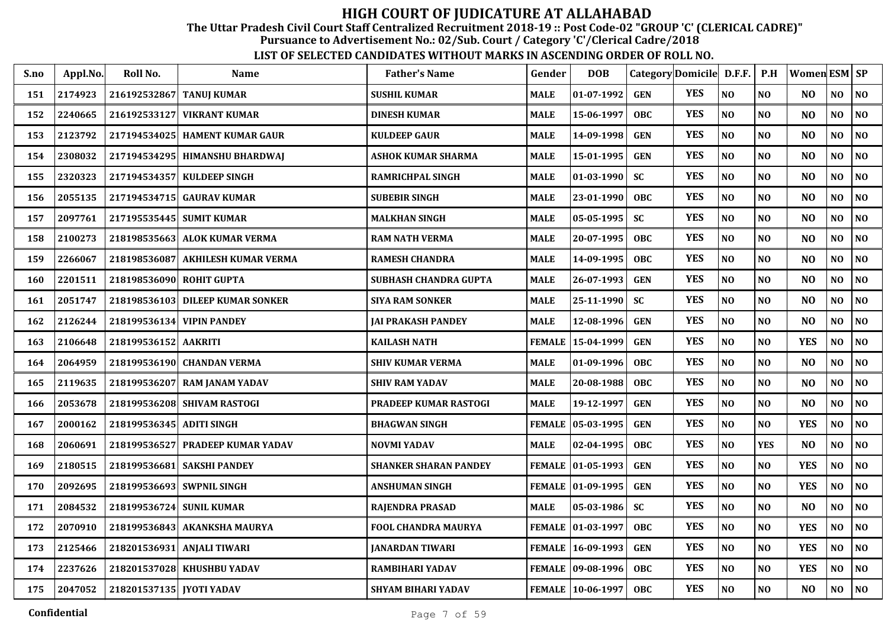The Uttar Pradesh Civil Court Staff Centralized Recruitment 2018-19 :: Post Code-02 "GROUP 'C' (CLERICAL CADRE)"

Pursuance to Advertisement No.: 02/Sub. Court / Category 'C'/Clerical Cadre/2018

| S.no | Appl.No. | Roll No.                 | Name                             | <b>Father's Name</b>         | Gender        | <b>DOB</b>         |            | Category Domicile D.F.F. |                | P.H            | Women ESM SP   |                |                |
|------|----------|--------------------------|----------------------------------|------------------------------|---------------|--------------------|------------|--------------------------|----------------|----------------|----------------|----------------|----------------|
| 151  | 2174923  | 216192532867             | <b>TANUJ KUMAR</b>               | <b>SUSHIL KUMAR</b>          | MALE          | 01-07-1992         | <b>GEN</b> | <b>YES</b>               | NO             | N <sub>O</sub> | N <sub>O</sub> | N <sub>O</sub> | $\bf NO$       |
| 152  | 2240665  | 216192533127             | <b>VIKRANT KUMAR</b>             | <b>DINESH KUMAR</b>          | MALE          | 15-06-1997         | <b>OBC</b> | <b>YES</b>               | NO             | N <sub>O</sub> | N <sub>O</sub> | N <sub>O</sub> | N <sub>O</sub> |
| 153  | 2123792  |                          | 217194534025   HAMENT KUMAR GAUR | <b>KULDEEP GAUR</b>          | MALE          | 14-09-1998         | <b>GEN</b> | <b>YES</b>               | $\bf NO$       | N <sub>O</sub> | N <sub>O</sub> | NO             | $\bf NO$       |
| 154  | 2308032  |                          | 217194534295   HIMANSHU BHARDWAJ | ASHOK KUMAR SHARMA           | MALE          | 15-01-1995         | <b>GEN</b> | <b>YES</b>               | NO             | N <sub>O</sub> | N <sub>O</sub> | NO             | $\bf NO$       |
| 155  | 2320323  | 217194534357             | <b>KULDEEP SINGH</b>             | RAMRICHPAL SINGH             | MALE          | $01-03-1990$       | <b>SC</b>  | <b>YES</b>               | NO             | N <sub>O</sub> | N <sub>O</sub> | NO             | $\bf NO$       |
| 156  | 2055135  | 217194534715             | <b>GAURAV KUMAR</b>              | <b>SUBEBIR SINGH</b>         | MALE          | 23-01-1990         | <b>OBC</b> | <b>YES</b>               | NO             | NO             | N <sub>O</sub> | $\bf NO$       | $\bf NO$       |
| 157  | 2097761  |                          | 217195535445 SUMIT KUMAR         | <b>MALKHAN SINGH</b>         | MALE          | $05 - 05 - 1995$   | <b>SC</b>  | <b>YES</b>               | NO             | N <sub>O</sub> | N <sub>O</sub> | NO             | $\bf NO$       |
| 158  | 2100273  |                          | 218198535663 ALOK KUMAR VERMA    | <b>RAM NATH VERMA</b>        | MALE          | 20-07-1995         | <b>OBC</b> | <b>YES</b>               | $\bf NO$       | N <sub>O</sub> | N <sub>O</sub> | NO             | $\bf NO$       |
| 159  | 2266067  | 218198536087             | <b>AKHILESH KUMAR VERMA</b>      | <b>RAMESH CHANDRA</b>        | MALE          | 14-09-1995         | <b>OBC</b> | <b>YES</b>               | NO             | NO             | N <sub>O</sub> | NO             | NO             |
| 160  | 2201511  | 218198536090 ROHIT GUPTA |                                  | SUBHASH CHANDRA GUPTA        | MALE          | 26-07-1993         | <b>GEN</b> | <b>YES</b>               | N <sub>O</sub> | N <sub>O</sub> | N <sub>O</sub> | NO             | $\bf NO$       |
| 161  | 2051747  |                          | 218198536103 DILEEP KUMAR SONKER | <b>SIYA RAM SONKER</b>       | MALE          | 25-11-1990         | <b>SC</b>  | <b>YES</b>               | NO             | N <sub>O</sub> | N <sub>O</sub> | N <sub>O</sub> | NO             |
| 162  | 2126244  |                          | 218199536134 VIPIN PANDEY        | <b>JAI PRAKASH PANDEY</b>    | MALE          | 12-08-1996         | <b>GEN</b> | <b>YES</b>               | $\bf NO$       | N <sub>O</sub> | N <sub>O</sub> | NO             | $\bf NO$       |
| 163  | 2106648  | 218199536152             | <b>AAKRITI</b>                   | <b>KAILASH NATH</b>          | <b>FEMALE</b> | 15-04-1999         | <b>GEN</b> | <b>YES</b>               | NO             | NO             | <b>YES</b>     | NO             | $\bf NO$       |
| 164  | 2064959  | 218199536190             | <b>CHANDAN VERMA</b>             | <b>SHIV KUMAR VERMA</b>      | MALE          | 01-09-1996         | <b>OBC</b> | <b>YES</b>               | NO             | N <sub>O</sub> | N <sub>O</sub> | NO             | $\bf NO$       |
| 165  | 2119635  | 218199536207             | <b>RAM JANAM YADAV</b>           | <b>SHIV RAM YADAV</b>        | MALE          | 20-08-1988         | <b>OBC</b> | <b>YES</b>               | NO             | NO             | N <sub>O</sub> | $\bf NO$       | $\bf NO$       |
| 166  | 2053678  |                          | 218199536208 SHIVAM RASTOGI      | PRADEEP KUMAR RASTOGI        | MALE          | 19-12-1997         | <b>GEN</b> | <b>YES</b>               | NO             | N <sub>O</sub> | N <sub>O</sub> | NO             | NO             |
| 167  | 2000162  | 218199536345 ADITI SINGH |                                  | <b>BHAGWAN SINGH</b>         | <b>FEMALE</b> | $ 05-03-1995$      | <b>GEN</b> | <b>YES</b>               | $\bf NO$       | NO             | <b>YES</b>     | NO             | $\bf NO$       |
| 168  | 2060691  |                          | 218199536527 PRADEEP KUMAR YADAV | <b>NOVMI YADAV</b>           | MALE          | 02-04-1995         | <b>OBC</b> | <b>YES</b>               | NO             | <b>YES</b>     | N <sub>O</sub> | NO             | NO             |
| 169  | 2180515  | 218199536681             | <b>SAKSHI PANDEY</b>             | <b>SHANKER SHARAN PANDEY</b> |               | FEMALE  01-05-1993 | <b>GEN</b> | <b>YES</b>               | NO             | N <sub>O</sub> | <b>YES</b>     | NO             | NO             |
| 170  | 2092695  |                          | 218199536693 SWPNIL SINGH        | ANSHUMAN SINGH               |               | FEMALE 01-09-1995  | <b>GEN</b> | <b>YES</b>               | NO             | N <sub>O</sub> | <b>YES</b>     | NO             | NO.            |
| 171  | 2084532  | 218199536724 SUNIL KUMAR |                                  | RAJENDRA PRASAD              | MALE          | $ 05-03-1986 $     | <b>SC</b>  | <b>YES</b>               | $\bf NO$       | N <sub>O</sub> | N <sub>O</sub> | NO             | $\bf NO$       |
| 172  | 2070910  | 218199536843             | <b>AKANKSHA MAURYA</b>           | FOOL CHANDRA MAURYA          | <b>FEMALE</b> | $ 01-03-1997$      | <b>OBC</b> | <b>YES</b>               | NO             | NO             | <b>YES</b>     | NO             | NO             |
| 173  | 2125466  | 218201536931             | <b>ANJALI TIWARI</b>             | <b>JANARDAN TIWARI</b>       | <b>FEMALE</b> | 16-09-1993         | <b>GEN</b> | <b>YES</b>               | NO             | N <sub>O</sub> | <b>YES</b>     | NO             | NO             |
| 174  | 2237626  |                          | 218201537028 KHUSHBU YADAV       | RAMBIHARI YADAV              | <b>FEMALE</b> | $ 09-08-1996 $     | <b>OBC</b> | <b>YES</b>               | NO             | N <sub>O</sub> | <b>YES</b>     | NO             | NO             |
| 175  | 2047052  | 218201537135 JYOTI YADAV |                                  | <b>SHYAM BIHARI YADAV</b>    |               | FEMALE 10-06-1997  | <b>OBC</b> | <b>YES</b>               | $\bf NO$       | NO             | N <sub>O</sub> | NO             | $\bf NO$       |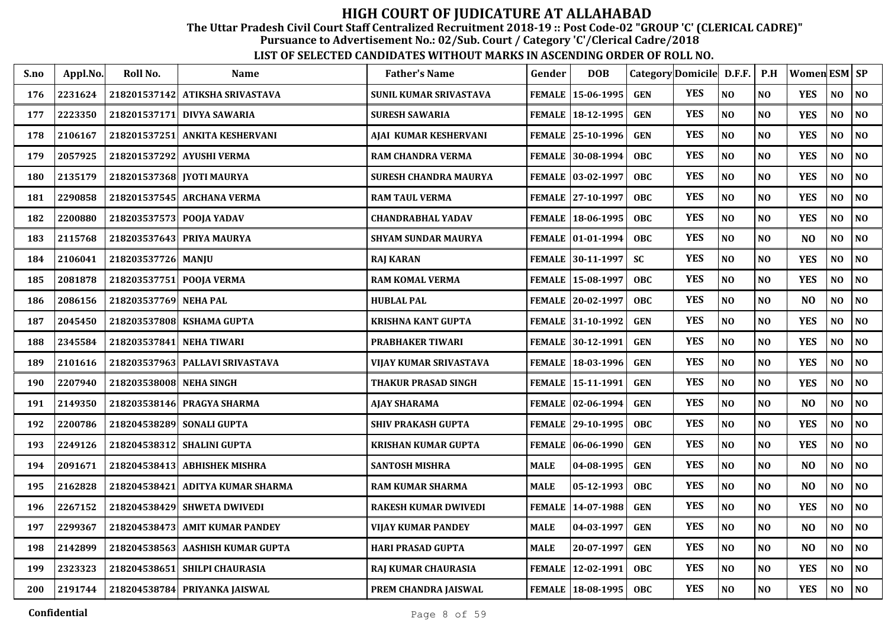The Uttar Pradesh Civil Court Staff Centralized Recruitment 2018-19 :: Post Code-02 "GROUP 'C' (CLERICAL CADRE)"

Pursuance to Advertisement No.: 02/Sub. Court / Category 'C'/Clerical Cadre/2018

| S.no | Appl.No. | Roll No.                 | <b>Name</b>                      | <b>Father's Name</b>        | Gender        | <b>DOB</b>                |            | Category Domicile D.F.F. |                | P.H            | <b>Women ESM SP</b> |                |                |
|------|----------|--------------------------|----------------------------------|-----------------------------|---------------|---------------------------|------------|--------------------------|----------------|----------------|---------------------|----------------|----------------|
| 176  | 2231624  |                          | 218201537142 ATIKSHA SRIVASTAVA  | SUNIL KUMAR SRIVASTAVA      |               | FEMALE   15-06-1995       | <b>GEN</b> | <b>YES</b>               | NO             | N <sub>O</sub> | <b>YES</b>          | NO             | <b>NO</b>      |
| 177  | 2223350  |                          | 218201537171 DIVYA SAWARIA       | <b>SURESH SAWARIA</b>       |               | FEMALE 18-12-1995         | <b>GEN</b> | <b>YES</b>               | NO             | N <sub>O</sub> | <b>YES</b>          | N <sub>O</sub> | N <sub>O</sub> |
| 178  | 2106167  | 218201537251             | <b>ANKITA KESHERVANI</b>         | AJAI KUMAR KESHERVANI       |               | FEMALE 25-10-1996         | <b>GEN</b> | <b>YES</b>               | NO             | N <sub>O</sub> | <b>YES</b>          | N <sub>0</sub> | NO             |
| 179  | 2057925  | 218201537292             | <b>AYUSHI VERMA</b>              | <b>RAM CHANDRA VERMA</b>    |               | <b>FEMALE 130-08-1994</b> | <b>OBC</b> | <b>YES</b>               | NO             | N <sub>O</sub> | <b>YES</b>          | NO             | N <sub>O</sub> |
| 180  | 2135179  |                          | 218201537368 JYOTI MAURYA        | SURESH CHANDRA MAURYA       |               | FEMALE 03-02-1997         | <b>OBC</b> | <b>YES</b>               | NO             | NO             | <b>YES</b>          | NO             | NO             |
| 181  | 2290858  |                          | 218201537545 ARCHANA VERMA       | <b>RAM TAUL VERMA</b>       |               | FEMALE 27-10-1997         | <b>OBC</b> | <b>YES</b>               | NO             | N <sub>O</sub> | <b>YES</b>          | NO             | N <sub>O</sub> |
| 182  | 2200880  | 218203537573 POOJA YADAV |                                  | <b>CHANDRABHAL YADAV</b>    | <b>FEMALE</b> | 18-06-1995                | <b>OBC</b> | <b>YES</b>               | $\bf NO$       | N <sub>O</sub> | <b>YES</b>          | NO             | $\bf NO$       |
| 183  | 2115768  | 218203537643             | PRIYA MAURYA                     | <b>SHYAM SUNDAR MAURYA</b>  |               | FEMALE 101-01-1994        | <b>OBC</b> | <b>YES</b>               | NO             | N <sub>O</sub> | N <sub>O</sub>      | N <sub>O</sub> | NO             |
| 184  | 2106041  | 218203537726 MANJU       |                                  | <b>RAJ KARAN</b>            |               | FEMALE 30-11-1997         | <b>SC</b>  | <b>YES</b>               | NO             | N <sub>O</sub> | <b>YES</b>          | N <sub>O</sub> | $\bf NO$       |
| 185  | 2081878  | 218203537751             | <b>POOJA VERMA</b>               | <b>RAM KOMAL VERMA</b>      |               | FEMALE 15-08-1997         | <b>OBC</b> | <b>YES</b>               | NO             | N <sub>O</sub> | <b>YES</b>          | N <sub>O</sub> | N <sub>O</sub> |
| 186  | 2086156  | 218203537769 NEHA PAL    |                                  | <b>HUBLAL PAL</b>           |               | FEMALE 20-02-1997         | <b>OBC</b> | <b>YES</b>               | NO             | N <sub>O</sub> | N <sub>O</sub>      | NO             | $\bf NO$       |
| 187  | 2045450  | 218203537808             | <b>KSHAMA GUPTA</b>              | <b>KRISHNA KANT GUPTA</b>   |               | FEMALE 31-10-1992         | <b>GEN</b> | <b>YES</b>               | $\bf NO$       | N <sub>O</sub> | <b>YES</b>          | $\bf NO$       | $\bf NO$       |
| 188  | 2345584  | 218203537841             | <b>NEHA TIWARI</b>               | PRABHAKER TIWARI            |               | FEMALE 30-12-1991         | <b>GEN</b> | <b>YES</b>               | $\bf NO$       | N <sub>O</sub> | <b>YES</b>          | NO             | $\bf NO$       |
| 189  | 2101616  |                          | 218203537963 PALLAVI SRIVASTAVA  | VIJAY KUMAR SRIVASTAVA      | <b>FEMALE</b> | 18-03-1996                | <b>GEN</b> | <b>YES</b>               | $\bf NO$       | N <sub>O</sub> | <b>YES</b>          | NO             | $\bf NO$       |
| 190  | 2207940  | 218203538008             | <b>NEHA SINGH</b>                | THAKUR PRASAD SINGH         |               | FEMALE   15-11-1991       | <b>GEN</b> | <b>YES</b>               | NO             | N <sub>O</sub> | <b>YES</b>          | NO             | N <sub>O</sub> |
| 191  | 2149350  |                          | 218203538146 PRAGYA SHARMA       | <b>AJAY SHARAMA</b>         |               | FEMALE 02-06-1994         | <b>GEN</b> | <b>YES</b>               | $\bf NO$       | N <sub>O</sub> | N <sub>O</sub>      | NO             | $\bf NO$       |
| 192  | 2200786  | 218204538289             | <b>SONALI GUPTA</b>              | <b>SHIV PRAKASH GUPTA</b>   |               | FEMALE 29-10-1995         | <b>OBC</b> | <b>YES</b>               | NO             | N <sub>O</sub> | <b>YES</b>          | N <sub>O</sub> | $\bf NO$       |
| 193  | 2249126  | 218204538312             | <b>SHALINI GUPTA</b>             | <b>KRISHAN KUMAR GUPTA</b>  |               | FEMALE 06-06-1990         | <b>GEN</b> | <b>YES</b>               | N <sub>O</sub> | N <sub>O</sub> | <b>YES</b>          | N <sub>O</sub> | N <sub>O</sub> |
| 194  | 2091671  | 218204538413             | <b>ABHISHEK MISHRA</b>           | <b>SANTOSH MISHRA</b>       | <b>MALE</b>   | 04-08-1995                | <b>GEN</b> | <b>YES</b>               | NO             | NO             | N <sub>O</sub>      | N <sub>O</sub> | N <sub>O</sub> |
| 195  | 2162828  | 218204538421             | <b>ADITYA KUMAR SHARMA</b>       | <b>RAM KUMAR SHARMA</b>     | MALE          | 05-12-1993                | <b>OBC</b> | <b>YES</b>               | $\bf NO$       | N <sub>O</sub> | N <sub>O</sub>      | NO             | $\bf NO$       |
| 196  | 2267152  | 218204538429             | <b>SHWETA DWIVEDI</b>            | <b>RAKESH KUMAR DWIVEDI</b> | <b>FEMALE</b> | 14-07-1988                | <b>GEN</b> | <b>YES</b>               | NO             | N <sub>O</sub> | <b>YES</b>          | NO             | $\bf NO$       |
| 197  | 2299367  | 218204538473             | <b>AMIT KUMAR PANDEY</b>         | VIJAY KUMAR PANDEY          | <b>MALE</b>   | 04-03-1997                | <b>GEN</b> | <b>YES</b>               | NO             | N <sub>O</sub> | N <sub>O</sub>      | NO             | $\bf NO$       |
| 198  | 2142899  |                          | 218204538563 AASHISH KUMAR GUPTA | <b>HARI PRASAD GUPTA</b>    | <b>MALE</b>   | 20-07-1997                | <b>GEN</b> | <b>YES</b>               | NO             | N <sub>O</sub> | N <sub>O</sub>      | NO             | $\bf NO$       |
| 199  | 2323323  | 218204538651             | <b>SHILPI CHAURASIA</b>          | RAJ KUMAR CHAURASIA         | <b>FEMALE</b> | 12-02-1991                | <b>OBC</b> | <b>YES</b>               | $\bf NO$       | $\bf NO$       | <b>YES</b>          | NO             | $\bf NO$       |
| 200  | 2191744  |                          | 218204538784 PRIYANKA JAISWAL    | PREM CHANDRA JAISWAL        |               | FEMALE   18-08-1995       | <b>OBC</b> | <b>YES</b>               | $\bf NO$       | N <sub>O</sub> | <b>YES</b>          | NO             | NO             |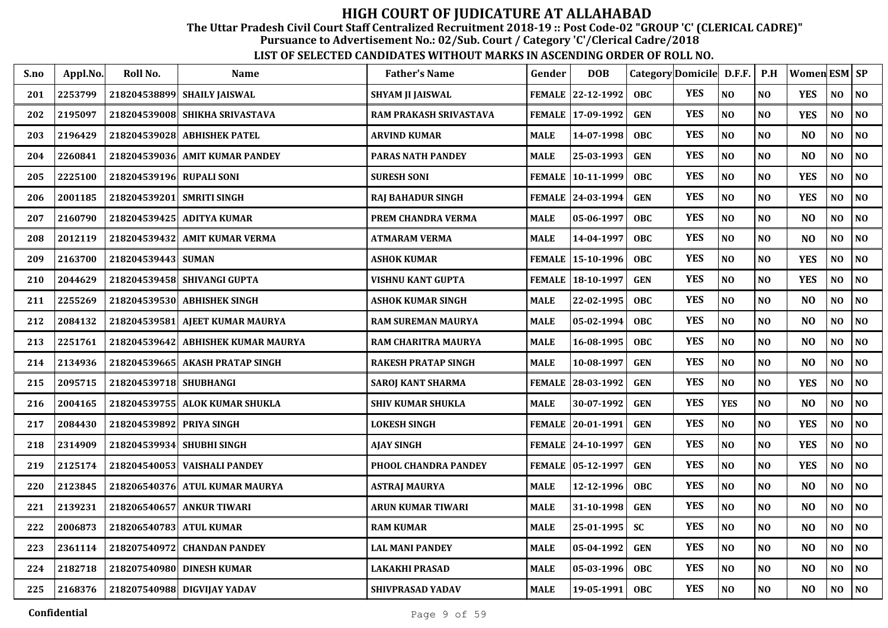The Uttar Pradesh Civil Court Staff Centralized Recruitment 2018-19 :: Post Code-02 "GROUP 'C' (CLERICAL CADRE)"

Pursuance to Advertisement No.: 02/Sub. Court / Category 'C'/Clerical Cadre/2018

| S.no | Appl.No. | Roll No.                  | <b>Name</b>                     | <b>Father's Name</b>       | Gender        | <b>DOB</b>         |            | Category Domicile D.F.F. |                | P.H            | Women ESM SP   |                |                |
|------|----------|---------------------------|---------------------------------|----------------------------|---------------|--------------------|------------|--------------------------|----------------|----------------|----------------|----------------|----------------|
| 201  | 2253799  |                           | 218204538899 SHAILY JAISWAL     | <b>SHYAM JI JAISWAL</b>    |               | FEMALE 22-12-1992  | <b>OBC</b> | <b>YES</b>               | NO             | N <sub>O</sub> | <b>YES</b>     | N <sub>O</sub> | <b>NO</b>      |
| 202  | 2195097  |                           | 218204539008 SHIKHA SRIVASTAVA  | RAM PRAKASH SRIVASTAVA     |               | FEMALE 17-09-1992  | <b>GEN</b> | <b>YES</b>               | NO             | N <sub>O</sub> | <b>YES</b>     | NO             | N <sub>O</sub> |
| 203  | 2196429  |                           | 218204539028 ABHISHEK PATEL     | <b>ARVIND KUMAR</b>        | MALE          | 14-07-1998         | <b>OBC</b> | <b>YES</b>               | N <sub>O</sub> | N <sub>O</sub> | N <sub>O</sub> | NO             | N <sub>0</sub> |
| 204  | 2260841  | 218204539036              | <b>AMIT KUMAR PANDEY</b>        | <b>PARAS NATH PANDEY</b>   | <b>MALE</b>   | 25-03-1993         | <b>GEN</b> | <b>YES</b>               | NO             | N <sub>O</sub> | N <sub>O</sub> | $\bf NO$       | $\bf NO$       |
| 205  | 2225100  | 218204539196              | <b>RUPALI SONI</b>              | <b>SURESH SONI</b>         | <b>FEMALE</b> | 10-11-1999         | <b>OBC</b> | <b>YES</b>               | NO             | N <sub>O</sub> | <b>YES</b>     | NO             | $\bf NO$       |
| 206  | 2001185  | 218204539201              | <b>SMRITI SINGH</b>             | <b>RAJ BAHADUR SINGH</b>   | FEMALE        | $ 24-03-1994 $     | <b>GEN</b> | <b>YES</b>               | NO             | N <sub>O</sub> | <b>YES</b>     | NO             | N <sub>O</sub> |
| 207  | 2160790  |                           | 218204539425 ADITYA KUMAR       | PREM CHANDRA VERMA         | MALE          | 05-06-1997         | <b>OBC</b> | <b>YES</b>               | $\bf NO$       | N <sub>O</sub> | N <sub>O</sub> | NO             | $\bf NO$       |
| 208  | 2012119  | 218204539432              | <b>AMIT KUMAR VERMA</b>         | ATMARAM VERMA              | <b>MALE</b>   | 14-04-1997         | <b>OBC</b> | <b>YES</b>               | NO             | N <sub>O</sub> | N <sub>O</sub> | N <sub>O</sub> | NO             |
| 209  | 2163700  | 218204539443 SUMAN        |                                 | <b>ASHOK KUMAR</b>         | <b>FEMALE</b> | 15-10-1996         | <b>OBC</b> | <b>YES</b>               | N <sub>O</sub> | N <sub>O</sub> | <b>YES</b>     | N <sub>O</sub> | $\bf NO$       |
| 210  | 2044629  |                           | 218204539458 SHIVANGI GUPTA     | <b>VISHNU KANT GUPTA</b>   | FEMALE        | 18-10-1997         | <b>GEN</b> | <b>YES</b>               | NO             | N <sub>O</sub> | <b>YES</b>     | N <sub>O</sub> | N <sub>O</sub> |
| 211  | 2255269  |                           | 218204539530 ABHISHEK SINGH     | ASHOK KUMAR SINGH          | MALE          | 22-02-1995         | <b>OBC</b> | <b>YES</b>               | $\bf NO$       | N <sub>O</sub> | N <sub>O</sub> | NO             | $\bf NO$       |
| 212  | 2084132  |                           | 218204539581 AJEET KUMAR MAURYA | RAM SUREMAN MAURYA         | MALE          | 05-02-1994         | <b>OBC</b> | <b>YES</b>               | NO             | N <sub>O</sub> | N <sub>O</sub> | NO             | $\bf NO$       |
| 213  | 2251761  | 218204539642              | ABHISHEK KUMAR MAURYA           | RAM CHARITRA MAURYA        | MALE          | 16-08-1995         | <b>OBC</b> | <b>YES</b>               | $\bf NO$       | N <sub>O</sub> | N <sub>O</sub> | $\bf NO$       | $\bf NO$       |
| 214  | 2134936  |                           | 218204539665 AKASH PRATAP SINGH | <b>RAKESH PRATAP SINGH</b> | <b>MALE</b>   | 10-08-1997         | <b>GEN</b> | <b>YES</b>               | NO             | N <sub>O</sub> | N <sub>O</sub> | NO             | $\bf NO$       |
| 215  | 2095715  | 218204539718 SHUBHANGI    |                                 | <b>SAROJ KANT SHARMA</b>   | <b>FEMALE</b> | 28-03-1992         | <b>GEN</b> | <b>YES</b>               | NO             | N <sub>O</sub> | <b>YES</b>     | NO             | N <sub>O</sub> |
| 216  | 2004165  |                           | 218204539755 ALOK KUMAR SHUKLA  | <b>SHIV KUMAR SHUKLA</b>   | MALE          | 30-07-1992         | <b>GEN</b> | <b>YES</b>               | <b>YES</b>     | N <sub>O</sub> | N <sub>O</sub> | NO             | $\bf NO$       |
| 217  | 2084430  | 218204539892 PRIYA SINGH  |                                 | <b>LOKESH SINGH</b>        | <b>FEMALE</b> | 20-01-1991         | <b>GEN</b> | <b>YES</b>               | NO             | N <sub>O</sub> | <b>YES</b>     | N <sub>O</sub> | $\bf NO$       |
| 218  | 2314909  | 218204539934 SHUBHI SINGH |                                 | AJAY SINGH                 |               | FEMALE 24-10-1997  | <b>GEN</b> | <b>YES</b>               | N <sub>O</sub> | N <sub>O</sub> | <b>YES</b>     | N <sub>O</sub> | NO             |
| 219  | 2125174  |                           | 218204540053 VAISHALI PANDEY    | PHOOL CHANDRA PANDEY       |               | FEMALE 105-12-1997 | <b>GEN</b> | <b>YES</b>               | NO             | N <sub>O</sub> | <b>YES</b>     | NO.            | N <sub>O</sub> |
| 220  | 2123845  |                           | 218206540376 ATUL KUMAR MAURYA  | <b>ASTRAJ MAURYA</b>       | MALE          | 12-12-1996         | <b>OBC</b> | <b>YES</b>               | $\bf NO$       | N <sub>O</sub> | N <sub>O</sub> | NO             | $\bf NO$       |
| 221  | 2139231  |                           | 218206540657 ANKUR TIWARI       | <b>ARUN KUMAR TIWARI</b>   | MALE          | 31-10-1998         | <b>GEN</b> | <b>YES</b>               | N <sub>O</sub> | N <sub>O</sub> | N <sub>O</sub> | $\bf NO$       | $\bf NO$       |
| 222  | 2006873  | 218206540783              | <b>ATUL KUMAR</b>               | <b>RAM KUMAR</b>           | <b>MALE</b>   | 25-01-1995         | <b>SC</b>  | <b>YES</b>               | NO             | N <sub>O</sub> | N <sub>O</sub> | $\bf NO$       | $\bf NO$       |
| 223  | 2361114  | 218207540972              | <b>CHANDAN PANDEY</b>           | <b>LAL MANI PANDEY</b>     | <b>MALE</b>   | 05-04-1992         | <b>GEN</b> | <b>YES</b>               | NO             | N <sub>O</sub> | N <sub>O</sub> | $\bf NO$       | NO             |
| 224  | 2182718  |                           | 218207540980 DINESH KUMAR       | <b>LAKAKHI PRASAD</b>      | MALE          | 05-03-1996         | <b>OBC</b> | <b>YES</b>               | $\bf NO$       | $\bf NO$       | N <sub>O</sub> | NO             | $\bf NO$       |
| 225  | 2168376  |                           | 218207540988 DIGVIJAY YADAV     | SHIVPRASAD YADAV           | <b>MALE</b>   | 19-05-1991         | <b>OBC</b> | <b>YES</b>               | $\bf NO$       | N <sub>O</sub> | N <sub>O</sub> | NO             | $\bf NO$       |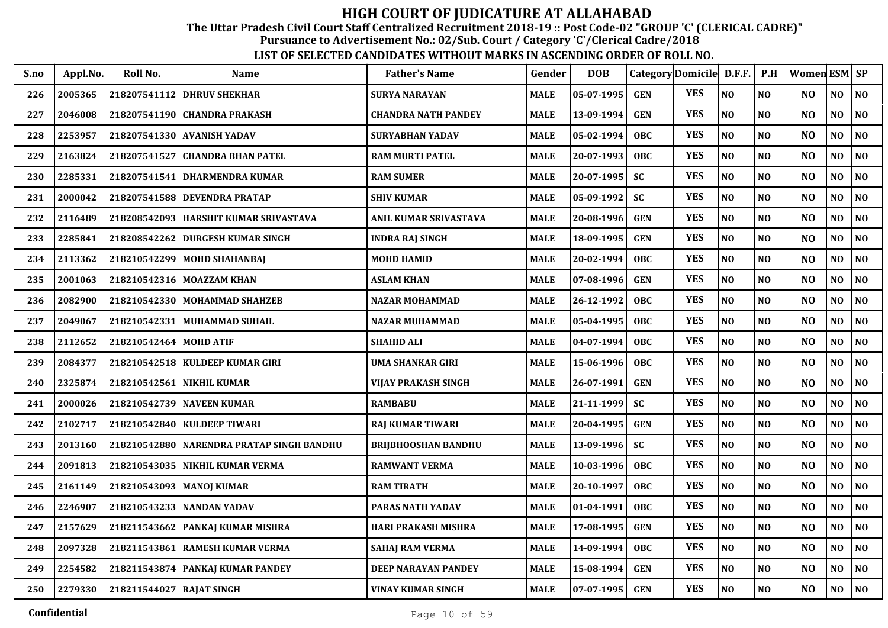The Uttar Pradesh Civil Court Staff Centralized Recruitment 2018-19 :: Post Code-02 "GROUP 'C' (CLERICAL CADRE)"

Pursuance to Advertisement No.: 02/Sub. Court / Category 'C'/Clerical Cadre/2018

| S.no | Appl.No. | Roll No.                 | Name                                      | <b>Father's Name</b>       | Gender      | <b>DOB</b>       |            | Category Domicile D.F.F. |                | P.H            | Women ESM SP   |                |                |
|------|----------|--------------------------|-------------------------------------------|----------------------------|-------------|------------------|------------|--------------------------|----------------|----------------|----------------|----------------|----------------|
| 226  | 2005365  | 218207541112             | <b>DHRUV SHEKHAR</b>                      | <b>SURYA NARAYAN</b>       | MALE        | $05 - 07 - 1995$ | <b>GEN</b> | <b>YES</b>               | N <sub>0</sub> | N <sub>0</sub> | N <sub>O</sub> | NO             | N <sub>0</sub> |
| 227  | 2046008  |                          | 218207541190 CHANDRA PRAKASH              | CHANDRA NATH PANDEY        | MALE        | 13-09-1994       | <b>GEN</b> | <b>YES</b>               | N <sub>O</sub> | N <sub>0</sub> | N <sub>O</sub> | NO             | N <sub>0</sub> |
| 228  | 2253957  |                          | 218207541330  AVANISH YADAV               | <b>SURYABHAN YADAV</b>     | MALE        | $05 - 02 - 1994$ | <b>OBC</b> | <b>YES</b>               | N <sub>O</sub> | N <sub>O</sub> | N <sub>O</sub> | NO.            | N <sub>O</sub> |
| 229  | 2163824  |                          | 218207541527 CHANDRA BHAN PATEL           | <b>RAM MURTI PATEL</b>     | MALE        | 20-07-1993       | <b>OBC</b> | <b>YES</b>               | NO             | NO             | N <sub>O</sub> | NO             | NO             |
| 230  | 2285331  |                          | 218207541541 DHARMENDRA KUMAR             | <b>RAM SUMER</b>           | MALE        | 20-07-1995       | <b>SC</b>  | <b>YES</b>               | N <sub>O</sub> | N <sub>0</sub> | N <sub>O</sub> | NO             | NO             |
| 231  | 2000042  |                          | 218207541588 DEVENDRA PRATAP              | <b>SHIV KUMAR</b>          | <b>MALE</b> | 05-09-1992       | <b>SC</b>  | <b>YES</b>               | N <sub>O</sub> | NO             | N <sub>O</sub> | NO             | N <sub>0</sub> |
| 232  | 2116489  |                          | 218208542093 HARSHIT KUMAR SRIVASTAVA     | ANIL KUMAR SRIVASTAVA      | <b>MALE</b> | 20-08-1996       | <b>GEN</b> | <b>YES</b>               | N <sub>O</sub> | N <sub>O</sub> | N <sub>O</sub> | N <sub>O</sub> | NO             |
| 233  | 2285841  | 218208542262             | <b>DURGESH KUMAR SINGH</b>                | <b>INDRA RAJ SINGH</b>     | <b>MALE</b> | 18-09-1995       | <b>GEN</b> | <b>YES</b>               | N <sub>O</sub> | N <sub>0</sub> | N <sub>O</sub> | NO             | NO             |
| 234  | 2113362  |                          | 218210542299 MOHD SHAHANBAI               | <b>MOHD HAMID</b>          | <b>MALE</b> | 20-02-1994       | <b>OBC</b> | <b>YES</b>               | N <sub>O</sub> | N <sub>O</sub> | N <sub>O</sub> | NO.            | N <sub>O</sub> |
| 235  | 2001063  |                          | 218210542316 MOAZZAM KHAN                 | <b>ASLAM KHAN</b>          | MALE        | 07-08-1996       | <b>GEN</b> | <b>YES</b>               | N <sub>O</sub> | N <sub>O</sub> | N <sub>O</sub> | NO             | N <sub>O</sub> |
| 236  | 2082900  |                          | 218210542330 MOHAMMAD SHAHZEB             | <b>NAZAR MOHAMMAD</b>      | <b>MALE</b> | 26-12-1992       | OBC.       | <b>YES</b>               | N <sub>O</sub> | N <sub>O</sub> | N <sub>O</sub> | N <sub>O</sub> | NO             |
| 237  | 2049067  |                          | 218210542331 MUHAMMAD SUHAIL              | <b>NAZAR MUHAMMAD</b>      | MALE        | 05-04-1995       | <b>OBC</b> | <b>YES</b>               | NO             | N <sub>O</sub> | N <sub>O</sub> | NO             | $\bf NO$       |
| 238  | 2112652  | 218210542464             | <b>MOHD ATIF</b>                          | <b>SHAHID ALI</b>          | <b>MALE</b> | 04-07-1994       | OBC.       | <b>YES</b>               | NO             | NO             | N <sub>O</sub> | NO             | N <sub>0</sub> |
| 239  | 2084377  | 218210542518             | <b>KULDEEP KUMAR GIRI</b>                 | <b>UMA SHANKAR GIRI</b>    | <b>MALE</b> | 15-06-1996       | <b>OBC</b> | <b>YES</b>               | NO             | N <sub>O</sub> | N <sub>O</sub> | NO             | NO             |
| 240  | 2325874  | 218210542561             | <b>NIKHIL KUMAR</b>                       | VIJAY PRAKASH SINGH        | <b>MALE</b> | 26-07-1991       | <b>GEN</b> | <b>YES</b>               | N <sub>O</sub> | NO             | N <sub>O</sub> | NO             | N <sub>0</sub> |
| 241  | 2000026  |                          | 218210542739 NAVEEN KUMAR                 | <b>RAMBABU</b>             | MALE        | 21-11-1999       | <b>SC</b>  | <b>YES</b>               | N <sub>O</sub> | N <sub>0</sub> | N <sub>O</sub> | NO             | N <sub>0</sub> |
| 242  | 2102717  |                          | 218210542840 KULDEEP TIWARI               | RAJ KUMAR TIWARI           | <b>MALE</b> | 20-04-1995       | <b>GEN</b> | <b>YES</b>               | NO             | N <sub>0</sub> | N <sub>O</sub> | NO             | N <sub>0</sub> |
| 243  | 2013160  |                          | 218210542880 NARENDRA PRATAP SINGH BANDHU | <b>BRIJBHOOSHAN BANDHU</b> | MALE        | 13-09-1996       | <b>SC</b>  | <b>YES</b>               | NO             | NO             | N <sub>O</sub> | NO             | N <sub>0</sub> |
| 244  | 2091813  |                          | 218210543035 NIKHIL KUMAR VERMA           | <b>RAMWANT VERMA</b>       | <b>MALE</b> | 10-03-1996       | <b>OBC</b> | <b>YES</b>               | N <sub>O</sub> | N <sub>0</sub> | N <sub>O</sub> | NO             | NO             |
| 245  | 2161149  |                          | 218210543093   MANOJ KUMAR                | <b>RAM TIRATH</b>          | MALE        | 20-10-1997       | <b>OBC</b> | <b>YES</b>               | NO             | N <sub>O</sub> | N <sub>O</sub> | NO             | N <sub>O</sub> |
| 246  | 2246907  |                          | 218210543233 NANDAN YADAV                 | PARAS NATH YADAV           | MALE        | 01-04-1991       | <b>OBC</b> | <b>YES</b>               | NO             | N <sub>O</sub> | N <sub>O</sub> | NO             | NO             |
| 247  | 2157629  |                          | 218211543662 PANKAJ KUMAR MISHRA          | HARI PRAKASH MISHRA        | <b>MALE</b> | 17-08-1995       | <b>GEN</b> | <b>YES</b>               | N <sub>O</sub> | N <sub>O</sub> | N <sub>O</sub> | N <sub>O</sub> | NO             |
| 248  | 2097328  | 218211543861             | <b>RAMESH KUMAR VERMA</b>                 | <b>SAHAJ RAM VERMA</b>     | <b>MALE</b> | 14-09-1994       | <b>OBC</b> | <b>YES</b>               | NO             | NO             | N <sub>O</sub> | N <sub>O</sub> | NO             |
| 249  | 2254582  |                          | 218211543874 PANKAJ KUMAR PANDEY          | DEEP NARAYAN PANDEY        | <b>MALE</b> | 15-08-1994       | <b>GEN</b> | <b>YES</b>               | NO             | NO             | N <sub>O</sub> | N <sub>O</sub> | NO             |
| 250  | 2279330  | 218211544027 RAJAT SINGH |                                           | VINAY KUMAR SINGH          | <b>MALE</b> | $07 - 07 - 1995$ | <b>GEN</b> | <b>YES</b>               | $\bf NO$       | $\bf NO$       | NO             | NO             | NO             |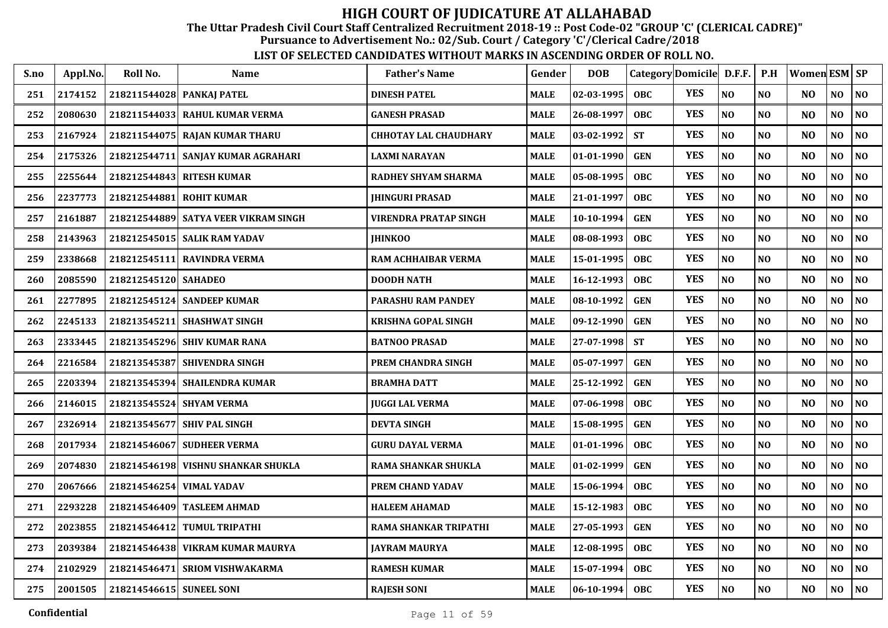The Uttar Pradesh Civil Court Staff Centralized Recruitment 2018-19 :: Post Code-02 "GROUP 'C' (CLERICAL CADRE)"

Pursuance to Advertisement No.: 02/Sub. Court / Category 'C'/Clerical Cadre/2018

| S.no | Appl.No. | Roll No.                  | <b>Name</b>                          | <b>Father's Name</b>         | Gender      | <b>DOB</b>     | Category Domicile D.F.F. |            |          | P.H            | Women ESM   SP |                |                |
|------|----------|---------------------------|--------------------------------------|------------------------------|-------------|----------------|--------------------------|------------|----------|----------------|----------------|----------------|----------------|
| 251  | 2174152  | 218211544028 PANKAJ PATEL |                                      | <b>DINESH PATEL</b>          | <b>MALE</b> | 02-03-1995     | <b>OBC</b>               | <b>YES</b> | NO       | NO             | NO             | NO             | NO             |
| 252  | 2080630  |                           | 218211544033 RAHUL KUMAR VERMA       | <b>GANESH PRASAD</b>         | <b>MALE</b> | 26-08-1997     | <b>OBC</b>               | <b>YES</b> | NO       | NO             | N <sub>O</sub> | NO             | $\bf NO$       |
| 253  | 2167924  |                           | 218211544075 RAJAN KUMAR THARU       | <b>CHHOTAY LAL CHAUDHARY</b> | <b>MALE</b> | 03-02-1992     | <b>ST</b>                | <b>YES</b> | NO       | NO             | N <sub>O</sub> | NO             | NO             |
| 254  | 2175326  | 218212544711              | SANJAY KUMAR AGRAHARI                | <b>LAXMI NARAYAN</b>         | <b>MALE</b> | 01-01-1990     | <b>GEN</b>               | <b>YES</b> | NO       | N <sub>O</sub> | NO             | NO             | N <sub>O</sub> |
| 255  | 2255644  |                           | 218212544843 RITESH KUMAR            | <b>RADHEY SHYAM SHARMA</b>   | <b>MALE</b> | 05-08-1995     | <b>OBC</b>               | <b>YES</b> | NO       | N <sub>O</sub> | N <sub>O</sub> | N <sub>O</sub> | N <sub>O</sub> |
| 256  | 2237773  | 218212544881              | <b>ROHIT KUMAR</b>                   | <b>IHINGURI PRASAD</b>       | <b>MALE</b> | 21-01-1997     | OBC                      | <b>YES</b> | NO       | NO             | N <sub>O</sub> | N <sub>O</sub> | NO             |
| 257  | 2161887  |                           | 218212544889 SATYA VEER VIKRAM SINGH | <b>VIRENDRA PRATAP SINGH</b> | <b>MALE</b> | 10-10-1994     | <b>GEN</b>               | <b>YES</b> | NO       | NO             | N <sub>O</sub> | NO             | NO             |
| 258  | 2143963  |                           | 218212545015   SALIK RAM YADAV       | <b>IHINKOO</b>               | <b>MALE</b> | 08-08-1993     | <b>OBC</b>               | <b>YES</b> | NO       | NO             | N <sub>O</sub> | NO             | NO             |
| 259  | 2338668  |                           | 218212545111 RAVINDRA VERMA          | RAM ACHHAIBAR VERMA          | <b>MALE</b> | 15-01-1995     | OBC                      | <b>YES</b> | NO       | NO             | N <sub>O</sub> | NO             | N <sub>0</sub> |
| 260  | 2085590  | 218212545120 SAHADEO      |                                      | <b>DOODH NATH</b>            | <b>MALE</b> | 16-12-1993     | <b>OBC</b>               | <b>YES</b> | NO       | N <sub>O</sub> | N <sub>O</sub> | NO             | N <sub>0</sub> |
| 261  | 2277895  |                           | 218212545124 SANDEEP KUMAR           | PARASHU RAM PANDEY           | <b>MALE</b> | 08-10-1992     | <b>GEN</b>               | <b>YES</b> | NO       | NO             | NO             | NO             | $\bf NO$       |
| 262  | 2245133  | 218213545211              | <b>SHASHWAT SINGH</b>                | <b>KRISHNA GOPAL SINGH</b>   | <b>MALE</b> | 09-12-1990     | <b>GEN</b>               | <b>YES</b> | NO       | N <sub>O</sub> | N <sub>O</sub> | N <sub>O</sub> | N <sub>O</sub> |
| 263  | 2333445  | 218213545296              | <b>SHIV KUMAR RANA</b>               | <b>BATNOO PRASAD</b>         | <b>MALE</b> | 27-07-1998     | <b>ST</b>                | <b>YES</b> | NO       | N <sub>O</sub> | N <sub>O</sub> | NO             | N <sub>0</sub> |
| 264  | 2216584  |                           | 218213545387 SHIVENDRA SINGH         | PREM CHANDRA SINGH           | <b>MALE</b> | 05-07-1997     | <b>GEN</b>               | <b>YES</b> | NO       | N <sub>O</sub> | N <sub>O</sub> | N <sub>O</sub> | N <sub>0</sub> |
| 265  | 2203394  |                           | 218213545394 SHAILENDRA KUMAR        | <b>BRAMHA DATT</b>           | <b>MALE</b> | 25-12-1992     | <b>GEN</b>               | <b>YES</b> | NO       | N <sub>O</sub> | N <sub>O</sub> | N <sub>O</sub> | NO             |
| 266  | 2146015  |                           | 218213545524 SHYAM VERMA             | <b>JUGGI LAL VERMA</b>       | <b>MALE</b> | 07-06-1998     | OBC                      | <b>YES</b> | NO       | N <sub>O</sub> | N <sub>O</sub> | NO             | NO             |
| 267  | 2326914  |                           | 218213545677 SHIV PAL SINGH          | <b>DEVTA SINGH</b>           | <b>MALE</b> | 15-08-1995     | <b>GEN</b>               | <b>YES</b> | NO       | N <sub>O</sub> | N <sub>O</sub> | NO.            | N <sub>0</sub> |
| 268  | 2017934  |                           | 218214546067 SUDHEER VERMA           | <b>GURU DAYAL VERMA</b>      | <b>MALE</b> | 01-01-1996     | <b>OBC</b>               | <b>YES</b> | NO       | NO             | N <sub>O</sub> | NO             | NO             |
| 269  | 2074830  |                           | 218214546198 VISHNU SHANKAR SHUKLA   | RAMA SHANKAR SHUKLA          | <b>MALE</b> | 01-02-1999     | <b>GEN</b>               | <b>YES</b> | NO       | NO             | N <sub>O</sub> | NO             | N <sub>O</sub> |
| 270  | 2067666  | 218214546254 VIMAL YADAV  |                                      | <b>PREM CHAND YADAV</b>      | <b>MALE</b> | 15-06-1994     | OBC                      | <b>YES</b> | NO       | NO             | N <sub>O</sub> | NO             | NO             |
| 271  | 2293228  | 218214546409              | <b>TASLEEM AHMAD</b>                 | <b>HALEEM AHAMAD</b>         | <b>MALE</b> | 15-12-1983     | <b>OBC</b>               | <b>YES</b> | NO       | N <sub>O</sub> | N <sub>O</sub> | NO             | N <sub>0</sub> |
| 272  | 2023855  | 218214546412              | <b>TUMUL TRIPATHI</b>                | <b>RAMA SHANKAR TRIPATHI</b> | <b>MALE</b> | 27-05-1993     | <b>GEN</b>               | <b>YES</b> | NO       | N <sub>O</sub> | NO             | N <sub>O</sub> | NO             |
| 273  | 2039384  | 218214546438              | VIKRAM KUMAR MAURYA                  | <b>JAYRAM MAURYA</b>         | <b>MALE</b> | 12-08-1995     | OBC                      | <b>YES</b> | NO       | NO             | N <sub>O</sub> | N <sub>O</sub> | NO             |
| 274  | 2102929  | 218214546471              | <b>SRIOM VISHWAKARMA</b>             | <b>RAMESH KUMAR</b>          | <b>MALE</b> | 15-07-1994     | <b>OBC</b>               | <b>YES</b> | NO       | N <sub>O</sub> | N <sub>O</sub> | NO             | N <sub>0</sub> |
| 275  | 2001505  | 218214546615 SUNEEL SONI  |                                      | <b>RAJESH SONI</b>           | <b>MALE</b> | $ 06-10-1994 $ | <b>OBC</b>               | <b>YES</b> | $\bf NO$ | N <sub>0</sub> | N <sub>O</sub> | NO             | NO             |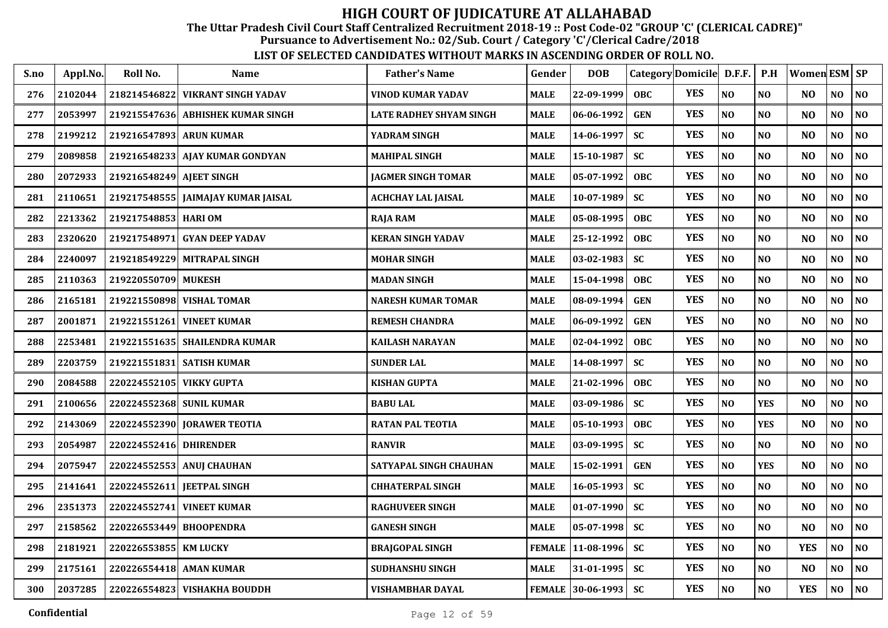The Uttar Pradesh Civil Court Staff Centralized Recruitment 2018-19 :: Post Code-02 "GROUP 'C' (CLERICAL CADRE)"

Pursuance to Advertisement No.: 02/Sub. Court / Category 'C'/Clerical Cadre/2018

| S.no | Appl.No. | Roll No.                 | Name                               | <b>Father's Name</b>      | Gender        | <b>DOB</b>        |            | Category Domicile D.F.F. |                | P.H            | Women ESM SP   |                |                |
|------|----------|--------------------------|------------------------------------|---------------------------|---------------|-------------------|------------|--------------------------|----------------|----------------|----------------|----------------|----------------|
| 276  | 2102044  | 218214546822             | <b>VIKRANT SINGH YADAV</b>         | <b>VINOD KUMAR YADAV</b>  | <b>MALE</b>   | 22-09-1999        | <b>OBC</b> | <b>YES</b>               | N <sub>0</sub> | <b>NO</b>      | N <sub>O</sub> | NO             | <b>NO</b>      |
| 277  | 2053997  | 219215547636             | <b>ABHISHEK KUMAR SINGH</b>        | LATE RADHEY SHYAM SINGH   | <b>MALE</b>   | 06-06-1992        | <b>GEN</b> | <b>YES</b>               | N <sub>O</sub> | N <sub>O</sub> | N <sub>O</sub> | NO             | <b>NO</b>      |
| 278  | 2199212  | 219216547893 ARUN KUMAR  |                                    | YADRAM SINGH              | <b>MALE</b>   | 14-06-1997        | <b>SC</b>  | <b>YES</b>               | $\bf NO$       | <b>NO</b>      | N <sub>O</sub> | NO             | <b>NO</b>      |
| 279  | 2089858  |                          | 219216548233 AJAY KUMAR GONDYAN    | <b>MAHIPAL SINGH</b>      | <b>MALE</b>   | 15-10-1987        | <b>SC</b>  | <b>YES</b>               | NO             | <b>NO</b>      | N <sub>O</sub> | N <sub>O</sub> | <b>NO</b>      |
| 280  | 2072933  | 219216548249 AIEET SINGH |                                    | <b>JAGMER SINGH TOMAR</b> | <b>MALE</b>   | 05-07-1992        | <b>OBC</b> | <b>YES</b>               | N <sub>O</sub> | <b>NO</b>      | N <sub>O</sub> | NO             | <b>NO</b>      |
| 281  | 2110651  |                          | 219217548555 JAIMAJAY KUMAR JAISAL | <b>ACHCHAY LAL JAISAL</b> | <b>MALE</b>   | 10-07-1989        | <b>SC</b>  | <b>YES</b>               | N <sub>O</sub> | <b>NO</b>      | N <sub>O</sub> | $\bf NO$       | <b>NO</b>      |
| 282  | 2213362  | 219217548853 HARI OM     |                                    | <b>RAJA RAM</b>           | <b>MALE</b>   | 05-08-1995        | <b>OBC</b> | <b>YES</b>               | NO             | N <sub>O</sub> | N <sub>O</sub> | NO             | <b>NO</b>      |
| 283  | 2320620  | 219217548971             | <b>GYAN DEEP YADAV</b>             | <b>KERAN SINGH YADAV</b>  | <b>MALE</b>   | 25-12-1992        | <b>OBC</b> | <b>YES</b>               | N <sub>O</sub> | N <sub>O</sub> | N <sub>O</sub> | N <sub>O</sub> | <b>NO</b>      |
| 284  | 2240097  |                          | 219218549229 MITRAPAL SINGH        | <b>MOHAR SINGH</b>        | <b>MALE</b>   | 03-02-1983        | <b>SC</b>  | <b>YES</b>               | NO             | N <sub>O</sub> | N <sub>O</sub> | N <sub>O</sub> | <b>NO</b>      |
| 285  | 2110363  | 219220550709 MUKESH      |                                    | <b>MADAN SINGH</b>        | <b>MALE</b>   | 15-04-1998        | <b>OBC</b> | <b>YES</b>               | N <sub>O</sub> | N <sub>O</sub> | N <sub>O</sub> | N <sub>O</sub> | <b>NO</b>      |
| 286  | 2165181  |                          | 219221550898 VISHAL TOMAR          | <b>NARESH KUMAR TOMAR</b> | <b>MALE</b>   | 08-09-1994        | <b>GEN</b> | <b>YES</b>               | N <sub>O</sub> | N <sub>O</sub> | N <sub>O</sub> | N <sub>O</sub> | <b>NO</b>      |
| 287  | 2001871  | 219221551261             | <b>VINEET KUMAR</b>                | <b>REMESH CHANDRA</b>     | <b>MALE</b>   | 06-09-1992        | <b>GEN</b> | <b>YES</b>               | NO             | <b>NO</b>      | N <sub>O</sub> | NO             | <b>NO</b>      |
| 288  | 2253481  | 219221551635             | <b>SHAILENDRA KUMAR</b>            | <b>KAILASH NARAYAN</b>    | <b>MALE</b>   | 02-04-1992        | OBC.       | <b>YES</b>               | $\bf NO$       | <b>NO</b>      | N <sub>O</sub> | $\bf NO$       | <b>NO</b>      |
| 289  | 2203759  | 219221551831             | <b>SATISH KUMAR</b>                | <b>SUNDER LAL</b>         | <b>MALE</b>   | 14-08-1997        | <b>SC</b>  | <b>YES</b>               | N <sub>O</sub> | N <sub>O</sub> | N <sub>O</sub> | NO             | NO             |
| 290  | 2084588  | 220224552105 VIKKY GUPTA |                                    | <b>KISHAN GUPTA</b>       | <b>MALE</b>   | 21-02-1996        | <b>OBC</b> | <b>YES</b>               | N <sub>O</sub> | <b>NO</b>      | N <sub>O</sub> | NO             | NO             |
| 291  | 2100656  |                          | 220224552368  SUNIL KUMAR          | <b>BABU LAL</b>           | <b>MALE</b>   | 03-09-1986        | <b>SC</b>  | <b>YES</b>               | N <sub>O</sub> | <b>YES</b>     | N <sub>O</sub> | NO             | N <sub>O</sub> |
| 292  | 2143069  |                          | 220224552390 JORAWER TEOTIA        | <b>RATAN PAL TEOTIA</b>   | <b>MALE</b>   | 05-10-1993        | <b>OBC</b> | <b>YES</b>               | N <sub>O</sub> | <b>YES</b>     | N <sub>O</sub> | NO.            | <b>NO</b>      |
| 293  | 2054987  | 220224552416             | <b>DHIRENDER</b>                   | <b>RANVIR</b>             | <b>MALE</b>   | 03-09-1995        | <b>SC</b>  | <b>YES</b>               | NO             | N <sub>0</sub> | N <sub>O</sub> | NO             | N <sub>O</sub> |
| 294  | 2075947  |                          | 220224552553 ANUJ CHAUHAN          | SATYAPAL SINGH CHAUHAN    | <b>MALE</b>   | 15-02-1991        | <b>GEN</b> | <b>YES</b>               | N <sub>O</sub> | <b>YES</b>     | N <sub>O</sub> | N <sub>O</sub> | <b>NO</b>      |
| 295  | 2141641  | 220224552611             | <b>IEETPAL SINGH</b>               | <b>CHHATERPAL SINGH</b>   | <b>MALE</b>   | 16-05-1993        | <b>SC</b>  | <b>YES</b>               | NO             | N <sub>O</sub> | N <sub>O</sub> | NO             | <b>NO</b>      |
| 296  | 2351373  | 220224552741             | <b>VINEET KUMAR</b>                | <b>RAGHUVEER SINGH</b>    | <b>MALE</b>   | $01-07-1990$      | <b>SC</b>  | <b>YES</b>               | N <sub>O</sub> | <b>NO</b>      | N <sub>O</sub> | N <sub>O</sub> | <b>NO</b>      |
| 297  | 2158562  | 220226553449             | <b>BHOOPENDRA</b>                  | <b>GANESH SINGH</b>       | <b>MALE</b>   | 05-07-1998        | <b>SC</b>  | <b>YES</b>               | N <sub>O</sub> | <b>NO</b>      | N <sub>O</sub> | NO             | NO.            |
| 298  | 2181921  | 220226553855             | <b>KM LUCKY</b>                    | <b>BRAJGOPAL SINGH</b>    | <b>FEMALE</b> | 11-08-1996        | <b>SC</b>  | <b>YES</b>               | N <sub>O</sub> | <b>NO</b>      | <b>YES</b>     | NO             | <b>NO</b>      |
| 299  | 2175161  | 220226554418             | <b>AMAN KUMAR</b>                  | SUDHANSHU SINGH           | <b>MALE</b>   | 31-01-1995        | <b>SC</b>  | <b>YES</b>               | N <sub>O</sub> | <b>NO</b>      | N <sub>O</sub> | N <sub>O</sub> | NO             |
| 300  | 2037285  |                          | 220226554823 VISHAKHA BOUDDH       | VISHAMBHAR DAYAL          |               | FEMALE 30-06-1993 | <b>SC</b>  | <b>YES</b>               | $\bf NO$       | N <sub>O</sub> | <b>YES</b>     | NO             | <b>NO</b>      |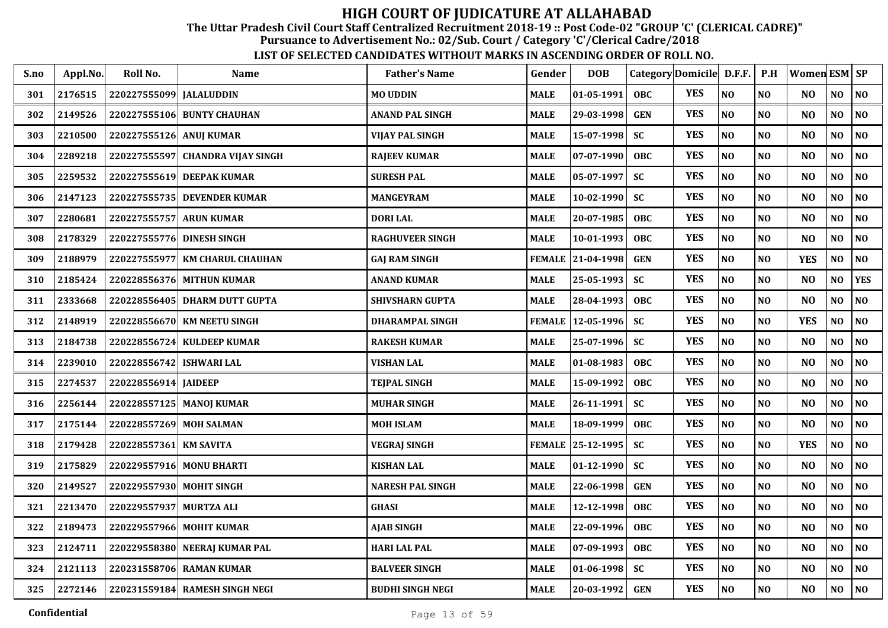The Uttar Pradesh Civil Court Staff Centralized Recruitment 2018-19 :: Post Code-02 "GROUP 'C' (CLERICAL CADRE)"

Pursuance to Advertisement No.: 02/Sub. Court / Category 'C'/Clerical Cadre/2018

| S.no | Appl.No. | Roll No.                 | <b>Name</b>                    | <b>Father's Name</b>    | Gender        | <b>DOB</b>       |            | Category Domicile D.F.F. |                | P.H            | Women ESM SP   |                |                |
|------|----------|--------------------------|--------------------------------|-------------------------|---------------|------------------|------------|--------------------------|----------------|----------------|----------------|----------------|----------------|
| 301  | 2176515  | 220227555099 JALALUDDIN  |                                | <b>MO UDDIN</b>         | MALE          | 01-05-1991       | <b>OBC</b> | <b>YES</b>               | NO             | N <sub>O</sub> | N <sub>O</sub> | NO             | $\bf NO$       |
| 302  | 2149526  |                          | 220227555106 BUNTY CHAUHAN     | <b>ANAND PAL SINGH</b>  | MALE          | 29-03-1998       | <b>GEN</b> | <b>YES</b>               | NO             | NO             | N <sub>O</sub> | NO             | N <sub>0</sub> |
| 303  | 2210500  | 220227555126 ANUJ KUMAR  |                                | <b>VIJAY PAL SINGH</b>  | <b>MALE</b>   | 15-07-1998       | <b>SC</b>  | <b>YES</b>               | NO             | N <sub>O</sub> | N <sub>O</sub> | N <sub>0</sub> | NO             |
| 304  | 2289218  | 220227555597             | <b>CHANDRA VIJAY SINGH</b>     | <b>RAJEEV KUMAR</b>     | <b>MALE</b>   | 07-07-1990       | <b>OBC</b> | <b>YES</b>               | NO             | N <sub>0</sub> | N <sub>O</sub> | $\bf NO$       | $\bf NO$       |
| 305  | 2259532  | 220227555619             | <b>DEEPAK KUMAR</b>            | <b>SURESH PAL</b>       | <b>MALE</b>   | 05-07-1997       | <b>SC</b>  | <b>YES</b>               | NO             | N <sub>O</sub> | N <sub>O</sub> | $\bf NO$       | NO             |
| 306  | 2147123  | 220227555735             | <b>DEVENDER KUMAR</b>          | <b>MANGEYRAM</b>        | <b>MALE</b>   | 10-02-1990       | <b>SC</b>  | <b>YES</b>               | NO             | NO             | N <sub>O</sub> | NO             | NO             |
| 307  | 2280681  | 220227555757 ARUN KUMAR  |                                | <b>DORI LAL</b>         | MALE          | 20-07-1985       | <b>OBC</b> | <b>YES</b>               | NO             | NO             | N <sub>O</sub> | N <sub>O</sub> | NO             |
| 308  | 2178329  | 220227555776             | <b>DINESH SINGH</b>            | <b>RAGHUVEER SINGH</b>  | <b>MALE</b>   | 10-01-1993       | <b>OBC</b> | <b>YES</b>               | $\bf NO$       | N <sub>O</sub> | N <sub>O</sub> | NO             | $\bf NO$       |
| 309  | 2188979  | 220227555977             | <b>KM CHARUL CHAUHAN</b>       | <b>GAJ RAM SINGH</b>    | <b>FEMALE</b> | 21-04-1998       | <b>GEN</b> | <b>YES</b>               | NO             | NO             | <b>YES</b>     | NO             | $\bf NO$       |
| 310  | 2185424  |                          | 220228556376 MITHUN KUMAR      | ANAND KUMAR             | <b>MALE</b>   | 25-05-1993       | <b>SC</b>  | <b>YES</b>               | N <sub>O</sub> | N <sub>O</sub> | N <sub>O</sub> | N <sub>O</sub> | <b>YES</b>     |
| 311  | 2333668  | 220228556405             | <b>DHARM DUTT GUPTA</b>        | <b>SHIVSHARN GUPTA</b>  | MALE          | 28-04-1993       | <b>OBC</b> | <b>YES</b>               | NO             | N <sub>O</sub> | N <sub>O</sub> | NO             | $\bf NO$       |
| 312  | 2148919  | 220228556670             | <b>KM NEETU SINGH</b>          | <b>DHARAMPAL SINGH</b>  | <b>FEMALE</b> | 12-05-1996       | <b>SC</b>  | <b>YES</b>               | $\bf NO$       | NO             | <b>YES</b>     | NO             | $\bf NO$       |
| 313  | 2184738  | 220228556724             | <b>KULDEEP KUMAR</b>           | <b>RAKESH KUMAR</b>     | <b>MALE</b>   | 25-07-1996       | <b>SC</b>  | <b>YES</b>               | NO             | N <sub>O</sub> | N <sub>O</sub> | $\bf NO$       | $\bf NO$       |
| 314  | 2239010  | 220228556742             | <b>ISHWARI LAL</b>             | VISHAN LAL              | <b>MALE</b>   | 01-08-1983       | OBC        | <b>YES</b>               | NO             | NO             | N <sub>O</sub> | NO             | NO             |
| 315  | 2274537  | 220228556914 JAIDEEP     |                                | <b>TEJPAL SINGH</b>     | <b>MALE</b>   | 15-09-1992       | <b>OBC</b> | <b>YES</b>               | NO             | N <sub>O</sub> | N <sub>O</sub> | NO             | NO             |
| 316  | 2256144  |                          | 220228557125 MANOJ KUMAR       | <b>MUHAR SINGH</b>      | MALE          | 26-11-1991       | <b>SC</b>  | <b>YES</b>               | N <sub>O</sub> | NO             | N <sub>O</sub> | NO             | $\bf NO$       |
| 317  | 2175144  | 220228557269 MOH SALMAN  |                                | <b>MOH ISLAM</b>        | <b>MALE</b>   | 18-09-1999       | <b>OBC</b> | <b>YES</b>               | NO             | N <sub>O</sub> | N <sub>O</sub> | N <sub>O</sub> | NO             |
| 318  | 2179428  | 220228557361             | <b>KM SAVITA</b>               | <b>VEGRAJ SINGH</b>     | <b>FEMALE</b> | $ 25-12-1995 $   | <b>SC</b>  | <b>YES</b>               | NO             | N <sub>O</sub> | <b>YES</b>     | NO             | $\bf NO$       |
| 319  | 2175829  |                          | 220229557916 MONU BHARTI       | <b>KISHAN LAL</b>       | <b>MALE</b>   | $01 - 12 - 1990$ | <b>SC</b>  | <b>YES</b>               | $\bf NO$       | N <sub>O</sub> | N <sub>O</sub> | NO             | $\bf NO$       |
| 320  | 2149527  | 220229557930 MOHIT SINGH |                                | <b>NARESH PAL SINGH</b> | <b>MALE</b>   | 22-06-1998       | <b>GEN</b> | <b>YES</b>               | NO             | N <sub>O</sub> | N <sub>O</sub> | $\bf NO$       | $\bf NO$       |
| 321  | 2213470  | 220229557937             | <b>MURTZA ALI</b>              | <b>GHASI</b>            | <b>MALE</b>   | 12-12-1998       | <b>OBC</b> | <b>YES</b>               | NO             | N <sub>O</sub> | N <sub>O</sub> | NO             | NO             |
| 322  | 2189473  |                          | 220229557966 MOHIT KUMAR       | <b>AJAB SINGH</b>       | <b>MALE</b>   | 22-09-1996       | <b>OBC</b> | <b>YES</b>               | NO             | NO             | N <sub>O</sub> | NO             | $\bf NO$       |
| 323  | 2124711  |                          | 220229558380 NEERAJ KUMAR PAL  | <b>HARI LAL PAL</b>     | <b>MALE</b>   | 07-09-1993       | OBC        | <b>YES</b>               | NO             | N <sub>O</sub> | N <sub>O</sub> | N <sub>O</sub> | NO             |
| 324  | 2121113  |                          | 220231558706 RAMAN KUMAR       | <b>BALVEER SINGH</b>    | MALE          | $01-06-1998$     | <b>SC</b>  | <b>YES</b>               | $\bf NO$       | NO             | N <sub>O</sub> | NO             | NO             |
| 325  | 2272146  |                          | 220231559184 RAMESH SINGH NEGI | <b>BUDHI SINGH NEGI</b> | <b>MALE</b>   | 20-03-1992       | <b>GEN</b> | <b>YES</b>               | NO             | N <sub>O</sub> | N <sub>O</sub> | NO             | <b>NO</b>      |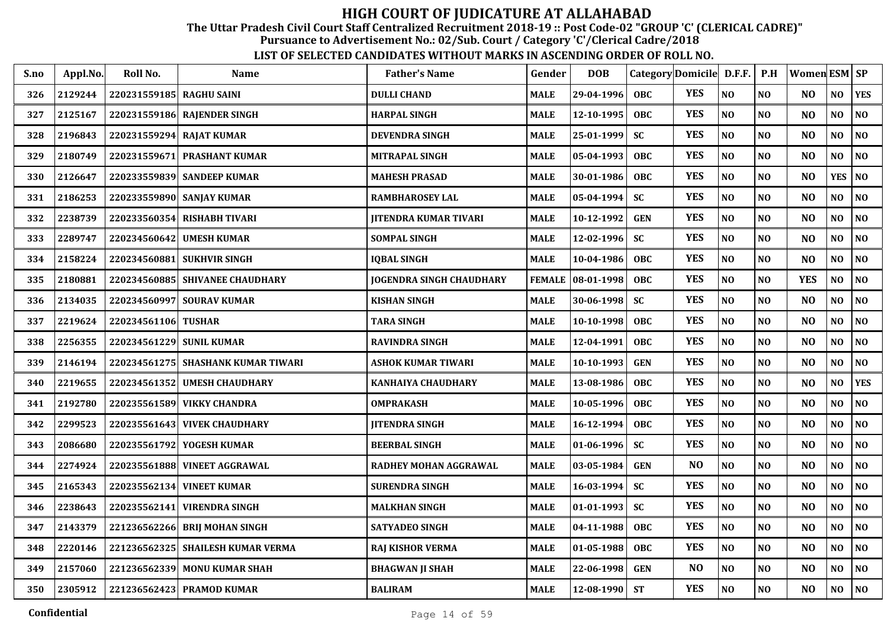The Uttar Pradesh Civil Court Staff Centralized Recruitment 2018-19 :: Post Code-02 "GROUP 'C' (CLERICAL CADRE)"

Pursuance to Advertisement No.: 02/Sub. Court / Category 'C'/Clerical Cadre/2018

| S.no | Appl.No. | Roll No.                 | <b>Name</b>                        | <b>Father's Name</b>            | Gender        | <b>DOB</b>          | Category Domicile D.F.F. |                |                | P.H            | <b>Women ESM SP</b> |                |                |
|------|----------|--------------------------|------------------------------------|---------------------------------|---------------|---------------------|--------------------------|----------------|----------------|----------------|---------------------|----------------|----------------|
| 326  | 2129244  | 220231559185 RAGHU SAINI |                                    | <b>DULLI CHAND</b>              | <b>MALE</b>   | 29-04-1996          | <b>OBC</b>               | <b>YES</b>     | N <sub>O</sub> | N <sub>O</sub> | N <sub>O</sub>      | NO             | <b>YES</b>     |
| 327  | 2125167  |                          | 220231559186 RAJENDER SINGH        | <b>HARPAL SINGH</b>             | <b>MALE</b>   | 12-10-1995          | <b>OBC</b>               | <b>YES</b>     | NO             | N <sub>O</sub> | N <sub>O</sub>      | NO             | NO             |
| 328  | 2196843  | 220231559294 RAJAT KUMAR |                                    | <b>DEVENDRA SINGH</b>           | <b>MALE</b>   | 25-01-1999          | <b>SC</b>                | <b>YES</b>     | NO             | NO             | N <sub>O</sub>      | NO             | NO             |
| 329  | 2180749  | 220231559671             | <b>PRASHANT KUMAR</b>              | <b>MITRAPAL SINGH</b>           | <b>MALE</b>   | 05-04-1993          | <b>OBC</b>               | <b>YES</b>     | N <sub>O</sub> | N <sub>O</sub> | N <sub>O</sub>      | NO             | NO             |
| 330  | 2126647  |                          | 220233559839 SANDEEP KUMAR         | <b>MAHESH PRASAD</b>            | <b>MALE</b>   | 30-01-1986          | <b>OBC</b>               | <b>YES</b>     | NO             | NO             | N <sub>O</sub>      | <b>YES</b>     | NO             |
| 331  | 2186253  |                          | 220233559890 SANJAY KUMAR          | RAMBHAROSEY LAL                 | <b>MALE</b>   | $05 - 04 - 1994$    | <b>SC</b>                | <b>YES</b>     | N <sub>O</sub> | NO             | N <sub>O</sub>      | NO             | $\bf NO$       |
| 332  | 2238739  |                          | 220233560354 RISHABH TIVARI        | JITENDRA KUMAR TIVARI           | <b>MALE</b>   | 10-12-1992          | <b>GEN</b>               | <b>YES</b>     | NO             | N <sub>0</sub> | N <sub>O</sub>      | NO.            | N <sub>0</sub> |
| 333  | 2289747  | 220234560642             | <b>UMESH KUMAR</b>                 | <b>SOMPAL SINGH</b>             | <b>MALE</b>   | 12-02-1996          | <b>SC</b>                | <b>YES</b>     | N <sub>O</sub> | N <sub>O</sub> | N <sub>O</sub>      | NO             | NO             |
| 334  | 2158224  | 220234560881             | <b>SUKHVIR SINGH</b>               | <b>IQBAL SINGH</b>              | <b>MALE</b>   | 10-04-1986          | <b>OBC</b>               | <b>YES</b>     | N <sub>O</sub> | N <sub>O</sub> | N <sub>O</sub>      | NO             | N <sub>0</sub> |
| 335  | 2180881  |                          | 220234560885 SHIVANEE CHAUDHARY    | <b>JOGENDRA SINGH CHAUDHARY</b> | <b>FEMALE</b> | 08-01-1998          | <b>OBC</b>               | <b>YES</b>     | N <sub>O</sub> | N <sub>O</sub> | <b>YES</b>          | NO             | N <sub>0</sub> |
| 336  | 2134035  |                          | 220234560997 SOURAV KUMAR          | <b>KISHAN SINGH</b>             | <b>MALE</b>   | $30 - 06 - 1998$    | <b>SC</b>                | <b>YES</b>     | NO             | NO             | NO                  | NO             | $\bf NO$       |
| 337  | 2219624  | 220234561106             | <b>TUSHAR</b>                      | <b>TARA SINGH</b>               | <b>MALE</b>   | 10-10-1998          | OBC                      | <b>YES</b>     | NO             | N <sub>O</sub> | N <sub>O</sub>      | NO             | N <sub>0</sub> |
| 338  | 2256355  | 220234561229 SUNIL KUMAR |                                    | <b>RAVINDRA SINGH</b>           | <b>MALE</b>   | 12-04-1991          | OBC                      | <b>YES</b>     | N <sub>O</sub> | NO             | N <sub>O</sub>      | NO             | $\bf NO$       |
| 339  | 2146194  |                          | 220234561275 SHASHANK KUMAR TIWARI | <b>ASHOK KUMAR TIWARI</b>       | <b>MALE</b>   | 10-10-1993          | <b>GEN</b>               | <b>YES</b>     | N <sub>O</sub> | N <sub>O</sub> | N <sub>O</sub>      | NO             | N <sub>0</sub> |
| 340  | 2219655  |                          | 220234561352 UMESH CHAUDHARY       | <b>KANHAIYA CHAUDHARY</b>       | <b>MALE</b>   | 13-08-1986          | <b>OBC</b>               | <b>YES</b>     | NO             | N <sub>0</sub> | N <sub>O</sub>      | NO             | <b>YES</b>     |
| 341  | 2192780  |                          | 220235561589 VIKKY CHANDRA         | <b>OMPRAKASH</b>                | <b>MALE</b>   | 10-05-1996          | OBC                      | <b>YES</b>     | NO             | N <sub>0</sub> | NO                  | NO             | N <sub>0</sub> |
| 342  | 2299523  | 220235561643             | <b>VIVEK CHAUDHARY</b>             | <b>JITENDRA SINGH</b>           | <b>MALE</b>   | 16-12-1994          | OBC                      | <b>YES</b>     | N <sub>O</sub> | N <sub>O</sub> | N <sub>O</sub>      | NO             | N <sub>0</sub> |
| 343  | 2086680  |                          | 220235561792 YOGESH KUMAR          | <b>BEERBAL SINGH</b>            | <b>MALE</b>   | $01-06-1996$        | <b>SC</b>                | <b>YES</b>     | N <sub>O</sub> | N <sub>O</sub> | N <sub>O</sub>      | NO             | N <sub>O</sub> |
| 344  | 2274924  |                          | 220235561888 VINEET AGGRAWAL       | RADHEY MOHAN AGGRAWAL           | <b>MALE</b>   | $03 - 05 - 1984$    | <b>GEN</b>               | N <sub>O</sub> | NO             | N <sub>O</sub> | N <sub>O</sub>      | NO             | $\bf NO$       |
| 345  | 2165343  | 220235562134             | <b>VINEET KUMAR</b>                | <b>SURENDRA SINGH</b>           | <b>MALE</b>   | $16 - 03 - 1994$    | <b>SC</b>                | <b>YES</b>     | NO             | N <sub>O</sub> | N <sub>O</sub>      | $\bf NO$       | NO             |
| 346  | 2238643  | 220235562141             | <b>VIRENDRA SINGH</b>              | <b>MALKHAN SINGH</b>            | <b>MALE</b>   | 01-01-1993          | SC                       | <b>YES</b>     | N <sub>O</sub> | N <sub>O</sub> | N <sub>O</sub>      | NO             | N <sub>O</sub> |
| 347  | 2143379  | 221236562266             | <b>BRIJ MOHAN SINGH</b>            | <b>SATYADEO SINGH</b>           | <b>MALE</b>   | 04-11-1988          | <b>OBC</b>               | <b>YES</b>     | N <sub>O</sub> | N <sub>O</sub> | N <sub>O</sub>      | NO             | N <sub>0</sub> |
| 348  | 2220146  |                          | 221236562325 SHAILESH KUMAR VERMA  | <b>RAJ KISHOR VERMA</b>         | <b>MALE</b>   | 01-05-1988          | <b>OBC</b>               | <b>YES</b>     | N <sub>O</sub> | N <sub>O</sub> | N <sub>O</sub>      | N <sub>O</sub> | NO             |
| 349  | 2157060  |                          | 221236562339 MONU KUMAR SHAH       | <b>BHAGWAN JI SHAH</b>          | <b>MALE</b>   | 22-06-1998          | <b>GEN</b>               | N <sub>O</sub> | N <sub>O</sub> | NO             | N <sub>O</sub>      | NO             | N <sub>0</sub> |
| 350  | 2305912  |                          | 221236562423 PRAMOD KUMAR          | <b>BALIRAM</b>                  | <b>MALE</b>   | $12 - 08 - 1990$ ST |                          | <b>YES</b>     | N <sub>O</sub> | <b>NO</b>      | N <sub>O</sub>      | NO.            | NO             |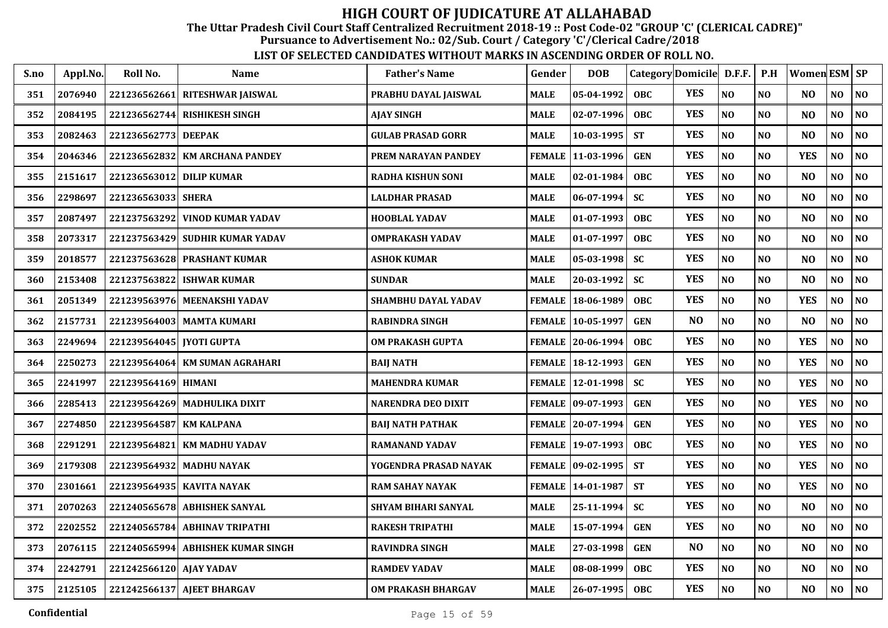The Uttar Pradesh Civil Court Staff Centralized Recruitment 2018-19 :: Post Code-02 "GROUP 'C' (CLERICAL CADRE)"

Pursuance to Advertisement No.: 02/Sub. Court / Category 'C'/Clerical Cadre/2018

| S.no | Appl.No. | Roll No.                | <b>Name</b>                       | <b>Father's Name</b>     | Gender        | <b>DOB</b>          |            | Category Domicile D.F.F. |                | P.H            | Women ESM SP   |                |                |
|------|----------|-------------------------|-----------------------------------|--------------------------|---------------|---------------------|------------|--------------------------|----------------|----------------|----------------|----------------|----------------|
| 351  | 2076940  | 221236562661            | RITESHWAR JAISWAL                 | PRABHU DAYAL JAISWAL     | <b>MALE</b>   | 05-04-1992          | <b>OBC</b> | <b>YES</b>               | NO             | N <sub>0</sub> | N <sub>O</sub> | NO             | NO             |
| 352  | 2084195  | 221236562744            | <b>RISHIKESH SINGH</b>            | AJAY SINGH               | <b>MALE</b>   | 02-07-1996          | <b>OBC</b> | <b>YES</b>               | N <sub>O</sub> | N <sub>O</sub> | N <sub>O</sub> | NO.            | NO             |
| 353  | 2082463  | 221236562773            | <b>DEEPAK</b>                     | GULAB PRASAD GORR        | <b>MALE</b>   | 10-03-1995          | <b>ST</b>  | <b>YES</b>               | N <sub>O</sub> | N <sub>O</sub> | N <sub>O</sub> | N <sub>O</sub> | NO             |
| 354  | 2046346  | 221236562832            | <b>KM ARCHANA PANDEY</b>          | PREM NARAYAN PANDEY      |               | FEMALE 11-03-1996   | <b>GEN</b> | <b>YES</b>               | NO             | N <sub>O</sub> | <b>YES</b>     | NO             | NO             |
| 355  | 2151617  | 221236563012            | <b>DILIP KUMAR</b>                | <b>RADHA KISHUN SONI</b> | <b>MALE</b>   | 02-01-1984          | <b>OBC</b> | <b>YES</b>               | N <sub>O</sub> | N <sub>O</sub> | N <sub>O</sub> | NO             | NO             |
| 356  | 2298697  | 221236563033            | <b>SHERA</b>                      | <b>LALDHAR PRASAD</b>    | <b>MALE</b>   | 06-07-1994          | <b>SC</b>  | <b>YES</b>               | N <sub>O</sub> | N <sub>0</sub> | N <sub>O</sub> | NO             | NO             |
| 357  | 2087497  | 221237563292            | <b>VINOD KUMAR YADAV</b>          | <b>HOOBLAL YADAV</b>     | <b>MALE</b>   | 01-07-1993          | <b>OBC</b> | <b>YES</b>               | N <sub>O</sub> | NO.            | N <sub>O</sub> | NO             | NO             |
| 358  | 2073317  |                         | 221237563429 SUDHIR KUMAR YADAV   | OMPRAKASH YADAV          | <b>MALE</b>   | 01-07-1997          | <b>OBC</b> | <b>YES</b>               | N <sub>O</sub> | N <sub>0</sub> | N <sub>O</sub> | NO             | NO             |
| 359  | 2018577  | 221237563628            | <b>PRASHANT KUMAR</b>             | ASHOK KUMAR              | <b>MALE</b>   | 05-03-1998          | <b>SC</b>  | <b>YES</b>               | N <sub>O</sub> | N <sub>O</sub> | N <sub>O</sub> | N <sub>O</sub> | NO             |
| 360  | 2153408  | 221237563822            | <b>ISHWAR KUMAR</b>               | <b>SUNDAR</b>            | <b>MALE</b>   | 20-03-1992          | <b>SC</b>  | <b>YES</b>               | N <sub>O</sub> | N <sub>O</sub> | N <sub>O</sub> | N <sub>O</sub> | NO             |
| 361  | 2051349  |                         | 221239563976   MEENAKSHI YADAV    | SHAMBHU DAYAL YADAV      | <b>FEMALE</b> | 18-06-1989          | <b>OBC</b> | <b>YES</b>               | N <sub>O</sub> | N <sub>O</sub> | <b>YES</b>     | N <sub>O</sub> | NO             |
| 362  | 2157731  |                         | 221239564003 MAMTA KUMARI         | <b>RABINDRA SINGH</b>    |               | FEMALE   10-05-1997 | <b>GEN</b> | N <sub>O</sub>           | N <sub>O</sub> | N <sub>O</sub> | N <sub>O</sub> | NO             | NO             |
| 363  | 2249694  | 221239564045            | <b>JYOTI GUPTA</b>                | OM PRAKASH GUPTA         |               | FEMALE 20-06-1994   | OBC        | <b>YES</b>               | NO             | N <sub>O</sub> | <b>YES</b>     | N <sub>0</sub> | NO             |
| 364  | 2250273  | 221239564064            | <b>KM SUMAN AGRAHARI</b>          | <b>BAIJ NATH</b>         |               | FEMALE 18-12-1993   | <b>GEN</b> | <b>YES</b>               | N <sub>O</sub> | N <sub>0</sub> | <b>YES</b>     | NO             | NO             |
| 365  | 2241997  | 221239564169 HIMANI     |                                   | <b>MAHENDRA KUMAR</b>    |               | FEMALE   12-01-1998 | <b>SC</b>  | <b>YES</b>               | N <sub>O</sub> | NO.            | <b>YES</b>     | NO             | NO             |
| 366  | 2285413  |                         | 221239564269 MADHULIKA DIXIT      | NARENDRA DEO DIXIT       |               | FEMALE   09-07-1993 | <b>GEN</b> | <b>YES</b>               | NO             | NO             | <b>YES</b>     | NO             | NO             |
| 367  | 2274850  | 221239564587            | <b>KM KALPANA</b>                 | <b>BAIJ NATH PATHAK</b>  |               | FEMALE 20-07-1994   | <b>GEN</b> | <b>YES</b>               | N <sub>O</sub> | N <sub>O</sub> | <b>YES</b>     | NO             | NO             |
| 368  | 2291291  | 221239564821            | <b>KM MADHU YADAV</b>             | RAMANAND YADAV           |               | FEMALE   19-07-1993 | OBC        | <b>YES</b>               | N <sub>O</sub> | N <sub>O</sub> | <b>YES</b>     | N <sub>O</sub> | NO             |
| 369  | 2179308  |                         | 221239564932 MADHU NAYAK          | YOGENDRA PRASAD NAYAK    |               | FEMALE   09-02-1995 | <b>ST</b>  | <b>YES</b>               | N <sub>O</sub> | N <sub>O</sub> | <b>YES</b>     | N <sub>O</sub> | NO             |
| 370  | 2301661  |                         | 221239564935   KAVITA NAYAK       | <b>RAM SAHAY NAYAK</b>   |               | FEMALE   14-01-1987 | <b>ST</b>  | <b>YES</b>               | $\bf NO$       | N <sub>O</sub> | <b>YES</b>     | N <sub>0</sub> | NO             |
| 371  | 2070263  | 221240565678            | <b>ABHISHEK SANYAL</b>            | SHYAM BIHARI SANYAL      | <b>MALE</b>   | 25-11-1994          | <b>SC</b>  | <b>YES</b>               | NO             | N <sub>O</sub> | N <sub>O</sub> | N <sub>0</sub> | NO             |
| 372  | 2202552  | 221240565784            | <b>ABHINAV TRIPATHI</b>           | <b>RAKESH TRIPATHI</b>   | <b>MALE</b>   | 15-07-1994          | <b>GEN</b> | <b>YES</b>               | NO             | N <sub>0</sub> | N <sub>O</sub> | NO             | NO             |
| 373  | 2076115  |                         | 221240565994 ABHISHEK KUMAR SINGH | <b>RAVINDRA SINGH</b>    | <b>MALE</b>   | 27-03-1998          | <b>GEN</b> | N <sub>O</sub>           | NO             | NO.            | N <sub>O</sub> | NO             | NO             |
| 374  | 2242791  | 221242566120 AJAY YADAV |                                   | <b>RAMDEV YADAV</b>      | <b>MALE</b>   | 08-08-1999          | OBC        | <b>YES</b>               | N <sub>O</sub> | NO             | N <sub>O</sub> | NO             | NO             |
| 375  | 2125105  |                         | 221242566137 AJEET BHARGAV        | OM PRAKASH BHARGAV       | <b>MALE</b>   | 26-07-1995          | <b>OBC</b> | <b>YES</b>               | N <sub>O</sub> | NO             | N <sub>O</sub> | NO             | N <sub>O</sub> |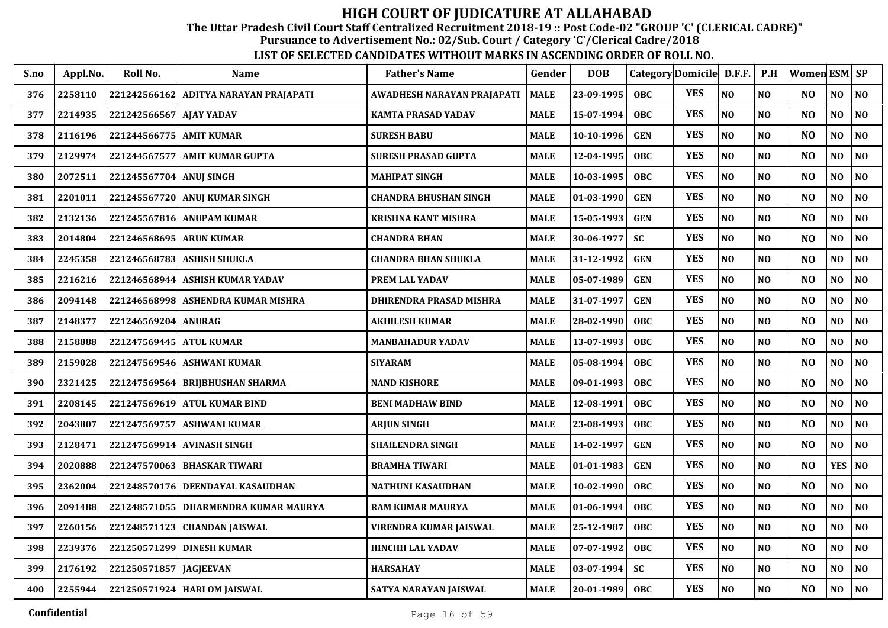The Uttar Pradesh Civil Court Staff Centralized Recruitment 2018-19 :: Post Code-02 "GROUP 'C' (CLERICAL CADRE)"

Pursuance to Advertisement No.: 02/Sub. Court / Category 'C'/Clerical Cadre/2018

| S.no | Appl.No. | Roll No.                | Name                                   | <b>Father's Name</b>         | Gender      | <b>DOB</b> |            | Category Domicile D.F.F. |                | P.H            | Women ESM SP   |            |                |
|------|----------|-------------------------|----------------------------------------|------------------------------|-------------|------------|------------|--------------------------|----------------|----------------|----------------|------------|----------------|
| 376  | 2258110  | 221242566162            | ADITYA NARAYAN PRAJAPATI               | AWADHESH NARAYAN PRAJAPATI   | <b>MALE</b> | 23-09-1995 | <b>OBC</b> | <b>YES</b>               | N <sub>O</sub> | NO             | N <sub>O</sub> | NO         | N <sub>0</sub> |
| 377  | 2214935  | 221242566567            | <b>AJAY YADAV</b>                      | <b>KAMTA PRASAD YADAV</b>    | <b>MALE</b> | 15-07-1994 | <b>OBC</b> | <b>YES</b>               | N <sub>O</sub> | N <sub>0</sub> | N <sub>O</sub> | NO         | NO             |
| 378  | 2116196  | 221244566775 AMIT KUMAR |                                        | <b>SURESH BABU</b>           | MALE        | 10-10-1996 | <b>GEN</b> | <b>YES</b>               | NO             | N <sub>O</sub> | N <sub>O</sub> | NO         | N <sub>0</sub> |
| 379  | 2129974  | 221244567577            | <b>AMIT KUMAR GUPTA</b>                | SURESH PRASAD GUPTA          | <b>MALE</b> | 12-04-1995 | <b>OBC</b> | <b>YES</b>               | N <sub>O</sub> | NO             | N <sub>O</sub> | NO         | N <sub>O</sub> |
| 380  | 2072511  | 221245567704            | <b>ANUJ SINGH</b>                      | <b>MAHIPAT SINGH</b>         | <b>MALE</b> | 10-03-1995 | <b>OBC</b> | <b>YES</b>               | N <sub>O</sub> | N <sub>O</sub> | N <sub>O</sub> | NO         | N <sub>0</sub> |
| 381  | 2201011  | 221245567720            | <b>ANUJ KUMAR SINGH</b>                | <b>CHANDRA BHUSHAN SINGH</b> | <b>MALE</b> | 01-03-1990 | <b>GEN</b> | <b>YES</b>               | N <sub>O</sub> | NO             | N <sub>O</sub> | NO         | N <sub>0</sub> |
| 382  | 2132136  | 221245567816            | <b>ANUPAM KUMAR</b>                    | KRISHNA KANT MISHRA          | MALE        | 15-05-1993 | <b>GEN</b> | <b>YES</b>               | N <sub>O</sub> | N <sub>0</sub> | N <sub>O</sub> | NO         | N <sub>O</sub> |
| 383  | 2014804  | 221246568695 ARUN KUMAR |                                        | <b>CHANDRA BHAN</b>          | <b>MALE</b> | 30-06-1977 | <b>SC</b>  | <b>YES</b>               | NO             | N <sub>0</sub> | N <sub>O</sub> | NO         | $\bf NO$       |
| 384  | 2245358  | 221246568783            | <b>ASHISH SHUKLA</b>                   | <b>CHANDRA BHAN SHUKLA</b>   | MALE        | 31-12-1992 | <b>GEN</b> | <b>YES</b>               | N <sub>O</sub> | <b>NO</b>      | N <sub>O</sub> | NO.        | N <sub>0</sub> |
| 385  | 2216216  | 221246568944            | <b>ASHISH KUMAR YADAV</b>              | PREM LAL YADAV               | MALE        | 05-07-1989 | <b>GEN</b> | <b>YES</b>               | N <sub>O</sub> | NO             | N <sub>O</sub> | NO         | NO             |
| 386  | 2094148  | 221246568998            | ASHENDRA KUMAR MISHRA                  | DHIRENDRA PRASAD MISHRA      | MALE        | 31-07-1997 | <b>GEN</b> | <b>YES</b>               | N <sub>O</sub> | N <sub>0</sub> | N <sub>O</sub> | NO         | NO             |
| 387  | 2148377  | 221246569204            | <b>ANURAG</b>                          | AKHILESH KUMAR               | <b>MALE</b> | 28-02-1990 | <b>OBC</b> | <b>YES</b>               | N <sub>O</sub> | N <sub>0</sub> | N <sub>O</sub> | NO         | NO             |
| 388  | 2158888  | 221247569445            | <b>ATUL KUMAR</b>                      | <b>MANBAHADUR YADAV</b>      | <b>MALE</b> | 13-07-1993 | <b>OBC</b> | <b>YES</b>               | N <sub>O</sub> | NO             | N <sub>O</sub> | NO         | NO             |
| 389  | 2159028  | 221247569546            | <b>ASHWANI KUMAR</b>                   | <b>SIYARAM</b>               | <b>MALE</b> | 05-08-1994 | <b>OBC</b> | <b>YES</b>               | N <sub>O</sub> | NO             | N <sub>O</sub> | NO         | NO             |
| 390  | 2321425  | 221247569564            | <b>BRIJBHUSHAN SHARMA</b>              | <b>NAND KISHORE</b>          | <b>MALE</b> | 09-01-1993 | <b>OBC</b> | <b>YES</b>               | N <sub>O</sub> | N <sub>O</sub> | N <sub>O</sub> | NO         | NO             |
| 391  | 2208145  |                         | 221247569619 ATUL KUMAR BIND           | <b>BENI MADHAW BIND</b>      | <b>MALE</b> | 12-08-1991 | <b>OBC</b> | <b>YES</b>               | N <sub>O</sub> | N <sub>0</sub> | N <sub>O</sub> | NO         | NO             |
| 392  | 2043807  | 221247569757            | <b>ASHWANI KUMAR</b>                   | <b>ARJUN SINGH</b>           | <b>MALE</b> | 23-08-1993 | <b>OBC</b> | <b>YES</b>               | N <sub>O</sub> | N <sub>O</sub> | NO.            | NO         | NO             |
| 393  | 2128471  | 221247569914            | <b>AVINASH SINGH</b>                   | SHAILENDRA SINGH             | <b>MALE</b> | 14-02-1997 | <b>GEN</b> | <b>YES</b>               | N <sub>O</sub> | N <sub>0</sub> | N <sub>O</sub> | NO         | N <sub>0</sub> |
| 394  | 2020888  | 221247570063            | <b>BHASKAR TIWARI</b>                  | <b>BRAMHA TIWARI</b>         | <b>MALE</b> | 01-01-1983 | <b>GEN</b> | <b>YES</b>               | N <sub>O</sub> | N <sub>O</sub> | N <sub>O</sub> | <b>YES</b> | NO             |
| 395  | 2362004  | 221248570176            | DEENDAYAL KASAUDHAN                    | NATHUNI KASAUDHAN            | MALE        | 10-02-1990 | <b>OBC</b> | <b>YES</b>               | N <sub>O</sub> | N <sub>0</sub> | N <sub>O</sub> | NO         | NO             |
| 396  | 2091488  |                         | 221248571055   DHARMENDRA KUMAR MAURYA | <b>RAM KUMAR MAURYA</b>      | <b>MALE</b> | 01-06-1994 | <b>OBC</b> | <b>YES</b>               | N <sub>O</sub> | NO             | N <sub>O</sub> | NO         | NO             |
| 397  | 2260156  | 221248571123            | <b>CHANDAN JAISWAL</b>                 | VIRENDRA KUMAR JAISWAL       | <b>MALE</b> | 25-12-1987 | <b>OBC</b> | <b>YES</b>               | N <sub>O</sub> | N <sub>O</sub> | N <sub>O</sub> | NO         | NO             |
| 398  | 2239376  |                         | 221250571299 DINESH KUMAR              | <b>HINCHH LAL YADAV</b>      | <b>MALE</b> | 07-07-1992 | <b>OBC</b> | <b>YES</b>               | $\bf NO$       | NO             | N <sub>O</sub> | NO         | $\bf NO$       |
| 399  | 2176192  | 221250571857            | <b>JAGJEEVAN</b>                       | <b>HARSAHAY</b>              | MALE        | 03-07-1994 | <b>SC</b>  | <b>YES</b>               | NO             | $\bf NO$       | N <sub>O</sub> | NO         | $\bf NO$       |
| 400  | 2255944  |                         | 221250571924 HARI OM JAISWAL           | SATYA NARAYAN JAISWAL        | MALE        | 20-01-1989 | <b>OBC</b> | <b>YES</b>               | NO             | $\bf NO$       | NO             | NO         | $\bf NO$       |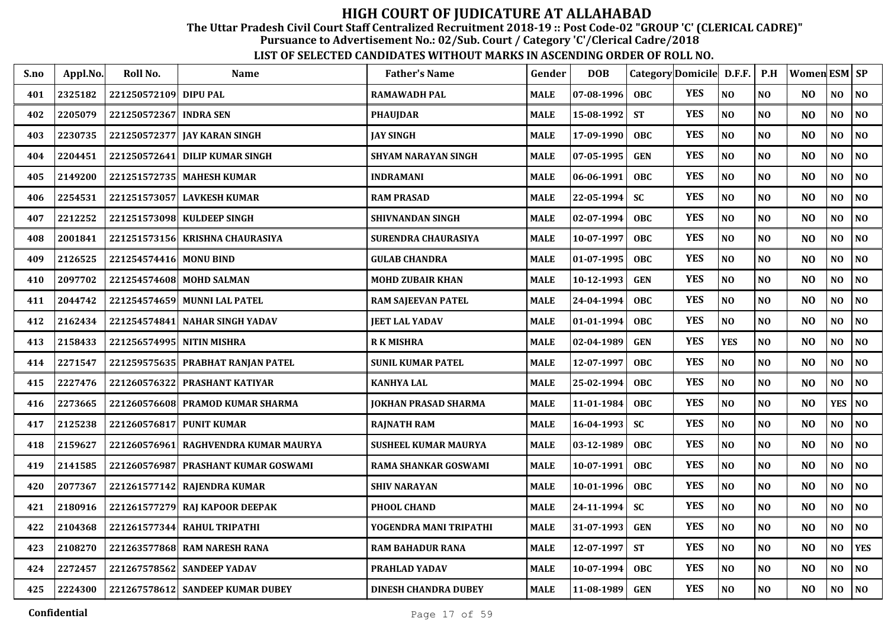The Uttar Pradesh Civil Court Staff Centralized Recruitment 2018-19 :: Post Code-02 "GROUP 'C' (CLERICAL CADRE)"

Pursuance to Advertisement No.: 02/Sub. Court / Category 'C'/Clerical Cadre/2018

| S.no | Appl.No. | Roll No.                  | Name                                | <b>Father's Name</b>        | Gender      | <b>DOB</b>       | Category Domicile D.F.F. |            |                | P.H            | <b>Women ESM SP</b> |                |                |
|------|----------|---------------------------|-------------------------------------|-----------------------------|-------------|------------------|--------------------------|------------|----------------|----------------|---------------------|----------------|----------------|
| 401  | 2325182  | 221250572109 DIPU PAL     |                                     | <b>RAMAWADH PAL</b>         | <b>MALE</b> | $07 - 08 - 1996$ | <b>OBC</b>               | <b>YES</b> | N <sub>O</sub> | N <sub>O</sub> | N <sub>O</sub>      | NO             | NO             |
| 402  | 2205079  | 221250572367 INDRA SEN    |                                     | <b>PHAUJDAR</b>             | <b>MALE</b> | 15-08-1992       | <b>ST</b>                | <b>YES</b> | NO             | N <sub>O</sub> | N <sub>O</sub>      | NO             | NO             |
| 403  | 2230735  |                           | 221250572377 JAY KARAN SINGH        | <b>JAY SINGH</b>            | <b>MALE</b> | 17-09-1990       | <b>OBC</b>               | <b>YES</b> | NO             | N <sub>O</sub> | N <sub>O</sub>      | N <sub>O</sub> | NO             |
| 404  | 2204451  | 221250572641              | <b>DILIP KUMAR SINGH</b>            | <b>SHYAM NARAYAN SINGH</b>  | <b>MALE</b> | 07-05-1995       | <b>GEN</b>               | <b>YES</b> | N <sub>O</sub> | N <sub>O</sub> | N <sub>O</sub>      | NO             | NO             |
| 405  | 2149200  |                           | 221251572735 MAHESH KUMAR           | <b>INDRAMANI</b>            | <b>MALE</b> | 06-06-1991       | <b>OBC</b>               | <b>YES</b> | N <sub>O</sub> | N <sub>O</sub> | N <sub>O</sub>      | N <sub>O</sub> | NO             |
| 406  | 2254531  |                           | 221251573057 LAVKESH KUMAR          | <b>RAM PRASAD</b>           | <b>MALE</b> | 22-05-1994       | <b>SC</b>                | <b>YES</b> | N <sub>O</sub> | NO             | N <sub>O</sub>      | N <sub>O</sub> | NO             |
| 407  | 2212252  |                           | 221251573098 KULDEEP SINGH          | SHIVNANDAN SINGH            | <b>MALE</b> | $02 - 07 - 1994$ | <b>OBC</b>               | <b>YES</b> | N <sub>O</sub> | NO             | N <sub>O</sub>      | NO             | NO             |
| 408  | 2001841  |                           | 221251573156 KRISHNA CHAURASIYA     | SURENDRA CHAURASIYA         | <b>MALE</b> | 10-07-1997       | <b>OBC</b>               | <b>YES</b> | N <sub>O</sub> | N <sub>O</sub> | N <sub>O</sub>      | NO             | NO             |
| 409  | 2126525  | 221254574416 MONU BIND    |                                     | <b>GULAB CHANDRA</b>        | <b>MALE</b> | 01-07-1995       | OBC                      | <b>YES</b> | N <sub>O</sub> | NO             | N <sub>O</sub>      | N <sub>O</sub> | NO             |
| 410  | 2097702  |                           | 221254574608 MOHD SALMAN            | <b>MOHD ZUBAIR KHAN</b>     | <b>MALE</b> | 10-12-1993       | <b>GEN</b>               | <b>YES</b> | N <sub>O</sub> | N <sub>O</sub> | N <sub>O</sub>      | NO             | NO             |
| 411  | 2044742  |                           | 221254574659 MUNNI LAL PATEL        | <b>RAM SAJEEVAN PATEL</b>   | <b>MALE</b> | 24-04-1994       | <b>OBC</b>               | <b>YES</b> | NO             | N <sub>O</sub> | N <sub>O</sub>      | NO             | N <sub>0</sub> |
| 412  | 2162434  | 221254574841              | NAHAR SINGH YADAV                   | <b>JEET LAL YADAV</b>       | <b>MALE</b> | 01-01-1994       | <b>OBC</b>               | <b>YES</b> | N <sub>O</sub> | N <sub>O</sub> | N <sub>O</sub>      | NO             | N <sub>0</sub> |
| 413  | 2158433  | 221256574995 NITIN MISHRA |                                     | <b>RK MISHRA</b>            | <b>MALE</b> | 02-04-1989       | <b>GEN</b>               | <b>YES</b> | <b>YES</b>     | N <sub>O</sub> | N <sub>O</sub>      | NO             | NO             |
| 414  | 2271547  |                           | 221259575635 PRABHAT RANJAN PATEL   | <b>SUNIL KUMAR PATEL</b>    | <b>MALE</b> | 12-07-1997       | <b>OBC</b>               | <b>YES</b> | NO             | N <sub>O</sub> | N <sub>O</sub>      | NO             | N <sub>0</sub> |
| 415  | 2227476  |                           | 221260576322 PRASHANT KATIYAR       | <b>KANHYA LAL</b>           | <b>MALE</b> | 25-02-1994       | <b>OBC</b>               | <b>YES</b> | N <sub>O</sub> | N <sub>O</sub> | N <sub>O</sub>      | NO             | N <sub>0</sub> |
| 416  | 2273665  |                           | 221260576608 PRAMOD KUMAR SHARMA    | JOKHAN PRASAD SHARMA        | <b>MALE</b> | $11 - 01 - 1984$ | <b>OBC</b>               | <b>YES</b> | NO             | N <sub>0</sub> | N <sub>O</sub>      | <b>YES</b>     | N <sub>0</sub> |
| 417  | 2125238  | 221260576817 PUNIT KUMAR  |                                     | <b>RAJNATH RAM</b>          | <b>MALE</b> | $16 - 04 - 1993$ | <b>SC</b>                | <b>YES</b> | N <sub>O</sub> | N <sub>O</sub> | N <sub>O</sub>      | NO             | N <sub>0</sub> |
| 418  | 2159627  | 221260576961              | RAGHVENDRA KUMAR MAURYA             | <b>SUSHEEL KUMAR MAURYA</b> | <b>MALE</b> | 03-12-1989       | <b>OBC</b>               | <b>YES</b> | N <sub>O</sub> | N <sub>O</sub> | N <sub>O</sub>      | NO             | N <sub>0</sub> |
| 419  | 2141585  |                           | 221260576987 PRASHANT KUMAR GOSWAMI | RAMA SHANKAR GOSWAMI        | <b>MALE</b> | 10-07-1991       | OBC                      | <b>YES</b> | $\bf NO$       | N <sub>O</sub> | N <sub>O</sub>      | NO.            | $\bf NO$       |
| 420  | 2077367  |                           | 221261577142 RAJENDRA KUMAR         | <b>SHIV NARAYAN</b>         | <b>MALE</b> | 10-01-1996       | <b>OBC</b>               | <b>YES</b> | $\bf NO$       | N <sub>O</sub> | N <sub>O</sub>      | NO             | $\bf NO$       |
| 421  | 2180916  |                           | 221261577279 RAJ KAPOOR DEEPAK      | PHOOL CHAND                 | <b>MALE</b> | $24 - 11 - 1994$ | <b>SC</b>                | <b>YES</b> | NO             | NO             | N <sub>O</sub>      | NO             | NO             |
| 422  | 2104368  |                           | 221261577344 RAHUL TRIPATHI         | YOGENDRA MANI TRIPATHI      | <b>MALE</b> | 31-07-1993       | <b>GEN</b>               | <b>YES</b> | N <sub>O</sub> | N <sub>O</sub> | N <sub>O</sub>      | NO             | $\bf NO$       |
| 423  | 2108270  |                           | 221263577868 RAM NARESH RANA        | <b>RAM BAHADUR RANA</b>     | <b>MALE</b> | 12-07-1997       | <b>ST</b>                | <b>YES</b> | N <sub>O</sub> | N <sub>O</sub> | N <sub>O</sub>      | N <sub>O</sub> | <b>YES</b>     |
| 424  | 2272457  |                           | 221267578562 SANDEEP YADAV          | PRAHLAD YADAV               | <b>MALE</b> | 10-07-1994       | <b>OBC</b>               | <b>YES</b> | N <sub>O</sub> | <b>NO</b>      | N <sub>O</sub>      | NO             | NO             |
| 425  | 2224300  |                           | 221267578612 SANDEEP KUMAR DUBEY    | <b>DINESH CHANDRA DUBEY</b> | <b>MALE</b> | 11-08-1989       | <b>GEN</b>               | <b>YES</b> | N <sub>O</sub> | N <sub>O</sub> | N <sub>O</sub>      | NO.            | NO             |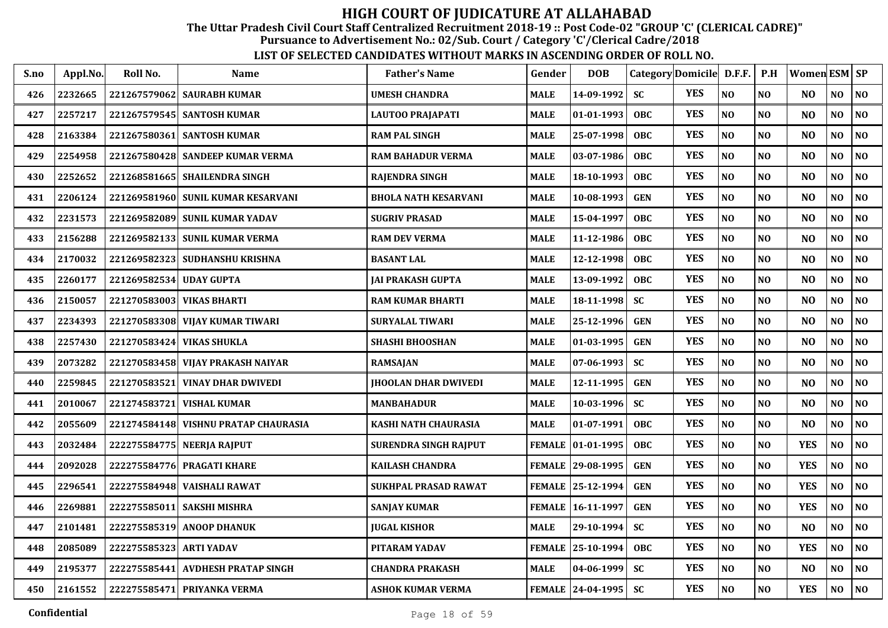The Uttar Pradesh Civil Court Staff Centralized Recruitment 2018-19 :: Post Code-02 "GROUP 'C' (CLERICAL CADRE)"

Pursuance to Advertisement No.: 02/Sub. Court / Category 'C'/Clerical Cadre/2018

| S.no | Appl.No. | Roll No.                | Name                                 | <b>Father's Name</b>        | Gender        | <b>DOB</b>         |            | Category Domicile D.F.F. |                | P.H            | Women ESM SP   |                |                |
|------|----------|-------------------------|--------------------------------------|-----------------------------|---------------|--------------------|------------|--------------------------|----------------|----------------|----------------|----------------|----------------|
| 426  | 2232665  |                         | 221267579062   SAURABH KUMAR         | <b>UMESH CHANDRA</b>        | <b>MALE</b>   | 14-09-1992         | <b>SC</b>  | <b>YES</b>               | NO             | NO             | N <sub>O</sub> | NO             | NO             |
| 427  | 2257217  |                         | 221267579545 SANTOSH KUMAR           | LAUTOO PRAJAPATI            | <b>MALE</b>   | 01-01-1993         | <b>OBC</b> | <b>YES</b>               | N <sub>O</sub> | NO             | N <sub>O</sub> | NO             | NO             |
| 428  | 2163384  |                         | 221267580361  SANTOSH KUMAR          | <b>RAM PAL SINGH</b>        | MALE          | 25-07-1998         | <b>OBC</b> | <b>YES</b>               | N <sub>O</sub> | N <sub>O</sub> | N <sub>O</sub> | NO.            | N <sub>O</sub> |
| 429  | 2254958  |                         | 221267580428 SANDEEP KUMAR VERMA     | <b>RAM BAHADUR VERMA</b>    | MALE          | 03-07-1986         | <b>OBC</b> | <b>YES</b>               | NO             | NO             | N <sub>O</sub> | NO             | NO             |
| 430  | 2252652  |                         | 221268581665   SHAILENDRA SINGH      | <b>RAJENDRA SINGH</b>       | MALE          | 18-10-1993         | <b>OBC</b> | <b>YES</b>               | N <sub>O</sub> | N <sub>0</sub> | N <sub>O</sub> | NO             | NO             |
| 431  | 2206124  |                         | 221269581960 SUNIL KUMAR KESARVANI   | <b>BHOLA NATH KESARVANI</b> | <b>MALE</b>   | 10-08-1993         | <b>GEN</b> | <b>YES</b>               | N <sub>O</sub> | NO             | N <sub>O</sub> | NO             | NO             |
| 432  | 2231573  |                         | 221269582089 SUNIL KUMAR YADAV       | <b>SUGRIV PRASAD</b>        | <b>MALE</b>   | 15-04-1997         | <b>OBC</b> | <b>YES</b>               | NO             | N <sub>O</sub> | N <sub>O</sub> | NO             | NO             |
| 433  | 2156288  |                         | 221269582133 SUNIL KUMAR VERMA       | <b>RAM DEV VERMA</b>        | <b>MALE</b>   | 11-12-1986         | <b>OBC</b> | <b>YES</b>               | N <sub>O</sub> | NO             | N <sub>O</sub> | NO             | NO             |
| 434  | 2170032  |                         | 221269582323 SUDHANSHU KRISHNA       | <b>BASANT LAL</b>           | <b>MALE</b>   | 12-12-1998         | <b>OBC</b> | <b>YES</b>               | N <sub>O</sub> | N <sub>O</sub> | N <sub>O</sub> | NO.            | N <sub>O</sub> |
| 435  | 2260177  | 221269582534            | <b>UDAY GUPTA</b>                    | JAI PRAKASH GUPTA           | MALE          | 13-09-1992         | <b>OBC</b> | <b>YES</b>               | N <sub>O</sub> | N <sub>O</sub> | N <sub>O</sub> | NO.            | N <sub>O</sub> |
| 436  | 2150057  |                         | 221270583003 VIKAS BHARTI            | <b>RAM KUMAR BHARTI</b>     | <b>MALE</b>   | 18-11-1998         | <b>SC</b>  | <b>YES</b>               | N <sub>O</sub> | N <sub>O</sub> | N <sub>O</sub> | N <sub>O</sub> | NO             |
| 437  | 2234393  |                         | 221270583308 VIJAY KUMAR TIWARI      | <b>SURYALAL TIWARI</b>      | MALE          | 25-12-1996         | <b>GEN</b> | <b>YES</b>               | NO             | N <sub>O</sub> | N <sub>O</sub> | NO             | $\bf NO$       |
| 438  | 2257430  | 221270583424            | <b>VIKAS SHUKLA</b>                  | <b>SHASHI BHOOSHAN</b>      | MALE          | 01-03-1995         | <b>GEN</b> | <b>YES</b>               | NO             | NO             | N <sub>O</sub> | NO             | NO             |
| 439  | 2073282  | 221270583458            | VIJAY PRAKASH NAIYAR                 | <b>RAMSAJAN</b>             | <b>MALE</b>   | 07-06-1993         | <b>SC</b>  | <b>YES</b>               | NO             | NO             | N <sub>O</sub> | NO             | NO             |
| 440  | 2259845  | 221270583521            | <b>VINAY DHAR DWIVEDI</b>            | <b>JHOOLAN DHAR DWIVEDI</b> | <b>MALE</b>   | 12-11-1995         | <b>GEN</b> | <b>YES</b>               | N <sub>O</sub> | NO             | N <sub>O</sub> | NO             | NO             |
| 441  | 2010067  | 221274583721            | <b>VISHAL KUMAR</b>                  | <b>MANBAHADUR</b>           | <b>MALE</b>   | 10-03-1996         | <b>SC</b>  | <b>YES</b>               | N <sub>O</sub> | <b>NO</b>      | N <sub>O</sub> | NO             | NO             |
| 442  | 2055609  |                         | 221274584148 VISHNU PRATAP CHAURASIA | KASHI NATH CHAURASIA        | <b>MALE</b>   | $01-07-1991$       | <b>OBC</b> | <b>YES</b>               | NO             | NO             | N <sub>O</sub> | NO             | NO             |
| 443  | 2032484  |                         | 222275584775 NEERJA RAJPUT           | SURENDRA SINGH RAJPUT       |               | FEMALE  01-01-1995 | <b>OBC</b> | <b>YES</b>               | NO             | NO             | <b>YES</b>     | NO             | N <sub>0</sub> |
| 444  | 2092028  | 222275584776            | <b>PRAGATI KHARE</b>                 | <b>KAILASH CHANDRA</b>      |               | FEMALE 29-08-1995  | <b>GEN</b> | <b>YES</b>               | N <sub>O</sub> | N <sub>0</sub> | <b>YES</b>     | NO             | NO             |
| 445  | 2296541  |                         | 222275584948  VAISHALI RAWAT         | <b>SUKHPAL PRASAD RAWAT</b> |               | FEMALE 25-12-1994  | <b>GEN</b> | <b>YES</b>               | NO             | NO             | <b>YES</b>     | NO             | N <sub>O</sub> |
| 446  | 2269881  |                         | 222275585011 SAKSHI MISHRA           | <b>SANJAY KUMAR</b>         | <b>FEMALE</b> | 16-11-1997         | <b>GEN</b> | <b>YES</b>               | NO             | N <sub>O</sub> | <b>YES</b>     | NO             | NO             |
| 447  | 2101481  |                         | 222275585319 ANOOP DHANUK            | <b>JUGAL KISHOR</b>         | <b>MALE</b>   | 29-10-1994         | <b>SC</b>  | <b>YES</b>               | N <sub>O</sub> | N <sub>O</sub> | N <sub>O</sub> | NO             | NO             |
| 448  | 2085089  | 222275585323 ARTI YADAV |                                      | PITARAM YADAV               | <b>FEMALE</b> | 25-10-1994         | <b>OBC</b> | <b>YES</b>               | NO             | NO             | <b>YES</b>     | NO             | N <sub>0</sub> |
| 449  | 2195377  | 222275585441            | <b>AVDHESH PRATAP SINGH</b>          | <b>CHANDRA PRAKASH</b>      | <b>MALE</b>   | 04-06-1999         | <b>SC</b>  | <b>YES</b>               | NO             | NO             | N <sub>O</sub> | N <sub>O</sub> | NO             |
| 450  | 2161552  |                         | 222275585471 PRIYANKA VERMA          | ASHOK KUMAR VERMA           |               | FEMALE 24-04-1995  | <b>SC</b>  | <b>YES</b>               | $\bf NO$       | $\bf NO$       | <b>YES</b>     | NO             | NO             |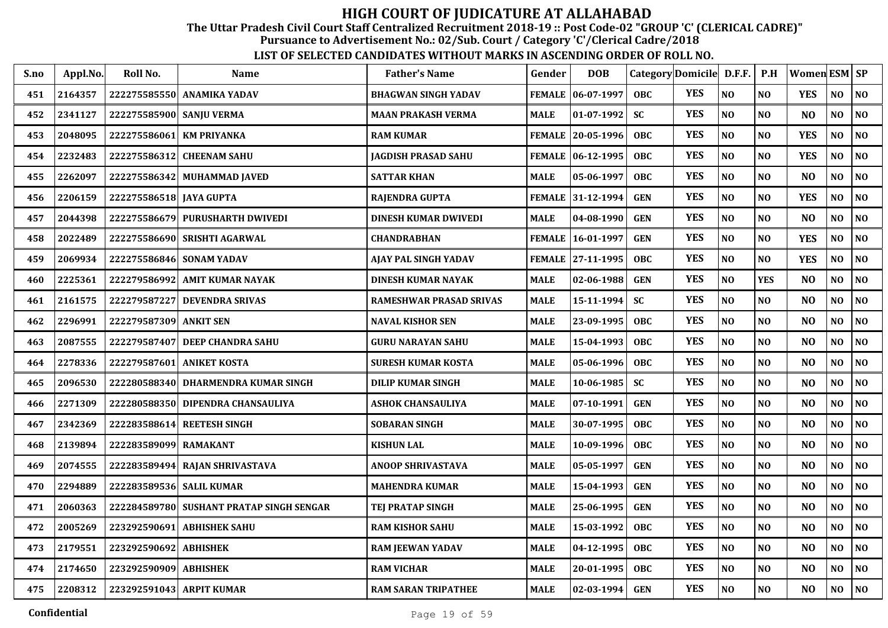The Uttar Pradesh Civil Court Staff Centralized Recruitment 2018-19 :: Post Code-02 "GROUP 'C' (CLERICAL CADRE)"

Pursuance to Advertisement No.: 02/Sub. Court / Category 'C'/Clerical Cadre/2018

| S.no | Appl.No. | Roll No.                 | <b>Name</b>                       | <b>Father's Name</b>        | Gender        | <b>DOB</b>          |            | Category Domicile D.F.F. |                | P.H            | Women ESM SP   |                |                |
|------|----------|--------------------------|-----------------------------------|-----------------------------|---------------|---------------------|------------|--------------------------|----------------|----------------|----------------|----------------|----------------|
| 451  | 2164357  |                          | 222275585550 ANAMIKA YADAV        | <b>BHAGWAN SINGH YADAV</b>  |               | FEMALE   06-07-1997 | <b>OBC</b> | <b>YES</b>               | N <sub>O</sub> | NO             | <b>YES</b>     | NO             | N <sub>0</sub> |
| 452  | 2341127  | 222275585900 SANJU VERMA |                                   | <b>MAAN PRAKASH VERMA</b>   | <b>MALE</b>   | $01-07-1992$        | <b>SC</b>  | <b>YES</b>               | NO             | N <sub>O</sub> | N <sub>O</sub> | NO             | N <sub>0</sub> |
| 453  | 2048095  |                          | 222275586061 KM PRIYANKA          | <b>RAM KUMAR</b>            | <b>FEMALE</b> | $20 - 05 - 1996$    | <b>OBC</b> | <b>YES</b>               | N <sub>O</sub> | NO             | <b>YES</b>     | N <sub>O</sub> | N <sub>O</sub> |
| 454  | 2232483  | 222275586312             | <b>CHEENAM SAHU</b>               | JAGDISH PRASAD SAHU         |               | FEMALE 06-12-1995   | <b>OBC</b> | <b>YES</b>               | NO             | NO             | <b>YES</b>     | NO             | NO             |
| 455  | 2262097  | 222275586342             | <b>MUHAMMAD JAVED</b>             | <b>SATTAR KHAN</b>          | <b>MALE</b>   | 05-06-1997          | <b>OBC</b> | <b>YES</b>               | N <sub>O</sub> | N <sub>O</sub> | N <sub>O</sub> | N <sub>O</sub> | $\bf NO$       |
| 456  | 2206159  | 222275586518 JAYA GUPTA  |                                   | RAJENDRA GUPTA              | <b>FEMALE</b> | 31-12-1994          | <b>GEN</b> | <b>YES</b>               | $\bf NO$       | NO             | <b>YES</b>     | NO             | NO             |
| 457  | 2044398  |                          | 222275586679 PURUSHARTH DWIVEDI   | <b>DINESH KUMAR DWIVEDI</b> | MALE          | 04-08-1990          | <b>GEN</b> | <b>YES</b>               | $\bf NO$       | NO             | N <sub>O</sub> | NO             | NO             |
| 458  | 2022489  |                          | 222275586690 SRISHTI AGARWAL      | <b>CHANDRABHAN</b>          | <b>FEMALE</b> | 16-01-1997          | <b>GEN</b> | <b>YES</b>               | N <sub>O</sub> | NO             | <b>YES</b>     | NO             | $\bf NO$       |
| 459  | 2069934  |                          | 222275586846 SONAM YADAV          | AJAY PAL SINGH YADAV        |               | FEMALE 27-11-1995   | <b>OBC</b> | <b>YES</b>               | N <sub>O</sub> | NO             | <b>YES</b>     | NO             | NO             |
| 460  | 2225361  | 222279586992             | <b>AMIT KUMAR NAYAK</b>           | <b>DINESH KUMAR NAYAK</b>   | <b>MALE</b>   | $02 - 06 - 1988$    | <b>GEN</b> | <b>YES</b>               | N <sub>O</sub> | <b>YES</b>     | N <sub>O</sub> | NO             | NO             |
| 461  | 2161575  | 222279587227             | <b>DEVENDRA SRIVAS</b>            | RAMESHWAR PRASAD SRIVAS     | <b>MALE</b>   | 15-11-1994          | <b>SC</b>  | <b>YES</b>               | N <sub>O</sub> | N <sub>O</sub> | N <sub>O</sub> | N <sub>O</sub> | N <sub>O</sub> |
| 462  | 2296991  | 222279587309             | <b>ANKIT SEN</b>                  | <b>NAVAL KISHOR SEN</b>     | <b>MALE</b>   | 23-09-1995          | <b>OBC</b> | <b>YES</b>               | $\bf NO$       | N <sub>O</sub> | N <sub>O</sub> | NO             | $\bf NO$       |
| 463  | 2087555  | 222279587407             | DEEP CHANDRA SAHU                 | <b>GURU NARAYAN SAHU</b>    | MALE          | 15-04-1993          | <b>OBC</b> | <b>YES</b>               | NO             | NO             | N <sub>O</sub> | N <sub>O</sub> | $\bf NO$       |
| 464  | 2278336  | 222279587601             | <b>ANIKET KOSTA</b>               | SURESH KUMAR KOSTA          | <b>MALE</b>   | 05-06-1996          | <b>OBC</b> | <b>YES</b>               | $\bf NO$       | NO             | N <sub>O</sub> | NO             | NO             |
| 465  | 2096530  | 222280588340             | DHARMENDRA KUMAR SINGH            | <b>DILIP KUMAR SINGH</b>    | MALE          | 10-06-1985          | <b>SC</b>  | <b>YES</b>               | N <sub>O</sub> | N <sub>O</sub> | N <sub>O</sub> | NO             | NO             |
| 466  | 2271309  |                          | 222280588350 DIPENDRA CHANSAULIYA | <b>ASHOK CHANSAULIYA</b>    | MALE          | 07-10-1991          | <b>GEN</b> | <b>YES</b>               | NO             | NO             | N <sub>O</sub> | N <sub>O</sub> | N <sub>0</sub> |
| 467  | 2342369  | 222283588614             | <b>REETESH SINGH</b>              | <b>SOBARAN SINGH</b>        | MALE          | 30-07-1995          | <b>OBC</b> | <b>YES</b>               | N <sub>O</sub> | NO             | N <sub>O</sub> | NO             | NO             |
| 468  | 2139894  | 222283589099             | <b>RAMAKANT</b>                   | <b>KISHUN LAL</b>           | <b>MALE</b>   | 10-09-1996          | <b>OBC</b> | <b>YES</b>               | N <sub>O</sub> | NO             | N <sub>O</sub> | N <sub>O</sub> | NO             |
| 469  | 2074555  |                          | 222283589494 RAJAN SHRIVASTAVA    | <b>ANOOP SHRIVASTAVA</b>    | <b>MALE</b>   | 05-05-1997          | <b>GEN</b> | <b>YES</b>               | N <sub>O</sub> | N <sub>O</sub> | N <sub>O</sub> | NO             | N <sub>O</sub> |
| 470  | 2294889  | 222283589536 SALIL KUMAR |                                   | <b>MAHENDRA KUMAR</b>       | MALE          | 15-04-1993          | <b>GEN</b> | <b>YES</b>               | $\bf NO$       | N <sub>O</sub> | NO             | NO             | NO             |
| 471  | 2060363  | 222284589780             | SUSHANT PRATAP SINGH SENGAR       | TEJ PRATAP SINGH            | <b>MALE</b>   | 25-06-1995          | <b>GEN</b> | <b>YES</b>               | NO             | NO             | N <sub>O</sub> | NO             | NO             |
| 472  | 2005269  | 223292590691             | <b>ABHISHEK SAHU</b>              | <b>RAM KISHOR SAHU</b>      | <b>MALE</b>   | 15-03-1992          | <b>OBC</b> | <b>YES</b>               | N <sub>O</sub> | NO             | N <sub>O</sub> | $\bf NO$       | NO             |
| 473  | 2179551  | 223292590692             | <b>ABHISHEK</b>                   | <b>RAM JEEWAN YADAV</b>     | MALE          | 04-12-1995          | <b>OBC</b> | <b>YES</b>               | N <sub>O</sub> | N <sub>O</sub> | N <sub>O</sub> | NO             | N <sub>0</sub> |
| 474  | 2174650  | 223292590909 ABHISHEK    |                                   | <b>RAM VICHAR</b>           | <b>MALE</b>   | 20-01-1995          | <b>OBC</b> | <b>YES</b>               | $\bf NO$       | NO             | N <sub>O</sub> | NO             | N <sub>O</sub> |
| 475  | 2208312  |                          | 223292591043 ARPIT KUMAR          | <b>RAM SARAN TRIPATHEE</b>  | MALE          | $02 - 03 - 1994$    | <b>GEN</b> | <b>YES</b>               | N <sub>O</sub> | <b>NO</b>      | N <sub>O</sub> | NO             | N <sub>O</sub> |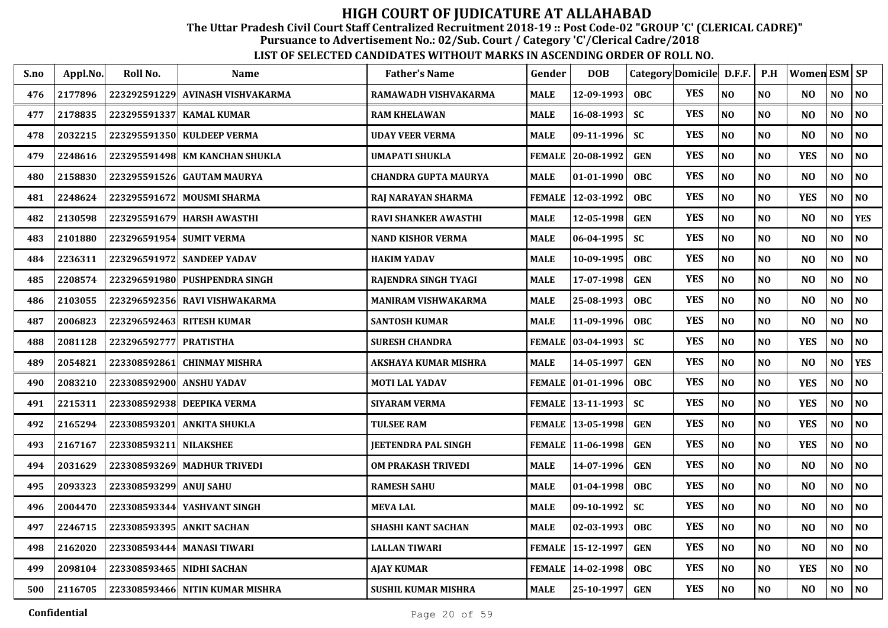The Uttar Pradesh Civil Court Staff Centralized Recruitment 2018-19 :: Post Code-02 "GROUP 'C' (CLERICAL CADRE)"

Pursuance to Advertisement No.: 02/Sub. Court / Category 'C'/Clerical Cadre/2018

| S.no | Appl.No. | Roll No.                 | <b>Name</b>                      | <b>Father's Name</b>        | Gender        | <b>DOB</b>          |            | Category Domicile D.F.F. |                | P.H            | Women ESM SP   |                |                |
|------|----------|--------------------------|----------------------------------|-----------------------------|---------------|---------------------|------------|--------------------------|----------------|----------------|----------------|----------------|----------------|
| 476  | 2177896  |                          | 223292591229 AVINASH VISHVAKARMA | RAMAWADH VISHVAKARMA        | <b>MALE</b>   | 12-09-1993          | <b>OBC</b> | <b>YES</b>               | N <sub>O</sub> | N <sub>O</sub> | NO.            | N <sub>O</sub> | N <sub>O</sub> |
| 477  | 2178835  |                          | 223295591337 KAMAL KUMAR         | <b>RAM KHELAWAN</b>         | <b>MALE</b>   | 16-08-1993          | <b>SC</b>  | <b>YES</b>               | $\bf NO$       | N <sub>O</sub> | N <sub>O</sub> | N <sub>O</sub> | N <sub>O</sub> |
| 478  | 2032215  |                          | 223295591350 KULDEEP VERMA       | <b>UDAY VEER VERMA</b>      | <b>MALE</b>   | $09-11-1996$        | <b>SC</b>  | <b>YES</b>               | $\bf NO$       | N <sub>O</sub> | N <sub>O</sub> | NO             | $\bf NO$       |
| 479  | 2248616  |                          | 223295591498 KM KANCHAN SHUKLA   | UMAPATI SHUKLA              | <b>FEMALE</b> | 20-08-1992          | <b>GEN</b> | <b>YES</b>               | NO             | NO             | <b>YES</b>     | NO             | NO             |
| 480  | 2158830  | 223295591526             | <b>GAUTAM MAURYA</b>             | <b>CHANDRA GUPTA MAURYA</b> | <b>MALE</b>   | 01-01-1990          | <b>OBC</b> | <b>YES</b>               | NO             | NO             | N <sub>O</sub> | NO             | NO             |
| 481  | 2248624  | 223295591672             | <b>MOUSMI SHARMA</b>             | RAJ NARAYAN SHARMA          | <b>FEMALE</b> | 12-03-1992          | <b>OBC</b> | <b>YES</b>               | N <sub>O</sub> | NO             | <b>YES</b>     | NO             | NO             |
| 482  | 2130598  |                          | 223295591679 HARSH AWASTHI       | <b>RAVI SHANKER AWASTHI</b> | <b>MALE</b>   | 12-05-1998          | <b>GEN</b> | <b>YES</b>               | $\bf NO$       | <b>NO</b>      | N <sub>O</sub> | NO             | <b>YES</b>     |
| 483  | 2101880  | 223296591954 SUMIT VERMA |                                  | NAND KISHOR VERMA           | MALE          | $06 - 04 - 1995$    | <b>SC</b>  | <b>YES</b>               | NO             | NO             | N <sub>O</sub> | NO             | NO             |
| 484  | 2236311  |                          | 223296591972 SANDEEP YADAV       | <b>HAKIM YADAV</b>          | MALE          | 10-09-1995          | <b>OBC</b> | <b>YES</b>               | NO             | NO             | N <sub>O</sub> | NO             | NO             |
| 485  | 2208574  |                          | 223296591980 PUSHPENDRA SINGH    | RAJENDRA SINGH TYAGI        | <b>MALE</b>   | 17-07-1998          | <b>GEN</b> | <b>YES</b>               | N <sub>O</sub> | N <sub>O</sub> | N <sub>O</sub> | NO             | NO             |
| 486  | 2103055  |                          | 223296592356 RAVI VISHWAKARMA    | MANIRAM VISHWAKARMA         | MALE          | 25-08-1993          | <b>OBC</b> | <b>YES</b>               | N <sub>O</sub> | NO             | N <sub>O</sub> | NO             | NO             |
| 487  | 2006823  |                          | 223296592463 RITESH KUMAR        | <b>SANTOSH KUMAR</b>        | MALE          | 11-09-1996          | <b>OBC</b> | <b>YES</b>               | NO             | N <sub>O</sub> | N <sub>O</sub> | NO             | NO             |
| 488  | 2081128  | 223296592777             | <b>PRATISTHA</b>                 | <b>SURESH CHANDRA</b>       | <b>FEMALE</b> | $ 03-04-1993$       | <b>SC</b>  | <b>YES</b>               | NO             | NO             | <b>YES</b>     | NO             | NO             |
| 489  | 2054821  | 223308592861             | <b>CHINMAY MISHRA</b>            | AKSHAYA KUMAR MISHRA        | MALE          | 14-05-1997          | <b>GEN</b> | <b>YES</b>               | NO             | N <sub>O</sub> | N <sub>O</sub> | NO             | <b>YES</b>     |
| 490  | 2083210  |                          | 223308592900 ANSHU YADAV         | <b>MOTI LAL YADAV</b>       |               | FEMALE   01-01-1996 | <b>OBC</b> | <b>YES</b>               | N <sub>O</sub> | NO             | <b>YES</b>     | N <sub>O</sub> | N <sub>0</sub> |
| 491  | 2215311  |                          | 223308592938 DEEPIKA VERMA       | <b>SIYARAM VERMA</b>        |               | FEMALE   13-11-1993 | <b>SC</b>  | <b>YES</b>               | NO             | <b>NO</b>      | <b>YES</b>     | N <sub>O</sub> | N <sub>0</sub> |
| 492  | 2165294  | 223308593201             | <b>ANKITA SHUKLA</b>             | <b>TULSEE RAM</b>           |               | FEMALE   13-05-1998 | <b>GEN</b> | <b>YES</b>               | N <sub>O</sub> | NO             | <b>YES</b>     | NO             | N <sub>O</sub> |
| 493  | 2167167  | 223308593211             | <b>NILAKSHEE</b>                 | <b>JEETENDRA PAL SINGH</b>  |               | FEMALE 11-06-1998   | <b>GEN</b> | <b>YES</b>               | N <sub>O</sub> | NO             | <b>YES</b>     | N <sub>O</sub> | NO             |
| 494  | 2031629  |                          | 223308593269 MADHUR TRIVEDI      | <b>OM PRAKASH TRIVEDI</b>   | <b>MALE</b>   | 14-07-1996          | <b>GEN</b> | <b>YES</b>               | N <sub>O</sub> | N <sub>O</sub> | N <sub>O</sub> | N <sub>O</sub> | N <sub>O</sub> |
| 495  | 2093323  | 223308593299 ANUJ SAHU   |                                  | <b>RAMESH SAHU</b>          | MALE          | 01-04-1998          | <b>OBC</b> | <b>YES</b>               | NO             | NO             | N <sub>O</sub> | NO             | N <sub>O</sub> |
| 496  | 2004470  | 223308593344             | YASHVANT SINGH                   | <b>MEVA LAL</b>             | <b>MALE</b>   | 09-10-1992          | <b>SC</b>  | <b>YES</b>               | N <sub>O</sub> | N <sub>O</sub> | N <sub>O</sub> | N <sub>O</sub> | NO             |
| 497  | 2246715  |                          | 223308593395 ANKIT SACHAN        | SHASHI KANT SACHAN          | <b>MALE</b>   | 02-03-1993          | <b>OBC</b> | <b>YES</b>               | NO             | N <sub>O</sub> | N <sub>O</sub> | NO             | NO             |
| 498  | 2162020  |                          | 223308593444 MANASI TIWARI       | <b>LALLAN TIWARI</b>        | <b>FEMALE</b> | 15-12-1997          | <b>GEN</b> | <b>YES</b>               | N <sub>O</sub> | N <sub>O</sub> | N <sub>O</sub> | N <sub>O</sub> | NO             |
| 499  | 2098104  |                          | 223308593465 NIDHI SACHAN        | AJAY KUMAR                  | <b>FEMALE</b> | 14-02-1998          | <b>OBC</b> | <b>YES</b>               | N <sub>O</sub> | <b>NO</b>      | <b>YES</b>     | N <sub>O</sub> | NO             |
| 500  | 2116705  |                          | 223308593466 NITIN KUMAR MISHRA  | SUSHIL KUMAR MISHRA         | MALE          | 25-10-1997          | <b>GEN</b> | <b>YES</b>               | N <sub>O</sub> | N <sub>O</sub> | N <sub>O</sub> | NO             | N <sub>O</sub> |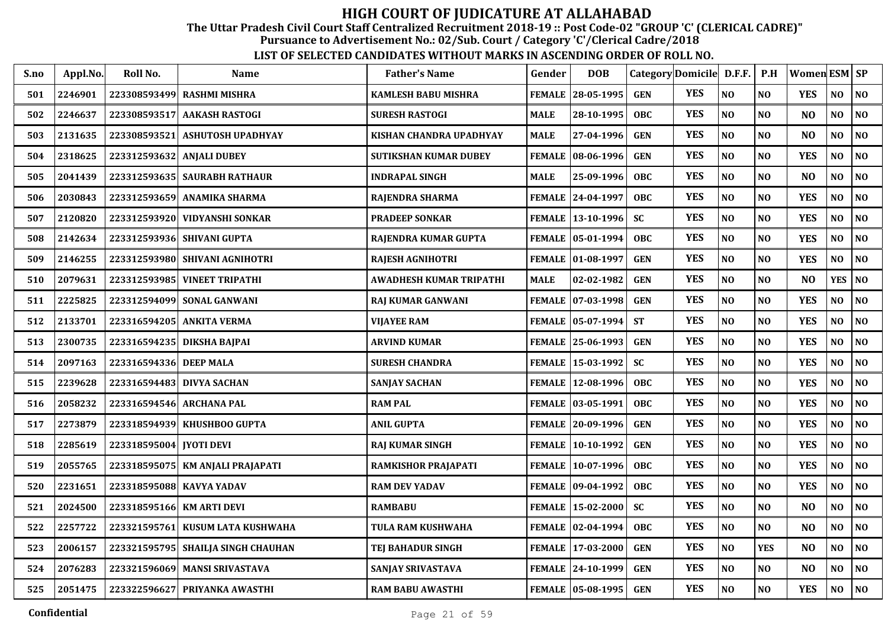The Uttar Pradesh Civil Court Staff Centralized Recruitment 2018-19 :: Post Code-02 "GROUP 'C' (CLERICAL CADRE)"

Pursuance to Advertisement No.: 02/Sub. Court / Category 'C'/Clerical Cadre/2018

| S.no | Appl.No. | Roll No.                   | Name                               | <b>Father's Name</b>       | Gender        | <b>DOB</b>          |            | Category Domicile D.F.F. |                | P.H            | Women ESM SP   |                |                |
|------|----------|----------------------------|------------------------------------|----------------------------|---------------|---------------------|------------|--------------------------|----------------|----------------|----------------|----------------|----------------|
| 501  | 2246901  | 223308593499               | <b>RASHMI MISHRA</b>               | <b>KAMLESH BABU MISHRA</b> | <b>FEMALE</b> | $28 - 05 - 1995$    | <b>GEN</b> | <b>YES</b>               | NO             | N <sub>O</sub> | <b>YES</b>     | NO             | $\bf NO$       |
| 502  | 2246637  | 223308593517               | <b>AAKASH RASTOGI</b>              | <b>SURESH RASTOGI</b>      | MALE          | 28-10-1995          | <b>OBC</b> | <b>YES</b>               | NO             | NO             | N <sub>O</sub> | NO             | N <sub>0</sub> |
| 503  | 2131635  | 223308593521               | <b>ASHUTOSH UPADHYAY</b>           | KISHAN CHANDRA UPADHYAY    | MALE          | 27-04-1996          | <b>GEN</b> | <b>YES</b>               | NO             | N <sub>O</sub> | N <sub>O</sub> | NO             | $\bf NO$       |
| 504  | 2318625  | 223312593632               | <b>ANJALI DUBEY</b>                | SUTIKSHAN KUMAR DUBEY      | <b>FEMALE</b> | 08-06-1996          | <b>GEN</b> | <b>YES</b>               | NO             | NO             | <b>YES</b>     | $\bf NO$       | $\bf NO$       |
| 505  | 2041439  | 223312593635               | <b>SAURABH RATHAUR</b>             | <b>INDRAPAL SINGH</b>      | MALE          | 25-09-1996          | <b>OBC</b> | <b>YES</b>               | NO             | N <sub>O</sub> | N <sub>O</sub> | $\bf NO$       | NO             |
| 506  | 2030843  | 223312593659               | <b>ANAMIKA SHARMA</b>              | RAJENDRA SHARMA            | <b>FEMALE</b> | 24-04-1997          | <b>OBC</b> | <b>YES</b>               | NO             | N <sub>O</sub> | <b>YES</b>     | $\bf NO$       | NO             |
| 507  | 2120820  |                            | 223312593920 VIDYANSHI SONKAR      | <b>PRADEEP SONKAR</b>      | <b>FEMALE</b> | $ 13-10-1996 $      | <b>SC</b>  | <b>YES</b>               | NO             | NO             | <b>YES</b>     | NO             | NO             |
| 508  | 2142634  |                            | 223312593936 SHIVANI GUPTA         | RAJENDRA KUMAR GUPTA       | FEMALE        | $ 05-01-1994 $      | <b>OBC</b> | <b>YES</b>               | $\bf NO$       | NO             | <b>YES</b>     | NO             | $\bf NO$       |
| 509  | 2146255  |                            | 223312593980 SHIVANI AGNIHOTRI     | RAJESH AGNIHOTRI           |               | FEMALE 01-08-1997   | <b>GEN</b> | <b>YES</b>               | NO             | NO             | <b>YES</b>     | NO             | NO             |
| 510  | 2079631  | 223312593985               | <b>VINEET TRIPATHI</b>             | AWADHESH KUMAR TRIPATHI    | MALE          | 02-02-1982          | <b>GEN</b> | <b>YES</b>               | N <sub>O</sub> | N <sub>O</sub> | N <sub>O</sub> | <b>YES</b>     | NO             |
| 511  | 2225825  |                            | 223312594099 SONAL GANWANI         | RAJ KUMAR GANWANI          |               | FEMALE  07-03-1998  | <b>GEN</b> | <b>YES</b>               | NO             | N <sub>O</sub> | <b>YES</b>     | N <sub>O</sub> | NO             |
| 512  | 2133701  |                            | 223316594205 ANKITA VERMA          | <b>VIJAYEE RAM</b>         |               | FEMALE   05-07-1994 | <b>ST</b>  | <b>YES</b>               | NO             | N <sub>O</sub> | <b>YES</b>     | NO             | NO             |
| 513  | 2300735  | 223316594235               | DIKSHA BAJPAI                      | <b>ARVIND KUMAR</b>        |               | FEMALE  25-06-1993  | <b>GEN</b> | <b>YES</b>               | NO             | N <sub>O</sub> | <b>YES</b>     | N <sub>0</sub> | NO             |
| 514  | 2097163  | 223316594336 DEEP MALA     |                                    | <b>SURESH CHANDRA</b>      | <b>FEMALE</b> | 15-03-1992          | <b>SC</b>  | <b>YES</b>               | NO             | N <sub>O</sub> | <b>YES</b>     | NO             | NO             |
| 515  | 2239628  |                            | 223316594483 DIVYA SACHAN          | <b>SANJAY SACHAN</b>       | <b>FEMALE</b> | $ 12-08-1996 $      | <b>OBC</b> | <b>YES</b>               | NO             | N <sub>O</sub> | <b>YES</b>     | NO             | N <sub>0</sub> |
| 516  | 2058232  |                            | 223316594546 ARCHANA PAL           | <b>RAM PAL</b>             |               | FEMALE 03-05-1991   | <b>OBC</b> | <b>YES</b>               | NO             | N <sub>O</sub> | <b>YES</b>     | NO             | N <sub>0</sub> |
| 517  | 2273879  |                            | 223318594939 KHUSHBOO GUPTA        | <b>ANIL GUPTA</b>          |               | FEMALE 20-09-1996   | <b>GEN</b> | <b>YES</b>               | NO             | N <sub>O</sub> | <b>YES</b>     | N <sub>O</sub> | NO             |
| 518  | 2285619  | 223318595004   [YOTI DEVI] |                                    | <b>RAJ KUMAR SINGH</b>     |               | FEMALE 10-10-1992   | <b>GEN</b> | <b>YES</b>               | N <sub>O</sub> | N <sub>O</sub> | <b>YES</b>     | NO             | N <sub>0</sub> |
| 519  | 2055765  |                            | 223318595075   KM ANJALI PRAJAPATI | RAMKISHOR PRAJAPATI        |               | FEMALE   10-07-1996 | <b>OBC</b> | <b>YES</b>               | NO             | N <sub>O</sub> | <b>YES</b>     | NO             | NO             |
| 520  | 2231651  |                            | 223318595088 KAVYA YADAV           | <b>RAM DEV YADAV</b>       |               | FEMALE 09-04-1992   | <b>OBC</b> | <b>YES</b>               | NO             | N <sub>O</sub> | <b>YES</b>     | NO             | NO             |
| 521  | 2024500  |                            | 223318595166 KM ARTI DEVI          | <b>RAMBABU</b>             | <b>FEMALE</b> | $ 15-02-2000 $      | <b>SC</b>  | <b>YES</b>               | N <sub>O</sub> | N <sub>O</sub> | N <sub>O</sub> | N <sub>0</sub> | N <sub>0</sub> |
| 522  | 2257722  | 223321595761               | KUSUM LATA KUSHWAHA                | TULA RAM KUSHWAHA          | <b>FEMALE</b> | $ 02-04-1994 $      | <b>OBC</b> | <b>YES</b>               | NO             | N <sub>O</sub> | N <sub>O</sub> | NO             | N <sub>0</sub> |
| 523  | 2006157  |                            | 223321595795 SHAILJA SINGH CHAUHAN | TEJ BAHADUR SINGH          | <b>FEMALE</b> | $17 - 03 - 2000$    | <b>GEN</b> | <b>YES</b>               | NO             | <b>YES</b>     | N <sub>O</sub> | $\bf NO$       | NO             |
| 524  | 2076283  |                            | 223321596069 MANSI SRIVASTAVA      | SANJAY SRIVASTAVA          | FEMALE        | 24-10-1999          | <b>GEN</b> | <b>YES</b>               | $\bf NO$       | $\bf NO$       | N <sub>O</sub> | $\bf NO$       | NO             |
| 525  | 2051475  |                            | 223322596627 PRIYANKA AWASTHI      | <b>RAM BABU AWASTHI</b>    |               | FEMALE 05-08-1995   | <b>GEN</b> | <b>YES</b>               | $\bf NO$       | N <sub>O</sub> | <b>YES</b>     | NO             | $\bf NO$       |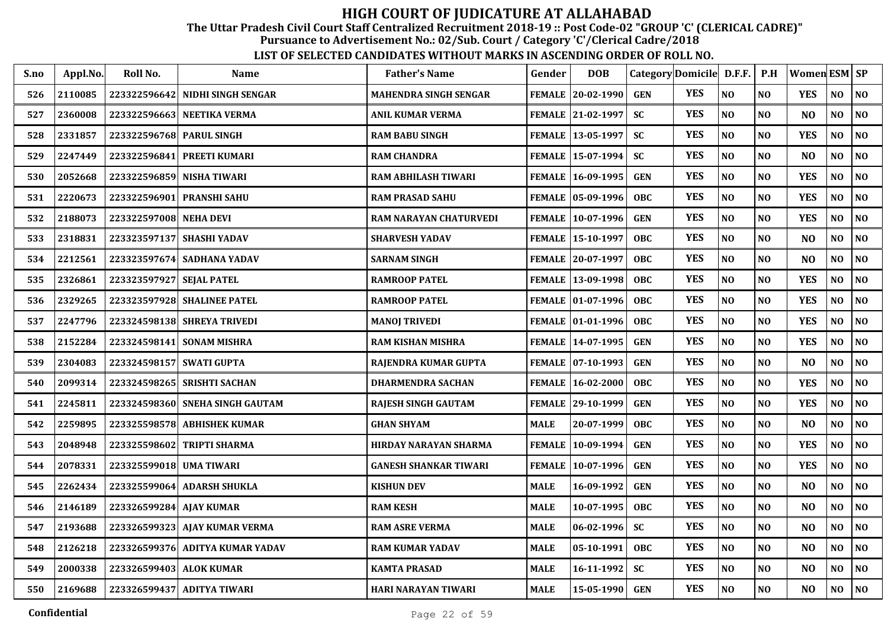The Uttar Pradesh Civil Court Staff Centralized Recruitment 2018-19 :: Post Code-02 "GROUP 'C' (CLERICAL CADRE)"

Pursuance to Advertisement No.: 02/Sub. Court / Category 'C'/Clerical Cadre/2018

| S.no | Appl.No. | Roll No.                 | Name                            | <b>Father's Name</b>          | Gender      | <b>DOB</b>          |            | Category Domicile D.F.F. |                | P.H            | Women ESM SP   |                |                |
|------|----------|--------------------------|---------------------------------|-------------------------------|-------------|---------------------|------------|--------------------------|----------------|----------------|----------------|----------------|----------------|
| 526  | 2110085  | 223322596642             | NIDHI SINGH SENGAR              | <b>MAHENDRA SINGH SENGAR</b>  |             | FEMALE 20-02-1990   | <b>GEN</b> | <b>YES</b>               | NO             | N <sub>O</sub> | <b>YES</b>     | NO             | N <sub>O</sub> |
| 527  | 2360008  |                          | 223322596663 NEETIKA VERMA      | <b>ANIL KUMAR VERMA</b>       |             | FEMALE 21-02-1997   | <b>SC</b>  | <b>YES</b>               | NO             | N <sub>O</sub> | N <sub>O</sub> | N <sub>O</sub> | N <sub>0</sub> |
| 528  | 2331857  | 223322596768 PARUL SINGH |                                 | <b>RAM BABU SINGH</b>         |             | FEMALE 13-05-1997   | <b>SC</b>  | <b>YES</b>               | NO             | N <sub>O</sub> | <b>YES</b>     | NO             | NO             |
| 529  | 2247449  | 223322596841             | <b>PREETI KUMARI</b>            | <b>RAM CHANDRA</b>            |             | FEMALE   15-07-1994 | <b>SC</b>  | <b>YES</b>               | NO             | N <sub>O</sub> | N <sub>O</sub> | N <sub>O</sub> | NO             |
| 530  | 2052668  | 223322596859             | <b>NISHA TIWARI</b>             | <b>RAM ABHILASH TIWARI</b>    |             | FEMALE 16-09-1995   | <b>GEN</b> | <b>YES</b>               | NO             | N <sub>O</sub> | <b>YES</b>     | NO             | NO             |
| 531  | 2220673  | 223322596901             | <b>PRANSHI SAHU</b>             | <b>RAM PRASAD SAHU</b>        |             | FEMALE 05-09-1996   | <b>OBC</b> | <b>YES</b>               | NO             | N <sub>O</sub> | <b>YES</b>     | N <sub>O</sub> | NO             |
| 532  | 2188073  | 223322597008 NEHA DEVI   |                                 | <b>RAM NARAYAN CHATURVEDI</b> |             | FEMALE 10-07-1996   | <b>GEN</b> | <b>YES</b>               | NO             | NO             | <b>YES</b>     | N <sub>O</sub> | NO             |
| 533  | 2318831  | 223323597137             | <b>SHASHI YADAV</b>             | <b>SHARVESH YADAV</b>         |             | FEMALE   15-10-1997 | <b>OBC</b> | <b>YES</b>               | NO             | N <sub>O</sub> | N <sub>O</sub> | NO             | NO             |
| 534  | 2212561  |                          | 223323597674 SADHANA YADAV      | <b>SARNAM SINGH</b>           |             | FEMALE 20-07-1997   | OBC        | <b>YES</b>               | NO             | NO             | N <sub>O</sub> | NO             | NO             |
| 535  | 2326861  | 223323597927             | <b>SEJAL PATEL</b>              | <b>RAMROOP PATEL</b>          |             | FEMALE   13-09-1998 | <b>OBC</b> | <b>YES</b>               | NO             | N <sub>O</sub> | <b>YES</b>     | NO             | NO             |
| 536  | 2329265  |                          | 223323597928 SHALINEE PATEL     | <b>RAMROOP PATEL</b>          |             | FEMALE   01-07-1996 | OBC        | <b>YES</b>               | NO             | N <sub>O</sub> | <b>YES</b>     | N <sub>O</sub> | NO             |
| 537  | 2247796  |                          | 223324598138 SHREYA TRIVEDI     | <b>MANOJ TRIVEDI</b>          |             | FEMALE 01-01-1996   | <b>OBC</b> | <b>YES</b>               | NO             | N <sub>O</sub> | <b>YES</b>     | NO             | NO             |
| 538  | 2152284  | 223324598141             | <b>SONAM MISHRA</b>             | <b>RAM KISHAN MISHRA</b>      |             | FEMALE   14-07-1995 | <b>GEN</b> | <b>YES</b>               | NO             | NO             | <b>YES</b>     | $\bf NO$       | NO             |
| 539  | 2304083  | 223324598157 SWATI GUPTA |                                 | RAJENDRA KUMAR GUPTA          |             | FEMALE 07-10-1993   | <b>GEN</b> | <b>YES</b>               | NO             | N <sub>O</sub> | N <sub>O</sub> | NO             | NO             |
| 540  | 2099314  | 223324598265             | <b>SRISHTI SACHAN</b>           | <b>DHARMENDRA SACHAN</b>      |             | FEMALE   16-02-2000 | <b>OBC</b> | <b>YES</b>               | NO             | N <sub>O</sub> | <b>YES</b>     | N <sub>O</sub> | NO             |
| 541  | 2245811  |                          | 223324598360 SNEHA SINGH GAUTAM | <b>RAJESH SINGH GAUTAM</b>    |             | FEMALE 29-10-1999   | <b>GEN</b> | <b>YES</b>               | NO             | NO             | <b>YES</b>     | NO             | $\bf NO$       |
| 542  | 2259895  |                          | 223325598578 ABHISHEK KUMAR     | <b>GHAN SHYAM</b>             | <b>MALE</b> | 20-07-1999          | <b>OBC</b> | <b>YES</b>               | NO             | NO             | N <sub>O</sub> | NO             | NO             |
| 543  | 2048948  | 223325598602             | <b>TRIPTI SHARMA</b>            | HIRDAY NARAYAN SHARMA         | FEMALE      | $10-09-1994$        | <b>GEN</b> | <b>YES</b>               | N <sub>O</sub> | N <sub>O</sub> | <b>YES</b>     | N <sub>O</sub> | NO             |
| 544  | 2078331  | 223325599018 UMA TIWARI  |                                 | <b>GANESH SHANKAR TIWARI</b>  |             | FEMALE   10-07-1996 | <b>GEN</b> | <b>YES</b>               | NO             | N <sub>O</sub> | <b>YES</b>     | NO             | NO             |
| 545  | 2262434  |                          | 223325599064 ADARSH SHUKLA      | <b>KISHUN DEV</b>             | MALE        | 16-09-1992          | <b>GEN</b> | <b>YES</b>               | $\bf NO$       | N <sub>O</sub> | N <sub>O</sub> | NO             | $\bf NO$       |
| 546  | 2146189  | 223326599284 AJAY KUMAR  |                                 | <b>RAM KESH</b>               | <b>MALE</b> | 10-07-1995          | <b>OBC</b> | <b>YES</b>               | NO             | N <sub>O</sub> | N <sub>O</sub> | NO             | $\bf NO$       |
| 547  | 2193688  |                          | 223326599323 AJAY KUMAR VERMA   | <b>RAM ASRE VERMA</b>         | <b>MALE</b> | $06 - 02 - 1996$    | <b>SC</b>  | <b>YES</b>               | NO             | NO             | N <sub>O</sub> | NO             | $\bf NO$       |
| 548  | 2126218  |                          | 223326599376 ADITYA KUMAR YADAV | <b>RAM KUMAR YADAV</b>        | <b>MALE</b> | 05-10-1991          | <b>OBC</b> | <b>YES</b>               | NO             | NO             | N <sub>O</sub> | NO             | $\bf NO$       |
| 549  | 2000338  | 223326599403 ALOK KUMAR  |                                 | <b>KAMTA PRASAD</b>           | MALE        | 16-11-1992          | <b>SC</b>  | <b>YES</b>               | $\bf NO$       | $\bf NO$       | N <sub>O</sub> | NO             | $\bf NO$       |
| 550  | 2169688  |                          | 223326599437 ADITYA TIWARI      | HARI NARAYAN TIWARI           | <b>MALE</b> | 15-05-1990          | <b>GEN</b> | <b>YES</b>               | $\bf NO$       | N <sub>O</sub> | N <sub>O</sub> | NO             | <b>NO</b>      |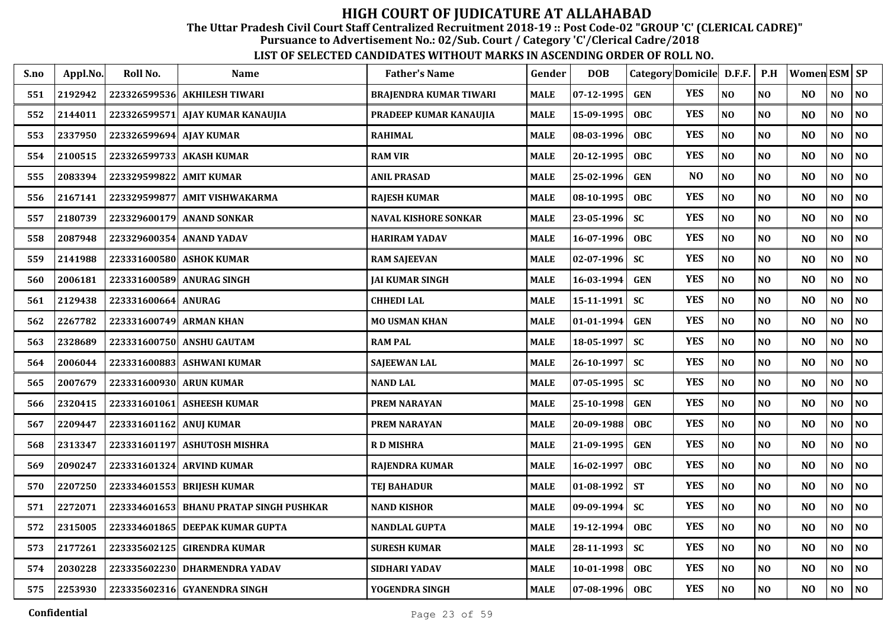The Uttar Pradesh Civil Court Staff Centralized Recruitment 2018-19 :: Post Code-02 "GROUP 'C' (CLERICAL CADRE)"

Pursuance to Advertisement No.: 02/Sub. Court / Category 'C'/Clerical Cadre/2018

| S.no | Appl.No. | Roll No.                | Name                              | <b>Father's Name</b>        | Gender      | <b>DOB</b>       |            | Category Domicile D.F.F. |                | P.H            | Women $ESM$ $SP$ |     |                |
|------|----------|-------------------------|-----------------------------------|-----------------------------|-------------|------------------|------------|--------------------------|----------------|----------------|------------------|-----|----------------|
| 551  | 2192942  |                         | 223326599536 AKHILESH TIWARI      | BRAJENDRA KUMAR TIWARI      | MALE        | $07 - 12 - 1995$ | <b>GEN</b> | <b>YES</b>               | N <sub>O</sub> | N <sub>0</sub> | N <sub>O</sub>   | NO  | $\bf NO$       |
| 552  | 2144011  |                         | 223326599571 AJAY KUMAR KANAUJIA  | PRADEEP KUMAR KANAUJIA      | MALE        | 15-09-1995       | <b>OBC</b> | <b>YES</b>               | N <sub>O</sub> | N <sub>0</sub> | N <sub>O</sub>   | NO  | N <sub>0</sub> |
| 553  | 2337950  | 223326599694 AJAY KUMAR |                                   | <b>RAHIMAL</b>              | MALE        | 08-03-1996       | <b>OBC</b> | <b>YES</b>               | NO             | N <sub>O</sub> | N <sub>O</sub>   | NO  | $\bf NO$       |
| 554  | 2100515  |                         | 223326599733  AKASH KUMAR         | <b>RAM VIR</b>              | <b>MALE</b> | 20-12-1995       | <b>OBC</b> | <b>YES</b>               | NO             | N <sub>0</sub> | N <sub>O</sub>   | NO  | N <sub>0</sub> |
| 555  | 2083394  | 223329599822            | <b>AMIT KUMAR</b>                 | <b>ANIL PRASAD</b>          | <b>MALE</b> | 25-02-1996       | <b>GEN</b> | N <sub>O</sub>           | NO             | N <sub>O</sub> | N <sub>O</sub>   | NO  | NO             |
| 556  | 2167141  | 223329599877            | <b>AMIT VISHWAKARMA</b>           | <b>RAJESH KUMAR</b>         | <b>MALE</b> | 08-10-1995       | <b>OBC</b> | <b>YES</b>               | N <sub>O</sub> | NO             | N <sub>O</sub>   | NO  | NO             |
| 557  | 2180739  |                         | 223329600179 ANAND SONKAR         | <b>NAVAL KISHORE SONKAR</b> | <b>MALE</b> | 23-05-1996       | <b>SC</b>  | <b>YES</b>               | N <sub>O</sub> | NO             | N <sub>O</sub>   | NO  | NO             |
| 558  | 2087948  |                         | 223329600354 ANAND YADAV          | <b>HARIRAM YADAV</b>        | <b>MALE</b> | 16-07-1996       | <b>OBC</b> | <b>YES</b>               | NO             | N <sub>O</sub> | N <sub>O</sub>   | NO  | NO             |
| 559  | 2141988  |                         | 223331600580 ASHOK KUMAR          | <b>RAM SAJEEVAN</b>         | <b>MALE</b> | $02 - 07 - 1996$ | <b>SC</b>  | <b>YES</b>               | NO             | <b>NO</b>      | N <sub>O</sub>   | NO  | NO             |
| 560  | 2006181  |                         | 223331600589  ANURAG SINGH        | JAI KUMAR SINGH             | <b>MALE</b> | 16-03-1994       | <b>GEN</b> | <b>YES</b>               | NO             | N <sub>O</sub> | N <sub>O</sub>   | NO  | N <sub>0</sub> |
| 561  | 2129438  | 223331600664 ANURAG     |                                   | <b>CHHEDI LAL</b>           | <b>MALE</b> | 15-11-1991       | <b>SC</b>  | <b>YES</b>               | N <sub>O</sub> | N <sub>O</sub> | N <sub>O</sub>   | NO  | NO             |
| 562  | 2267782  | 223331600749 ARMAN KHAN |                                   | <b>MO USMAN KHAN</b>        | MALE        | $01-01-1994$     | <b>GEN</b> | <b>YES</b>               | $\bf NO$       | N <sub>O</sub> | N <sub>O</sub>   | NO  | $\bf NO$       |
| 563  | 2328689  |                         | 223331600750 ANSHU GAUTAM         | <b>RAM PAL</b>              | MALE        | 18-05-1997       | <b>SC</b>  | <b>YES</b>               | $\bf NO$       | N <sub>O</sub> | NO               | NO  | N <sub>0</sub> |
| 564  | 2006044  |                         | 223331600883 ASHWANI KUMAR        | <b>SAJEEWAN LAL</b>         | <b>MALE</b> | 26-10-1997       | <b>SC</b>  | <b>YES</b>               | $\bf NO$       | NO             | N <sub>O</sub>   | NO  | $\bf NO$       |
| 565  | 2007679  | 223331600930 ARUN KUMAR |                                   | <b>NAND LAL</b>             | <b>MALE</b> | $07 - 05 - 1995$ | <b>SC</b>  | <b>YES</b>               | $\bf NO$       | N <sub>0</sub> | NO               | NO  | NO.            |
| 566  | 2320415  |                         | 223331601061 ASHEESH KUMAR        | <b>PREM NARAYAN</b>         | MALE        | 25-10-1998       | <b>GEN</b> | <b>YES</b>               | NO             | NO             | N <sub>O</sub>   | NO  | $\bf NO$       |
| 567  | 2209447  | 223331601162 ANUJ KUMAR |                                   | <b>PREM NARAYAN</b>         | MALE        | 20-09-1988       | <b>OBC</b> | <b>YES</b>               | N <sub>O</sub> | NO             | N <sub>O</sub>   | NO. | NO             |
| 568  | 2313347  |                         | 223331601197 ASHUTOSH MISHRA      | <b>RDMISHRA</b>             | MALE        | 21-09-1995       | <b>GEN</b> | <b>YES</b>               | NO             | N <sub>O</sub> | N <sub>O</sub>   | NO  | NO             |
| 569  | 2090247  |                         | 223331601324 ARVIND KUMAR         | <b>RAJENDRA KUMAR</b>       | MALE        | 16-02-1997       | <b>OBC</b> | <b>YES</b>               | N <sub>O</sub> | NO             | N <sub>O</sub>   | NO  | NO             |
| 570  | 2207250  |                         | 223334601553 BRIJESH KUMAR        | <b>TEJ BAHADUR</b>          | MALE        | 01-08-1992       | <b>ST</b>  | <b>YES</b>               | NO             | NO             | N <sub>O</sub>   | NO  | $\bf NO$       |
| 571  | 2272071  | 223334601653            | <b>BHANU PRATAP SINGH PUSHKAR</b> | <b>NAND KISHOR</b>          | <b>MALE</b> | $09-09-1994$     | <b>SC</b>  | <b>YES</b>               | NO             | N <sub>O</sub> | N <sub>O</sub>   | NO  | NO             |
| 572  | 2315005  | 223334601865            | <b>DEEPAK KUMAR GUPTA</b>         | NANDLAL GUPTA               | <b>MALE</b> | 19-12-1994       | <b>OBC</b> | <b>YES</b>               | N <sub>O</sub> | N <sub>O</sub> | N <sub>O</sub>   | NO  | NO             |
| 573  | 2177261  | 223335602125            | <b>GIRENDRA KUMAR</b>             | <b>SURESH KUMAR</b>         | <b>MALE</b> | 28-11-1993       | <b>SC</b>  | <b>YES</b>               | NO             | N <sub>O</sub> | N <sub>O</sub>   | NO  | NO             |
| 574  | 2030228  |                         | 223335602230 DHARMENDRA YADAV     | SIDHARI YADAV               | <b>MALE</b> | 10-01-1998       | <b>OBC</b> | <b>YES</b>               | $\bf NO$       | NO             | N <sub>O</sub>   | NO  | NO             |
| 575  | 2253930  |                         | 223335602316 GYANENDRA SINGH      | YOGENDRA SINGH              | <b>MALE</b> | 07-08-1996       | <b>OBC</b> | <b>YES</b>               | NO             | NO             | NO               | NO. | NO             |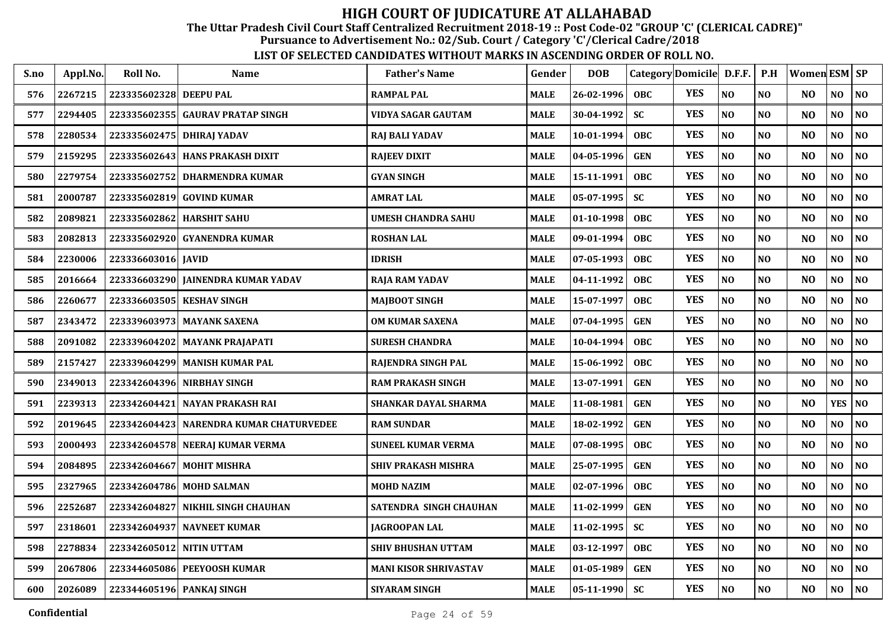The Uttar Pradesh Civil Court Staff Centralized Recruitment 2018-19 :: Post Code-02 "GROUP 'C' (CLERICAL CADRE)"

Pursuance to Advertisement No.: 02/Sub. Court / Category 'C'/Clerical Cadre/2018

| S.no | Appl.No. | Roll No.                  | <b>Name</b>                        | <b>Father's Name</b>         | Gender      | <b>DOB</b>   | Category Domicile D.F.F. |            |                | P.H            | <b>Women ESM SP</b> |                |                |
|------|----------|---------------------------|------------------------------------|------------------------------|-------------|--------------|--------------------------|------------|----------------|----------------|---------------------|----------------|----------------|
| 576  | 2267215  | 223335602328 DEEPU PAL    |                                    | <b>RAMPAL PAL</b>            | <b>MALE</b> | 26-02-1996   | <b>OBC</b>               | <b>YES</b> | N <sub>O</sub> | N <sub>O</sub> | N <sub>O</sub>      | NO             | NO             |
| 577  | 2294405  | 223335602355              | <b>GAURAV PRATAP SINGH</b>         | VIDYA SAGAR GAUTAM           | <b>MALE</b> | 30-04-1992   | <b>SC</b>                | <b>YES</b> | NO             | N <sub>O</sub> | N <sub>O</sub>      | NO             | NO             |
| 578  | 2280534  | 223335602475 DHIRAJ YADAV |                                    | <b>RAJ BALI YADAV</b>        | <b>MALE</b> | 10-01-1994   | <b>OBC</b>               | <b>YES</b> | NO             | N <sub>O</sub> | N <sub>O</sub>      | NO             | NO             |
| 579  | 2159295  | 223335602643              | <b>HANS PRAKASH DIXIT</b>          | <b>RAJEEV DIXIT</b>          | <b>MALE</b> | 04-05-1996   | <b>GEN</b>               | <b>YES</b> | NO             | N <sub>O</sub> | N <sub>O</sub>      | NO             | NO             |
| 580  | 2279754  | 223335602752              | <b>DHARMENDRA KUMAR</b>            | <b>GYAN SINGH</b>            | <b>MALE</b> | 15-11-1991   | <b>OBC</b>               | <b>YES</b> | NO             | N <sub>O</sub> | N <sub>O</sub>      | NO             | NO             |
| 581  | 2000787  | 223335602819              | <b>GOVIND KUMAR</b>                | <b>AMRAT LAL</b>             | <b>MALE</b> | 05-07-1995   | <b>SC</b>                | <b>YES</b> | NO             | NO             | N <sub>O</sub>      | NO             | $\bf NO$       |
| 582  | 2089821  |                           | 223335602862 HARSHIT SAHU          | <b>UMESH CHANDRA SAHU</b>    | <b>MALE</b> | 01-10-1998   | <b>OBC</b>               | <b>YES</b> | NO             | NO             | N <sub>O</sub>      | NO             | $\bf NO$       |
| 583  | 2082813  | 223335602920              | <b>GYANENDRA KUMAR</b>             | <b>ROSHAN LAL</b>            | <b>MALE</b> | 09-01-1994   | <b>OBC</b>               | <b>YES</b> | NO             | N <sub>O</sub> | N <sub>O</sub>      | NO.            | N <sub>0</sub> |
| 584  | 2230006  | 223336603016 JAVID        |                                    | <b>IDRISH</b>                | <b>MALE</b> | 07-05-1993   | <b>OBC</b>               | <b>YES</b> | NO             | N <sub>O</sub> | N <sub>O</sub>      | NO             | N <sub>0</sub> |
| 585  | 2016664  |                           | 223336603290 JAINENDRA KUMAR YADAV | <b>RAJA RAM YADAV</b>        | <b>MALE</b> | 04-11-1992   | <b>OBC</b>               | <b>YES</b> | NO             | N <sub>0</sub> | N <sub>O</sub>      | NO.            | N <sub>0</sub> |
| 586  | 2260677  | 223336603505 KESHAV SINGH |                                    | <b>MAJBOOT SINGH</b>         | <b>MALE</b> | 15-07-1997   | <b>OBC</b>               | <b>YES</b> | $\bf NO$       | N <sub>O</sub> | NO                  | NO             | $\bf NO$       |
| 587  | 2343472  |                           | 223339603973 MAYANK SAXENA         | <b>OM KUMAR SAXENA</b>       | <b>MALE</b> | 07-04-1995   | <b>GEN</b>               | <b>YES</b> | NO             | N <sub>O</sub> | N <sub>O</sub>      | N <sub>O</sub> | N <sub>O</sub> |
| 588  | 2091082  | 223339604202              | <b>MAYANK PRAJAPATI</b>            | <b>SURESH CHANDRA</b>        | <b>MALE</b> | 10-04-1994   | <b>OBC</b>               | <b>YES</b> | NO             | N <sub>O</sub> | N <sub>O</sub>      | NO             | N <sub>0</sub> |
| 589  | 2157427  |                           | 223339604299 MANISH KUMAR PAL      | RAJENDRA SINGH PAL           | <b>MALE</b> | 15-06-1992   | <b>OBC</b>               | <b>YES</b> | N <sub>O</sub> | N <sub>O</sub> | N <sub>O</sub>      | N <sub>O</sub> | N <sub>O</sub> |
| 590  | 2349013  | 223342604396              | <b>NIRBHAY SINGH</b>               | <b>RAM PRAKASH SINGH</b>     | <b>MALE</b> | 13-07-1991   | <b>GEN</b>               | <b>YES</b> | N <sub>O</sub> | N <sub>O</sub> | N <sub>O</sub>      | N <sub>O</sub> | NO             |
| 591  | 2239313  | 223342604421              | NAYAN PRAKASH RAI                  | <b>SHANKAR DAYAL SHARMA</b>  | <b>MALE</b> | 11-08-1981   | <b>GEN</b>               | <b>YES</b> | NO             | NO             | N <sub>O</sub>      | <b>YES</b>     | N <sub>0</sub> |
| 592  | 2019645  | 223342604423              | NARENDRA KUMAR CHATURVEDEE         | <b>RAM SUNDAR</b>            | <b>MALE</b> | 18-02-1992   | <b>GEN</b>               | <b>YES</b> | NO             | NO             | N <sub>O</sub>      | NO.            | NO             |
| 593  | 2000493  |                           | 223342604578 NEERAJ KUMAR VERMA    | <b>SUNEEL KUMAR VERMA</b>    | <b>MALE</b> | 07-08-1995   | OBC                      | <b>YES</b> | NO             | N <sub>O</sub> | N <sub>O</sub>      | NO             | NO             |
| 594  | 2084895  |                           | 223342604667 MOHIT MISHRA          | <b>SHIV PRAKASH MISHRA</b>   | <b>MALE</b> | 25-07-1995   | <b>GEN</b>               | <b>YES</b> | NO             | N <sub>O</sub> | N <sub>O</sub>      | NO             | N <sub>0</sub> |
| 595  | 2327965  | 223342604786              | <b>MOHD SALMAN</b>                 | <b>MOHD NAZIM</b>            | <b>MALE</b> | 02-07-1996   | <b>OBC</b>               | <b>YES</b> | NO             | N <sub>O</sub> | N <sub>O</sub>      | NO             | N <sub>0</sub> |
| 596  | 2252687  | 223342604827              | <b>NIKHIL SINGH CHAUHAN</b>        | SATENDRA SINGH CHAUHAN       | <b>MALE</b> | 11-02-1999   | <b>GEN</b>               | <b>YES</b> | NO             | N <sub>O</sub> | N <sub>O</sub>      | NO             | N <sub>0</sub> |
| 597  | 2318601  | 223342604937              | <b>NAVNEET KUMAR</b>               | <b>JAGROOPAN LAL</b>         | <b>MALE</b> | 11-02-1995   | <b>SC</b>                | <b>YES</b> | NO             | NO             | N <sub>O</sub>      | NO             | N <sub>0</sub> |
| 598  | 2278834  | 223342605012 NITIN UTTAM  |                                    | <b>SHIV BHUSHAN UTTAM</b>    | <b>MALE</b> | 03-12-1997   | <b>OBC</b>               | <b>YES</b> | NO             | NO             | N <sub>O</sub>      | NO             | N <sub>0</sub> |
| 599  | 2067806  |                           | 223344605086 PEEYOOSH KUMAR        | <b>MANI KISOR SHRIVASTAV</b> | <b>MALE</b> | 01-05-1989   | <b>GEN</b>               | <b>YES</b> | $\bf NO$       | $\bf NO$       | NO                  | NO             | $\bf NO$       |
| 600  | 2026089  | 223344605196 PANKAJ SINGH |                                    | <b>SIYARAM SINGH</b>         | <b>MALE</b> | $05-11-1990$ | <b>SC</b>                | <b>YES</b> | $\bf NO$       | $\bf NO$       | N <sub>O</sub>      | NO             | $\bf NO$       |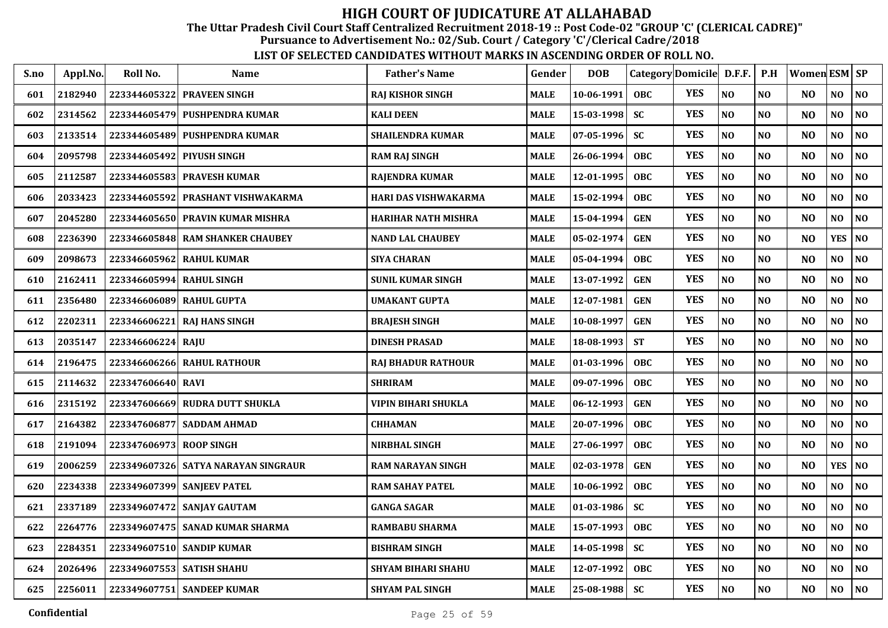The Uttar Pradesh Civil Court Staff Centralized Recruitment 2018-19 :: Post Code-02 "GROUP 'C' (CLERICAL CADRE)"

Pursuance to Advertisement No.: 02/Sub. Court / Category 'C'/Clerical Cadre/2018

| S.no | Appl.No. | Roll No.                  | <b>Name</b>                         | <b>Father's Name</b>       | Gender      | <b>DOB</b> | Category Domicile D.F.F. |            |                | P.H            | Women ESM   SP |                |                |
|------|----------|---------------------------|-------------------------------------|----------------------------|-------------|------------|--------------------------|------------|----------------|----------------|----------------|----------------|----------------|
| 601  | 2182940  | 223344605322              | <b>PRAVEEN SINGH</b>                | <b>RAJ KISHOR SINGH</b>    | <b>MALE</b> | 10-06-1991 | <b>OBC</b>               | <b>YES</b> | N <sub>0</sub> | N <sub>O</sub> | N <sub>O</sub> | NO             | NO             |
| 602  | 2314562  |                           | 223344605479 PUSHPENDRA KUMAR       | <b>KALI DEEN</b>           | <b>MALE</b> | 15-03-1998 | <b>SC</b>                | <b>YES</b> | NO             | NO             | N <sub>O</sub> | N <sub>0</sub> | NO             |
| 603  | 2133514  | 223344605489              | <b>PUSHPENDRA KUMAR</b>             | <b>SHAILENDRA KUMAR</b>    | <b>MALE</b> | 07-05-1996 | <b>SC</b>                | <b>YES</b> | NO             | N <sub>O</sub> | N <sub>O</sub> | NO             | NO             |
| 604  | 2095798  | 223344605492              | <b>PIYUSH SINGH</b>                 | <b>RAM RAJ SINGH</b>       | <b>MALE</b> | 26-06-1994 | <b>OBC</b>               | <b>YES</b> | NO             | NO             | N <sub>O</sub> | NO             | NO             |
| 605  | 2112587  | 223344605583              | <b>PRAVESH KUMAR</b>                | <b>RAJENDRA KUMAR</b>      | <b>MALE</b> | 12-01-1995 | OBC                      | <b>YES</b> | NO             | NO             | N <sub>O</sub> | N <sub>0</sub> | NO             |
| 606  | 2033423  |                           | 223344605592 PRASHANT VISHWAKARMA   | HARI DAS VISHWAKARMA       | <b>MALE</b> | 15-02-1994 | <b>OBC</b>               | <b>YES</b> | $\bf NO$       | N <sub>O</sub> | N <sub>O</sub> | NO             | NO             |
| 607  | 2045280  |                           | 223344605650 PRAVIN KUMAR MISHRA    | <b>HARIHAR NATH MISHRA</b> | <b>MALE</b> | 15-04-1994 | <b>GEN</b>               | <b>YES</b> | NO             | N <sub>O</sub> | N <sub>O</sub> | N <sub>O</sub> | NO             |
| 608  | 2236390  | 223346605848              | <b>RAM SHANKER CHAUBEY</b>          | <b>NAND LAL CHAUBEY</b>    | <b>MALE</b> | 05-02-1974 | <b>GEN</b>               | <b>YES</b> | N <sub>O</sub> | N <sub>O</sub> | N <sub>O</sub> | <b>YES</b>     | <b>NO</b>      |
| 609  | 2098673  | 223346605962              | <b>RAHUL KUMAR</b>                  | <b>SIYA CHARAN</b>         | <b>MALE</b> | 05-04-1994 | OBC                      | <b>YES</b> | N <sub>O</sub> | N <sub>O</sub> | N <sub>O</sub> | NO             | NO             |
| 610  | 2162411  | 223346605994 RAHUL SINGH  |                                     | <b>SUNIL KUMAR SINGH</b>   | <b>MALE</b> | 13-07-1992 | <b>GEN</b>               | <b>YES</b> | N <sub>O</sub> | N <sub>O</sub> | N <sub>O</sub> | N <sub>O</sub> | NO             |
| 611  | 2356480  | 223346606089 RAHUL GUPTA  |                                     | <b>UMAKANT GUPTA</b>       | <b>MALE</b> | 12-07-1981 | <b>GEN</b>               | <b>YES</b> | N <sub>O</sub> | N <sub>O</sub> | N <sub>O</sub> | N <sub>0</sub> | N <sub>O</sub> |
| 612  | 2202311  | 223346606221              | <b>RAI HANS SINGH</b>               | <b>BRAJESH SINGH</b>       | <b>MALE</b> | 10-08-1997 | <b>GEN</b>               | <b>YES</b> | NO             | N <sub>O</sub> | N <sub>O</sub> | NO             | NO             |
| 613  | 2035147  | 223346606224              | RAJU                                | <b>DINESH PRASAD</b>       | <b>MALE</b> | 18-08-1993 | <b>ST</b>                | <b>YES</b> | NO             | NO             | N <sub>O</sub> | NO             | NO             |
| 614  | 2196475  | 223346606266              | <b>RAHUL RATHOUR</b>                | <b>RAJ BHADUR RATHOUR</b>  | <b>MALE</b> | 01-03-1996 | <b>OBC</b>               | <b>YES</b> | NO             | NO             | N <sub>O</sub> | NO             | NO             |
| 615  | 2114632  | 223347606640              | <b>RAVI</b>                         | <b>SHRIRAM</b>             | <b>MALE</b> | 09-07-1996 | <b>OBC</b>               | <b>YES</b> | N <sub>0</sub> | N <sub>O</sub> | N <sub>O</sub> | N <sub>0</sub> | NO             |
| 616  | 2315192  |                           | 223347606669 RUDRA DUTT SHUKLA      | <b>VIPIN BIHARI SHUKLA</b> | <b>MALE</b> | 06-12-1993 | <b>GEN</b>               | <b>YES</b> | $\bf NO$       | N <sub>O</sub> | NO             | N <sub>0</sub> | NO             |
| 617  | 2164382  | 223347606877              | <b>SADDAM AHMAD</b>                 | <b>CHHAMAN</b>             | <b>MALE</b> | 20-07-1996 | <b>OBC</b>               | <b>YES</b> | N <sub>O</sub> | N <sub>O</sub> | N <sub>O</sub> | N <sub>O</sub> | NO             |
| 618  | 2191094  | 223347606973              | <b>ROOP SINGH</b>                   | <b>NIRBHAL SINGH</b>       | <b>MALE</b> | 27-06-1997 | <b>OBC</b>               | <b>YES</b> | N <sub>O</sub> | N <sub>O</sub> | N <sub>O</sub> | N <sub>O</sub> | NO             |
| 619  | 2006259  |                           | 223349607326 SATYA NARAYAN SINGRAUR | <b>RAM NARAYAN SINGH</b>   | <b>MALE</b> | 02-03-1978 | <b>GEN</b>               | <b>YES</b> | N <sub>0</sub> | N <sub>O</sub> | N <sub>O</sub> | YES   $NO$     |                |
| 620  | 2234338  |                           | 223349607399 SANJEEV PATEL          | <b>RAM SAHAY PATEL</b>     | <b>MALE</b> | 10-06-1992 | <b>OBC</b>               | <b>YES</b> | NO             | N <sub>O</sub> | N <sub>O</sub> | N <sub>0</sub> | <b>NO</b>      |
| 621  | 2337189  | 223349607472              | <b>SANJAY GAUTAM</b>                | <b>GANGA SAGAR</b>         | <b>MALE</b> | 01-03-1986 | <b>SC</b>                | <b>YES</b> | NO             | N <sub>O</sub> | N <sub>O</sub> | NO             | NO             |
| 622  | 2264776  | 223349607475              | <b>SANAD KUMAR SHARMA</b>           | <b>RAMBABU SHARMA</b>      | <b>MALE</b> | 15-07-1993 | <b>OBC</b>               | <b>YES</b> | NO             | N <sub>O</sub> | N <sub>O</sub> | NO             | NO             |
| 623  | 2284351  |                           | 223349607510 SANDIP KUMAR           | <b>BISHRAM SINGH</b>       | <b>MALE</b> | 14-05-1998 | <b>SC</b>                | <b>YES</b> | NO             | N <sub>O</sub> | N <sub>O</sub> | NO             | NO             |
| 624  | 2026496  | 223349607553 SATISH SHAHU |                                     | <b>SHYAM BIHARI SHAHU</b>  | <b>MALE</b> | 12-07-1992 | OBC                      | <b>YES</b> | NO             | N <sub>O</sub> | N <sub>O</sub> | $\bf NO$       | NO             |
| 625  | 2256011  |                           | 223349607751 SANDEEP KUMAR          | <b>SHYAM PAL SINGH</b>     | <b>MALE</b> | 25-08-1988 | <b>SC</b>                | <b>YES</b> | $\bf NO$       | N <sub>O</sub> | N <sub>O</sub> | NO             | <b>NO</b>      |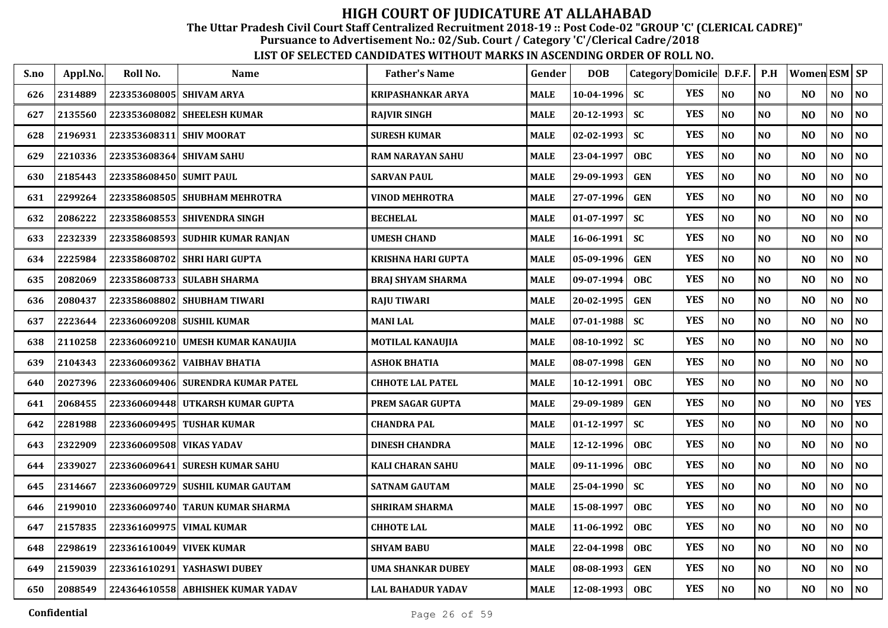The Uttar Pradesh Civil Court Staff Centralized Recruitment 2018-19 :: Post Code-02 "GROUP 'C' (CLERICAL CADRE)"

Pursuance to Advertisement No.: 02/Sub. Court / Category 'C'/Clerical Cadre/2018

| S.no | Appl.No. | Roll No.                 | <b>Name</b>                       | <b>Father's Name</b>      | Gender      | <b>DOB</b>       | Category Domicile D.F.F. |            |                | P.H            | <b>Women ESM SP</b> |                |                |
|------|----------|--------------------------|-----------------------------------|---------------------------|-------------|------------------|--------------------------|------------|----------------|----------------|---------------------|----------------|----------------|
| 626  | 2314889  | 223353608005 SHIVAM ARYA |                                   | <b>KRIPASHANKAR ARYA</b>  | <b>MALE</b> | $10-04-1996$     | <b>SC</b>                | <b>YES</b> | N <sub>O</sub> | N <sub>O</sub> | N <sub>O</sub>      | NO             | NO             |
| 627  | 2135560  | 223353608082             | <b>SHEELESH KUMAR</b>             | <b>RAJVIR SINGH</b>       | <b>MALE</b> | 20-12-1993       | <b>SC</b>                | <b>YES</b> | NO             | N <sub>O</sub> | N <sub>O</sub>      | NO             | NO             |
| 628  | 2196931  | 223353608311             | <b>SHIV MOORAT</b>                | <b>SURESH KUMAR</b>       | <b>MALE</b> | 02-02-1993       | SC                       | <b>YES</b> | N <sub>O</sub> | N <sub>O</sub> | N <sub>O</sub>      | NO             | NO             |
| 629  | 2210336  | 223353608364             | <b>SHIVAM SAHU</b>                | <b>RAM NARAYAN SAHU</b>   | <b>MALE</b> | 23-04-1997       | <b>OBC</b>               | <b>YES</b> | N <sub>O</sub> | N <sub>O</sub> | N <sub>O</sub>      | NO             | NO             |
| 630  | 2185443  | 223358608450 SUMIT PAUL  |                                   | <b>SARVAN PAUL</b>        | <b>MALE</b> | 29-09-1993       | <b>GEN</b>               | <b>YES</b> | N <sub>O</sub> | N <sub>O</sub> | N <sub>O</sub>      | NO             | NO             |
| 631  | 2299264  |                          | 223358608505 SHUBHAM MEHROTRA     | <b>VINOD MEHROTRA</b>     | <b>MALE</b> | 27-07-1996       | <b>GEN</b>               | <b>YES</b> | N <sub>O</sub> | NO             | N <sub>O</sub>      | N <sub>O</sub> | NO             |
| 632  | 2086222  |                          | 223358608553 SHIVENDRA SINGH      | <b>BECHELAL</b>           | <b>MALE</b> | 01-07-1997       | <b>SC</b>                | <b>YES</b> | N <sub>O</sub> | NO             | N <sub>O</sub>      | NO.            | NO             |
| 633  | 2232339  |                          | 223358608593 SUDHIR KUMAR RANJAN  | <b>UMESH CHAND</b>        | <b>MALE</b> | $16 - 06 - 1991$ | <b>SC</b>                | <b>YES</b> | N <sub>O</sub> | N <sub>O</sub> | N <sub>O</sub>      | NO             | N <sub>0</sub> |
| 634  | 2225984  |                          | 223358608702 SHRI HARI GUPTA      | <b>KRISHNA HARI GUPTA</b> | <b>MALE</b> | 05-09-1996       | <b>GEN</b>               | <b>YES</b> | N <sub>O</sub> | N <sub>O</sub> | N <sub>O</sub>      | NO             | N <sub>0</sub> |
| 635  | 2082069  |                          | 223358608733 SULABH SHARMA        | <b>BRAJ SHYAM SHARMA</b>  | <b>MALE</b> | $09-07-1994$     | <b>OBC</b>               | <b>YES</b> | N <sub>O</sub> | N <sub>O</sub> | N <sub>O</sub>      | NO.            | NO.            |
| 636  | 2080437  |                          | 223358608802 SHUBHAM TIWARI       | <b>RAJU TIWARI</b>        | <b>MALE</b> | 20-02-1995       | <b>GEN</b>               | <b>YES</b> | $\bf NO$       | N <sub>O</sub> | N <sub>O</sub>      | $\bf NO$       | $\bf NO$       |
| 637  | 2223644  |                          | 223360609208 SUSHIL KUMAR         | <b>MANI LAL</b>           | <b>MALE</b> | 07-01-1988       | <b>SC</b>                | <b>YES</b> | N <sub>O</sub> | N <sub>O</sub> | N <sub>O</sub>      | N <sub>O</sub> | N <sub>0</sub> |
| 638  | 2110258  | 223360609210             | UMESH KUMAR KANAUJIA              | MOTILAL KANAUJIA          | <b>MALE</b> | 08-10-1992       | <b>SC</b>                | <b>YES</b> | N <sub>O</sub> | N <sub>O</sub> | N <sub>O</sub>      | N <sub>O</sub> | N <sub>0</sub> |
| 639  | 2104343  | 223360609362             | <b>VAIBHAV BHATIA</b>             | <b>ASHOK BHATIA</b>       | <b>MALE</b> | 08-07-1998       | <b>GEN</b>               | <b>YES</b> | N <sub>O</sub> | N <sub>O</sub> | N <sub>O</sub>      | N <sub>O</sub> | NO             |
| 640  | 2027396  |                          | 223360609406 SURENDRA KUMAR PATEL | <b>CHHOTE LAL PATEL</b>   | <b>MALE</b> | 10-12-1991       | OBC                      | <b>YES</b> | N <sub>O</sub> | NO             | N <sub>O</sub>      | N <sub>O</sub> | NO             |
| 641  | 2068455  |                          | 223360609448 UTKARSH KUMAR GUPTA  | PREM SAGAR GUPTA          | <b>MALE</b> | 29-09-1989       | <b>GEN</b>               | <b>YES</b> | NO             | N <sub>0</sub> | N <sub>O</sub>      | NO             | <b>YES</b>     |
| 642  | 2281988  | 223360609495             | <b>TUSHAR KUMAR</b>               | <b>CHANDRA PAL</b>        | <b>MALE</b> | 01-12-1997       | <b>SC</b>                | <b>YES</b> | N <sub>O</sub> | N <sub>O</sub> | N <sub>O</sub>      | NO.            | N <sub>0</sub> |
| 643  | 2322909  | 223360609508 VIKAS YADAV |                                   | <b>DINESH CHANDRA</b>     | <b>MALE</b> | 12-12-1996       | <b>OBC</b>               | <b>YES</b> | N <sub>O</sub> | N <sub>O</sub> | N <sub>O</sub>      | NO             | N <sub>O</sub> |
| 644  | 2339027  |                          | 223360609641 SURESH KUMAR SAHU    | <b>KALI CHARAN SAHU</b>   | <b>MALE</b> | $09-11-1996$     | <b>OBC</b>               | <b>YES</b> | N <sub>O</sub> | N <sub>O</sub> | N <sub>O</sub>      | NO             | NO             |
| 645  | 2314667  |                          | 223360609729 SUSHIL KUMAR GAUTAM  | <b>SATNAM GAUTAM</b>      | <b>MALE</b> | 25-04-1990       | <b>SC</b>                | <b>YES</b> | N <sub>O</sub> | N <sub>O</sub> | N <sub>O</sub>      | NO             | NO             |
| 646  | 2199010  |                          | 223360609740 TARUN KUMAR SHARMA   | <b>SHRIRAM SHARMA</b>     | <b>MALE</b> | 15-08-1997       | <b>OBC</b>               | <b>YES</b> | N <sub>O</sub> | N <sub>O</sub> | N <sub>O</sub>      | N <sub>O</sub> | NO             |
| 647  | 2157835  | 223361609975             | <b>VIMAL KUMAR</b>                | <b>CHHOTE LAL</b>         | <b>MALE</b> | 11-06-1992       | <b>OBC</b>               | <b>YES</b> | NO             | N <sub>O</sub> | N <sub>O</sub>      | N <sub>O</sub> | NO             |
| 648  | 2298619  | 223361610049 VIVEK KUMAR |                                   | <b>SHYAM BABU</b>         | <b>MALE</b> | 22-04-1998       | <b>OBC</b>               | <b>YES</b> | NO             | N <sub>O</sub> | N <sub>O</sub>      | NO             | N <sub>0</sub> |
| 649  | 2159039  | 223361610291             | YASHASWI DUBEY                    | UMA SHANKAR DUBEY         | <b>MALE</b> | 08-08-1993       | <b>GEN</b>               | <b>YES</b> | $\bf NO$       | $\bf NO$       | N <sub>O</sub>      | NO             | $\bf NO$       |
| 650  | 2088549  |                          | 224364610558 ABHISHEK KUMAR YADAV | <b>LAL BAHADUR YADAV</b>  | <b>MALE</b> | 12-08-1993       | <b>OBC</b>               | <b>YES</b> | $\bf NO$       | $\bf NO$       | N <sub>O</sub>      | NO             | NO             |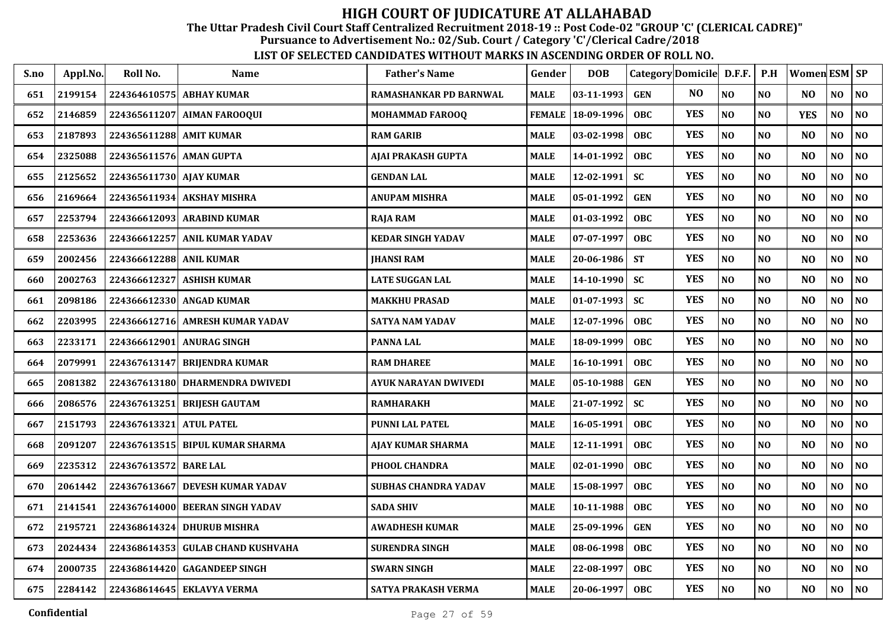The Uttar Pradesh Civil Court Staff Centralized Recruitment 2018-19 :: Post Code-02 "GROUP 'C' (CLERICAL CADRE)"

Pursuance to Advertisement No.: 02/Sub. Court / Category 'C'/Clerical Cadre/2018

| S.no | Appl.No. | Roll No.                | <b>Name</b>                     | <b>Father's Name</b>        | Gender        | <b>DOB</b> |            | Category Domicile D.F.F. |                | P.H            | Women ESM SP   |                |                |
|------|----------|-------------------------|---------------------------------|-----------------------------|---------------|------------|------------|--------------------------|----------------|----------------|----------------|----------------|----------------|
| 651  | 2199154  | 224364610575            | <b>ABHAY KUMAR</b>              | RAMASHANKAR PD BARNWAL      | <b>MALE</b>   | 03-11-1993 | <b>GEN</b> | NO.                      | N <sub>O</sub> | NO             | N <sub>O</sub> | N <sub>0</sub> | $\bf NO$       |
| 652  | 2146859  | 224365611207            | <b>AIMAN FAROOQUI</b>           | MOHAMMAD FAROOQ             | <b>FEMALE</b> | 18-09-1996 | <b>OBC</b> | <b>YES</b>               | NO             | NO             | <b>YES</b>     | NO             | $\bf NO$       |
| 653  | 2187893  | 224365611288 AMIT KUMAR |                                 | <b>RAM GARIB</b>            | <b>MALE</b>   | 03-02-1998 | <b>OBC</b> | <b>YES</b>               | NO             | NO             | N <sub>O</sub> | NO             | $\bf NO$       |
| 654  | 2325088  | 224365611576            | <b>AMAN GUPTA</b>               | <b>AJAI PRAKASH GUPTA</b>   | <b>MALE</b>   | 14-01-1992 | <b>OBC</b> | <b>YES</b>               | N <sub>O</sub> | NO             | NO             | NO             | N <sub>0</sub> |
| 655  | 2125652  | 224365611730 AJAY KUMAR |                                 | <b>GENDAN LAL</b>           | <b>MALE</b>   | 12-02-1991 | <b>SC</b>  | <b>YES</b>               | N <sub>O</sub> | NO             | N <sub>O</sub> | NO             | NO             |
| 656  | 2169664  |                         | 224365611934 AKSHAY MISHRA      | ANUPAM MISHRA               | <b>MALE</b>   | 05-01-1992 | <b>GEN</b> | <b>YES</b>               | N <sub>O</sub> | NO             | N <sub>O</sub> | NO             | N <sub>O</sub> |
| 657  | 2253794  |                         | 224366612093 ARABIND KUMAR      | <b>RAJA RAM</b>             | <b>MALE</b>   | 01-03-1992 | <b>OBC</b> | <b>YES</b>               | N <sub>O</sub> | N <sub>0</sub> | N <sub>O</sub> | NO             | N <sub>0</sub> |
| 658  | 2253636  | 224366612257            | <b>ANIL KUMAR YADAV</b>         | <b>KEDAR SINGH YADAV</b>    | <b>MALE</b>   | 07-07-1997 | <b>OBC</b> | <b>YES</b>               | N <sub>O</sub> | NO             | NO.            | NO.            | NO             |
| 659  | 2002456  | 224366612288 ANIL KUMAR |                                 | <b>JHANSI RAM</b>           | MALE          | 20-06-1986 | <b>ST</b>  | <b>YES</b>               | N <sub>O</sub> | $\bf NO$       | NO             | NO             | N <sub>O</sub> |
| 660  | 2002763  | 224366612327            | <b>ASHISH KUMAR</b>             | <b>LATE SUGGAN LAL</b>      | <b>MALE</b>   | 14-10-1990 | <b>SC</b>  | <b>YES</b>               | N <sub>O</sub> | <b>NO</b>      | N <sub>O</sub> | NO             | N <sub>0</sub> |
| 661  | 2098186  |                         | 224366612330 ANGAD KUMAR        | <b>MAKKHU PRASAD</b>        | MALE          | 01-07-1993 | SC         | <b>YES</b>               | NO             | NO             | N <sub>O</sub> | NO             | $\bf NO$       |
| 662  | 2203995  | 224366612716            | <b>AMRESH KUMAR YADAV</b>       | SATYA NAM YADAV             | <b>MALE</b>   | 12-07-1996 | <b>OBC</b> | <b>YES</b>               | N <sub>O</sub> | N <sub>0</sub> | N <sub>O</sub> | NO             | N <sub>0</sub> |
| 663  | 2233171  | 224366612901            | <b>ANURAG SINGH</b>             | <b>PANNA LAL</b>            | <b>MALE</b>   | 18-09-1999 | <b>OBC</b> | <b>YES</b>               | N <sub>O</sub> | NO             | N <sub>O</sub> | $\bf NO$       | NO             |
| 664  | 2079991  | 224367613147            | <b>BRIJENDRA KUMAR</b>          | <b>RAM DHAREE</b>           | <b>MALE</b>   | 16-10-1991 | <b>OBC</b> | <b>YES</b>               | N <sub>O</sub> | NO             | N <sub>O</sub> | NO             | N <sub>0</sub> |
| 665  | 2081382  |                         | 224367613180 DHARMENDRA DWIVEDI | AYUK NARAYAN DWIVEDI        | <b>MALE</b>   | 05-10-1988 | <b>GEN</b> | <b>YES</b>               | N <sub>O</sub> | N <sub>0</sub> | N <sub>O</sub> | NO             | NO             |
| 666  | 2086576  | 224367613251            | <b>BRIJESH GAUTAM</b>           | <b>RAMHARAKH</b>            | <b>MALE</b>   | 21-07-1992 | <b>SC</b>  | <b>YES</b>               | NO             | N <sub>0</sub> | NO             | NO             | NO             |
| 667  | 2151793  | 224367613321            | <b>ATUL PATEL</b>               | <b>PUNNI LAL PATEL</b>      | <b>MALE</b>   | 16-05-1991 | <b>OBC</b> | <b>YES</b>               | N <sub>O</sub> | N <sub>0</sub> | N <sub>O</sub> | NO             | N <sub>0</sub> |
| 668  | 2091207  |                         | 224367613515 BIPUL KUMAR SHARMA | AJAY KUMAR SHARMA           | <b>MALE</b>   | 12-11-1991 | <b>OBC</b> | <b>YES</b>               | N <sub>O</sub> | <b>NO</b>      | N <sub>O</sub> | N <sub>O</sub> | NO             |
| 669  | 2235312  | 224367613572 BARE LAL   |                                 | PHOOL CHANDRA               | <b>MALE</b>   | 02-01-1990 | <b>OBC</b> | <b>YES</b>               | NO             | N <sub>0</sub> | N <sub>O</sub> | NO             | $\bf NO$       |
| 670  | 2061442  | 224367613667            | <b>DEVESH KUMAR YADAV</b>       | <b>SUBHAS CHANDRA YADAV</b> | <b>MALE</b>   | 15-08-1997 | <b>OBC</b> | <b>YES</b>               | $\bf NO$       | NO             | N <sub>O</sub> | NO             | NO.            |
| 671  | 2141541  | 224367614000            | <b>BEERAN SINGH YADAV</b>       | <b>SADA SHIV</b>            | <b>MALE</b>   | 10-11-1988 | <b>OBC</b> | <b>YES</b>               | N <sub>O</sub> | NO             | N <sub>O</sub> | NO             | N <sub>0</sub> |
| 672  | 2195721  | 224368614324            | <b>DHURUB MISHRA</b>            | <b>AWADHESH KUMAR</b>       | <b>MALE</b>   | 25-09-1996 | <b>GEN</b> | <b>YES</b>               | N <sub>O</sub> | NO             | N <sub>O</sub> | NO             | N <sub>0</sub> |
| 673  | 2024434  | 224368614353            | <b>GULAB CHAND KUSHVAHA</b>     | <b>SURENDRA SINGH</b>       | MALE          | 08-06-1998 | <b>OBC</b> | <b>YES</b>               | N <sub>O</sub> | N <sub>0</sub> | N <sub>O</sub> | NO.            | N <sub>O</sub> |
| 674  | 2000735  |                         | 224368614420 GAGANDEEP SINGH    | <b>SWARN SINGH</b>          | <b>MALE</b>   | 22-08-1997 | <b>OBC</b> | <b>YES</b>               | $\bf NO$       | NO             | NO             | NO             | N <sub>O</sub> |
| 675  | 2284142  |                         | 224368614645 EKLAVYA VERMA      | SATYA PRAKASH VERMA         | <b>MALE</b>   | 20-06-1997 | <b>OBC</b> | <b>YES</b>               | N <sub>O</sub> | NO             | NO             | NO             | NO             |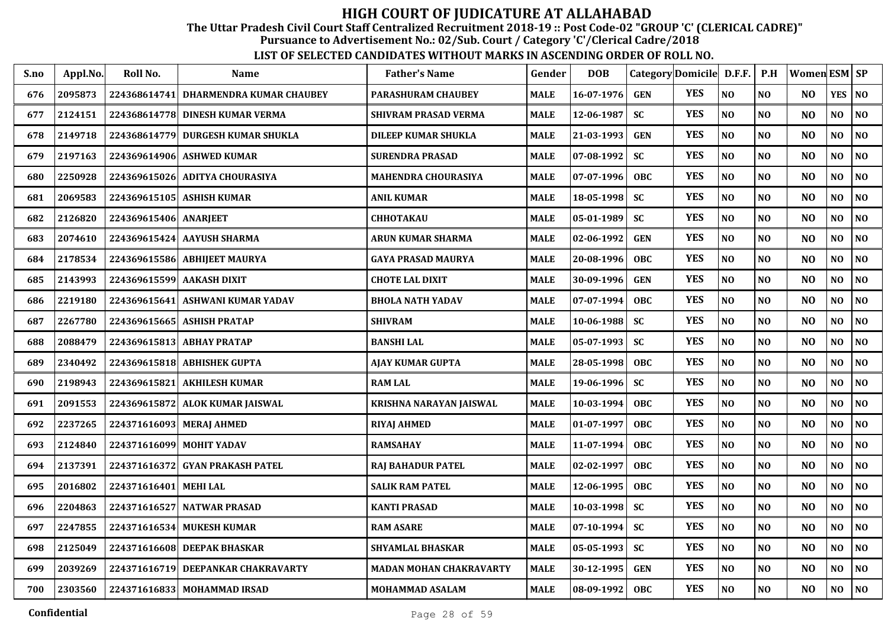The Uttar Pradesh Civil Court Staff Centralized Recruitment 2018-19 :: Post Code-02 "GROUP 'C' (CLERICAL CADRE)"

Pursuance to Advertisement No.: 02/Sub. Court / Category 'C'/Clerical Cadre/2018

| S.no | Appl.No. | Roll No.                 | Name                               | <b>Father's Name</b>       | Gender      | <b>DOB</b>       |            | Category Domicile D.F.F. |                | P.H            | Women ESM SP   |                |                |
|------|----------|--------------------------|------------------------------------|----------------------------|-------------|------------------|------------|--------------------------|----------------|----------------|----------------|----------------|----------------|
| 676  | 2095873  | 224368614741             | DHARMENDRA KUMAR CHAUBEY           | <b>PARASHURAM CHAUBEY</b>  | <b>MALE</b> | $16 - 07 - 1976$ | <b>GEN</b> | <b>YES</b>               | N <sub>O</sub> | N <sub>0</sub> | N <sub>O</sub> | <b>YES</b>     | <b>NO</b>      |
| 677  | 2124151  | 224368614778             | <b>DINESH KUMAR VERMA</b>          | SHIVRAM PRASAD VERMA       | <b>MALE</b> | 12-06-1987       | <b>SC</b>  | <b>YES</b>               | N <sub>O</sub> | N <sub>O</sub> | N <sub>O</sub> | NO             | NO             |
| 678  | 2149718  |                          | 224368614779 DURGESH KUMAR SHUKLA  | <b>DILEEP KUMAR SHUKLA</b> | <b>MALE</b> | 21-03-1993       | <b>GEN</b> | <b>YES</b>               | N <sub>O</sub> | N <sub>O</sub> | N <sub>O</sub> | NO             | NO             |
| 679  | 2197163  |                          | 224369614906 ASHWED KUMAR          | SURENDRA PRASAD            | <b>MALE</b> | $07 - 08 - 1992$ | <b>SC</b>  | <b>YES</b>               | NO             | N <sub>O</sub> | N <sub>O</sub> | NO             | NO             |
| 680  | 2250928  | 224369615026             | ADITYA CHOURASIYA                  | MAHENDRA CHOURASIYA        | <b>MALE</b> | 07-07-1996       | <b>OBC</b> | <b>YES</b>               | N <sub>O</sub> | N <sub>O</sub> | N <sub>O</sub> | NO             | N <sub>O</sub> |
| 681  | 2069583  |                          | 224369615105 ASHISH KUMAR          | <b>ANIL KUMAR</b>          | <b>MALE</b> | 18-05-1998       | <b>SC</b>  | <b>YES</b>               | N <sub>O</sub> | NO             | N <sub>O</sub> | NO             | $\bf NO$       |
| 682  | 2126820  | 224369615406 ANARJEET    |                                    | <b>CHHOTAKAU</b>           | <b>MALE</b> | $05 - 01 - 1989$ | <b>SC</b>  | <b>YES</b>               | N <sub>O</sub> | N <sub>O</sub> | N <sub>O</sub> | NO.            | NO.            |
| 683  | 2074610  |                          | 224369615424 AAYUSH SHARMA         | <b>ARUN KUMAR SHARMA</b>   | <b>MALE</b> | $02 - 06 - 1992$ | <b>GEN</b> | <b>YES</b>               | NO             | N <sub>0</sub> | N <sub>O</sub> | NO             | $\bf NO$       |
| 684  | 2178534  |                          | 224369615586 ABHIJEET MAURYA       | GAYA PRASAD MAURYA         | <b>MALE</b> | 20-08-1996       | <b>OBC</b> | <b>YES</b>               | N <sub>O</sub> | <b>NO</b>      | N <sub>O</sub> | NO.            | NO             |
| 685  | 2143993  |                          | 224369615599 AAKASH DIXIT          | <b>CHOTE LAL DIXIT</b>     | <b>MALE</b> | 30-09-1996       | <b>GEN</b> | <b>YES</b>               | N <sub>O</sub> | N <sub>O</sub> | N <sub>O</sub> | NO             | NO             |
| 686  | 2219180  | 224369615641             | ASHWANI KUMAR YADAV                | <b>BHOLA NATH YADAV</b>    | <b>MALE</b> | $07 - 07 - 1994$ | <b>OBC</b> | <b>YES</b>               | N <sub>O</sub> | N <sub>O</sub> | N <sub>O</sub> | NO             | NO             |
| 687  | 2267780  |                          | 224369615665 ASHISH PRATAP         | <b>SHIVRAM</b>             | <b>MALE</b> | $10-06-1988$     | <b>SC</b>  | <b>YES</b>               | $\bf NO$       | N <sub>O</sub> | N <sub>O</sub> | NO             | $\bf NO$       |
| 688  | 2088479  |                          | 224369615813 ABHAY PRATAP          | <b>BANSHI LAL</b>          | <b>MALE</b> | $05 - 07 - 1993$ | <b>SC</b>  | <b>YES</b>               | NO             | N <sub>O</sub> | N <sub>O</sub> | NO             | NO.            |
| 689  | 2340492  |                          | 224369615818 ABHISHEK GUPTA        | <b>AJAY KUMAR GUPTA</b>    | <b>MALE</b> | 28-05-1998       | <b>OBC</b> | <b>YES</b>               | NO             | N <sub>O</sub> | N <sub>O</sub> | NO             | N <sub>0</sub> |
| 690  | 2198943  |                          | 224369615821 AKHILESH KUMAR        | <b>RAM LAL</b>             | <b>MALE</b> | 19-06-1996       | <b>SC</b>  | <b>YES</b>               | N <sub>O</sub> | N <sub>O</sub> | N <sub>O</sub> | NO.            | N <sub>O</sub> |
| 691  | 2091553  |                          | 224369615872 ALOK KUMAR JAISWAL    | KRISHNA NARAYAN JAISWAL    | <b>MALE</b> | $10 - 03 - 1994$ | OBC        | <b>YES</b>               | NO             | NO             | N <sub>O</sub> | N <sub>O</sub> | NO             |
| 692  | 2237265  |                          | 224371616093 MERAJ AHMED           | RIYAJ AHMED                | <b>MALE</b> | 01-07-1997       | <b>OBC</b> | <b>YES</b>               | N <sub>O</sub> | <b>NO</b>      | N <sub>O</sub> | NO             | NO             |
| 693  | 2124840  | 224371616099 MOHIT YADAV |                                    | <b>RAMSAHAY</b>            | <b>MALE</b> | $11-07-1994$     | <b>OBC</b> | <b>YES</b>               | N <sub>O</sub> | N <sub>O</sub> | N <sub>O</sub> | NO             | N <sub>0</sub> |
| 694  | 2137391  |                          | 224371616372 GYAN PRAKASH PATEL    | <b>RAJ BAHADUR PATEL</b>   | <b>MALE</b> | 02-02-1997       | <b>OBC</b> | <b>YES</b>               | N <sub>O</sub> | N <sub>O</sub> | N <sub>O</sub> | NO             | NO             |
| 695  | 2016802  | 224371616401             | <b>MEHI LAL</b>                    | <b>SALIK RAM PATEL</b>     | MALE        | 12-06-1995       | <b>OBC</b> | <b>YES</b>               | $\bf NO$       | N <sub>O</sub> | N <sub>O</sub> | NO             | $\bf NO$       |
| 696  | 2204863  | 224371616527             | NATWAR PRASAD                      | <b>KANTI PRASAD</b>        | <b>MALE</b> | 10-03-1998       | <b>SC</b>  | <b>YES</b>               | NO             | N <sub>O</sub> | N <sub>O</sub> | NO             | N <sub>0</sub> |
| 697  | 2247855  |                          | 224371616534 MUKESH KUMAR          | <b>RAM ASARE</b>           | <b>MALE</b> | $07 - 10 - 1994$ | <b>SC</b>  | <b>YES</b>               | N <sub>O</sub> | N <sub>O</sub> | N <sub>O</sub> | NO             | N <sub>0</sub> |
| 698  | 2125049  |                          | 224371616608 DEEPAK BHASKAR        | <b>SHYAMLAL BHASKAR</b>    | <b>MALE</b> | $05 - 05 - 1993$ | <b>SC</b>  | <b>YES</b>               | N <sub>O</sub> | N <sub>0</sub> | N <sub>O</sub> | NO             | N <sub>0</sub> |
| 699  | 2039269  |                          | 224371616719 DEEPANKAR CHAKRAVARTY | MADAN MOHAN CHAKRAVARTY    | <b>MALE</b> | 30-12-1995       | <b>GEN</b> | <b>YES</b>               | N <sub>O</sub> | <b>NO</b>      | N <sub>O</sub> | NO             | $\bf NO$       |
| 700  | 2303560  |                          | 224371616833 MOHAMMAD IRSAD        | <b>MOHAMMAD ASALAM</b>     | <b>MALE</b> | 08-09-1992       | <b>OBC</b> | <b>YES</b>               | N <sub>O</sub> | <b>NO</b>      | NO             | NO.            | NO             |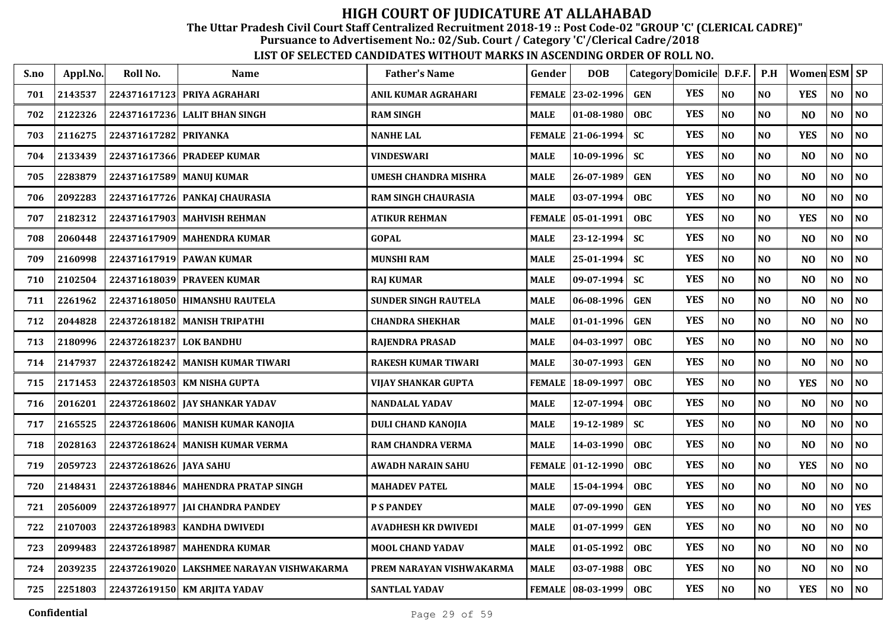The Uttar Pradesh Civil Court Staff Centralized Recruitment 2018-19 :: Post Code-02 "GROUP 'C' (CLERICAL CADRE)"

Pursuance to Advertisement No.: 02/Sub. Court / Category 'C'/Clerical Cadre/2018

| S.no | Appl.No. | Roll No.               | <b>Name</b>                               | <b>Father's Name</b>        | Gender        | <b>DOB</b>          |            | Category Domicile D.F.F. |                | P.H            | Women $ESM$ $SP$ |                |                |
|------|----------|------------------------|-------------------------------------------|-----------------------------|---------------|---------------------|------------|--------------------------|----------------|----------------|------------------|----------------|----------------|
| 701  | 2143537  |                        | 224371617123 PRIYA AGRAHARI               | ANIL KUMAR AGRAHARI         |               | FEMALE 23-02-1996   | <b>GEN</b> | <b>YES</b>               | NO             | N <sub>O</sub> | <b>YES</b>       | NO             | NO             |
| 702  | 2122326  | 224371617236           | <b>LALIT BHAN SINGH</b>                   | <b>RAM SINGH</b>            | <b>MALE</b>   | 01-08-1980          | <b>OBC</b> | <b>YES</b>               | NO             | N <sub>O</sub> | N <sub>O</sub>   | NO             | N <sub>O</sub> |
| 703  | 2116275  | 224371617282           | <b>PRIYANKA</b>                           | <b>NANHE LAL</b>            |               | FEMALE 21-06-1994   | <b>SC</b>  | <b>YES</b>               | NO             | N <sub>O</sub> | <b>YES</b>       | NO             | N <sub>0</sub> |
| 704  | 2133439  | 224371617366           | <b>PRADEEP KUMAR</b>                      | <b>VINDESWARI</b>           | <b>MALE</b>   | 10-09-1996          | <b>SC</b>  | <b>YES</b>               | NO             | N <sub>O</sub> | N <sub>O</sub>   | NO             | N <sub>0</sub> |
| 705  | 2283879  |                        | 224371617589 MANUJ KUMAR                  | <b>UMESH CHANDRA MISHRA</b> | <b>MALE</b>   | 26-07-1989          | <b>GEN</b> | <b>YES</b>               | NO             | N <sub>O</sub> | N <sub>O</sub>   | N <sub>O</sub> | NO             |
| 706  | 2092283  |                        | 224371617726 PANKAJ CHAURASIA             | <b>RAM SINGH CHAURASIA</b>  | <b>MALE</b>   | 03-07-1994          | <b>OBC</b> | <b>YES</b>               | NO             | N <sub>0</sub> | N <sub>O</sub>   | NO             | $\bf NO$       |
| 707  | 2182312  |                        | 224371617903   MAHVISH REHMAN             | <b>ATIKUR REHMAN</b>        | <b>FEMALE</b> | 05-01-1991          | <b>OBC</b> | <b>YES</b>               | NO             | N <sub>0</sub> | <b>YES</b>       | NO             | N <sub>0</sub> |
| 708  | 2060448  |                        | 224371617909 MAHENDRA KUMAR               | <b>GOPAL</b>                | <b>MALE</b>   | 23-12-1994          | <b>SC</b>  | <b>YES</b>               | NO             | N <sub>O</sub> | N <sub>O</sub>   | N <sub>O</sub> | N <sub>O</sub> |
| 709  | 2160998  |                        | 224371617919 PAWAN KUMAR                  | <b>MUNSHI RAM</b>           | <b>MALE</b>   | 25-01-1994          | <b>SC</b>  | <b>YES</b>               | N <sub>O</sub> | N <sub>O</sub> | N <sub>O</sub>   | NO             | N <sub>O</sub> |
| 710  | 2102504  |                        | 224371618039 PRAVEEN KUMAR                | <b>RAJ KUMAR</b>            | <b>MALE</b>   | 09-07-1994          | <b>SC</b>  | <b>YES</b>               | NO             | N <sub>O</sub> | N <sub>O</sub>   | NO             | NO             |
| 711  | 2261962  |                        | 224371618050 HIMANSHU RAUTELA             | <b>SUNDER SINGH RAUTELA</b> | <b>MALE</b>   | 06-08-1996          | <b>GEN</b> | <b>YES</b>               | NO             | N <sub>O</sub> | N <sub>O</sub>   | NO             | NO             |
| 712  | 2044828  |                        | 224372618182 MANISH TRIPATHI              | <b>CHANDRA SHEKHAR</b>      | <b>MALE</b>   | 01-01-1996          | <b>GEN</b> | <b>YES</b>               | NO             | N <sub>O</sub> | N <sub>O</sub>   | NO             | N <sub>0</sub> |
| 713  | 2180996  | 224372618237           | <b>LOK BANDHU</b>                         | <b>RAJENDRA PRASAD</b>      | <b>MALE</b>   | 04-03-1997          | <b>OBC</b> | <b>YES</b>               | NO             | NO             | N <sub>O</sub>   | NO             | NO             |
| 714  | 2147937  |                        | 224372618242 MANISH KUMAR TIWARI          | <b>RAKESH KUMAR TIWARI</b>  | <b>MALE</b>   | 30-07-1993          | <b>GEN</b> | <b>YES</b>               | N <sub>O</sub> | N <sub>O</sub> | N <sub>O</sub>   | NO             | N <sub>O</sub> |
| 715  | 2171453  |                        | 224372618503 KM NISHA GUPTA               | <b>VIJAY SHANKAR GUPTA</b>  | <b>FEMALE</b> | 18-09-1997          | <b>OBC</b> | <b>YES</b>               | NO             | N <sub>O</sub> | <b>YES</b>       | N <sub>O</sub> | NO             |
| 716  | 2016201  |                        | 224372618602 JAY SHANKAR YADAV            | <b>NANDALAL YADAV</b>       | <b>MALE</b>   | 12-07-1994          | <b>OBC</b> | <b>YES</b>               | NO             | NO             | N <sub>O</sub>   | N <sub>O</sub> | N <sub>0</sub> |
| 717  | 2165525  |                        | 224372618606 MANISH KUMAR KANOJIA         | DULI CHAND KANOJIA          | <b>MALE</b>   | 19-12-1989          | <b>SC</b>  | <b>YES</b>               | NO             | NO             | N <sub>O</sub>   | NO             | NO             |
| 718  | 2028163  |                        | 224372618624 MANISH KUMAR VERMA           | RAM CHANDRA VERMA           | <b>MALE</b>   | 14-03-1990          | OBC        | <b>YES</b>               | NO             | N <sub>O</sub> | N <sub>O</sub>   | NO             | NO             |
| 719  | 2059723  | 224372618626 JAYA SAHU |                                           | <b>AWADH NARAIN SAHU</b>    |               | FEMALE   01-12-1990 | OBC        | <b>YES</b>               | NO             | N <sub>O</sub> | <b>YES</b>       | NO.            | N <sub>0</sub> |
| 720  | 2148431  |                        | 224372618846 MAHENDRA PRATAP SINGH        | <b>MAHADEV PATEL</b>        | <b>MALE</b>   | 15-04-1994          | <b>OBC</b> | <b>YES</b>               | $\bf NO$       | N <sub>O</sub> | N <sub>O</sub>   | NO             | $\bf NO$       |
| 721  | 2056009  |                        | 224372618977 JAI CHANDRA PANDEY           | <b>P S PANDEY</b>           | <b>MALE</b>   | 07-09-1990          | <b>GEN</b> | <b>YES</b>               | NO             | N <sub>O</sub> | N <sub>O</sub>   | NO             | <b>YES</b>     |
| 722  | 2107003  | 224372618983           | <b>KANDHA DWIVEDI</b>                     | <b>AVADHESH KR DWIVEDI</b>  | <b>MALE</b>   | 01-07-1999          | <b>GEN</b> | <b>YES</b>               | NO             | N <sub>O</sub> | N <sub>O</sub>   | NO             | NO             |
| 723  | 2099483  |                        | 224372618987 MAHENDRA KUMAR               | <b>MOOL CHAND YADAV</b>     | <b>MALE</b>   | 01-05-1992          | OBC        | <b>YES</b>               | NO             | NO             | N <sub>O</sub>   | NO             | N <sub>0</sub> |
| 724  | 2039235  |                        | 224372619020 LAKSHMEE NARAYAN VISHWAKARMA | PREM NARAYAN VISHWAKARMA    | <b>MALE</b>   | 03-07-1988          | <b>OBC</b> | <b>YES</b>               | NO             | N <sub>O</sub> | N <sub>O</sub>   | NO             | N <sub>0</sub> |
| 725  | 2251803  |                        | 224372619150 KM ARJITA YADAV              | <b>SANTLAL YADAV</b>        |               | FEMALE 08-03-1999   | <b>OBC</b> | <b>YES</b>               | $\bf NO$       | NO             | <b>YES</b>       | NO             | $\bf NO$       |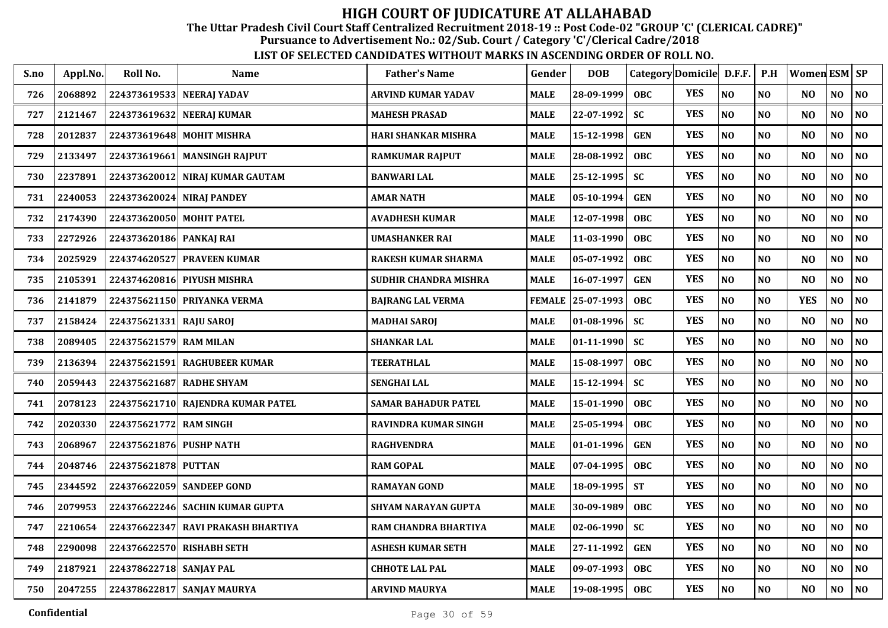The Uttar Pradesh Civil Court Staff Centralized Recruitment 2018-19 :: Post Code-02 "GROUP 'C' (CLERICAL CADRE)"

Pursuance to Advertisement No.: 02/Sub. Court / Category 'C'/Clerical Cadre/2018

| S.no | Appl.No. | Roll No.                | <b>Name</b>                       | <b>Father's Name</b>       | Gender        | <b>DOB</b>       | Category Domicile D.F.F. P.H |            |          |                | Women ESM SP   |                |                |
|------|----------|-------------------------|-----------------------------------|----------------------------|---------------|------------------|------------------------------|------------|----------|----------------|----------------|----------------|----------------|
| 726  | 2068892  |                         | 224373619533 NEERAJ YADAV         | <b>ARVIND KUMAR YADAV</b>  | <b>MALE</b>   | 28-09-1999       | OBC.                         | <b>YES</b> | NO       | N <sub>O</sub> | N <sub>O</sub> | NO             | N <sub>O</sub> |
| 727  | 2121467  |                         | 224373619632 NEERAJ KUMAR         | <b>MAHESH PRASAD</b>       | MALE          | 22-07-1992       | <b>SC</b>                    | <b>YES</b> | NO       | N <sub>O</sub> | N <sub>O</sub> | NO             | N <sub>0</sub> |
| 728  | 2012837  |                         | 224373619648 MOHIT MISHRA         | HARI SHANKAR MISHRA        | MALE          | 15-12-1998       | <b>GEN</b>                   | <b>YES</b> | NO       | N <sub>O</sub> | N <sub>O</sub> | NO             | N <sub>0</sub> |
| 729  | 2133497  | 224373619661            | <b>MANSINGH RAJPUT</b>            | <b>RAMKUMAR RAJPUT</b>     | <b>MALE</b>   | 28-08-1992       | <b>OBC</b>                   | <b>YES</b> | NO       | N <sub>O</sub> | N <sub>O</sub> | NO             | $\bf NO$       |
| 730  | 2237891  | 224373620012            | <b>NIRAJ KUMAR GAUTAM</b>         | <b>BANWARI LAL</b>         | <b>MALE</b>   | 25-12-1995       | <b>SC</b>                    | <b>YES</b> | $\bf NO$ | N <sub>O</sub> | N <sub>O</sub> | NO             | NO             |
| 731  | 2240053  | 224373620024            | <b>NIRAJ PANDEY</b>               | <b>AMAR NATH</b>           | <b>MALE</b>   | $05 - 10 - 1994$ | <b>GEN</b>                   | <b>YES</b> | NO       | N <sub>O</sub> | N <sub>O</sub> | NO             | $\bf NO$       |
| 732  | 2174390  |                         | 224373620050 MOHIT PATEL          | <b>AVADHESH KUMAR</b>      | MALE          | 12-07-1998       | <b>OBC</b>                   | <b>YES</b> | $\bf NO$ | N <sub>O</sub> | N <sub>O</sub> | NO             | $\bf NO$       |
| 733  | 2272926  | 224373620186 PANKAJ RAI |                                   | <b>UMASHANKER RAI</b>      | MALE          | 11-03-1990       | <b>OBC</b>                   | <b>YES</b> | NO       | N <sub>O</sub> | N <sub>O</sub> | N <sub>O</sub> | N <sub>0</sub> |
| 734  | 2025929  |                         | 224374620527 PRAVEEN KUMAR        | <b>RAKESH KUMAR SHARMA</b> | MALE          | 05-07-1992       | <b>OBC</b>                   | <b>YES</b> | NO       | N <sub>O</sub> | N <sub>O</sub> | N <sub>O</sub> | $\bf NO$       |
| 735  | 2105391  |                         | 224374620816 PIYUSH MISHRA        | SUDHIR CHANDRA MISHRA      | MALE          | 16-07-1997       | <b>GEN</b>                   | <b>YES</b> | NO       | N <sub>O</sub> | N <sub>O</sub> | N <sub>O</sub> | $\bf NO$       |
| 736  | 2141879  |                         | 224375621150 PRIYANKA VERMA       | <b>BAJRANG LAL VERMA</b>   | <b>FEMALE</b> | $ 25-07-1993 $   | <b>OBC</b>                   | <b>YES</b> | $\bf NO$ | N <sub>O</sub> | <b>YES</b>     | NO             | $\bf NO$       |
| 737  | 2158424  | 224375621331 RAJU SAROJ |                                   | <b>MADHAI SAROJ</b>        | MALE          | $01-08-1996$     | <b>SC</b>                    | <b>YES</b> | $\bf NO$ | N <sub>O</sub> | N <sub>O</sub> | NO             | $\bf NO$       |
| 738  | 2089405  | 224375621579 RAM MILAN  |                                   | <b>SHANKAR LAL</b>         | MALE          | $01 - 11 - 1990$ | <b>SC</b>                    | <b>YES</b> | $\bf NO$ | NO             | N <sub>O</sub> | $\bf NO$       | $\bf NO$       |
| 739  | 2136394  | 224375621591            | <b>RAGHUBEER KUMAR</b>            | <b>TEERATHLAL</b>          | <b>MALE</b>   | 15-08-1997       | <b>OBC</b>                   | <b>YES</b> | $\bf NO$ | N <sub>O</sub> | N <sub>O</sub> | NO             | $\bf NO$       |
| 740  | 2059443  | 224375621687            | <b>RADHE SHYAM</b>                | <b>SENGHAI LAL</b>         | <b>MALE</b>   | 15-12-1994       | <b>SC</b>                    | <b>YES</b> | NO       | N <sub>O</sub> | N <sub>O</sub> | NO             | $\bf NO$       |
| 741  | 2078123  |                         | 224375621710 RAJENDRA KUMAR PATEL | <b>SAMAR BAHADUR PATEL</b> | MALE          | 15-01-1990       | <b>OBC</b>                   | <b>YES</b> | $\bf NO$ | N <sub>O</sub> | N <sub>O</sub> | NO             | $\bf NO$       |
| 742  | 2020330  | 224375621772 RAM SINGH  |                                   | RAVINDRA KUMAR SINGH       | MALE          | $25 - 05 - 1994$ | <b>OBC</b>                   | <b>YES</b> | NO       | N <sub>O</sub> | N <sub>O</sub> | NO             | $\bf NO$       |
| 743  | 2068967  | 224375621876 PUSHP NATH |                                   | <b>RAGHVENDRA</b>          | MALE          | $01 - 01 - 1996$ | <b>GEN</b>                   | <b>YES</b> | NO       | N <sub>O</sub> | N <sub>O</sub> | NO             | $\bf NO$       |
| 744  | 2048746  | 224375621878 PUTTAN     |                                   | <b>RAM GOPAL</b>           | MALE          | $07 - 04 - 1995$ | <b>OBC</b>                   | <b>YES</b> | NO       | N <sub>O</sub> | N <sub>O</sub> | N <sub>O</sub> | N <sub>O</sub> |
| 745  | 2344592  |                         | 224376622059 SANDEEP GOND         | <b>RAMAYAN GOND</b>        | MALE          | 18-09-1995       | <b>ST</b>                    | <b>YES</b> | $\bf NO$ | NO             | N <sub>O</sub> | NO             | $\bf NO$       |
| 746  | 2079953  |                         | 224376622246 SACHIN KUMAR GUPTA   | SHYAM NARAYAN GUPTA        | <b>MALE</b>   | 30-09-1989       | <b>OBC</b>                   | <b>YES</b> | NO       | N <sub>O</sub> | N <sub>O</sub> | $\bf NO$       | $\bf NO$       |
| 747  | 2210654  | 224376622347            | <b>RAVI PRAKASH BHARTIYA</b>      | RAM CHANDRA BHARTIYA       | <b>MALE</b>   | $02 - 06 - 1990$ | <b>SC</b>                    | <b>YES</b> | NO       | N <sub>O</sub> | N <sub>O</sub> | NO             | $\bf NO$       |
| 748  | 2290098  |                         | 224376622570 RISHABH SETH         | <b>ASHESH KUMAR SETH</b>   | <b>MALE</b>   | 27-11-1992       | <b>GEN</b>                   | <b>YES</b> | NO       | N <sub>O</sub> | N <sub>O</sub> | NO             | $\bf NO$       |
| 749  | 2187921  | 224378622718 SANJAY PAL |                                   | <b>CHHOTE LAL PAL</b>      | MALE          | 09-07-1993       | <b>OBC</b>                   | <b>YES</b> | $\bf NO$ | $\bf NO$       | N <sub>O</sub> | NO             | $\bf NO$       |
| 750  | 2047255  |                         | 224378622817 SANJAY MAURYA        | <b>ARVIND MAURYA</b>       | <b>MALE</b>   | 19-08-1995       | <b>OBC</b>                   | <b>YES</b> | $\bf NO$ | N <sub>O</sub> | N <sub>O</sub> | NO             | NO             |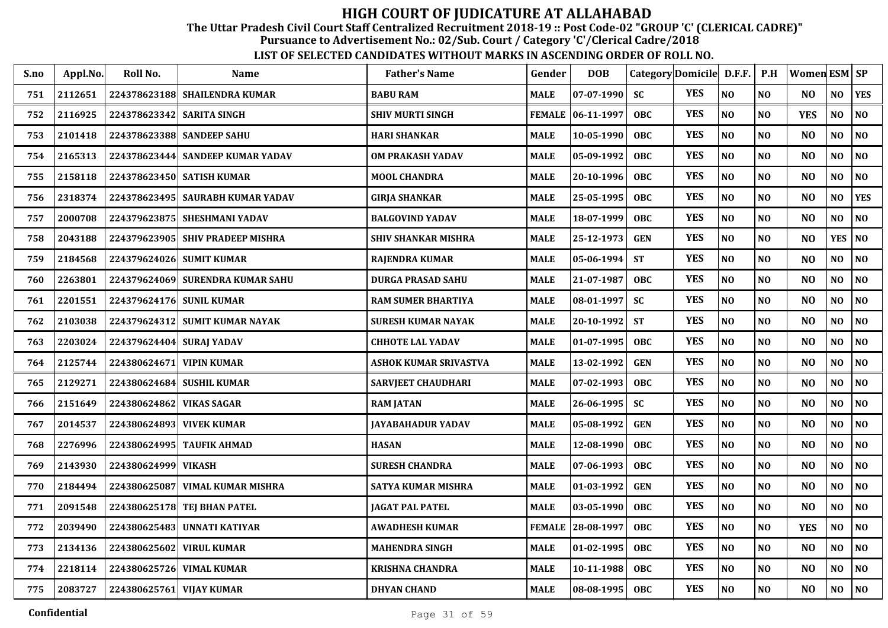The Uttar Pradesh Civil Court Staff Centralized Recruitment 2018-19 :: Post Code-02 "GROUP 'C' (CLERICAL CADRE)"

Pursuance to Advertisement No.: 02/Sub. Court / Category 'C'/Clerical Cadre/2018

| S.no | Appl.No. | Roll No.                  | <b>Name</b>                        | <b>Father's Name</b>         | Gender        | <b>DOB</b>        | Category Domicile D.F.F. |            |          | P.H            | Women ESM SP   |                |            |
|------|----------|---------------------------|------------------------------------|------------------------------|---------------|-------------------|--------------------------|------------|----------|----------------|----------------|----------------|------------|
| 751  | 2112651  |                           | 224378623188 SHAILENDRA KUMAR      | <b>BABU RAM</b>              | <b>MALE</b>   | $07 - 07 - 1990$  | <b>SC</b>                | <b>YES</b> | NO       | N <sub>O</sub> | N <sub>O</sub> | NO             | <b>YES</b> |
| 752  | 2116925  | 224378623342 SARITA SINGH |                                    | <b>SHIV MURTI SINGH</b>      |               | FEMALE 06-11-1997 | <b>OBC</b>               | <b>YES</b> | NO       | NO             | <b>YES</b>     | NO             | NO         |
| 753  | 2101418  |                           | 224378623388 SANDEEP SAHU          | <b>HARI SHANKAR</b>          | <b>MALE</b>   | 10-05-1990        | <b>OBC</b>               | <b>YES</b> | NO       | N <sub>O</sub> | N <sub>O</sub> | NO             | NO         |
| 754  | 2165313  | 224378623444              | <b>SANDEEP KUMAR YADAV</b>         | <b>OM PRAKASH YADAV</b>      | <b>MALE</b>   | 05-09-1992        | <b>OBC</b>               | <b>YES</b> | NO       | N <sub>O</sub> | N <sub>O</sub> | N <sub>O</sub> | NO         |
| 755  | 2158118  |                           | 224378623450 SATISH KUMAR          | <b>MOOL CHANDRA</b>          | <b>MALE</b>   | 20-10-1996        | OBC                      | <b>YES</b> | NO       | N <sub>O</sub> | N <sub>O</sub> | NO             | NO         |
| 756  | 2318374  |                           | 224378623495   SAURABH KUMAR YADAV | <b>GIRJA SHANKAR</b>         | <b>MALE</b>   | 25-05-1995        | <b>OBC</b>               | <b>YES</b> | NO       | N <sub>O</sub> | N <sub>O</sub> | N <sub>O</sub> | <b>YES</b> |
| 757  | 2000708  |                           | 224379623875 SHESHMANI YADAV       | <b>BALGOVIND YADAV</b>       | <b>MALE</b>   | 18-07-1999        | OBC                      | <b>YES</b> | NO       | NO             | N <sub>O</sub> | NO             | NO         |
| 758  | 2043188  |                           | 224379623905 SHIV PRADEEP MISHRA   | <b>SHIV SHANKAR MISHRA</b>   | <b>MALE</b>   | 25-12-1973        | <b>GEN</b>               | <b>YES</b> | NO       | NO             | N <sub>O</sub> | <b>YES</b>     | NO         |
| 759  | 2184568  | 224379624026              | <b>SUMIT KUMAR</b>                 | <b>RAJENDRA KUMAR</b>        | <b>MALE</b>   | 05-06-1994        | <b>ST</b>                | <b>YES</b> | NO       | NO             | N <sub>O</sub> | NO             | NO         |
| 760  | 2263801  |                           | 224379624069 SURENDRA KUMAR SAHU   | <b>DURGA PRASAD SAHU</b>     | <b>MALE</b>   | 21-07-1987        | <b>OBC</b>               | <b>YES</b> | NO       | N <sub>O</sub> | N <sub>O</sub> | NO             | NO         |
| 761  | 2201551  | 224379624176 SUNIL KUMAR  |                                    | <b>RAM SUMER BHARTIYA</b>    | <b>MALE</b>   | 08-01-1997        | <b>SC</b>                | <b>YES</b> | NO       | NO             | N <sub>O</sub> | NO             | NO         |
| 762  | 2103038  |                           | 224379624312 SUMIT KUMAR NAYAK     | <b>SURESH KUMAR NAYAK</b>    | <b>MALE</b>   | 20-10-1992        | <b>ST</b>                | <b>YES</b> | NO       | N <sub>O</sub> | N <sub>O</sub> | NO             | NO         |
| 763  | 2203024  | 224379624404              | <b>SURAJ YADAV</b>                 | <b>CHHOTE LAL YADAV</b>      | <b>MALE</b>   | 01-07-1995        | <b>OBC</b>               | <b>YES</b> | NO       | NO             | N <sub>O</sub> | NO             | NO         |
| 764  | 2125744  | 224380624671              | <b>VIPIN KUMAR</b>                 | <b>ASHOK KUMAR SRIVASTVA</b> | <b>MALE</b>   | 13-02-1992        | <b>GEN</b>               | <b>YES</b> | NO       | NO             | N <sub>O</sub> | NO             | NO         |
| 765  | 2129271  |                           | 224380624684 SUSHIL KUMAR          | <b>SARVJEET CHAUDHARI</b>    | <b>MALE</b>   | 07-02-1993        | <b>OBC</b>               | <b>YES</b> | NO       | N <sub>O</sub> | N <sub>O</sub> | NO.            | NO         |
| 766  | 2151649  | 224380624862 VIKAS SAGAR  |                                    | <b>RAM JATAN</b>             | <b>MALE</b>   | 26-06-1995        | <b>SC</b>                | <b>YES</b> | NO       | NO             | N <sub>O</sub> | NO             | NO         |
| 767  | 2014537  | 224380624893 VIVEK KUMAR  |                                    | <b>JAYABAHADUR YADAV</b>     | <b>MALE</b>   | 05-08-1992        | <b>GEN</b>               | <b>YES</b> | NO       | NO             | N <sub>O</sub> | NO             | NO         |
| 768  | 2276996  |                           | 224380624995 TAUFIK AHMAD          | <b>HASAN</b>                 | <b>MALE</b>   | 12-08-1990        | OBC                      | <b>YES</b> | NO       | NO             | N <sub>O</sub> | NO             | NO         |
| 769  | 2143930  | 224380624999              | <b>VIKASH</b>                      | <b>SURESH CHANDRA</b>        | <b>MALE</b>   | 07-06-1993        | <b>OBC</b>               | <b>YES</b> | NO       | N <sub>O</sub> | N <sub>O</sub> | NO             | NO         |
| 770  | 2184494  | 224380625087              | VIMAL KUMAR MISHRA                 | <b>SATYA KUMAR MISHRA</b>    | <b>MALE</b>   | 01-03-1992        | <b>GEN</b>               | <b>YES</b> | $\bf NO$ | NO             | N <sub>O</sub> | NO             | $\bf NO$   |
| 771  | 2091548  |                           | 224380625178 TEJ BHAN PATEL        | <b>JAGAT PAL PATEL</b>       | <b>MALE</b>   | 03-05-1990        | OBC                      | <b>YES</b> | NO       | NO             | N <sub>O</sub> | NO             | $\bf NO$   |
| 772  | 2039490  | 224380625483              | UNNATI KATIYAR                     | <b>AWADHESH KUMAR</b>        | <b>FEMALE</b> | 28-08-1997        | <b>OBC</b>               | <b>YES</b> | NO       | NO             | <b>YES</b>     | NO             | NO         |
| 773  | 2134136  | 224380625602              | <b>VIRUL KUMAR</b>                 | <b>MAHENDRA SINGH</b>        | <b>MALE</b>   | 01-02-1995        | <b>OBC</b>               | <b>YES</b> | NO       | NO             | N <sub>O</sub> | NO             | NO         |
| 774  | 2218114  | 224380625726              | <b>VIMAL KUMAR</b>                 | <b>KRISHNA CHANDRA</b>       | <b>MALE</b>   | 10-11-1988        | <b>OBC</b>               | <b>YES</b> | $\bf NO$ | $\bf NO$       | NO             | NO             | NO         |
| 775  | 2083727  | 224380625761 VIJAY KUMAR  |                                    | <b>DHYAN CHAND</b>           | <b>MALE</b>   | 08-08-1995        | <b>OBC</b>               | <b>YES</b> | $\bf NO$ | $\bf NO$       | N <sub>O</sub> | NO             | NO         |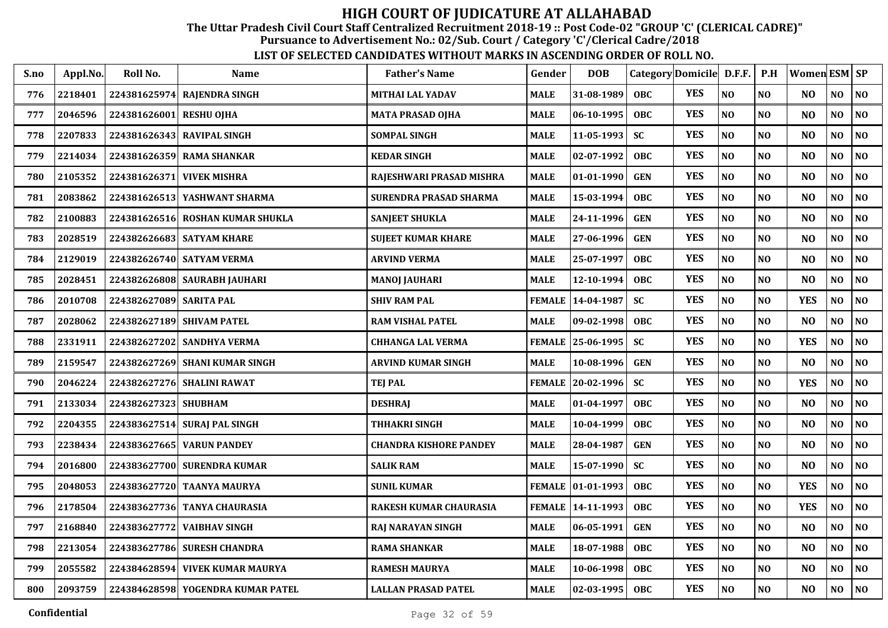The Uttar Pradesh Civil Court Staff Centralized Recruitment 2018-19 :: Post Code-02 "GROUP 'C' (CLERICAL CADRE)"

Pursuance to Advertisement No.: 02/Sub. Court / Category 'C'/Clerical Cadre/2018

| S.no | Appl.No. | Roll No.                | <b>Name</b>                       | <b>Father's Name</b>          | Gender        | <b>DOB</b>        |            | Category Domicile D.F.F. |                | P.H            | Women ESM SP   |                |                |
|------|----------|-------------------------|-----------------------------------|-------------------------------|---------------|-------------------|------------|--------------------------|----------------|----------------|----------------|----------------|----------------|
| 776  | 2218401  | 224381625974            | <b>RAJENDRA SINGH</b>             | MITHAI LAL YADAV              | <b>MALE</b>   | 31-08-1989        | <b>OBC</b> | <b>YES</b>               | N <sub>O</sub> | N <sub>O</sub> | NO.            | N <sub>O</sub> | NO             |
| 777  | 2046596  | 224381626001            | <b>RESHU OJHA</b>                 | <b>MATA PRASAD OJHA</b>       | <b>MALE</b>   | 06-10-1995        | <b>OBC</b> | <b>YES</b>               | N <sub>O</sub> | N <sub>O</sub> | N <sub>O</sub> | N <sub>O</sub> | NO             |
| 778  | 2207833  |                         | 224381626343 RAVIPAL SINGH        | <b>SOMPAL SINGH</b>           | <b>MALE</b>   | $11 - 05 - 1993$  | <b>SC</b>  | <b>YES</b>               | NO             | N <sub>O</sub> | N <sub>O</sub> | NO             | NO             |
| 779  | 2214034  | 224381626359            | <b>RAMA SHANKAR</b>               | <b>KEDAR SINGH</b>            | <b>MALE</b>   | 02-07-1992        | <b>OBC</b> | <b>YES</b>               | N <sub>O</sub> | N <sub>O</sub> | N <sub>O</sub> | NO             | $\bf NO$       |
| 780  | 2105352  | 224381626371            | <b>VIVEK MISHRA</b>               | RAJESHWARI PRASAD MISHRA      | <b>MALE</b>   | 01-01-1990        | <b>GEN</b> | <b>YES</b>               | N <sub>O</sub> | N <sub>O</sub> | N <sub>O</sub> | NO             | NO             |
| 781  | 2083862  | 224381626513            | YASHWANT SHARMA                   | SURENDRA PRASAD SHARMA        | <b>MALE</b>   | 15-03-1994        | <b>OBC</b> | <b>YES</b>               | N <sub>O</sub> | N <sub>O</sub> | N <sub>O</sub> | NO             | NO             |
| 782  | 2100883  |                         | 224381626516 ROSHAN KUMAR SHUKLA  | <b>SANJEET SHUKLA</b>         | <b>MALE</b>   | 24-11-1996        | <b>GEN</b> | <b>YES</b>               | $\bf NO$       | N <sub>O</sub> | N <sub>O</sub> | NO             | NO             |
| 783  | 2028519  |                         | 224382626683 SATYAM KHARE         | <b>SUJEET KUMAR KHARE</b>     | <b>MALE</b>   | 27-06-1996        | <b>GEN</b> | <b>YES</b>               | N <sub>O</sub> | NO             | N <sub>O</sub> | NO             | NO             |
| 784  | 2129019  |                         | 224382626740 SATYAM VERMA         | <b>ARVIND VERMA</b>           | <b>MALE</b>   | 25-07-1997        | <b>OBC</b> | <b>YES</b>               | N <sub>O</sub> | N <sub>O</sub> | N <sub>O</sub> | N <sub>O</sub> | NO             |
| 785  | 2028451  |                         | 224382626808 SAURABH JAUHARI      | <b>MANOJ JAUHARI</b>          | <b>MALE</b>   | 12-10-1994        | <b>OBC</b> | <b>YES</b>               | N <sub>O</sub> | N <sub>O</sub> | N <sub>O</sub> | NO             | $\bf NO$       |
| 786  | 2010708  | 224382627089 SARITA PAL |                                   | <b>SHIV RAM PAL</b>           | FEMALE        | 14-04-1987        | SC         | <b>YES</b>               | $\bf NO$       | $\bf NO$       | <b>YES</b>     | NO             | $\bf NO$       |
| 787  | 2028062  |                         | 224382627189 SHIVAM PATEL         | RAM VISHAL PATEL              | MALE          | $ 09-02-1998 $    | <b>OBC</b> | <b>YES</b>               | $\bf NO$       | N <sub>O</sub> | N <sub>O</sub> | NO             | $\bf NO$       |
| 788  | 2331911  | 224382627202            | <b>SANDHYA VERMA</b>              | <b>CHHANGA LAL VERMA</b>      | <b>FEMALE</b> | 25-06-1995        | <b>SC</b>  | <b>YES</b>               | NO             | N <sub>O</sub> | <b>YES</b>     | NO             | $\bf NO$       |
| 789  | 2159547  |                         | 224382627269 SHANI KUMAR SINGH    | <b>ARVIND KUMAR SINGH</b>     | <b>MALE</b>   | 10-08-1996        | <b>GEN</b> | <b>YES</b>               | $\bf NO$       | N <sub>O</sub> | N <sub>O</sub> | NO             | NO             |
| 790  | 2046224  | 224382627276            | <b>SHALINI RAWAT</b>              | <b>TEJ PAL</b>                | <b>FEMALE</b> | 20-02-1996        | <b>SC</b>  | <b>YES</b>               | N <sub>O</sub> | N <sub>O</sub> | <b>YES</b>     | NO             | N <sub>O</sub> |
| 791  | 2133034  | 224382627323 SHUBHAM    |                                   | <b>DESHRAJ</b>                | <b>MALE</b>   | 01-04-1997        | <b>OBC</b> | <b>YES</b>               | $\bf NO$       | N <sub>O</sub> | N <sub>O</sub> | NO             | NO             |
| 792  | 2204355  |                         | 224383627514 SURAJ PAL SINGH      | <b>THHAKRI SINGH</b>          | <b>MALE</b>   | 10-04-1999        | <b>OBC</b> | <b>YES</b>               | N <sub>O</sub> | N <sub>O</sub> | N <sub>O</sub> | NO             | NO             |
| 793  | 2238434  |                         | 224383627665 VARUN PANDEY         | <b>CHANDRA KISHORE PANDEY</b> | MALE          | 28-04-1987        | <b>GEN</b> | <b>YES</b>               | $\bf NO$       | N <sub>O</sub> | N <sub>O</sub> | NO             | NO             |
| 794  | 2016800  |                         | 224383627700 SURENDRA KUMAR       | <b>SALIK RAM</b>              | <b>MALE</b>   | 15-07-1990        | <b>SC</b>  | <b>YES</b>               | N <sub>O</sub> | N <sub>O</sub> | N <sub>O</sub> | NO             | N <sub>O</sub> |
| 795  | 2048053  |                         | 224383627720 TAANYA MAURYA        | <b>SUNIL KUMAR</b>            |               | FEMALE 01-01-1993 | <b>OBC</b> | <b>YES</b>               | $\bf NO$       | $\bf NO$       | <b>YES</b>     | NO             | $\bf NO$       |
| 796  | 2178504  |                         | 224383627736 TANYA CHAURASIA      | RAKESH KUMAR CHAURASIA        | <b>FEMALE</b> | 14-11-1993        | OBC.       | <b>YES</b>               | NO             | NO             | <b>YES</b>     | NO             | $\bf NO$       |
| 797  | 2168840  | 224383627772            | <b>VAIBHAV SINGH</b>              | RAJ NARAYAN SINGH             | <b>MALE</b>   | 06-05-1991        | <b>GEN</b> | <b>YES</b>               | N <sub>O</sub> | N <sub>O</sub> | N <sub>O</sub> | $\bf NO$       | NO             |
| 798  | 2213054  |                         | 224383627786 SURESH CHANDRA       | <b>RAMA SHANKAR</b>           | <b>MALE</b>   | 18-07-1988        | <b>OBC</b> | <b>YES</b>               | $\bf NO$       | N <sub>O</sub> | N <sub>O</sub> | NO             | NO             |
| 799  | 2055582  | 224384628594            | <b>VIVEK KUMAR MAURYA</b>         | <b>RAMESH MAURYA</b>          | MALE          | 10-06-1998        | <b>OBC</b> | <b>YES</b>               | $\bf NO$       | $\bf NO$       | N <sub>O</sub> | NO             | NO             |
| 800  | 2093759  |                         | 224384628598 YOGENDRA KUMAR PATEL | LALLAN PRASAD PATEL           | <b>MALE</b>   | $02 - 03 - 1995$  | <b>OBC</b> | <b>YES</b>               | $\bf NO$       | $\bf NO$       | N <sub>O</sub> | NO             | NO             |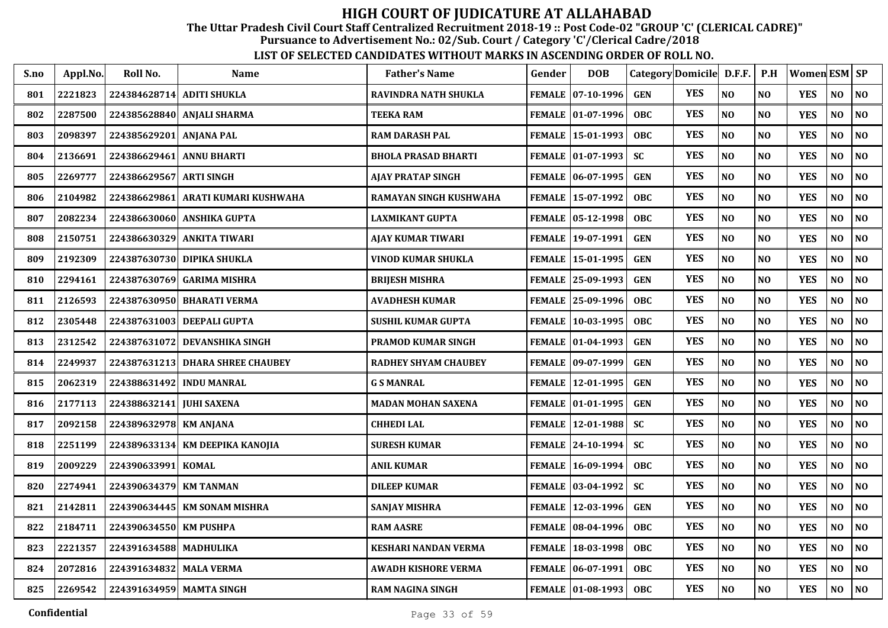The Uttar Pradesh Civil Court Staff Centralized Recruitment 2018-19 :: Post Code-02 "GROUP 'C' (CLERICAL CADRE)"

Pursuance to Advertisement No.: 02/Sub. Court / Category 'C'/Clerical Cadre/2018

| S.no | Appl.No. | Roll No.                 | <b>Name</b>                     | <b>Father's Name</b>        | Gender        | <b>DOB</b>                 |            | Category Domicile D.F.F. P.H |          |                | Women ESM SP |                |           |
|------|----------|--------------------------|---------------------------------|-----------------------------|---------------|----------------------------|------------|------------------------------|----------|----------------|--------------|----------------|-----------|
| 801  | 2221823  |                          | 224384628714 ADITI SHUKLA       | <b>RAVINDRA NATH SHUKLA</b> |               | FEMALE 07-10-1996          | <b>GEN</b> | <b>YES</b>                   | NO       | N <sub>O</sub> | <b>YES</b>   | NO             | <b>NO</b> |
| 802  | 2287500  |                          | 224385628840 ANJALI SHARMA      | <b>TEEKA RAM</b>            |               | FEMALE 01-07-1996          | <b>OBC</b> | <b>YES</b>                   | NO       | N <sub>O</sub> | <b>YES</b>   | N <sub>O</sub> | NO        |
| 803  | 2098397  | 224385629201             | <b>ANJANA PAL</b>               | <b>RAM DARASH PAL</b>       |               | FEMALE 15-01-1993          | <b>OBC</b> | <b>YES</b>                   | NO       | N <sub>O</sub> | <b>YES</b>   | NO             | NO        |
| 804  | 2136691  | 224386629461             | <b>ANNU BHARTI</b>              | <b>BHOLA PRASAD BHARTI</b>  |               | FEMALE 01-07-1993          | <b>SC</b>  | <b>YES</b>                   | NO       | N <sub>O</sub> | <b>YES</b>   | N <sub>O</sub> | NO        |
| 805  | 2269777  | 224386629567             | <b>ARTI SINGH</b>               | <b>AJAY PRATAP SINGH</b>    |               | FEMALE 06-07-1995          | <b>GEN</b> | <b>YES</b>                   | NO       | N <sub>O</sub> | <b>YES</b>   | NO             | NO        |
| 806  | 2104982  | 224386629861             | ARATI KUMARI KUSHWAHA           | RAMAYAN SINGH KUSHWAHA      |               | FEMALE 15-07-1992          | <b>OBC</b> | <b>YES</b>                   | NO       | N <sub>O</sub> | <b>YES</b>   | NO             | NO        |
| 807  | 2082234  |                          | 224386630060 ANSHIKA GUPTA      | <b>LAXMIKANT GUPTA</b>      |               | FEMALE 05-12-1998          | OBC        | <b>YES</b>                   | NO       | NO             | <b>YES</b>   | NO             | NO        |
| 808  | 2150751  | 224386630329             | <b>ANKITA TIWARI</b>            | AJAY KUMAR TIWARI           |               | FEMALE 19-07-1991          | <b>GEN</b> | <b>YES</b>                   | NO       | NO             | <b>YES</b>   | N <sub>O</sub> | NO        |
| 809  | 2192309  |                          | 224387630730 DIPIKA SHUKLA      | VINOD KUMAR SHUKLA          |               | FEMALE 15-01-1995          | <b>GEN</b> | <b>YES</b>                   | NO       | N <sub>O</sub> | <b>YES</b>   | N <sub>O</sub> | NO        |
| 810  | 2294161  | 224387630769             | <b>GARIMA MISHRA</b>            | <b>BRIJESH MISHRA</b>       |               | FEMALE 25-09-1993          | <b>GEN</b> | <b>YES</b>                   | NO       | N <sub>O</sub> | <b>YES</b>   | N <sub>O</sub> | NO        |
| 811  | 2126593  | 224387630950             | <b>BHARATI VERMA</b>            | <b>AVADHESH KUMAR</b>       |               | FEMALE 25-09-1996          | <b>OBC</b> | <b>YES</b>                   | NO       | N <sub>O</sub> | <b>YES</b>   | N <sub>O</sub> | NO        |
| 812  | 2305448  | 224387631003             | DEEPALI GUPTA                   | <b>SUSHIL KUMAR GUPTA</b>   | <b>FEMALE</b> | $10-03-1995$               | <b>OBC</b> | <b>YES</b>                   | NO       | N <sub>O</sub> | <b>YES</b>   | N <sub>0</sub> | NO        |
| 813  | 2312542  | 224387631072             | <b>DEVANSHIKA SINGH</b>         | <b>PRAMOD KUMAR SINGH</b>   |               | FEMALE   01-04-1993        | <b>GEN</b> | <b>YES</b>                   | NO       | N <sub>O</sub> | <b>YES</b>   | NO             | NO        |
| 814  | 2249937  | 224387631213             | <b>DHARA SHREE CHAUBEY</b>      | <b>RADHEY SHYAM CHAUBEY</b> |               | FEMALE 09-07-1999          | <b>GEN</b> | <b>YES</b>                   | NO       | NO             | <b>YES</b>   | NO             | NO        |
| 815  | 2062319  | 224388631492             | <b>INDU MANRAL</b>              | <b>G S MANRAL</b>           | <b>FEMALE</b> | 12-01-1995                 | <b>GEN</b> | <b>YES</b>                   | NO       | N <sub>O</sub> | <b>YES</b>   | NO             | NO        |
| 816  | 2177113  | 224388632141 JUHI SAXENA |                                 | <b>MADAN MOHAN SAXENA</b>   |               | FEMALE 01-01-1995          | <b>GEN</b> | <b>YES</b>                   | NO       | N <sub>O</sub> | <b>YES</b>   | NO             | NO        |
| 817  | 2092158  | 224389632978 KM ANJANA   |                                 | <b>CHHEDILAL</b>            |               | FEMALE   12-01-1988        | <b>SC</b>  | <b>YES</b>                   | NO       | NO             | <b>YES</b>   | NO             | NO        |
| 818  | 2251199  |                          | 224389633134 KM DEEPIKA KANOJIA | <b>SURESH KUMAR</b>         |               | FEMALE 24-10-1994          | <b>SC</b>  | <b>YES</b>                   | NO       | NO             | <b>YES</b>   | N <sub>O</sub> | NO        |
| 819  | 2009229  | 224390633991             | <b>KOMAL</b>                    | <b>ANIL KUMAR</b>           |               | FEMALE   16-09-1994        | <b>OBC</b> | <b>YES</b>                   | NO       | N <sub>O</sub> | <b>YES</b>   | NO             | NO        |
| 820  | 2274941  | 224390634379 KM TANMAN   |                                 | <b>DILEEP KUMAR</b>         |               | FEMALE   03-04-1992        | <b>SC</b>  | <b>YES</b>                   | NO       | N <sub>O</sub> | <b>YES</b>   | NO             | NO        |
| 821  | 2142811  |                          | 224390634445   KM SONAM MISHRA  | SANJAY MISHRA               | <b>FEMALE</b> | 12-03-1996                 | <b>GEN</b> | <b>YES</b>                   | NO       | N <sub>O</sub> | <b>YES</b>   | NO             | NO        |
| 822  | 2184711  | 224390634550             | <b>KM PUSHPA</b>                | <b>RAM AASRE</b>            |               | FEMALE 08-04-1996          | <b>OBC</b> | <b>YES</b>                   | NO       | NO             | <b>YES</b>   | NO             | NO        |
| 823  | 2221357  | 224391634588 MADHULIKA   |                                 | <b>KESHARI NANDAN VERMA</b> | <b>FEMALE</b> | 18-03-1998                 | <b>OBC</b> | <b>YES</b>                   | NO       | NO             | <b>YES</b>   | NO             | NO        |
| 824  | 2072816  | 224391634832             | <b>MALA VERMA</b>               | <b>AWADH KISHORE VERMA</b>  |               | <b>FEMALE   06-07-1991</b> | <b>OBC</b> | <b>YES</b>                   | NO       | N <sub>O</sub> | <b>YES</b>   | NO             | NO        |
| 825  | 2269542  |                          | 224391634959 MAMTA SINGH        | <b>RAM NAGINA SINGH</b>     |               | FEMALE 01-08-1993          | <b>OBC</b> | <b>YES</b>                   | $\bf NO$ | NO             | <b>YES</b>   | NO             | $\bf NO$  |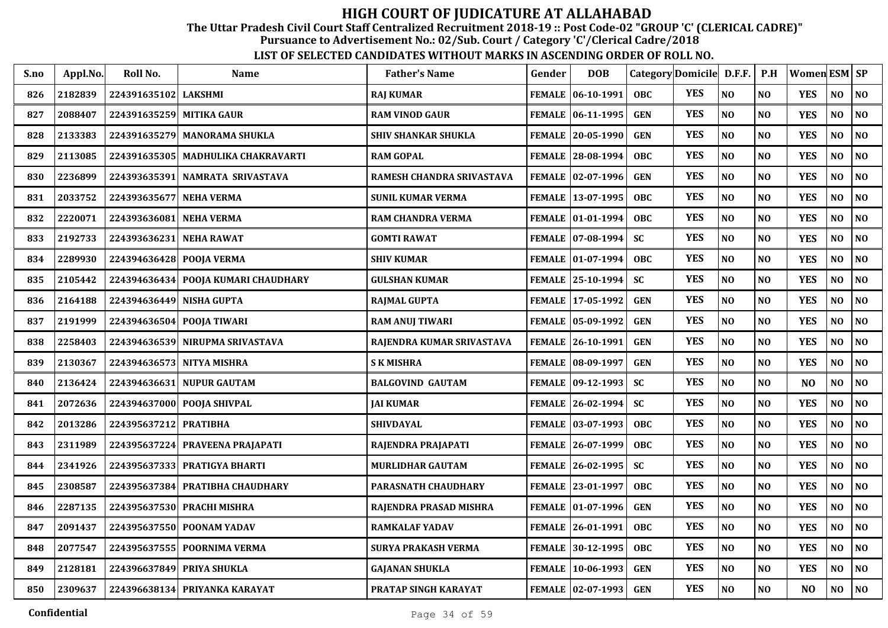The Uttar Pradesh Civil Court Staff Centralized Recruitment 2018-19 :: Post Code-02 "GROUP 'C' (CLERICAL CADRE)"

Pursuance to Advertisement No.: 02/Sub. Court / Category 'C'/Clerical Cadre/2018

| S.no | Appl.No. | Roll No.                  | <b>Name</b>                         | <b>Father's Name</b>       | Gender        | <b>DOB</b>          | Category Domicile D.F.F. |            |                | P.H            | Women ESM SP   |                |                |
|------|----------|---------------------------|-------------------------------------|----------------------------|---------------|---------------------|--------------------------|------------|----------------|----------------|----------------|----------------|----------------|
| 826  | 2182839  | 224391635102 LAKSHMI      |                                     | <b>RAJ KUMAR</b>           |               | FEMALE   06-10-1991 | <b>OBC</b>               | <b>YES</b> | NO             | N <sub>O</sub> | <b>YES</b>     | NO             | N <sub>O</sub> |
| 827  | 2088407  | 224391635259 MITIKA GAUR  |                                     | <b>RAM VINOD GAUR</b>      | <b>FEMALE</b> | $ 06-11-1995$       | <b>GEN</b>               | <b>YES</b> | NO             | NO             | <b>YES</b>     | $\bf NO$       | NO             |
| 828  | 2133383  |                           | 224391635279 MANORAMA SHUKLA        | <b>SHIV SHANKAR SHUKLA</b> | <b>FEMALE</b> | $ 20-05-1990$       | <b>GEN</b>               | <b>YES</b> | N <sub>O</sub> | N <sub>O</sub> | <b>YES</b>     | NO             | NO             |
| 829  | 2113085  |                           | 224391635305 MADHULIKA CHAKRAVARTI  | <b>RAM GOPAL</b>           |               | FEMALE 28-08-1994   | OBC                      | <b>YES</b> | N <sub>O</sub> | N <sub>O</sub> | <b>YES</b>     | N <sub>O</sub> | NO             |
| 830  | 2236899  |                           | 224393635391 NAMRATA SRIVASTAVA     | RAMESH CHANDRA SRIVASTAVA  |               | FEMALE   02-07-1996 | <b>GEN</b>               | <b>YES</b> | N <sub>O</sub> | N <sub>O</sub> | <b>YES</b>     | NO             | NO             |
| 831  | 2033752  | 224393635677 NEHA VERMA   |                                     | <b>SUNIL KUMAR VERMA</b>   |               | FEMALE 13-07-1995   | <b>OBC</b>               | <b>YES</b> | NO             | NO             | <b>YES</b>     | N <sub>O</sub> | NO             |
| 832  | 2220071  | 224393636081 NEHA VERMA   |                                     | <b>RAM CHANDRA VERMA</b>   |               | FEMALE 01-01-1994   | <b>OBC</b>               | <b>YES</b> | N <sub>O</sub> | NO             | <b>YES</b>     | NO             | NO             |
| 833  | 2192733  | 224393636231 NEHA RAWAT   |                                     | <b>GOMTI RAWAT</b>         |               | FEMALE 07-08-1994   | <b>SC</b>                | <b>YES</b> | NO             | N <sub>O</sub> | <b>YES</b>     | N <sub>O</sub> | NO             |
| 834  | 2289930  | 224394636428 POOJA VERMA  |                                     | <b>SHIV KUMAR</b>          |               | FEMALE 01-07-1994   | OBC                      | <b>YES</b> | N <sub>O</sub> | N <sub>O</sub> | <b>YES</b>     | NO             | NO             |
| 835  | 2105442  |                           | 224394636434 POOJA KUMARI CHAUDHARY | <b>GULSHAN KUMAR</b>       |               | FEMALE 25-10-1994   | <b>SC</b>                | <b>YES</b> | NO             | N <sub>O</sub> | <b>YES</b>     | NO             | NO             |
| 836  | 2164188  | 224394636449 NISHA GUPTA  |                                     | <b>RAJMAL GUPTA</b>        |               | FEMALE 17-05-1992   | <b>GEN</b>               | <b>YES</b> | N <sub>O</sub> | N <sub>O</sub> | <b>YES</b>     | $\bf NO$       | NO             |
| 837  | 2191999  | 224394636504 POOJA TIWARI |                                     | <b>RAM ANUJ TIWARI</b>     | <b>FEMALE</b> | $ 05-09-1992$       | <b>GEN</b>               | <b>YES</b> | N <sub>O</sub> | N <sub>O</sub> | <b>YES</b>     | N <sub>O</sub> | NO             |
| 838  | 2258403  |                           | 224394636539 NIRUPMA SRIVASTAVA     | RAJENDRA KUMAR SRIVASTAVA  |               | FEMALE 26-10-1991   | <b>GEN</b>               | <b>YES</b> | NO             | N <sub>O</sub> | <b>YES</b>     | $\bf NO$       | NO             |
| 839  | 2130367  |                           | 224394636573 NITYA MISHRA           | <b>SKMISHRA</b>            |               | FEMALE   08-09-1997 | <b>GEN</b>               | <b>YES</b> | N <sub>O</sub> | N <sub>O</sub> | <b>YES</b>     | NO             | NO             |
| 840  | 2136424  |                           | 224394636631 NUPUR GAUTAM           | <b>BALGOVIND GAUTAM</b>    |               | FEMALE   09-12-1993 | <b>SC</b>                | <b>YES</b> | NO             | N <sub>O</sub> | N <sub>O</sub> | NO             | NO             |
| 841  | 2072636  |                           | 224394637000 POOJA SHIVPAL          | <b>JAI KUMAR</b>           |               | FEMALE 26-02-1994   | <b>SC</b>                | <b>YES</b> | NO             | NO             | <b>YES</b>     | NO             | NO             |
| 842  | 2013286  | 224395637212 PRATIBHA     |                                     | <b>SHIVDAYAL</b>           | <b>FEMALE</b> | $ 03-07-1993$       | OBC                      | <b>YES</b> | NO             | NO             | <b>YES</b>     | NO             | NO             |
| 843  | 2311989  |                           | 224395637224 PRAVEENA PRAJAPATI     | RAJENDRA PRAJAPATI         |               | FEMALE 26-07-1999   | <b>OBC</b>               | <b>YES</b> | N <sub>O</sub> | N <sub>O</sub> | <b>YES</b>     | N <sub>O</sub> | NO             |
| 844  | 2341926  |                           | 224395637333 PRATIGYA BHARTI        | <b>MURLIDHAR GAUTAM</b>    |               | FEMALE 26-02-1995   | <b>SC</b>                | <b>YES</b> | N <sub>O</sub> | N <sub>O</sub> | <b>YES</b>     | NO             | NO             |
| 845  | 2308587  |                           | 224395637384 PRATIBHA CHAUDHARY     | PARASNATH CHAUDHARY        |               | FEMALE 23-01-1997   | <b>OBC</b>               | <b>YES</b> | NO             | N <sub>O</sub> | <b>YES</b>     | NO             | NO             |
| 846  | 2287135  |                           | 224395637530 PRACHI MISHRA          | RAJENDRA PRASAD MISHRA     | <b>FEMALE</b> | $ 01-07-1996$       | <b>GEN</b>               | <b>YES</b> | N <sub>O</sub> | N <sub>O</sub> | <b>YES</b>     | N <sub>O</sub> | NO             |
| 847  | 2091437  |                           | 224395637550 POONAM YADAV           | <b>RAMKALAF YADAV</b>      | <b>FEMALE</b> | $ 26-01-1991$       | OBC                      | <b>YES</b> | NO             | NO             | <b>YES</b>     | N <sub>O</sub> | NO             |
| 848  | 2077547  |                           | 224395637555 POORNIMA VERMA         | <b>SURYA PRAKASH VERMA</b> |               | FEMALE 30-12-1995   | OBC                      | <b>YES</b> | NO             | N <sub>O</sub> | <b>YES</b>     | N <sub>O</sub> | NO             |
| 849  | 2128181  |                           | 224396637849 PRIYA SHUKLA           | <b>GAJANAN SHUKLA</b>      |               | FEMALE   10-06-1993 | <b>GEN</b>               | <b>YES</b> | NO             | $\bf NO$       | <b>YES</b>     | $\bf NO$       | NO             |
| 850  | 2309637  |                           | 224396638134 PRIYANKA KARAYAT       | PRATAP SINGH KARAYAT       |               | FEMALE 02-07-1993   | <b>GEN</b>               | <b>YES</b> | $\bf NO$       | $\bf NO$       | N <sub>O</sub> | NO             | NO             |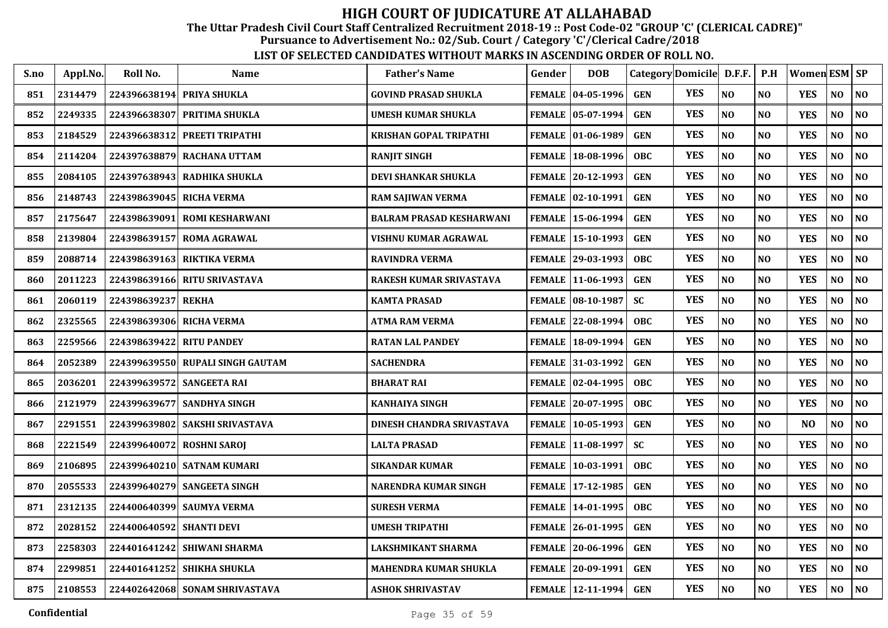The Uttar Pradesh Civil Court Staff Centralized Recruitment 2018-19 :: Post Code-02 "GROUP 'C' (CLERICAL CADRE)"

Pursuance to Advertisement No.: 02/Sub. Court / Category 'C'/Clerical Cadre/2018

| S.no | Appl.No. | Roll No.     | <b>Name</b>                    | <b>Father's Name</b>            | Gender        | <b>DOB</b>                 |            | Category Domicile D.F.F. |                | P.H            | Women ESM SP   |          |                |
|------|----------|--------------|--------------------------------|---------------------------------|---------------|----------------------------|------------|--------------------------|----------------|----------------|----------------|----------|----------------|
| 851  | 2314479  | 224396638194 | PRIYA SHUKLA                   | <b>GOVIND PRASAD SHUKLA</b>     |               | FEMALE   04-05-1996        | <b>GEN</b> | <b>YES</b>               | NO             | NO             | <b>YES</b>     | NO       | NO             |
| 852  | 2249335  | 224396638307 | <b>PRITIMA SHUKLA</b>          | UMESH KUMAR SHUKLA              |               | <b>FEMALE 105-07-1994</b>  | <b>GEN</b> | <b>YES</b>               | N <sub>O</sub> | N <sub>0</sub> | <b>YES</b>     | NO       | NO             |
| 853  | 2184529  | 224396638312 | PREETI TRIPATHI                | KRISHAN GOPAL TRIPATHI          |               | FEMALE   01-06-1989        | <b>GEN</b> | <b>YES</b>               | N <sub>O</sub> | N <sub>O</sub> | <b>YES</b>     | NO.      | N <sub>O</sub> |
| 854  | 2114204  | 224397638879 | <b>RACHANA UTTAM</b>           | <b>RANJIT SINGH</b>             |               | FEMALE 18-08-1996          | <b>OBC</b> | <b>YES</b>               | N <sub>O</sub> | N <sub>O</sub> | <b>YES</b>     | NO       | NO             |
| 855  | 2084105  | 224397638943 | RADHIKA SHUKLA                 | DEVI SHANKAR SHUKLA             |               | FEMALE 20-12-1993          | <b>GEN</b> | <b>YES</b>               | N <sub>O</sub> | N <sub>O</sub> | <b>YES</b>     | NO       | NO             |
| 856  | 2148743  | 224398639045 | <b>RICHA VERMA</b>             | <b>RAM SAJIWAN VERMA</b>        |               | FEMALE 02-10-1991          | <b>GEN</b> | <b>YES</b>               | NO             | NO             | <b>YES</b>     | NO       | $\bf NO$       |
| 857  | 2175647  | 224398639091 | <b>ROMI KESHARWANI</b>         | <b>BALRAM PRASAD KESHARWANI</b> |               | FEMALE   15-06-1994        | <b>GEN</b> | <b>YES</b>               | N <sub>O</sub> | NO             | <b>YES</b>     | NO       | NO.            |
| 858  | 2139804  | 224398639157 | <b>ROMA AGRAWAL</b>            | VISHNU KUMAR AGRAWAL            |               | FEMALE   15-10-1993        | <b>GEN</b> | <b>YES</b>               | N <sub>O</sub> | NO             | <b>YES</b>     | NO       | $\bf NO$       |
| 859  | 2088714  | 224398639163 | <b>RIKTIKA VERMA</b>           | <b>RAVINDRA VERMA</b>           |               | FEMALE 29-03-1993          | <b>OBC</b> | <b>YES</b>               | N <sub>O</sub> | N <sub>O</sub> | <b>YES</b>     | NO.      | NO             |
| 860  | 2011223  | 224398639166 | <b>RITU SRIVASTAVA</b>         | RAKESH KUMAR SRIVASTAVA         |               | FEMALE   11-06-1993        | <b>GEN</b> | <b>YES</b>               | N <sub>O</sub> | N <sub>O</sub> | <b>YES</b>     | NO       | NO             |
| 861  | 2060119  | 224398639237 | <b>REKHA</b>                   | <b>KAMTA PRASAD</b>             |               | <b>FEMALE   08-10-1987</b> | <b>SC</b>  | <b>YES</b>               | N <sub>O</sub> | <b>NO</b>      | <b>YES</b>     | NO       | N <sub>O</sub> |
| 862  | 2325565  |              | 224398639306 RICHA VERMA       | ATMA RAM VERMA                  |               | FEMALE 22-08-1994          | <b>OBC</b> | <b>YES</b>               | NO             | N <sub>O</sub> | <b>YES</b>     | NO       | $\bf NO$       |
| 863  | 2259566  | 224398639422 | <b>RITU PANDEY</b>             | <b>RATAN LAL PANDEY</b>         | <b>FEMALE</b> | $ 18-09-1994$              | <b>GEN</b> | <b>YES</b>               | N <sub>O</sub> | NO             | <b>YES</b>     | $\bf NO$ | NO.            |
| 864  | 2052389  | 224399639550 | <b>RUPALI SINGH GAUTAM</b>     | <b>SACHENDRA</b>                |               | FEMALE 31-03-1992          | <b>GEN</b> | <b>YES</b>               | N <sub>O</sub> | NO             | <b>YES</b>     | NO       | NO             |
| 865  | 2036201  | 224399639572 | <b>SANGEETA RAI</b>            | <b>BHARAT RAI</b>               |               | FEMALE   02-04-1995        | <b>OBC</b> | <b>YES</b>               | N <sub>O</sub> | NO             | <b>YES</b>     | NO       | N <sub>O</sub> |
| 866  | 2121979  |              | 224399639677 SANDHYA SINGH     | <b>KANHAIYA SINGH</b>           |               | FEMALE 20-07-1995          | <b>OBC</b> | <b>YES</b>               | N <sub>O</sub> | <b>NO</b>      | <b>YES</b>     | NO       | NO             |
| 867  | 2291551  | 224399639802 | <b>SAKSHI SRIVASTAVA</b>       | DINESH CHANDRA SRIVASTAVA       |               | FEMALE   10-05-1993        | <b>GEN</b> | <b>YES</b>               | N <sub>O</sub> | N <sub>O</sub> | N <sub>O</sub> | NO.      | NO             |
| 868  | 2221549  | 224399640072 | <b>ROSHNI SAROI</b>            | <b>LALTA PRASAD</b>             |               | FEMALE 11-08-1997          | <b>SC</b>  | <b>YES</b>               | N <sub>O</sub> | NO             | <b>YES</b>     | NO       | NO             |
| 869  | 2106895  |              | 224399640210 SATNAM KUMARI     | <b>SIKANDAR KUMAR</b>           |               | FEMALE   10-03-1991        | <b>OBC</b> | <b>YES</b>               | N <sub>O</sub> | <b>NO</b>      | <b>YES</b>     | NO.      | NO             |
| 870  | 2055533  |              | 224399640279 SANGEETA SINGH    | NARENDRA KUMAR SINGH            |               | FEMALE 17-12-1985          | <b>GEN</b> | <b>YES</b>               | NO             | N <sub>O</sub> | <b>YES</b>     | NO       | $\bf NO$       |
| 871  | 2312135  | 224400640399 | <b>SAUMYA VERMA</b>            | <b>SURESH VERMA</b>             |               | FEMALE   14-01-1995        | <b>OBC</b> | <b>YES</b>               | N <sub>O</sub> | NO             | <b>YES</b>     | NO       | NO.            |
| 872  | 2028152  | 224400640592 | <b>SHANTI DEVI</b>             | <b>UMESH TRIPATHI</b>           |               | FEMALE 26-01-1995          | <b>GEN</b> | <b>YES</b>               | N <sub>O</sub> | NO             | <b>YES</b>     | NO       | NO             |
| 873  | 2258303  | 224401641242 | <b>SHIWANI SHARMA</b>          | LAKSHMIKANT SHARMA              |               | FEMALE 20-06-1996          | <b>GEN</b> | <b>YES</b>               | N <sub>O</sub> | N <sub>O</sub> | <b>YES</b>     | NO       | NO             |
| 874  | 2299851  |              | 224401641252 SHIKHA SHUKLA     | MAHENDRA KUMAR SHUKLA           |               | FEMALE 20-09-1991          | <b>GEN</b> | <b>YES</b>               | N <sub>O</sub> | <b>NO</b>      | <b>YES</b>     | NO       | $\bf NO$       |
| 875  | 2108553  |              | 224402642068 SONAM SHRIVASTAVA | <b>ASHOK SHRIVASTAV</b>         |               | FEMALE   12-11-1994        | <b>GEN</b> | <b>YES</b>               | N <sub>O</sub> | <b>NO</b>      | <b>YES</b>     | NO.      | NO             |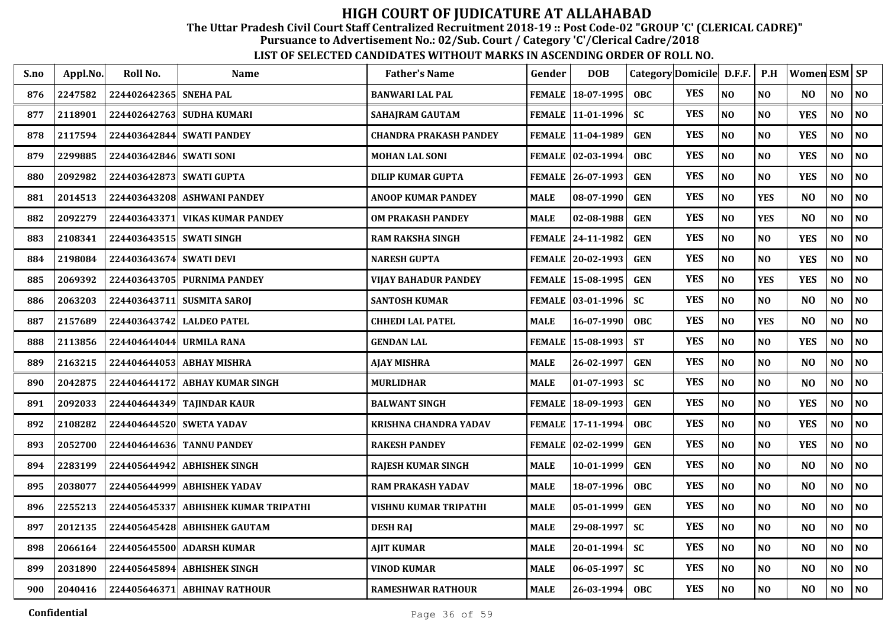The Uttar Pradesh Civil Court Staff Centralized Recruitment 2018-19 :: Post Code-02 "GROUP 'C' (CLERICAL CADRE)"

Pursuance to Advertisement No.: 02/Sub. Court / Category 'C'/Clerical Cadre/2018

| S.no | Appl.No. | Roll No.                 | Name                           | <b>Father's Name</b>      | Gender        | <b>DOB</b>          | Category Domicile D.F.F. |            |                | P.H            | Women ESM SP   |                |                |
|------|----------|--------------------------|--------------------------------|---------------------------|---------------|---------------------|--------------------------|------------|----------------|----------------|----------------|----------------|----------------|
| 876  | 2247582  | 224402642365 SNEHA PAL   |                                | <b>BANWARI LAL PAL</b>    |               | FEMALE 18-07-1995   | <b>OBC</b>               | <b>YES</b> | NO             | N <sub>O</sub> | N <sub>O</sub> | NO             | <b>NO</b>      |
| 877  | 2118901  |                          | 224402642763 SUDHA KUMARI      | SAHAJRAM GAUTAM           |               | FEMALE 11-01-1996   | <b>SC</b>                | <b>YES</b> | N <sub>O</sub> | N <sub>O</sub> | <b>YES</b>     | N <sub>O</sub> | N <sub>O</sub> |
| 878  | 2117594  |                          | 224403642844 SWATI PANDEY      | CHANDRA PRAKASH PANDEY    |               | FEMALE   11-04-1989 | <b>GEN</b>               | <b>YES</b> | N <sub>O</sub> | N <sub>O</sub> | <b>YES</b>     | NO             | N <sub>O</sub> |
| 879  | 2299885  | 224403642846 SWATI SONI  |                                | MOHAN LAL SONI            |               | FEMALE   02-03-1994 | <b>OBC</b>               | <b>YES</b> | N <sub>O</sub> | NO             | <b>YES</b>     | $\bf NO$       | N <sub>0</sub> |
| 880  | 2092982  | 224403642873 SWATI GUPTA |                                | <b>DILIP KUMAR GUPTA</b>  |               | FEMALE 26-07-1993   | <b>GEN</b>               | <b>YES</b> | NO             | NO             | <b>YES</b>     | NO             | <b>NO</b>      |
| 881  | 2014513  | 224403643208             | <b>ASHWANI PANDEY</b>          | <b>ANOOP KUMAR PANDEY</b> | <b>MALE</b>   | 08-07-1990          | <b>GEN</b>               | <b>YES</b> | NO             | <b>YES</b>     | N <sub>O</sub> | $\bf NO$       | NO             |
| 882  | 2092279  | 224403643371             | <b>VIKAS KUMAR PANDEY</b>      | OM PRAKASH PANDEY         | <b>MALE</b>   | 02-08-1988          | <b>GEN</b>               | <b>YES</b> | NO             | <b>YES</b>     | N <sub>O</sub> | NO             | <b>NO</b>      |
| 883  | 2108341  | 224403643515 SWATI SINGH |                                | RAM RAKSHA SINGH          |               | FEMALE 24-11-1982   | <b>GEN</b>               | <b>YES</b> | N <sub>O</sub> | N <sub>O</sub> | <b>YES</b>     | N <sub>O</sub> | <b>NO</b>      |
| 884  | 2198084  | 224403643674 SWATI DEVI  |                                | NARESH GUPTA              |               | FEMALE 20-02-1993   | <b>GEN</b>               | <b>YES</b> | N <sub>O</sub> | N <sub>O</sub> | <b>YES</b>     | N <sub>O</sub> | <b>NO</b>      |
| 885  | 2069392  | 224403643705             | <b>PURNIMA PANDEY</b>          | VIJAY BAHADUR PANDEY      |               | FEMALE 15-08-1995   | <b>GEN</b>               | <b>YES</b> | N <sub>O</sub> | <b>YES</b>     | <b>YES</b>     | NO             | <b>NO</b>      |
| 886  | 2063203  | 224403643711             | <b>SUSMITA SAROJ</b>           | SANTOSH KUMAR             |               | FEMALE   03-01-1996 | <b>SC</b>                | <b>YES</b> | N <sub>O</sub> | NO             | N <sub>O</sub> | NO             | <b>NO</b>      |
| 887  | 2157689  | 224403643742             | <b>LALDEO PATEL</b>            | CHHEDI LAL PATEL          | <b>MALE</b>   | 16-07-1990          | <b>OBC</b>               | <b>YES</b> | N <sub>O</sub> | <b>YES</b>     | N <sub>O</sub> | $\bf NO$       | NO             |
| 888  | 2113856  | 224404644044             | <b>URMILA RANA</b>             | GENDAN LAL                | <b>FEMALE</b> | 15-08-1993          | <b>ST</b>                | <b>YES</b> | NO             | NO             | <b>YES</b>     | NO             | N <sub>O</sub> |
| 889  | 2163215  | 224404644053             | <b>ABHAY MISHRA</b>            | <b>AJAY MISHRA</b>        | <b>MALE</b>   | 26-02-1997          | <b>GEN</b>               | <b>YES</b> | N <sub>O</sub> | N <sub>O</sub> | N <sub>O</sub> | NO             | <b>NO</b>      |
| 890  | 2042875  | 224404644172             | <b>ABHAY KUMAR SINGH</b>       | MURLIDHAR                 | <b>MALE</b>   | 01-07-1993          | <b>SC</b>                | <b>YES</b> | NO             | N <sub>O</sub> | N <sub>O</sub> | NO             | <b>NO</b>      |
| 891  | 2092033  |                          | 224404644349 TAJINDAR KAUR     | <b>BALWANT SINGH</b>      |               | FEMALE   18-09-1993 | <b>GEN</b>               | <b>YES</b> | NO             | NO             | <b>YES</b>     | NO             | <b>NO</b>      |
| 892  | 2108282  |                          | 224404644520 SWETA YADAV       | KRISHNA CHANDRA YADAV     |               | FEMALE   17-11-1994 | <b>OBC</b>               | <b>YES</b> | NO             | NO             | <b>YES</b>     | NO             | <b>NO</b>      |
| 893  | 2052700  | 224404644636             | <b>TANNU PANDEY</b>            | <b>RAKESH PANDEY</b>      |               | FEMALE 02-02-1999   | <b>GEN</b>               | <b>YES</b> | N <sub>O</sub> | N <sub>O</sub> | <b>YES</b>     | NO             | <b>NO</b>      |
| 894  | 2283199  | 224405644942             | <b>ABHISHEK SINGH</b>          | <b>RAJESH KUMAR SINGH</b> | <b>MALE</b>   | 10-01-1999          | <b>GEN</b>               | <b>YES</b> | N <sub>O</sub> | N <sub>O</sub> | N <sub>O</sub> | NO             | N <sub>O</sub> |
| 895  | 2038077  | 224405644999             | <b>ABHISHEK YADAV</b>          | RAM PRAKASH YADAV         | <b>MALE</b>   | 18-07-1996          | <b>OBC</b>               | <b>YES</b> | N <sub>O</sub> | N <sub>O</sub> | N <sub>O</sub> | $\bf NO$       | <b>NO</b>      |
| 896  | 2255213  | 224405645337             | <b>ABHISHEK KUMAR TRIPATHI</b> | VISHNU KUMAR TRIPATHI     | <b>MALE</b>   | 05-01-1999          | <b>GEN</b>               | <b>YES</b> | N <sub>O</sub> | NO             | N <sub>O</sub> | $\bf NO$       | <b>NO</b>      |
| 897  | 2012135  | 224405645428             | <b>ABHISHEK GAUTAM</b>         | <b>DESH RAJ</b>           | <b>MALE</b>   | 29-08-1997          | <b>SC</b>                | <b>YES</b> | NO             | NO             | N <sub>O</sub> | $\bf NO$       | NO             |
| 898  | 2066164  |                          | 224405645500 ADARSH KUMAR      | AJIT KUMAR                | <b>MALE</b>   | 20-01-1994          | <b>SC</b>                | <b>YES</b> | NO             | N <sub>O</sub> | N <sub>O</sub> | NO             | <b>NO</b>      |
| 899  | 2031890  | 224405645894             | <b>ABHISHEK SINGH</b>          | VINOD KUMAR               | <b>MALE</b>   | 06-05-1997          | <b>SC</b>                | <b>YES</b> | NO             | NO             | N <sub>O</sub> | NO             | <b>NO</b>      |
| 900  | 2040416  |                          | 224405646371 ABHINAV RATHOUR   | <b>RAMESHWAR RATHOUR</b>  | <b>MALE</b>   | 26-03-1994          | <b>OBC</b>               | <b>YES</b> | NO             | NO             | N <sub>O</sub> | NO             | NO             |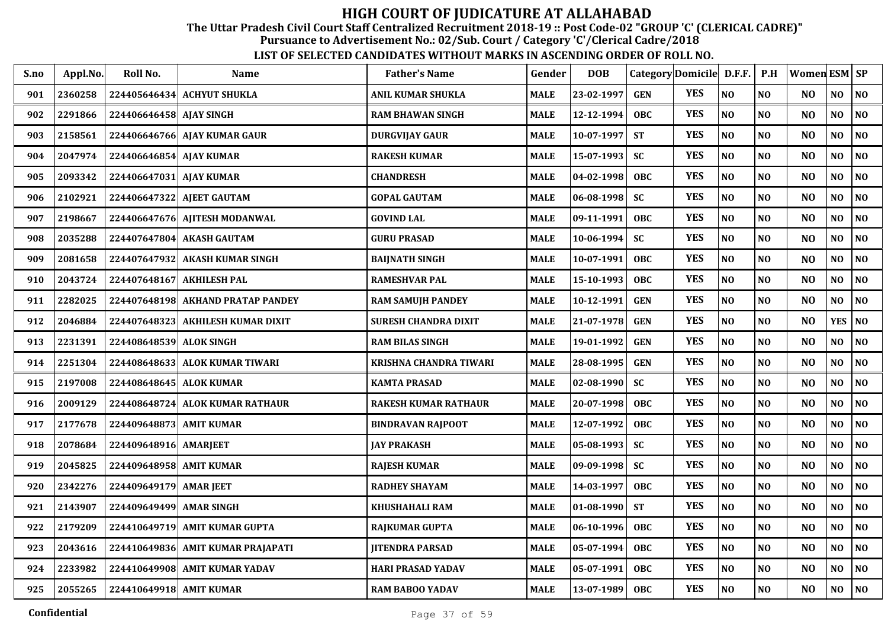The Uttar Pradesh Civil Court Staff Centralized Recruitment 2018-19 :: Post Code-02 "GROUP 'C' (CLERICAL CADRE)"

Pursuance to Advertisement No.: 02/Sub. Court / Category 'C'/Clerical Cadre/2018

| S.no | Appl.No. | Roll No.                | Name                              | <b>Father's Name</b>          | Gender      | <b>DOB</b>       |            | Category Domicile D.F.F. |                | P.H            | Women ESM SP   |                |                |
|------|----------|-------------------------|-----------------------------------|-------------------------------|-------------|------------------|------------|--------------------------|----------------|----------------|----------------|----------------|----------------|
| 901  | 2360258  |                         | 224405646434 ACHYUT SHUKLA        | ANIL KUMAR SHUKLA             | MALE        | 23-02-1997       | <b>GEN</b> | <b>YES</b>               | NO             | NO             | N <sub>O</sub> | NO             | NO             |
| 902  | 2291866  | 224406646458 AJAY SINGH |                                   | <b>RAM BHAWAN SINGH</b>       | <b>MALE</b> | 12-12-1994       | <b>OBC</b> | <b>YES</b>               | NO             | N <sub>O</sub> | N <sub>O</sub> | NO             | NO             |
| 903  | 2158561  |                         | 224406646766 AJAY KUMAR GAUR      | DURGVIJAY GAUR                | MALE        | $10 - 07 - 1997$ | <b>ST</b>  | <b>YES</b>               | $\bf NO$       | N <sub>O</sub> | N <sub>O</sub> | NO             | NO             |
| 904  | 2047974  | 224406646854 AJAY KUMAR |                                   | <b>RAKESH KUMAR</b>           | MALE        | 15-07-1993       | <b>SC</b>  | <b>YES</b>               | NO             | N <sub>O</sub> | N <sub>O</sub> | NO             | NO             |
| 905  | 2093342  | 224406647031 AJAY KUMAR |                                   | <b>CHANDRESH</b>              | MALE        | 04-02-1998       | <b>OBC</b> | <b>YES</b>               | NO             | N <sub>O</sub> | N <sub>O</sub> | NO             | NO             |
| 906  | 2102921  | 224406647322            | <b>AJEET GAUTAM</b>               | <b>GOPAL GAUTAM</b>           | <b>MALE</b> | $06 - 08 - 1998$ | <b>SC</b>  | <b>YES</b>               | NO             | N <sub>O</sub> | N <sub>O</sub> | $\bf NO$       | N <sub>0</sub> |
| 907  | 2198667  | 224406647676            | <b>AJITESH MODANWAL</b>           | <b>GOVIND LAL</b>             | MALE        | 09-11-1991       | <b>OBC</b> | <b>YES</b>               | NO             | N <sub>O</sub> | N <sub>O</sub> | NO             | N <sub>0</sub> |
| 908  | 2035288  |                         | 224407647804 AKASH GAUTAM         | <b>GURU PRASAD</b>            | MALE        | $10-06-1994$     | <b>SC</b>  | <b>YES</b>               | NO             | N <sub>O</sub> | N <sub>O</sub> | NO             | N <sub>0</sub> |
| 909  | 2081658  | 224407647932            | <b>AKASH KUMAR SINGH</b>          | <b>BAIJNATH SINGH</b>         | MALE        | 10-07-1991       | <b>OBC</b> | <b>YES</b>               | NO             | N <sub>O</sub> | N <sub>O</sub> | N <sub>O</sub> | N <sub>0</sub> |
| 910  | 2043724  | 224407648167            | <b>AKHILESH PAL</b>               | <b>RAMESHVAR PAL</b>          | <b>MALE</b> | 15-10-1993       | <b>OBC</b> | <b>YES</b>               | NO             | N <sub>O</sub> | N <sub>O</sub> | NO             | $\bf NO$       |
| 911  | 2282025  |                         | 224407648198 AKHAND PRATAP PANDEY | <b>RAM SAMUJH PANDEY</b>      | MALE        | 10-12-1991       | <b>GEN</b> | <b>YES</b>               | N <sub>O</sub> | N <sub>O</sub> | N <sub>O</sub> | N <sub>O</sub> | N <sub>O</sub> |
| 912  | 2046884  |                         | 224407648323 AKHILESH KUMAR DIXIT | <b>SURESH CHANDRA DIXIT</b>   | MALE        | 21-07-1978       | <b>GEN</b> | <b>YES</b>               | NO             | N <sub>O</sub> | N <sub>O</sub> | <b>YES</b>     | $\bf NO$       |
| 913  | 2231391  | 224408648539 ALOK SINGH |                                   | <b>RAM BILAS SINGH</b>        | MALE        | 19-01-1992       | <b>GEN</b> | <b>YES</b>               | $\bf NO$       | NO             | N <sub>O</sub> | NO             | $\bf NO$       |
| 914  | 2251304  | 224408648633            | <b>ALOK KUMAR TIWARI</b>          | <b>KRISHNA CHANDRA TIWARI</b> | MALE        | 28-08-1995       | <b>GEN</b> | <b>YES</b>               | NO             | N <sub>O</sub> | N <sub>O</sub> | $\bf NO$       | NO             |
| 915  | 2197008  | 224408648645 ALOK KUMAR |                                   | <b>KAMTA PRASAD</b>           | MALE        | $02 - 08 - 1990$ | <b>SC</b>  | <b>YES</b>               | NO             | N <sub>O</sub> | N <sub>O</sub> | $\bf NO$       | NO             |
| 916  | 2009129  |                         | 224408648724 ALOK KUMAR RATHAUR   | RAKESH KUMAR RATHAUR          | MALE        | 20-07-1998       | <b>OBC</b> | <b>YES</b>               | NO             | NO             | N <sub>O</sub> | NO             | NO             |
| 917  | 2177678  | 224409648873 AMIT KUMAR |                                   | <b>BINDRAVAN RAJPOOT</b>      | MALE        | 12-07-1992       | <b>OBC</b> | <b>YES</b>               | NO             | NO             | N <sub>O</sub> | NO             | $\bf NO$       |
| 918  | 2078684  | 224409648916 AMARJEET   |                                   | <b>JAY PRAKASH</b>            | MALE        | $05 - 08 - 1993$ | <b>SC</b>  | <b>YES</b>               | N <sub>O</sub> | N <sub>O</sub> | N <sub>O</sub> | NO             | NO             |
| 919  | 2045825  | 224409648958 AMIT KUMAR |                                   | <b>RAJESH KUMAR</b>           | MALE        | $09-09-1998$     | <b>SC</b>  | <b>YES</b>               | NO             | N <sub>O</sub> | N <sub>O</sub> | N <sub>O</sub> | NO             |
| 920  | 2342276  | 224409649179 AMAR JEET  |                                   | <b>RADHEY SHAYAM</b>          | MALE        | 14-03-1997       | OBC        | <b>YES</b>               | NO             | N <sub>O</sub> | N <sub>O</sub> | NO             | NO             |
| 921  | 2143907  | 224409649499            | <b>AMAR SINGH</b>                 | <b>KHUSHAHALI RAM</b>         | MALE        | $01 - 08 - 1990$ | <b>ST</b>  | <b>YES</b>               | N <sub>O</sub> | N <sub>O</sub> | N <sub>O</sub> | NO             | NO             |
| 922  | 2179209  | 224410649719            | <b>AMIT KUMAR GUPTA</b>           | <b>RAIKUMAR GUPTA</b>         | MALE        | $06 - 10 - 1996$ | <b>OBC</b> | <b>YES</b>               | NO             | N <sub>O</sub> | N <sub>O</sub> | NO             | NO             |
| 923  | 2043616  |                         | 224410649836 AMIT KUMAR PRAJAPATI | <b>JITENDRA PARSAD</b>        | <b>MALE</b> | 05-07-1994       | OBC        | <b>YES</b>               | NO             | N <sub>O</sub> | N <sub>O</sub> | NO             | NO             |
| 924  | 2233982  |                         | 224410649908 AMIT KUMAR YADAV     | <b>HARI PRASAD YADAV</b>      | MALE        | 05-07-1991       | <b>OBC</b> | <b>YES</b>               | NO             | N <sub>O</sub> | N <sub>O</sub> | $\bf NO$       | N <sub>O</sub> |
| 925  | 2055265  | 224410649918 AMIT KUMAR |                                   | <b>RAM BABOO YADAV</b>        | MALE        | 13-07-1989       | <b>OBC</b> | <b>YES</b>               | $\bf NO$       | N <sub>O</sub> | N <sub>O</sub> | NO             | $\bf NO$       |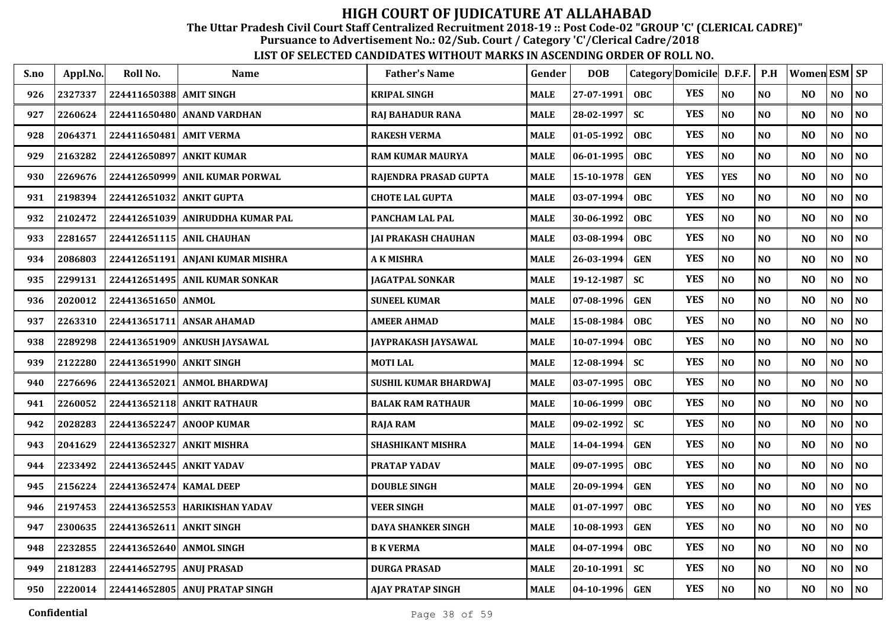The Uttar Pradesh Civil Court Staff Centralized Recruitment 2018-19 :: Post Code-02 "GROUP 'C' (CLERICAL CADRE)"

Pursuance to Advertisement No.: 02/Sub. Court / Category 'C'/Clerical Cadre/2018

| S.no | Appl.No. | Roll No.                 | <b>Name</b>                      | <b>Father's Name</b>       | Gender      | <b>DOB</b>         | Category Domicile D.F.F. |            |                | P.H            | Women ESM SP   |                |                |
|------|----------|--------------------------|----------------------------------|----------------------------|-------------|--------------------|--------------------------|------------|----------------|----------------|----------------|----------------|----------------|
| 926  | 2327337  | 224411650388 AMIT SINGH  |                                  | <b>KRIPAL SINGH</b>        | <b>MALE</b> | 27-07-1991         | <b>OBC</b>               | <b>YES</b> | NO             | N <sub>O</sub> | N <sub>O</sub> | NO             | N <sub>O</sub> |
| 927  | 2260624  |                          | 224411650480 ANAND VARDHAN       | RAJ BAHADUR RANA           | MALE        | 28-02-1997         | <b>SC</b>                | <b>YES</b> | $\bf NO$       | N <sub>O</sub> | N <sub>O</sub> | NO             | $\bf NO$       |
| 928  | 2064371  | 224411650481             | <b>AMIT VERMA</b>                | <b>RAKESH VERMA</b>        | MALE        | 01-05-1992         | <b>OBC</b>               | <b>YES</b> | NO             | N <sub>O</sub> | N <sub>O</sub> | NO             | $\bf NO$       |
| 929  | 2163282  | 224412650897             | <b>ANKIT KUMAR</b>               | <b>RAM KUMAR MAURYA</b>    | MALE        | 06-01-1995         | <b>OBC</b>               | <b>YES</b> | NO             | NO             | N <sub>O</sub> | NO             | $\bf NO$       |
| 930  | 2269676  | 224412650999             | <b>ANIL KUMAR PORWAL</b>         | RAJENDRA PRASAD GUPTA      | <b>MALE</b> | 15-10-1978         | <b>GEN</b>               | <b>YES</b> | <b>YES</b>     | N <sub>O</sub> | N <sub>O</sub> | NO             | $\bf NO$       |
| 931  | 2198394  | 224412651032             | <b>ANKIT GUPTA</b>               | <b>CHOTE LAL GUPTA</b>     | MALE        | 03-07-1994         | <b>OBC</b>               | <b>YES</b> | NO             | N <sub>O</sub> | N <sub>O</sub> | NO             | NO             |
| 932  | 2102472  |                          | 224412651039 ANIRUDDHA KUMAR PAL | PANCHAM LAL PAL            | <b>MALE</b> | 30-06-1992         | <b>OBC</b>               | <b>YES</b> | $\bf NO$       | NO             | N <sub>O</sub> | NO             | $\bf NO$       |
| 933  | 2281657  |                          | 224412651115 ANIL CHAUHAN        | JAI PRAKASH CHAUHAN        | MALE        | 03-08-1994         | <b>OBC</b>               | <b>YES</b> | NO             | NO             | N <sub>O</sub> | NO             | NO             |
| 934  | 2086803  |                          | 224412651191 ANJANI KUMAR MISHRA | A K MISHRA                 | MALE        | $26 - 03 - 1994$   | <b>GEN</b>               | <b>YES</b> | N <sub>O</sub> | NO             | N <sub>O</sub> | NO             | NO             |
| 935  | 2299131  |                          | 224412651495 ANIL KUMAR SONKAR   | <b>JAGATPAL SONKAR</b>     | MALE        | 19-12-1987         | <b>SC</b>                | <b>YES</b> | NO             | N <sub>O</sub> | N <sub>O</sub> | NO             | NO             |
| 936  | 2020012  | 224413651650 ANMOL       |                                  | <b>SUNEEL KUMAR</b>        | MALE        | 07-08-1996         | <b>GEN</b>               | <b>YES</b> | NO             | N <sub>O</sub> | N <sub>O</sub> | NO             | NO             |
| 937  | 2263310  | 224413651711             | <b>ANSAR AHAMAD</b>              | <b>AMEER AHMAD</b>         | MALE        | 15-08-1984         | <b>OBC</b>               | <b>YES</b> | NO             | N <sub>O</sub> | N <sub>O</sub> | $\bf NO$       | NO             |
| 938  | 2289298  | 224413651909             | ANKUSH JAYSAWAL                  | <b>JAYPRAKASH JAYSAWAL</b> | MALE        | $10-07-1994$       | <b>OBC</b>               | <b>YES</b> | NO             | N <sub>O</sub> | N <sub>O</sub> | $\bf NO$       | NO             |
| 939  | 2122280  | 224413651990 ANKIT SINGH |                                  | <b>MOTILAL</b>             | MALE        | 12-08-1994         | <b>SC</b>                | <b>YES</b> | NO             | NO             | N <sub>O</sub> | $\bf NO$       | NO             |
| 940  | 2276696  | 224413652021             | <b>ANMOL BHARDWAI</b>            | SUSHIL KUMAR BHARDWAJ      | MALE        | 03-07-1995         | <b>OBC</b>               | <b>YES</b> | NO             | N <sub>O</sub> | N <sub>O</sub> | NO             | NO             |
| 941  | 2260052  |                          | 224413652118 ANKIT RATHAUR       | <b>BALAK RAM RATHAUR</b>   | MALE        | 10-06-1999         | OBC                      | <b>YES</b> | N <sub>O</sub> | N <sub>O</sub> | N <sub>O</sub> | NO             | $\bf NO$       |
| 942  | 2028283  |                          | 224413652247 ANOOP KUMAR         | <b>RAJA RAM</b>            | MALE        | 09-02-1992         | <b>SC</b>                | <b>YES</b> | NO             | N <sub>O</sub> | N <sub>O</sub> | NO             | NO             |
| 943  | 2041629  |                          | 224413652327 ANKIT MISHRA        | SHASHIKANT MISHRA          | MALE        | 14-04-1994         | <b>GEN</b>               | <b>YES</b> | N <sub>O</sub> | N <sub>O</sub> | N <sub>O</sub> | NO             | NO             |
| 944  | 2233492  | 224413652445 ANKIT YADAV |                                  | <b>PRATAP YADAV</b>        | MALE        | $09-07-1995$       | <b>OBC</b>               | <b>YES</b> | NO             | N <sub>O</sub> | N <sub>O</sub> | N <sub>O</sub> | NO             |
| 945  | 2156224  | 224413652474 KAMAL DEEP  |                                  | <b>DOUBLE SINGH</b>        | MALE        | 20-09-1994         | <b>GEN</b>               | <b>YES</b> | N <sub>O</sub> | N <sub>O</sub> | N <sub>O</sub> | NO             | NO             |
| 946  | 2197453  |                          | 224413652553 HARIKISHAN YADAV    | <b>VEER SINGH</b>          | MALE        | 01-07-1997         | <b>OBC</b>               | <b>YES</b> | NO             | N <sub>O</sub> | N <sub>O</sub> | NO             | <b>YES</b>     |
| 947  | 2300635  | 224413652611             | <b>ANKIT SINGH</b>               | <b>DAYA SHANKER SINGH</b>  | <b>MALE</b> | 10-08-1993         | <b>GEN</b>               | <b>YES</b> | NO             | N <sub>O</sub> | N <sub>O</sub> | $\bf NO$       | NO             |
| 948  | 2232855  | 224413652640 ANMOL SINGH |                                  | <b>B K VERMA</b>           | MALE        | 04-07-1994         | <b>OBC</b>               | <b>YES</b> | NO             | N <sub>O</sub> | N <sub>O</sub> | NO             | N <sub>O</sub> |
| 949  | 2181283  | 224414652795 ANUJ PRASAD |                                  | <b>DURGA PRASAD</b>        | MALE        | 20-10-1991         | <b>SC</b>                | <b>YES</b> | NO             | N <sub>O</sub> | N <sub>O</sub> | NO             | NO             |
| 950  | 2220014  |                          | 224414652805 ANUJ PRATAP SINGH   | AJAY PRATAP SINGH          | MALE        | $ 04 - 10 - 1996 $ | <b>GEN</b>               | <b>YES</b> | NO             | N <sub>O</sub> | N <sub>O</sub> | NO             | NO             |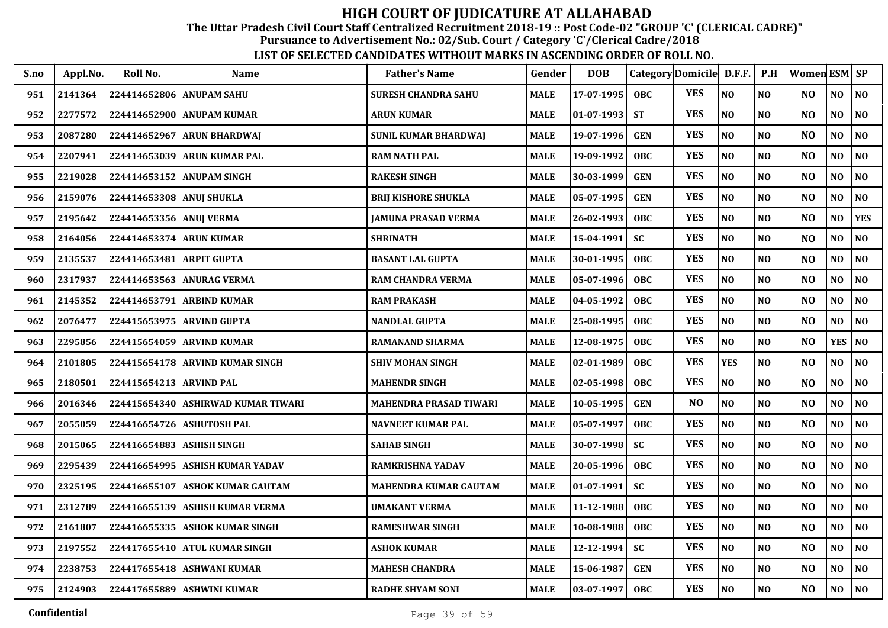The Uttar Pradesh Civil Court Staff Centralized Recruitment 2018-19 :: Post Code-02 "GROUP 'C' (CLERICAL CADRE)"

Pursuance to Advertisement No.: 02/Sub. Court / Category 'C'/Clerical Cadre/2018

| S.no | Appl.No. | Roll No.                  | <b>Name</b>                        | <b>Father's Name</b>         | Gender      | <b>DOB</b> | Category Domicile D.F.F. |            |                | P.H            | <b>Women ESM SP</b> |                |                |
|------|----------|---------------------------|------------------------------------|------------------------------|-------------|------------|--------------------------|------------|----------------|----------------|---------------------|----------------|----------------|
| 951  | 2141364  | 224414652806 ANUPAM SAHU  |                                    | <b>SURESH CHANDRA SAHU</b>   | <b>MALE</b> | 17-07-1995 | <b>OBC</b>               | <b>YES</b> | NO             | N <sub>O</sub> | N <sub>O</sub>      | NO             | NO             |
| 952  | 2277572  | 224414652900              | <b>ANUPAM KUMAR</b>                | <b>ARUN KUMAR</b>            | <b>MALE</b> | 01-07-1993 | <b>ST</b>                | <b>YES</b> | NO             | N <sub>O</sub> | N <sub>O</sub>      | NO             | N <sub>0</sub> |
| 953  | 2087280  | 224414652967              | <b>ARUN BHARDWAJ</b>               | <b>SUNIL KUMAR BHARDWAJ</b>  | <b>MALE</b> | 19-07-1996 | <b>GEN</b>               | <b>YES</b> | NO             | N <sub>O</sub> | N <sub>O</sub>      | NO             | $\bf NO$       |
| 954  | 2207941  | 224414653039              | <b>ARUN KUMAR PAL</b>              | <b>RAM NATH PAL</b>          | <b>MALE</b> | 19-09-1992 | <b>OBC</b>               | <b>YES</b> | NO             | N <sub>O</sub> | N <sub>O</sub>      | NO             | N <sub>0</sub> |
| 955  | 2219028  |                           | 224414653152 ANUPAM SINGH          | <b>RAKESH SINGH</b>          | <b>MALE</b> | 30-03-1999 | <b>GEN</b>               | <b>YES</b> | N <sub>O</sub> | N <sub>O</sub> | N <sub>O</sub>      | NO             | NO             |
| 956  | 2159076  | 224414653308 ANUJ SHUKLA  |                                    | <b>BRIJ KISHORE SHUKLA</b>   | <b>MALE</b> | 05-07-1995 | <b>GEN</b>               | <b>YES</b> | NO             | NO             | N <sub>O</sub>      | NO             | $\bf NO$       |
| 957  | 2195642  | 224414653356 ANUJ VERMA   |                                    | JAMUNA PRASAD VERMA          | <b>MALE</b> | 26-02-1993 | <b>OBC</b>               | <b>YES</b> | NO             | NO             | N <sub>O</sub>      | NO.            | <b>YES</b>     |
| 958  | 2164056  | 224414653374              | <b>ARUN KUMAR</b>                  | <b>SHRINATH</b>              | <b>MALE</b> | 15-04-1991 | <b>SC</b>                | <b>YES</b> | NO             | N <sub>O</sub> | N <sub>O</sub>      | NO             | N <sub>0</sub> |
| 959  | 2135537  | 224414653481              | <b>ARPIT GUPTA</b>                 | <b>BASANT LAL GUPTA</b>      | <b>MALE</b> | 30-01-1995 | <b>OBC</b>               | <b>YES</b> | NO             | N <sub>O</sub> | N <sub>O</sub>      | NO             | N <sub>0</sub> |
| 960  | 2317937  |                           | 224414653563 ANURAG VERMA          | <b>RAM CHANDRA VERMA</b>     | <b>MALE</b> | 05-07-1996 | <b>OBC</b>               | <b>YES</b> | NO             | N <sub>O</sub> | N <sub>O</sub>      | NO.            | NO.            |
| 961  | 2145352  | 224414653791              | <b>ARBIND KUMAR</b>                | <b>RAM PRAKASH</b>           | <b>MALE</b> | 04-05-1992 | <b>OBC</b>               | <b>YES</b> | $\bf NO$       | N <sub>O</sub> | NO                  | $\bf NO$       | $\bf NO$       |
| 962  | 2076477  | 224415653975              | <b>ARVIND GUPTA</b>                | <b>NANDLAL GUPTA</b>         | <b>MALE</b> | 25-08-1995 | <b>OBC</b>               | <b>YES</b> | NO             | N <sub>O</sub> | N <sub>O</sub>      | N <sub>O</sub> | N <sub>0</sub> |
| 963  | 2295856  |                           | 224415654059 ARVIND KUMAR          | <b>RAMANAND SHARMA</b>       | <b>MALE</b> | 12-08-1975 | <b>OBC</b>               | <b>YES</b> | NO             | N <sub>O</sub> | N <sub>O</sub>      | <b>YES</b>     | N <sub>0</sub> |
| 964  | 2101805  |                           | 224415654178 ARVIND KUMAR SINGH    | <b>SHIV MOHAN SINGH</b>      | <b>MALE</b> | 02-01-1989 | OBC                      | <b>YES</b> | <b>YES</b>     | N <sub>O</sub> | N <sub>O</sub>      | NO             | NO             |
| 965  | 2180501  | 224415654213 ARVIND PAL   |                                    | <b>MAHENDR SINGH</b>         | <b>MALE</b> | 02-05-1998 | OBC                      | <b>YES</b> | NO             | NO             | N <sub>O</sub>      | NO             | NO             |
| 966  | 2016346  |                           | 224415654340 ASHIRWAD KUMAR TIWARI | MAHENDRA PRASAD TIWARI       | <b>MALE</b> | 10-05-1995 | <b>GEN</b>               | NO         | NO             | N <sub>0</sub> | N <sub>O</sub>      | NO             | N <sub>0</sub> |
| 967  | 2055059  | 224416654726              | <b>ASHUTOSH PAL</b>                | <b>NAVNEET KUMAR PAL</b>     | <b>MALE</b> | 05-07-1997 | OBC                      | <b>YES</b> | NO             | N <sub>O</sub> | N <sub>O</sub>      | NO.            | N <sub>0</sub> |
| 968  | 2015065  | 224416654883 ASHISH SINGH |                                    | <b>SAHAB SINGH</b>           | <b>MALE</b> | 30-07-1998 | <b>SC</b>                | <b>YES</b> | N <sub>O</sub> | N <sub>O</sub> | N <sub>O</sub>      | NO             | N <sub>O</sub> |
| 969  | 2295439  | 224416654995              | ASHISH KUMAR YADAV                 | <b>RAMKRISHNA YADAV</b>      | <b>MALE</b> | 20-05-1996 | <b>OBC</b>               | <b>YES</b> | NO             | N <sub>O</sub> | N <sub>O</sub>      | NO             | NO             |
| 970  | 2325195  |                           | 224416655107 ASHOK KUMAR GAUTAM    | <b>MAHENDRA KUMAR GAUTAM</b> | <b>MALE</b> | 01-07-1991 | <b>SC</b>                | <b>YES</b> | NO             | N <sub>O</sub> | N <sub>O</sub>      | NO             | N <sub>0</sub> |
| 971  | 2312789  | 224416655139              | <b>ASHISH KUMAR VERMA</b>          | <b>UMAKANT VERMA</b>         | <b>MALE</b> | 11-12-1988 | <b>OBC</b>               | <b>YES</b> | NO             | N <sub>O</sub> | N <sub>O</sub>      | N <sub>O</sub> | NO             |
| 972  | 2161807  | 224416655335              | <b>ASHOK KUMAR SINGH</b>           | <b>RAMESHWAR SINGH</b>       | <b>MALE</b> | 10-08-1988 | OBC                      | <b>YES</b> | NO             | N <sub>O</sub> | N <sub>O</sub>      | NO             | NO             |
| 973  | 2197552  |                           | 224417655410 ATUL KUMAR SINGH      | <b>ASHOK KUMAR</b>           | <b>MALE</b> | 12-12-1994 | <b>SC</b>                | <b>YES</b> | NO             | N <sub>O</sub> | N <sub>O</sub>      | NO             | N <sub>0</sub> |
| 974  | 2238753  |                           | 224417655418 ASHWANI KUMAR         | <b>MAHESH CHANDRA</b>        | <b>MALE</b> | 15-06-1987 | <b>GEN</b>               | <b>YES</b> | $\bf NO$       | N <sub>0</sub> | NO                  | NO             | NO             |
| 975  | 2124903  |                           | 224417655889 ASHWINI KUMAR         | <b>RADHE SHYAM SONI</b>      | <b>MALE</b> | 03-07-1997 | <b>OBC</b>               | <b>YES</b> | $\bf NO$       | $\bf NO$       | N <sub>O</sub>      | NO             | NO             |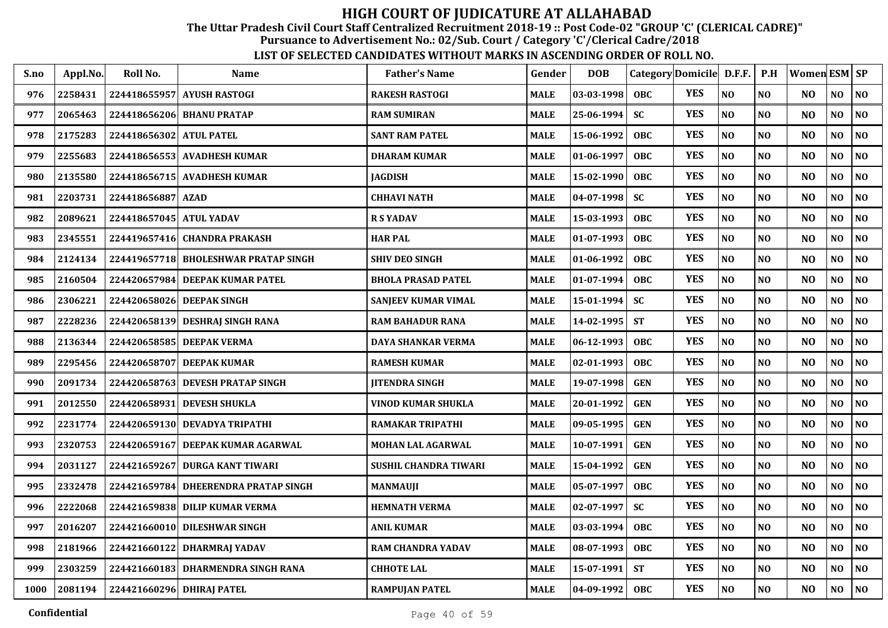The Uttar Pradesh Civil Court Staff Centralized Recruitment 2018-19 :: Post Code-02 "GROUP 'C' (CLERICAL CADRE)"

Pursuance to Advertisement No.: 02/Sub. Court / Category 'C'/Clerical Cadre/2018

| S.no | Appl.No. | Roll No.                  | <b>Name</b>                          | <b>Father's Name</b>       | Gender      | <b>DOB</b>       | Category Domicile D.F.F. |            |                | P.H            | <b>Women ESM SP</b> |                |    |
|------|----------|---------------------------|--------------------------------------|----------------------------|-------------|------------------|--------------------------|------------|----------------|----------------|---------------------|----------------|----|
| 976  | 2258431  |                           | 224418655957 AYUSH RASTOGI           | <b>RAKESH RASTOGI</b>      | <b>MALE</b> | $ 03-03-1998$    | <b>OBC</b>               | <b>YES</b> | N <sub>O</sub> | N <sub>O</sub> | N <sub>O</sub>      | NO             | NO |
| 977  | 2065463  |                           | 224418656206 BHANU PRATAP            | <b>RAM SUMIRAN</b>         | <b>MALE</b> | 25-06-1994       | <b>SC</b>                | <b>YES</b> | N <sub>O</sub> | N <sub>O</sub> | N <sub>O</sub>      | $\bf NO$       | NO |
| 978  | 2175283  | 224418656302 ATUL PATEL   |                                      | <b>SANT RAM PATEL</b>      | <b>MALE</b> | 15-06-1992       | OBC                      | <b>YES</b> | N <sub>O</sub> | NO             | N <sub>O</sub>      | N <sub>O</sub> | NO |
| 979  | 2255683  |                           | 224418656553 AVADHESH KUMAR          | <b>DHARAM KUMAR</b>        | <b>MALE</b> | $ 01-06-1997$    | OBC                      | <b>YES</b> | NO             | N <sub>O</sub> | N <sub>O</sub>      | NO             | NO |
| 980  | 2135580  |                           | 224418656715 AVADHESH KUMAR          | <b>JAGDISH</b>             | <b>MALE</b> | 15-02-1990       | <b>OBC</b>               | <b>YES</b> | NO             | N <sub>O</sub> | N <sub>O</sub>      | NO             | NO |
| 981  | 2203731  | 224418656887 AZAD         |                                      | <b>CHHAVI NATH</b>         | <b>MALE</b> | $04 - 07 - 1998$ | <b>SC</b>                | <b>YES</b> | $\bf NO$       | N <sub>O</sub> | N <sub>O</sub>      | NO             | NO |
| 982  | 2089621  | 224418657045 ATUL YADAV   |                                      | <b>R S YADAV</b>           | <b>MALE</b> | $15-03-1993$     | <b>OBC</b>               | <b>YES</b> | NO             | NO             | N <sub>O</sub>      | N <sub>O</sub> | NO |
| 983  | 2345551  |                           | 224419657416 CHANDRA PRAKASH         | <b>HAR PAL</b>             | <b>MALE</b> | $ 01-07-1993$    | <b>OBC</b>               | <b>YES</b> | NO             | N <sub>O</sub> | N <sub>O</sub>      | NO             | NO |
| 984  | 2124134  |                           | 224419657718 BHOLESHWAR PRATAP SINGH | <b>SHIV DEO SINGH</b>      | <b>MALE</b> | $ 01-06-1992$    | <b>OBC</b>               | <b>YES</b> | N <sub>O</sub> | N <sub>O</sub> | N <sub>O</sub>      | NO             | NO |
| 985  | 2160504  |                           | 224420657984 DEEPAK KUMAR PATEL      | <b>BHOLA PRASAD PATEL</b>  | <b>MALE</b> | $ 01-07-1994$    | <b>OBC</b>               | <b>YES</b> | N <sub>O</sub> | N <sub>O</sub> | N <sub>O</sub>      | N <sub>O</sub> | NO |
| 986  | 2306221  | 224420658026 DEEPAK SINGH |                                      | <b>SANJEEV KUMAR VIMAL</b> | <b>MALE</b> | 15-01-1994       | <b>SC</b>                | <b>YES</b> | NO             | NO             | N <sub>O</sub>      | N <sub>O</sub> | NO |
| 987  | 2228236  |                           | 224420658139 DESHRAJ SINGH RANA      | <b>RAM BAHADUR RANA</b>    | <b>MALE</b> | 14-02-1995       | <b>ST</b>                | <b>YES</b> | NO             | N <sub>O</sub> | N <sub>O</sub>      | N <sub>O</sub> | NO |
| 988  | 2136344  |                           | 224420658585 DEEPAK VERMA            | <b>DAYA SHANKAR VERMA</b>  | <b>MALE</b> | $ 06-12-1993$    | OBC                      | <b>YES</b> | NO             | N <sub>O</sub> | N <sub>O</sub>      | $\bf NO$       | NO |
| 989  | 2295456  |                           | 224420658707 DEEPAK KUMAR            | <b>RAMESH KUMAR</b>        | <b>MALE</b> | 02-01-1993       | <b>OBC</b>               | <b>YES</b> | NO             | N <sub>O</sub> | N <sub>O</sub>      | $\bf NO$       | NO |
| 990  | 2091734  |                           | 224420658763 DEVESH PRATAP SINGH     | <b>JITENDRA SINGH</b>      | <b>MALE</b> | 19-07-1998       | <b>GEN</b>               | <b>YES</b> | NO             | N <sub>O</sub> | N <sub>O</sub>      | $\bf NO$       | NO |
| 991  | 2012550  |                           | 224420658931 DEVESH SHUKLA           | VINOD KUMAR SHUKLA         | <b>MALE</b> | 20-01-1992       | <b>GEN</b>               | <b>YES</b> | $\bf NO$       | N <sub>O</sub> | N <sub>O</sub>      | NO             | NO |
| 992  | 2231774  |                           | 224420659130 DEVADYA TRIPATHI        | <b>RAMAKAR TRIPATHI</b>    | <b>MALE</b> | 09-05-1995       | <b>GEN</b>               | <b>YES</b> | N <sub>O</sub> | N <sub>O</sub> | N <sub>O</sub>      | N <sub>O</sub> | NO |
| 993  | 2320753  |                           | 224420659167 DEEPAK KUMAR AGARWAL    | <b>MOHAN LAL AGARWAL</b>   | <b>MALE</b> | 10-07-1991       | <b>GEN</b>               | <b>YES</b> | N <sub>O</sub> | N <sub>O</sub> | N <sub>O</sub>      | N <sub>O</sub> | NO |
| 994  | 2031127  |                           | 224421659267 DURGA KANT TIWARI       | SUSHIL CHANDRA TIWARI      | <b>MALE</b> | 15-04-1992       | <b>GEN</b>               | <b>YES</b> | NO             | N <sub>O</sub> | N <sub>O</sub>      | NO             | NO |
| 995  | 2332478  |                           | 224421659784 DHEERENDRA PRATAP SINGH | <b>MANMAUJI</b>            | <b>MALE</b> | $ 05-07-1997$    | <b>OBC</b>               | <b>YES</b> | NO             | NO             | N <sub>O</sub>      | NO             | NO |
| 996  | 2222068  |                           | 224421659838 DILIP KUMAR VERMA       | <b>HEMNATH VERMA</b>       | <b>MALE</b> | $ 02-07-1997$    | <b>SC</b>                | <b>YES</b> | N <sub>O</sub> | N <sub>O</sub> | N <sub>O</sub>      | N <sub>O</sub> | NO |
| 997  | 2016207  |                           | 224421660010 DILESHWAR SINGH         | <b>ANIL KUMAR</b>          | <b>MALE</b> | $ 03-03-1994$    | <b>OBC</b>               | <b>YES</b> | NO             | NO             | N <sub>O</sub>      | $\bf NO$       | NO |
| 998  | 2181966  |                           | 224421660122 DHARMRAJ YADAV          | <b>RAM CHANDRA YADAV</b>   | <b>MALE</b> | 08-07-1993       | OBC                      | <b>YES</b> | NO             | N <sub>O</sub> | N <sub>O</sub>      | NO             | NO |
| 999  | 2303259  |                           | 224421660183 DHARMENDRA SINGH RANA   | <b>CHHOTE LAL</b>          | <b>MALE</b> | 15-07-1991       | <b>ST</b>                | <b>YES</b> | NO             | NO             | N <sub>O</sub>      | $\bf NO$       | NO |
| 1000 | 2081194  | 224421660296 DHIRAJ PATEL |                                      | <b>RAMPUJAN PATEL</b>      | <b>MALE</b> | $ 04-09-1992$    | <b>OBC</b>               | <b>YES</b> | N <sub>O</sub> | $\bf NO$       | N <sub>O</sub>      | NO             | NO |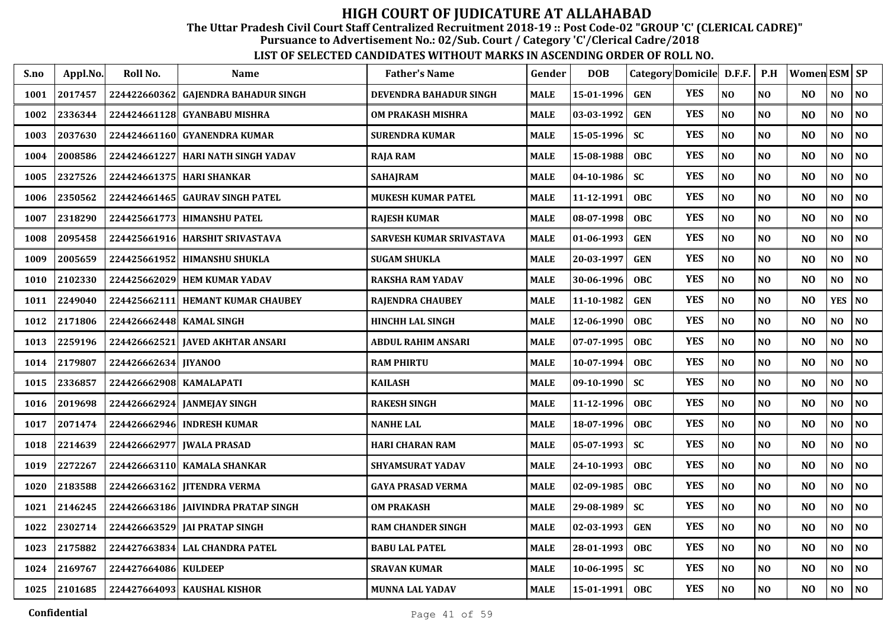The Uttar Pradesh Civil Court Staff Centralized Recruitment 2018-19 :: Post Code-02 "GROUP 'C' (CLERICAL CADRE)"

Pursuance to Advertisement No.: 02/Sub. Court / Category 'C'/Clerical Cadre/2018

| S.no | Appl.No. | Roll No.                 | Name                                 | <b>Father's Name</b>      | Gender      | <b>DOB</b> | Category Domicile D.F.F. |            |                | P.H            | Women ESM   SP |            |                |
|------|----------|--------------------------|--------------------------------------|---------------------------|-------------|------------|--------------------------|------------|----------------|----------------|----------------|------------|----------------|
| 1001 | 2017457  |                          | 224422660362 GAJENDRA BAHADUR SINGH  | DEVENDRA BAHADUR SINGH    | <b>MALE</b> | 15-01-1996 | <b>GEN</b>               | <b>YES</b> | NO             | NO             | NO             | NO         | NO             |
| 1002 | 2336344  |                          | 224424661128 GYANBABU MISHRA         | OM PRAKASH MISHRA         | <b>MALE</b> | 03-03-1992 | <b>GEN</b>               | <b>YES</b> | NO             | NO             | N <sub>O</sub> | NO         | N <sub>0</sub> |
| 1003 | 2037630  |                          | 224424661160  GYANENDRA KUMAR        | <b>SURENDRA KUMAR</b>     | MALE        | 15-05-1996 | <b>SC</b>                | <b>YES</b> | $\bf NO$       | NO             | N <sub>O</sub> | NO         | NO             |
| 1004 | 2008586  |                          | 224424661227   HARI NATH SINGH YADAV | RAJA RAM                  | <b>MALE</b> | 15-08-1988 | <b>OBC</b>               | <b>YES</b> | NO             | NO             | NO             | NO         | NO             |
| 1005 | 2327526  |                          | 224424661375  HARI SHANKAR           | <b>SAHAJRAM</b>           | <b>MALE</b> | 04-10-1986 | <b>SC</b>                | <b>YES</b> | NO             | NO             | N <sub>O</sub> | NO         | NO             |
| 1006 | 2350562  |                          | 224424661465  GAURAV SINGH PATEL     | <b>MUKESH KUMAR PATEL</b> | <b>MALE</b> | 11-12-1991 | <b>OBC</b>               | <b>YES</b> | NO             | NO             | N <sub>O</sub> | NO         | NO             |
| 1007 | 2318290  |                          | 224425661773   HIMANSHU PATEL        | <b>RAJESH KUMAR</b>       | MALE        | 08-07-1998 | <b>OBC</b>               | <b>YES</b> | NO             | NO             | N <sub>O</sub> | NO         | NO             |
| 1008 | 2095458  |                          | 224425661916 HARSHIT SRIVASTAVA      | SARVESH KUMAR SRIVASTAVA  | MALE        | 01-06-1993 | <b>GEN</b>               | <b>YES</b> | NO             | NO             | N <sub>O</sub> | NO         | NO             |
| 1009 | 2005659  |                          | 224425661952   HIMANSHU SHUKLA       | <b>SUGAM SHUKLA</b>       | <b>MALE</b> | 20-03-1997 | <b>GEN</b>               | <b>YES</b> | NO             | NO             | N <sub>O</sub> | NO         | N <sub>O</sub> |
| 1010 | 2102330  |                          | 224425662029 HEM KUMAR YADAV         | <b>RAKSHA RAM YADAV</b>   | <b>MALE</b> | 30-06-1996 | <b>OBC</b>               | <b>YES</b> | NO             | NO             | N <sub>O</sub> | NO         | NO             |
| 1011 | 2249040  |                          | 224425662111   HEMANT KUMAR CHAUBEY  | <b>RAJENDRA CHAUBEY</b>   | MALE        | 11-10-1982 | <b>GEN</b>               | <b>YES</b> | NO             | N <sub>O</sub> | N <sub>O</sub> | <b>YES</b> | N <sub>O</sub> |
| 1012 | 2171806  | 224426662448 KAMAL SINGH |                                      | <b>HINCHH LAL SINGH</b>   | <b>MALE</b> | 12-06-1990 | <b>OBC</b>               | <b>YES</b> | NO             | N <sub>O</sub> | N <sub>O</sub> | NO         | N <sub>O</sub> |
| 1013 | 2259196  |                          | 224426662521 JAVED AKHTAR ANSARI     | ABDUL RAHIM ANSARI        | <b>MALE</b> | 07-07-1995 | <b>OBC</b>               | <b>YES</b> | NO             | NO             | N <sub>O</sub> | NO         | N <sub>O</sub> |
| 1014 | 2179807  | 224426662634 JIYANOO     |                                      | <b>RAM PHIRTU</b>         | <b>MALE</b> | 10-07-1994 | <b>OBC</b>               | <b>YES</b> | NO             | NO             | N <sub>O</sub> | NO         | N <sub>0</sub> |
| 1015 | 2336857  | 224426662908 KAMALAPATI  |                                      | <b>KAILASH</b>            | <b>MALE</b> | 09-10-1990 | <b>SC</b>                | <b>YES</b> | NO             | NO.            | N <sub>O</sub> | NO         | N <sub>O</sub> |
| 1016 | 2019698  |                          |                                      | <b>RAKESH SINGH</b>       | <b>MALE</b> | 11-12-1996 | <b>OBC</b>               | <b>YES</b> | N <sub>O</sub> | NO             | N <sub>O</sub> | NO         | NO             |
| 1017 | 2071474  |                          | 224426662946 INDRESH KUMAR           | <b>NANHE LAL</b>          | <b>MALE</b> | 18-07-1996 | <b>OBC</b>               | <b>YES</b> | NO             | NO             | N <sub>O</sub> | NO         | N <sub>O</sub> |
| 1018 | 2214639  |                          | 224426662977   JWALA PRASAD          | <b>HARI CHARAN RAM</b>    | <b>MALE</b> | 05-07-1993 | <b>SC</b>                | <b>YES</b> | NO             | NO             | N <sub>O</sub> | NO         | N <sub>O</sub> |
| 1019 | 2272267  |                          | 224426663110   KAMALA SHANKAR        | <b>SHYAMSURAT YADAV</b>   | <b>MALE</b> | 24-10-1993 | <b>OBC</b>               | <b>YES</b> | NO             | NO             | N <sub>O</sub> | NO         | N <sub>O</sub> |
| 1020 | 2183588  |                          | 224426663162  JITENDRA VERMA         | <b>GAYA PRASAD VERMA</b>  | MALE        | 02-09-1985 | <b>OBC</b>               | <b>YES</b> | NO             | NO             | N <sub>O</sub> | NO         | N <sub>O</sub> |
| 1021 | 2146245  |                          | 224426663186  JAIVINDRA PRATAP SINGH | <b>OM PRAKASH</b>         | <b>MALE</b> | 29-08-1989 | <b>SC</b>                | <b>YES</b> | NO             | N <sub>O</sub> | N <sub>O</sub> | NO         | NO             |
| 1022 | 2302714  |                          | 224426663529   JAI PRATAP SINGH      | <b>RAM CHANDER SINGH</b>  | <b>MALE</b> | 02-03-1993 | <b>GEN</b>               | <b>YES</b> | NO             | NO             | N <sub>O</sub> | NO         | NO             |
| 1023 | 2175882  |                          | 224427663834 LAL CHANDRA PATEL       | <b>BABU LAL PATEL</b>     | <b>MALE</b> | 28-01-1993 | <b>OBC</b>               | <b>YES</b> | $\bf NO$       | N <sub>O</sub> | NO             | NO         | $\bf NO$       |
| 1024 | 2169767  | 224427664086 KULDEEP     |                                      | <b>SRAVAN KUMAR</b>       | <b>MALE</b> | 10-06-1995 | <b>SC</b>                | <b>YES</b> | $\bf NO$       | NO             | N <sub>O</sub> | NO         | N <sub>O</sub> |
| 1025 | 2101685  |                          | 224427664093 KAUSHAL KISHOR          | <b>MUNNA LAL YADAV</b>    | <b>MALE</b> | 15-01-1991 | <b>OBC</b>               | <b>YES</b> | $\bf NO$       | NO             | NO             | NO         | $\bf NO$       |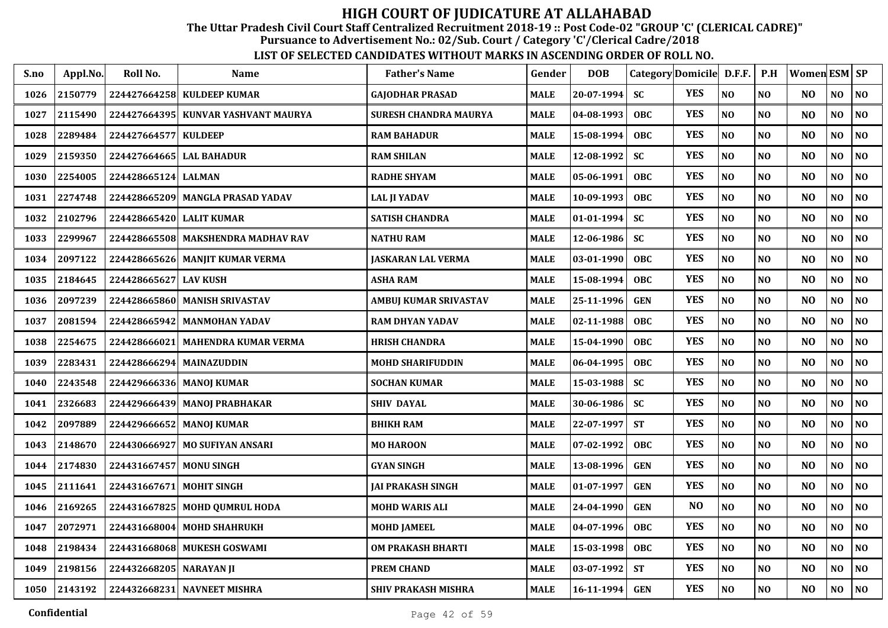The Uttar Pradesh Civil Court Staff Centralized Recruitment 2018-19 :: Post Code-02 "GROUP 'C' (CLERICAL CADRE)"

Pursuance to Advertisement No.: 02/Sub. Court / Category 'C'/Clerical Cadre/2018

| S.no | Appl.No. | Roll No.                 | Name                               | <b>Father's Name</b>       | Gender      | <b>DOB</b>   |            | Category Domicile D.F.F. |                | P.H            | Women ESM SP   |                |                |
|------|----------|--------------------------|------------------------------------|----------------------------|-------------|--------------|------------|--------------------------|----------------|----------------|----------------|----------------|----------------|
| 1026 | 2150779  | 224427664258             | <b>KULDEEP KUMAR</b>               | <b>GAJODHAR PRASAD</b>     | <b>MALE</b> | 20-07-1994   | <b>SC</b>  | <b>YES</b>               | N <sub>O</sub> | <b>NO</b>      | N <sub>O</sub> | NO             | <b>NO</b>      |
| 1027 | 2115490  | 224427664395             | KUNVAR YASHVANT MAURYA             | SURESH CHANDRA MAURYA      | <b>MALE</b> | 04-08-1993   | <b>OBC</b> | <b>YES</b>               | N <sub>O</sub> | N <sub>O</sub> | N <sub>O</sub> | N <sub>O</sub> | <b>NO</b>      |
| 1028 | 2289484  | 224427664577 KULDEEP     |                                    | <b>RAM BAHADUR</b>         | <b>MALE</b> | 15-08-1994   | <b>OBC</b> | <b>YES</b>               | NO             | N <sub>O</sub> | N <sub>O</sub> | NO             | <b>NO</b>      |
| 1029 | 2159350  | 224427664665             | <b>LAL BAHADUR</b>                 | <b>RAM SHILAN</b>          | <b>MALE</b> | 12-08-1992   | <b>SC</b>  | <b>YES</b>               | $\bf NO$       | NO             | N <sub>O</sub> | NO             | N <sub>O</sub> |
| 1030 | 2254005  | 224428665124             | <b>LALMAN</b>                      | <b>RADHE SHYAM</b>         | <b>MALE</b> | 05-06-1991   | <b>OBC</b> | <b>YES</b>               | NO             | NO             | N <sub>O</sub> | $\bf NO$       | NO             |
| 1031 | 2274748  |                          | 224428665209 MANGLA PRASAD YADAV   | <b>LAL JI YADAV</b>        | <b>MALE</b> | 10-09-1993   | <b>OBC</b> | <b>YES</b>               | $\bf NO$       | NO             | N <sub>O</sub> | $\bf NO$       | $\bf NO$       |
| 1032 | 2102796  | 224428665420 LALIT KUMAR |                                    | <b>SATISH CHANDRA</b>      | <b>MALE</b> | $01-01-1994$ | <b>SC</b>  | <b>YES</b>               | $\bf NO$       | <b>NO</b>      | N <sub>O</sub> | NO             | NO             |
| 1033 | 2299967  |                          | 224428665508 MAKSHENDRA MADHAV RAV | <b>NATHU RAM</b>           | <b>MALE</b> | 12-06-1986   | <b>SC</b>  | <b>YES</b>               | $\bf NO$       | N <sub>O</sub> | N <sub>O</sub> | NO             | <b>NO</b>      |
| 1034 | 2097122  |                          | 224428665626 MANJIT KUMAR VERMA    | JASKARAN LAL VERMA         | MALE        | 03-01-1990   | <b>OBC</b> | <b>YES</b>               | $\bf NO$       | NO             | N <sub>O</sub> | NO.            | <b>NO</b>      |
| 1035 | 2184645  | 224428665627             | <b>LAV KUSH</b>                    | <b>ASHA RAM</b>            | <b>MALE</b> | 15-08-1994   | <b>OBC</b> | <b>YES</b>               | NO             | NO             | N <sub>O</sub> | NO             | <b>NO</b>      |
| 1036 | 2097239  |                          | 224428665860 MANISH SRIVASTAV      | AMBUJ KUMAR SRIVASTAV      | <b>MALE</b> | 25-11-1996   | <b>GEN</b> | <b>YES</b>               | $\bf NO$       | <b>NO</b>      | N <sub>O</sub> | NO             | N <sub>O</sub> |
| 1037 | 2081594  |                          | 224428665942 MANMOHAN YADAV        | <b>RAM DHYAN YADAV</b>     | <b>MALE</b> | 02-11-1988   | <b>OBC</b> | <b>YES</b>               | NO             | N <sub>O</sub> | N <sub>O</sub> | $\bf NO$       | <b>NO</b>      |
| 1038 | 2254675  | 224428666021             | <b>MAHENDRA KUMAR VERMA</b>        | <b>HRISH CHANDRA</b>       | <b>MALE</b> | 15-04-1990   | OBC.       | <b>YES</b>               | $\bf NO$       | NO             | N <sub>O</sub> | $\bf NO$       | N <sub>O</sub> |
| 1039 | 2283431  | 224428666294             | <b>MAINAZUDDIN</b>                 | <b>MOHD SHARIFUDDIN</b>    | <b>MALE</b> | 06-04-1995   | <b>OBC</b> | <b>YES</b>               | NO             | <b>NO</b>      | N <sub>O</sub> | $\bf NO$       | NO             |
| 1040 | 2243548  |                          | 224429666336 MANOJ KUMAR           | <b>SOCHAN KUMAR</b>        | <b>MALE</b> | 15-03-1988   | <b>SC</b>  | <b>YES</b>               | $\bf NO$       | NO             | N <sub>O</sub> | $\bf NO$       | $\bf NO$       |
| 1041 | 2326683  |                          | 224429666439 MANOJ PRABHAKAR       | <b>SHIV DAYAL</b>          | <b>MALE</b> | 30-06-1986   | <b>SC</b>  | <b>YES</b>               | $\bf NO$       | <b>NO</b>      | N <sub>O</sub> | NO             | NO             |
| 1042 | 2097889  |                          | 224429666652 MANOJ KUMAR           | <b>BHIKH RAM</b>           | <b>MALE</b> | 22-07-1997   | <b>ST</b>  | <b>YES</b>               | $\bf NO$       | N <sub>0</sub> | N <sub>O</sub> | NO             | <b>NO</b>      |
| 1043 | 2148670  | 224430666927             | <b>MO SUFIYAN ANSARI</b>           | <b>MO HAROON</b>           | <b>MALE</b> | 07-02-1992   | <b>OBC</b> | <b>YES</b>               | $\bf NO$       | N <sub>0</sub> | N <sub>O</sub> | NO.            | <b>NO</b>      |
| 1044 | 2174830  | 224431667457 MONU SINGH  |                                    | <b>GYAN SINGH</b>          | <b>MALE</b> | 13-08-1996   | <b>GEN</b> | <b>YES</b>               | $\bf NO$       | <b>NO</b>      | N <sub>O</sub> | NO             | <b>NO</b>      |
| 1045 | 2111641  | 224431667671 MOHIT SINGH |                                    | JAI PRAKASH SINGH          | <b>MALE</b> | 01-07-1997   | <b>GEN</b> | <b>YES</b>               | $\bf NO$       | <b>NO</b>      | N <sub>O</sub> | NO             | N <sub>O</sub> |
| 1046 | 2169265  |                          | 224431667825 MOHD QUMRUL HODA      | MOHD WARIS ALI             | <b>MALE</b> | 24-04-1990   | <b>GEN</b> | N <sub>O</sub>           | $\bf NO$       | <b>NO</b>      | N <sub>O</sub> | NO             | <b>NO</b>      |
| 1047 | 2072971  | 224431668004             | <b>MOHD SHAHRUKH</b>               | MOHD JAMEEL                | <b>MALE</b> | 04-07-1996   | OBC.       | <b>YES</b>               | $\bf NO$       | N <sub>0</sub> | N <sub>O</sub> | $\bf NO$       | <b>NO</b>      |
| 1048 | 2198434  |                          | 224431668068 MUKESH GOSWAMI        | <b>OM PRAKASH BHARTI</b>   | <b>MALE</b> | 15-03-1998   | <b>OBC</b> | <b>YES</b>               | N <sub>O</sub> | <b>NO</b>      | N <sub>O</sub> | $\bf NO$       | NO             |
| 1049 | 2198156  | 224432668205 NARAYAN JI  |                                    | <b>PREM CHAND</b>          | <b>MALE</b> | 03-07-1992   | <b>ST</b>  | <b>YES</b>               | $\bf NO$       | <b>NO</b>      | N <sub>O</sub> | N <sub>0</sub> | NO             |
| 1050 | 2143192  |                          | 224432668231 NAVNEET MISHRA        | <b>SHIV PRAKASH MISHRA</b> | <b>MALE</b> | 16-11-1994   | <b>GEN</b> | <b>YES</b>               | NO             | N <sub>O</sub> | N <sub>O</sub> | NO             | N <sub>O</sub> |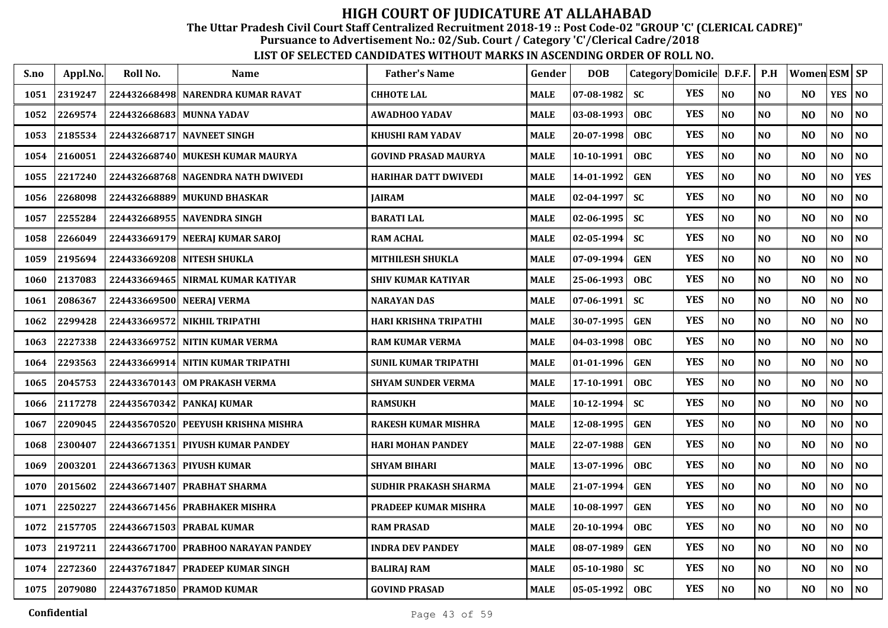The Uttar Pradesh Civil Court Staff Centralized Recruitment 2018-19 :: Post Code-02 "GROUP 'C' (CLERICAL CADRE)"

Pursuance to Advertisement No.: 02/Sub. Court / Category 'C'/Clerical Cadre/2018

| S.no | Appl.No. | Roll No.     | <b>Name</b>                         | <b>Father's Name</b>         | Gender      | <b>DOB</b> | Category Domicile D.F.F. |            |          | P.H            | <b>Women ESM SP</b> |                |                |
|------|----------|--------------|-------------------------------------|------------------------------|-------------|------------|--------------------------|------------|----------|----------------|---------------------|----------------|----------------|
| 1051 | 2319247  |              | 224432668498 NARENDRA KUMAR RAVAT   | <b>CHHOTE LAL</b>            | <b>MALE</b> | 07-08-1982 | <b>SC</b>                | <b>YES</b> | NO       | N <sub>O</sub> | N <sub>O</sub>      | <b>YES</b>     | N <sub>O</sub> |
| 1052 | 2269574  |              | 224432668683 MUNNA YADAV            | <b>AWADHOO YADAV</b>         | <b>MALE</b> | 03-08-1993 | <b>OBC</b>               | <b>YES</b> | NO       | NO             | N <sub>O</sub>      | NO             | NO             |
| 1053 | 2185534  | 224432668717 | <b>NAVNEET SINGH</b>                | <b>KHUSHI RAM YADAV</b>      | <b>MALE</b> | 20-07-1998 | <b>OBC</b>               | <b>YES</b> | NO       | N <sub>O</sub> | N <sub>O</sub>      | NO             | NO             |
| 1054 | 2160051  | 224432668740 | <b>MUKESH KUMAR MAURYA</b>          | <b>GOVIND PRASAD MAURYA</b>  | <b>MALE</b> | 10-10-1991 | <b>OBC</b>               | <b>YES</b> | NO       | NO             | N <sub>O</sub>      | N <sub>O</sub> | NO             |
| 1055 | 2217240  |              | 224432668768 NAGENDRA NATH DWIVEDI  | <b>HARIHAR DATT DWIVEDI</b>  | <b>MALE</b> | 14-01-1992 | <b>GEN</b>               | <b>YES</b> | NO       | N <sub>O</sub> | N <sub>O</sub>      | NO             | <b>YES</b>     |
| 1056 | 2268098  | 224432668889 | <b>MUKUND BHASKAR</b>               | <b>JAIRAM</b>                | <b>MALE</b> | 02-04-1997 | <b>SC</b>                | <b>YES</b> | NO       | N <sub>0</sub> | N <sub>O</sub>      | NO             | N <sub>0</sub> |
| 1057 | 2255284  |              | 224432668955 NAVENDRA SINGH         | <b>BARATI LAL</b>            | <b>MALE</b> | 02-06-1995 | <b>SC</b>                | <b>YES</b> | $\bf NO$ | N <sub>0</sub> | N <sub>O</sub>      | NO             | N <sub>0</sub> |
| 1058 | 2266049  |              | 224433669179 NEERAJ KUMAR SAROJ     | <b>RAM ACHAL</b>             | <b>MALE</b> | 02-05-1994 | <b>SC</b>                | <b>YES</b> | NO       | NO             | N <sub>O</sub>      | NO.            | N <sub>0</sub> |
| 1059 | 2195694  |              | 224433669208 NITESH SHUKLA          | <b>MITHILESH SHUKLA</b>      | <b>MALE</b> | 07-09-1994 | <b>GEN</b>               | <b>YES</b> | NO       | N <sub>O</sub> | N <sub>O</sub>      | NO             | N <sub>0</sub> |
| 1060 | 2137083  |              | 224433669465 NIRMAL KUMAR KATIYAR   | <b>SHIV KUMAR KATIYAR</b>    | <b>MALE</b> | 25-06-1993 | OBC                      | <b>YES</b> | NO       | N <sub>O</sub> | N <sub>O</sub>      | NO.            | N <sub>0</sub> |
| 1061 | 2086367  |              | 224433669500 NEERAJ VERMA           | <b>NARAYAN DAS</b>           | <b>MALE</b> | 07-06-1991 | <b>SC</b>                | <b>YES</b> | NO       | N <sub>O</sub> | NO                  | NO             | N <sub>O</sub> |
| 1062 | 2299428  | 224433669572 | <b>NIKHIL TRIPATHI</b>              | <b>HARI KRISHNA TRIPATHI</b> | <b>MALE</b> | 30-07-1995 | <b>GEN</b>               | <b>YES</b> | NO       | NO             | N <sub>O</sub>      | N <sub>O</sub> | N <sub>O</sub> |
| 1063 | 2227338  | 224433669752 | <b>NITIN KUMAR VERMA</b>            | <b>RAM KUMAR VERMA</b>       | <b>MALE</b> | 04-03-1998 | <b>OBC</b>               | <b>YES</b> | NO       | N <sub>O</sub> | N <sub>O</sub>      | NO             | N <sub>0</sub> |
| 1064 | 2293563  |              | 224433669914 NITIN KUMAR TRIPATHI   | <b>SUNIL KUMAR TRIPATHI</b>  | <b>MALE</b> | 01-01-1996 | <b>GEN</b>               | <b>YES</b> | NO       | N <sub>O</sub> | N <sub>O</sub>      | N <sub>O</sub> | NO             |
| 1065 | 2045753  |              | 224433670143 OM PRAKASH VERMA       | <b>SHYAM SUNDER VERMA</b>    | <b>MALE</b> | 17-10-1991 | <b>OBC</b>               | <b>YES</b> | NO       | N <sub>O</sub> | N <sub>O</sub>      | N <sub>O</sub> | NO             |
| 1066 | 2117278  |              | 224435670342 PANKAJ KUMAR           | <b>RAMSUKH</b>               | <b>MALE</b> | 10-12-1994 | <b>SC</b>                | <b>YES</b> | NO       | NO             | N <sub>O</sub>      | N <sub>O</sub> | NO             |
| 1067 | 2209045  |              | 224435670520 PEEYUSH KRISHNA MISHRA | <b>RAKESH KUMAR MISHRA</b>   | <b>MALE</b> | 12-08-1995 | <b>GEN</b>               | <b>YES</b> | NO       | N <sub>O</sub> | NO                  | NO             | NO             |
| 1068 | 2300407  | 224436671351 | <b>PIYUSH KUMAR PANDEY</b>          | <b>HARI MOHAN PANDEY</b>     | <b>MALE</b> | 22-07-1988 | <b>GEN</b>               | <b>YES</b> | NO       | N <sub>O</sub> | N <sub>O</sub>      | N <sub>O</sub> | NO             |
| 1069 | 2003201  |              | 224436671363 PIYUSH KUMAR           | <b>SHYAM BIHARI</b>          | <b>MALE</b> | 13-07-1996 | <b>OBC</b>               | <b>YES</b> | NO       | N <sub>O</sub> | N <sub>O</sub>      | NO             | N <sub>0</sub> |
| 1070 | 2015602  |              | 224436671407 PRABHAT SHARMA         | SUDHIR PRAKASH SHARMA        | <b>MALE</b> | 21-07-1994 | <b>GEN</b>               | <b>YES</b> | NO       | NO             | N <sub>O</sub>      | NO             | NO             |
| 1071 | 2250227  |              | 224436671456 PRABHAKER MISHRA       | <b>PRADEEP KUMAR MISHRA</b>  | <b>MALE</b> | 10-08-1997 | <b>GEN</b>               | <b>YES</b> | NO       | N <sub>O</sub> | N <sub>O</sub>      | N <sub>O</sub> | NO             |
| 1072 | 2157705  | 224436671503 | <b>PRABAL KUMAR</b>                 | <b>RAM PRASAD</b>            | <b>MALE</b> | 20-10-1994 | <b>OBC</b>               | <b>YES</b> | NO       | NO             | N <sub>O</sub>      | NO             | NO             |
| 1073 | 2197211  |              | 224436671700 PRABHOO NARAYAN PANDEY | <b>INDRA DEV PANDEY</b>      | <b>MALE</b> | 08-07-1989 | <b>GEN</b>               | <b>YES</b> | NO       | N <sub>O</sub> | N <sub>O</sub>      | N <sub>O</sub> | NO             |
| 1074 | 2272360  | 224437671847 | <b>PRADEEP KUMAR SINGH</b>          | <b>BALIRAJ RAM</b>           | <b>MALE</b> | 05-10-1980 | <b>SC</b>                | <b>YES</b> | $\bf NO$ | NO             | NO                  | $\bf NO$       | $\bf NO$       |
| 1075 | 2079080  |              | 224437671850 PRAMOD KUMAR           | <b>GOVIND PRASAD</b>         | <b>MALE</b> | 05-05-1992 | <b>OBC</b>               | <b>YES</b> | $\bf NO$ | $\bf NO$       | N <sub>O</sub>      | NO             | $\bf NO$       |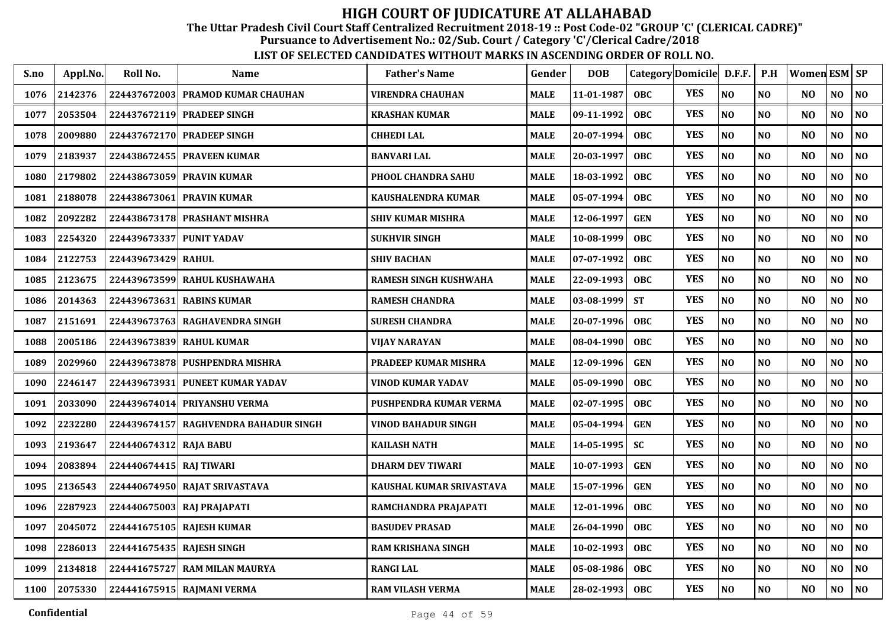The Uttar Pradesh Civil Court Staff Centralized Recruitment 2018-19 :: Post Code-02 "GROUP 'C' (CLERICAL CADRE)"

Pursuance to Advertisement No.: 02/Sub. Court / Category 'C'/Clerical Cadre/2018

| S.no | Appl.No. | Roll No.                  | <b>Name</b>                       | <b>Father's Name</b>       | Gender      | <b>DOB</b> | Category Domicile D.F.F. |            |                | P.H            | <b>Women ESM SP</b> |                |                |
|------|----------|---------------------------|-----------------------------------|----------------------------|-------------|------------|--------------------------|------------|----------------|----------------|---------------------|----------------|----------------|
| 1076 | 2142376  |                           | 224437672003 PRAMOD KUMAR CHAUHAN | <b>VIRENDRA CHAUHAN</b>    | <b>MALE</b> | 11-01-1987 | <b>OBC</b>               | <b>YES</b> | N <sub>O</sub> | N <sub>O</sub> | N <sub>O</sub>      | NO             | NO             |
| 1077 | 2053504  |                           | 224437672119 PRADEEP SINGH        | KRASHAN KUMAR              | <b>MALE</b> | 09-11-1992 | <b>OBC</b>               | <b>YES</b> | NO             | N <sub>O</sub> | N <sub>O</sub>      | NO             | NO             |
| 1078 | 2009880  |                           | 224437672170 PRADEEP SINGH        | <b>CHHEDILAL</b>           | <b>MALE</b> | 20-07-1994 | <b>OBC</b>               | <b>YES</b> | NO             | N <sub>O</sub> | N <sub>O</sub>      | N <sub>O</sub> | N <sub>0</sub> |
| 1079 | 2183937  | 224438672455              | <b>PRAVEEN KUMAR</b>              | <b>BANVARI LAL</b>         | <b>MALE</b> | 20-03-1997 | <b>OBC</b>               | <b>YES</b> | NO             | NO             | N <sub>O</sub>      | N <sub>O</sub> | NO             |
| 1080 | 2179802  |                           | 224438673059 PRAVIN KUMAR         | PHOOL CHANDRA SAHU         | <b>MALE</b> | 18-03-1992 | <b>OBC</b>               | <b>YES</b> | NO             | N <sub>O</sub> | N <sub>O</sub>      | N <sub>O</sub> | N <sub>0</sub> |
| 1081 | 2188078  | 224438673061              | <b>PRAVIN KUMAR</b>               | <b>KAUSHALENDRA KUMAR</b>  | <b>MALE</b> | 05-07-1994 | <b>OBC</b>               | <b>YES</b> | NO             | N <sub>0</sub> | N <sub>O</sub>      | NO             | $\bf NO$       |
| 1082 | 2092282  |                           | 224438673178 PRASHANT MISHRA      | <b>SHIV KUMAR MISHRA</b>   | <b>MALE</b> | 12-06-1997 | <b>GEN</b>               | <b>YES</b> | NO             | N <sub>0</sub> | N <sub>O</sub>      | NO             | $\bf NO$       |
| 1083 | 2254320  | 224439673337              | <b>PUNIT YADAV</b>                | <b>SUKHVIR SINGH</b>       | <b>MALE</b> | 10-08-1999 | <b>OBC</b>               | <b>YES</b> | NO             | NO             | N <sub>O</sub>      | NO.            | N <sub>0</sub> |
| 1084 | 2122753  | 224439673429              | <b>RAHUL</b>                      | <b>SHIV BACHAN</b>         | <b>MALE</b> | 07-07-1992 | <b>OBC</b>               | <b>YES</b> | NO             | N <sub>O</sub> | N <sub>O</sub>      | N <sub>O</sub> | N <sub>0</sub> |
| 1085 | 2123675  |                           | 224439673599 RAHUL KUSHAWAHA      | RAMESH SINGH KUSHWAHA      | <b>MALE</b> | 22-09-1993 | OBC                      | <b>YES</b> | NO             | N <sub>0</sub> | N <sub>O</sub>      | NO.            | N <sub>0</sub> |
| 1086 | 2014363  |                           | 224439673631 RABINS KUMAR         | <b>RAMESH CHANDRA</b>      | <b>MALE</b> | 03-08-1999 | <b>ST</b>                | <b>YES</b> | $\bf NO$       | N <sub>O</sub> | NO                  | NO             | $\bf NO$       |
| 1087 | 2151691  | 224439673763              | <b>RAGHAVENDRA SINGH</b>          | <b>SURESH CHANDRA</b>      | <b>MALE</b> | 20-07-1996 | <b>OBC</b>               | <b>YES</b> | NO             | N <sub>O</sub> | N <sub>O</sub>      | N <sub>O</sub> | N <sub>O</sub> |
| 1088 | 2005186  | 224439673839              | <b>RAHUL KUMAR</b>                | VIJAY NARAYAN              | <b>MALE</b> | 08-04-1990 | <b>OBC</b>               | <b>YES</b> | NO             | N <sub>O</sub> | N <sub>O</sub>      | NO             | N <sub>0</sub> |
| 1089 | 2029960  |                           | 224439673878 PUSHPENDRA MISHRA    | PRADEEP KUMAR MISHRA       | <b>MALE</b> | 12-09-1996 | <b>GEN</b>               | <b>YES</b> | N <sub>O</sub> | N <sub>O</sub> | N <sub>O</sub>      | N <sub>O</sub> | N <sub>O</sub> |
| 1090 | 2246147  | 224439673931              | <b>PUNEET KUMAR YADAV</b>         | <b>VINOD KUMAR YADAV</b>   | <b>MALE</b> | 05-09-1990 | <b>OBC</b>               | <b>YES</b> | N <sub>O</sub> | N <sub>O</sub> | N <sub>O</sub>      | N <sub>O</sub> | NO             |
| 1091 | 2033090  |                           | 224439674014 PRIYANSHU VERMA      | PUSHPENDRA KUMAR VERMA     | <b>MALE</b> | 02-07-1995 | <b>OBC</b>               | <b>YES</b> | NO             | NO             | N <sub>O</sub>      | N <sub>O</sub> | N <sub>0</sub> |
| 1092 | 2232280  | 224439674157              | <b>RAGHVENDRA BAHADUR SINGH</b>   | <b>VINOD BAHADUR SINGH</b> | <b>MALE</b> | 05-04-1994 | <b>GEN</b>               | <b>YES</b> | NO             | NO             | N <sub>O</sub>      | NO             | NO             |
| 1093 | 2193647  | 224440674312 RAJA BABU    |                                   | <b>KAILASH NATH</b>        | <b>MALE</b> | 14-05-1995 | <b>SC</b>                | <b>YES</b> | NO             | N <sub>O</sub> | N <sub>O</sub>      | NO             | NO             |
| 1094 | 2083894  | 224440674415 RAJ TIWARI   |                                   | <b>DHARM DEV TIWARI</b>    | <b>MALE</b> | 10-07-1993 | <b>GEN</b>               | <b>YES</b> | NO             | N <sub>O</sub> | N <sub>O</sub>      | NO             | N <sub>0</sub> |
| 1095 | 2136543  |                           | 224440674950 RAJAT SRIVASTAVA     | KAUSHAL KUMAR SRIVASTAVA   | <b>MALE</b> | 15-07-1996 | <b>GEN</b>               | <b>YES</b> | NO             | N <sub>O</sub> | N <sub>O</sub>      | NO             | N <sub>0</sub> |
| 1096 | 2287923  |                           | 224440675003 RAJ PRAJAPATI        | RAMCHANDRA PRAJAPATI       | <b>MALE</b> | 12-01-1996 | <b>OBC</b>               | <b>YES</b> | NO             | N <sub>O</sub> | N <sub>O</sub>      | NO             | N <sub>0</sub> |
| 1097 | 2045072  |                           | 224441675105 RAJESH KUMAR         | <b>BASUDEV PRASAD</b>      | <b>MALE</b> | 26-04-1990 | <b>OBC</b>               | <b>YES</b> | NO             | NO             | N <sub>O</sub>      | N <sub>O</sub> | N <sub>0</sub> |
| 1098 | 2286013  | 224441675435 RAJESH SINGH |                                   | <b>RAM KRISHANA SINGH</b>  | <b>MALE</b> | 10-02-1993 | <b>OBC</b>               | <b>YES</b> | NO             | NO             | N <sub>O</sub>      | N <sub>O</sub> | NO             |
| 1099 | 2134818  | 224441675727              | <b>RAM MILAN MAURYA</b>           | <b>RANGI LAL</b>           | <b>MALE</b> | 05-08-1986 | <b>OBC</b>               | <b>YES</b> | $\bf NO$       | $\bf NO$       | NO                  | NO             | $\bf NO$       |
| 1100 | 2075330  |                           | 224441675915 RAJMANI VERMA        | <b>RAM VILASH VERMA</b>    | <b>MALE</b> | 28-02-1993 | <b>OBC</b>               | <b>YES</b> | $\bf NO$       | $\bf NO$       | N <sub>O</sub>      | NO             | $\bf NO$       |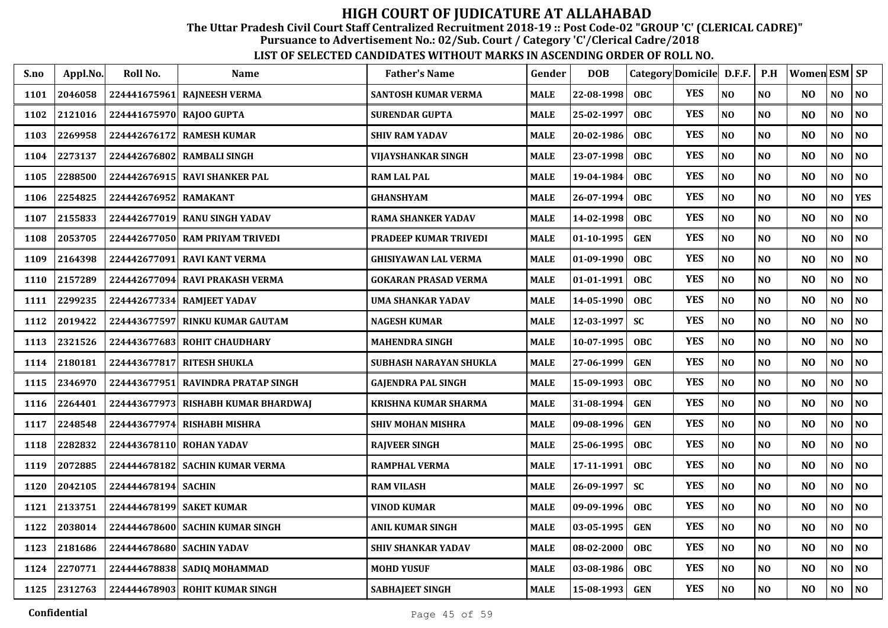The Uttar Pradesh Civil Court Staff Centralized Recruitment 2018-19 :: Post Code-02 "GROUP 'C' (CLERICAL CADRE)"

Pursuance to Advertisement No.: 02/Sub. Court / Category 'C'/Clerical Cadre/2018

| S.no | Appl.No. | Roll No.                 | <b>Name</b>                     | <b>Father's Name</b>         | Gender      | <b>DOB</b> |            | Category Domicile D.F.F. |                | P.H            | Women ESM SP   |          |                |
|------|----------|--------------------------|---------------------------------|------------------------------|-------------|------------|------------|--------------------------|----------------|----------------|----------------|----------|----------------|
| 1101 | 2046058  | 224441675961             | <b>RAJNEESH VERMA</b>           | SANTOSH KUMAR VERMA          | <b>MALE</b> | 22-08-1998 | <b>OBC</b> | <b>YES</b>               | N <sub>O</sub> | NO             | N <sub>O</sub> | NO       | $\bf NO$       |
| 1102 | 2121016  | 224441675970 RAJOO GUPTA |                                 | <b>SURENDAR GUPTA</b>        | MALE        | 25-02-1997 | <b>OBC</b> | <b>YES</b>               | NO             | NO             | N <sub>O</sub> | NO       | $\bf NO$       |
| 1103 | 2269958  | 224442676172             | <b>RAMESH KUMAR</b>             | <b>SHIV RAM YADAV</b>        | <b>MALE</b> | 20-02-1986 | <b>OBC</b> | <b>YES</b>               | NO             | NO             | N <sub>O</sub> | NO       | $\bf NO$       |
| 1104 | 2273137  | 224442676802             | <b>RAMBALI SINGH</b>            | VIJAYSHANKAR SINGH           | <b>MALE</b> | 23-07-1998 | <b>OBC</b> | <b>YES</b>               | N <sub>O</sub> | NO             | NO             | NO       | NO             |
| 1105 | 2288500  | 224442676915             | <b>RAVI SHANKER PAL</b>         | <b>RAM LAL PAL</b>           | <b>MALE</b> | 19-04-1984 | <b>OBC</b> | <b>YES</b>               | N <sub>O</sub> | NO             | N <sub>O</sub> | NO       | NO             |
| 1106 | 2254825  | 224442676952             | <b>RAMAKANT</b>                 | <b>GHANSHYAM</b>             | <b>MALE</b> | 26-07-1994 | <b>OBC</b> | <b>YES</b>               | N <sub>O</sub> | N <sub>O</sub> | N <sub>O</sub> | NO       | <b>YES</b>     |
| 1107 | 2155833  |                          | 224442677019 RANU SINGH YADAV   | <b>RAMA SHANKER YADAV</b>    | <b>MALE</b> | 14-02-1998 | <b>OBC</b> | <b>YES</b>               | N <sub>O</sub> | NO             | N <sub>O</sub> | NO       | NO             |
| 1108 | 2053705  |                          | 224442677050 RAM PRIYAM TRIVEDI | <b>PRADEEP KUMAR TRIVEDI</b> | <b>MALE</b> | 01-10-1995 | <b>GEN</b> | <b>YES</b>               | N <sub>O</sub> | N <sub>O</sub> | NO.            | NO.      | NO             |
| 1109 | 2164398  | 224442677091             | <b>RAVI KANT VERMA</b>          | <b>GHISIYAWAN LAL VERMA</b>  | MALE        | 01-09-1990 | <b>OBC</b> | <b>YES</b>               | N <sub>O</sub> | N <sub>O</sub> | NO             | NO       | N <sub>O</sub> |
| 1110 | 2157289  | 224442677094             | <b>RAVI PRAKASH VERMA</b>       | <b>GOKARAN PRASAD VERMA</b>  | <b>MALE</b> | 01-01-1991 | <b>OBC</b> | <b>YES</b>               | N <sub>O</sub> | NO             | N <sub>O</sub> | NO       | NO             |
| 1111 | 2299235  |                          | 224442677334 RAMJEET YADAV      | UMA SHANKAR YADAV            | MALE        | 14-05-1990 | <b>OBC</b> | <b>YES</b>               | NO             | NO             | N <sub>O</sub> | NO       | $\bf NO$       |
| 1112 | 2019422  | 224443677597             | <b>RINKU KUMAR GAUTAM</b>       | <b>NAGESH KUMAR</b>          | <b>MALE</b> | 12-03-1997 | <b>SC</b>  | <b>YES</b>               | N <sub>O</sub> | N <sub>0</sub> | N <sub>O</sub> | NO       | NO.            |
| 1113 | 2321526  | 224443677683             | <b>ROHIT CHAUDHARY</b>          | <b>MAHENDRA SINGH</b>        | <b>MALE</b> | 10-07-1995 | <b>OBC</b> | <b>YES</b>               | N <sub>O</sub> | NO             | N <sub>O</sub> | $\bf NO$ | N <sub>0</sub> |
| 1114 | 2180181  | 224443677817             | <b>RITESH SHUKLA</b>            | SUBHASH NARAYAN SHUKLA       | <b>MALE</b> | 27-06-1999 | <b>GEN</b> | <b>YES</b>               | N <sub>O</sub> | NO             | N <sub>O</sub> | NO       | N <sub>0</sub> |
| 1115 | 2346970  | 224443677951             | <b>RAVINDRA PRATAP SINGH</b>    | <b>GAJENDRA PAL SINGH</b>    | <b>MALE</b> | 15-09-1993 | <b>OBC</b> | <b>YES</b>               | N <sub>O</sub> | N <sub>0</sub> | N <sub>O</sub> | NO       | NO             |
| 1116 | 2264401  | 224443677973             | RISHABH KUMAR BHARDWAI          | KRISHNA KUMAR SHARMA         | <b>MALE</b> | 31-08-1994 | <b>GEN</b> | <b>YES</b>               | NO             | N <sub>0</sub> | N <sub>O</sub> | NO       | NO             |
| 1117 | 2248548  | 224443677974             | <b>RISHABH MISHRA</b>           | <b>SHIV MOHAN MISHRA</b>     | <b>MALE</b> | 09-08-1996 | <b>GEN</b> | <b>YES</b>               | N <sub>O</sub> | N <sub>0</sub> | N <sub>O</sub> | NO       | N <sub>0</sub> |
| 1118 | 2282832  | 224443678110             | <b>ROHAN YADAV</b>              | <b>RAJVEER SINGH</b>         | <b>MALE</b> | 25-06-1995 | <b>OBC</b> | <b>YES</b>               | N <sub>O</sub> | N <sub>O</sub> | N <sub>O</sub> | NO.      | NO             |
| 1119 | 2072885  |                          | 224444678182 SACHIN KUMAR VERMA | RAMPHAL VERMA                | <b>MALE</b> | 17-11-1991 | <b>OBC</b> | <b>YES</b>               | NO             | N <sub>O</sub> | N <sub>O</sub> | NO       | $\bf NO$       |
| 1120 | 2042105  | 224444678194             | <b>SACHIN</b>                   | <b>RAM VILASH</b>            | <b>MALE</b> | 26-09-1997 | <b>SC</b>  | <b>YES</b>               | $\bf NO$       | NO             | N <sub>O</sub> | NO       | NO.            |
| 1121 | 2133751  |                          | 224444678199 SAKET KUMAR        | <b>VINOD KUMAR</b>           | <b>MALE</b> | 09-09-1996 | <b>OBC</b> | <b>YES</b>               | N <sub>O</sub> | N <sub>O</sub> | N <sub>O</sub> | NO       | N <sub>0</sub> |
| 1122 | 2038014  |                          | 224444678600 SACHIN KUMAR SINGH | <b>ANIL KUMAR SINGH</b>      | <b>MALE</b> | 03-05-1995 | <b>GEN</b> | <b>YES</b>               | N <sub>O</sub> | NO             | N <sub>O</sub> | NO       | N <sub>0</sub> |
| 1123 | 2181686  |                          | 224444678680 SACHIN YADAV       | <b>SHIV SHANKAR YADAV</b>    | MALE        | 08-02-2000 | <b>OBC</b> | <b>YES</b>               | N <sub>O</sub> | N <sub>0</sub> | N <sub>O</sub> | NO.      | N <sub>O</sub> |
| 1124 | 2270771  |                          | 224444678838 SADIQ MOHAMMAD     | <b>MOHD YUSUF</b>            | <b>MALE</b> | 03-08-1986 | <b>OBC</b> | <b>YES</b>               | $\bf NO$       | NO             | NO             | NO       | N <sub>O</sub> |
| 1125 | 2312763  |                          | 224444678903 ROHIT KUMAR SINGH  | <b>SABHAJEET SINGH</b>       | <b>MALE</b> | 15-08-1993 | <b>GEN</b> | <b>YES</b>               | N <sub>O</sub> | NO             | N <sub>O</sub> | NO       | NO             |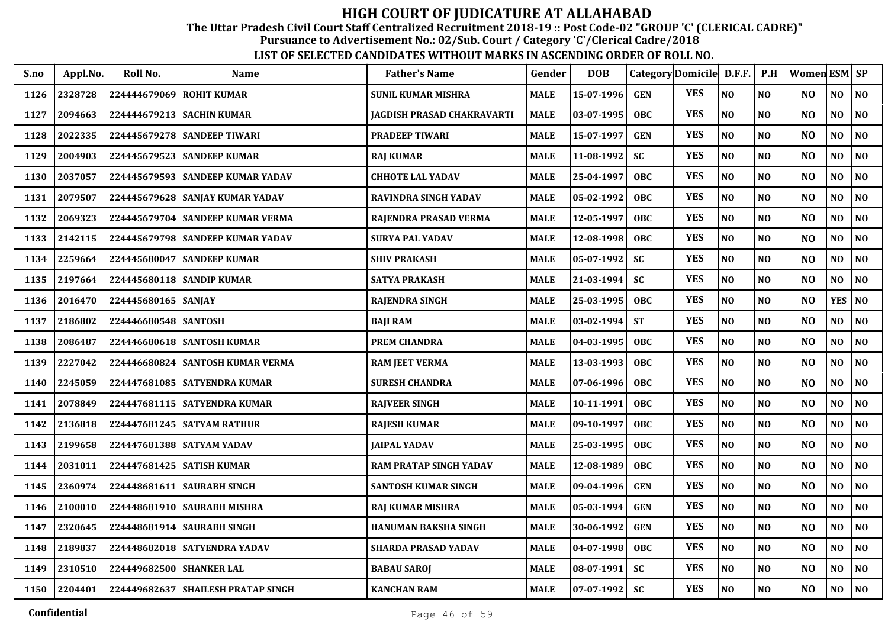The Uttar Pradesh Civil Court Staff Centralized Recruitment 2018-19 :: Post Code-02 "GROUP 'C' (CLERICAL CADRE)"

Pursuance to Advertisement No.: 02/Sub. Court / Category 'C'/Clerical Cadre/2018

| S.no | Appl.No. | Roll No.                 | <b>Name</b>                        | <b>Father's Name</b>          | Gender      | <b>DOB</b> |            | Category Domicile D.F.F. |                | P.H            | Women ESM SP   |                |                |
|------|----------|--------------------------|------------------------------------|-------------------------------|-------------|------------|------------|--------------------------|----------------|----------------|----------------|----------------|----------------|
| 1126 | 2328728  | 224444679069             | <b>ROHIT KUMAR</b>                 | <b>SUNIL KUMAR MISHRA</b>     | <b>MALE</b> | 15-07-1996 | <b>GEN</b> | <b>YES</b>               | N <sub>O</sub> | NO             | N <sub>O</sub> | NO             | N <sub>0</sub> |
| 1127 | 2094663  | 224444679213             | <b>SACHIN KUMAR</b>                | JAGDISH PRASAD CHAKRAVARTI    | <b>MALE</b> | 03-07-1995 | <b>OBC</b> | <b>YES</b>               | N <sub>O</sub> | N <sub>0</sub> | N <sub>O</sub> | NO             | NO             |
| 1128 | 2022335  |                          | 224445679278 SANDEEP TIWARI        | PRADEEP TIWARI                | MALE        | 15-07-1997 | <b>GEN</b> | <b>YES</b>               | N <sub>O</sub> | N <sub>O</sub> | N <sub>O</sub> | NO             | NO             |
| 1129 | 2004903  |                          | 224445679523 SANDEEP KUMAR         | <b>RAJ KUMAR</b>              | <b>MALE</b> | 11-08-1992 | <b>SC</b>  | <b>YES</b>               | N <sub>O</sub> | NO             | N <sub>O</sub> | NO             | NO             |
| 1130 | 2037057  | 224445679593             | <b>SANDEEP KUMAR YADAV</b>         | <b>CHHOTE LAL YADAV</b>       | <b>MALE</b> | 25-04-1997 | <b>OBC</b> | <b>YES</b>               | N <sub>O</sub> | N <sub>O</sub> | N <sub>O</sub> | $\bf NO$       | NO             |
| 1131 | 2079507  |                          | 224445679628 SANJAY KUMAR YADAV    | RAVINDRA SINGH YADAV          | <b>MALE</b> | 05-02-1992 | <b>OBC</b> | <b>YES</b>               | N <sub>O</sub> | NO             | N <sub>O</sub> | NO             | $\bf NO$       |
| 1132 | 2069323  |                          | 224445679704 SANDEEP KUMAR VERMA   | RAJENDRA PRASAD VERMA         | MALE        | 12-05-1997 | <b>OBC</b> | <b>YES</b>               | NO             | N <sub>0</sub> | N <sub>O</sub> | NO             | $\bf NO$       |
| 1133 | 2142115  |                          | 224445679798 SANDEEP KUMAR YADAV   | SURYA PAL YADAV               | <b>MALE</b> | 12-08-1998 | <b>OBC</b> | <b>YES</b>               | N <sub>O</sub> | N <sub>0</sub> | N <sub>O</sub> | NO             | $\bf NO$       |
| 1134 | 2259664  | 224445680047             | <b>SANDEEP KUMAR</b>               | <b>SHIV PRAKASH</b>           | <b>MALE</b> | 05-07-1992 | <b>SC</b>  | <b>YES</b>               | NO             | NO             | NO             | NO.            | NO             |
| 1135 | 2197664  |                          | 224445680118 SANDIP KUMAR          | <b>SATYA PRAKASH</b>          | <b>MALE</b> | 21-03-1994 | <b>SC</b>  | <b>YES</b>               | N <sub>O</sub> | N <sub>0</sub> | N <sub>O</sub> | NO             | NO             |
| 1136 | 2016470  | 224445680165 SANJAY      |                                    | <b>RAJENDRA SINGH</b>         | <b>MALE</b> | 25-03-1995 | <b>OBC</b> | <b>YES</b>               | N <sub>O</sub> | N <sub>O</sub> | N <sub>O</sub> | <b>YES</b>     | <b>NO</b>      |
| 1137 | 2186802  | 224446680548 SANTOSH     |                                    | <b>BAJI RAM</b>               | MALE        | 03-02-1994 | <b>ST</b>  | <b>YES</b>               | $\bf NO$       | NO             | N <sub>O</sub> | NO             | $\bf NO$       |
| 1138 | 2086487  |                          | 224446680618 SANTOSH KUMAR         | PREM CHANDRA                  | MALE        | 04-03-1995 | <b>OBC</b> | <b>YES</b>               | N <sub>O</sub> | N <sub>0</sub> | NO             | $\bf NO$       | NO.            |
| 1139 | 2227042  | 224446680824             | <b>SANTOSH KUMAR VERMA</b>         | <b>RAM JEET VERMA</b>         | <b>MALE</b> | 13-03-1993 | <b>OBC</b> | <b>YES</b>               | NO             | NO             | N <sub>O</sub> | NO             | $\bf NO$       |
| 1140 | 2245059  |                          | 224447681085   SATYENDRA KUMAR     | <b>SURESH CHANDRA</b>         | <b>MALE</b> | 07-06-1996 | <b>OBC</b> | <b>YES</b>               | N <sub>O</sub> | N <sub>0</sub> | N <sub>O</sub> | N <sub>O</sub> | N <sub>O</sub> |
| 1141 | 2078849  |                          | 224447681115   SATYENDRA KUMAR     | <b>RAJVEER SINGH</b>          | <b>MALE</b> | 10-11-1991 | <b>OBC</b> | <b>YES</b>               | N <sub>O</sub> | NO             | N <sub>O</sub> | NO             | NO             |
| 1142 | 2136818  |                          | 224447681245   SATYAM RATHUR       | <b>RAJESH KUMAR</b>           | <b>MALE</b> | 09-10-1997 | <b>OBC</b> | <b>YES</b>               | N <sub>O</sub> | NO             | NO             | NO.            | NO             |
| 1143 | 2199658  |                          | 224447681388 SATYAM YADAV          | <b>JAIPAL YADAV</b>           | <b>MALE</b> | 25-03-1995 | <b>OBC</b> | <b>YES</b>               | N <sub>O</sub> | N <sub>0</sub> | N <sub>O</sub> | NO             | N <sub>0</sub> |
| 1144 | 2031011  |                          | 224447681425   SATISH KUMAR        | <b>RAM PRATAP SINGH YADAV</b> | <b>MALE</b> | 12-08-1989 | <b>OBC</b> | <b>YES</b>               | N <sub>O</sub> | N <sub>O</sub> | NO             | NO             | NO             |
| 1145 | 2360974  |                          | 224448681611 SAURABH SINGH         | SANTOSH KUMAR SINGH           | MALE        | 09-04-1996 | <b>GEN</b> | <b>YES</b>               | $\bf NO$       | N <sub>O</sub> | N <sub>O</sub> | NO             | N <sub>0</sub> |
| 1146 | 2100010  |                          | 224448681910 SAURABH MISHRA        | <b>RAJ KUMAR MISHRA</b>       | <b>MALE</b> | 05-03-1994 | <b>GEN</b> | <b>YES</b>               | N <sub>O</sub> | NO             | N <sub>O</sub> | NO             | N <sub>0</sub> |
| 1147 | 2320645  | 224448681914             | <b>SAURABH SINGH</b>               | HANUMAN BAKSHA SINGH          | <b>MALE</b> | 30-06-1992 | <b>GEN</b> | <b>YES</b>               | N <sub>O</sub> | NO             | N <sub>O</sub> | $\bf NO$       | N <sub>0</sub> |
| 1148 | 2189837  |                          | 224448682018 SATYENDRA YADAV       | <b>SHARDA PRASAD YADAV</b>    | <b>MALE</b> | 04-07-1998 | <b>OBC</b> | <b>YES</b>               | N <sub>O</sub> | N <sub>0</sub> | N <sub>O</sub> | NO             | N <sub>0</sub> |
| 1149 | 2310510  | 224449682500 SHANKER LAL |                                    | <b>BABAU SAROJ</b>            | <b>MALE</b> | 08-07-1991 | SC         | <b>YES</b>               | NO             | NO             | N <sub>O</sub> | NO             | N <sub>0</sub> |
| 1150 | 2204401  |                          | 224449682637 SHAILESH PRATAP SINGH | <b>KANCHAN RAM</b>            | <b>MALE</b> | 07-07-1992 | <b>SC</b>  | <b>YES</b>               | N <sub>O</sub> | <b>NO</b>      | NO             | NO.            | NO             |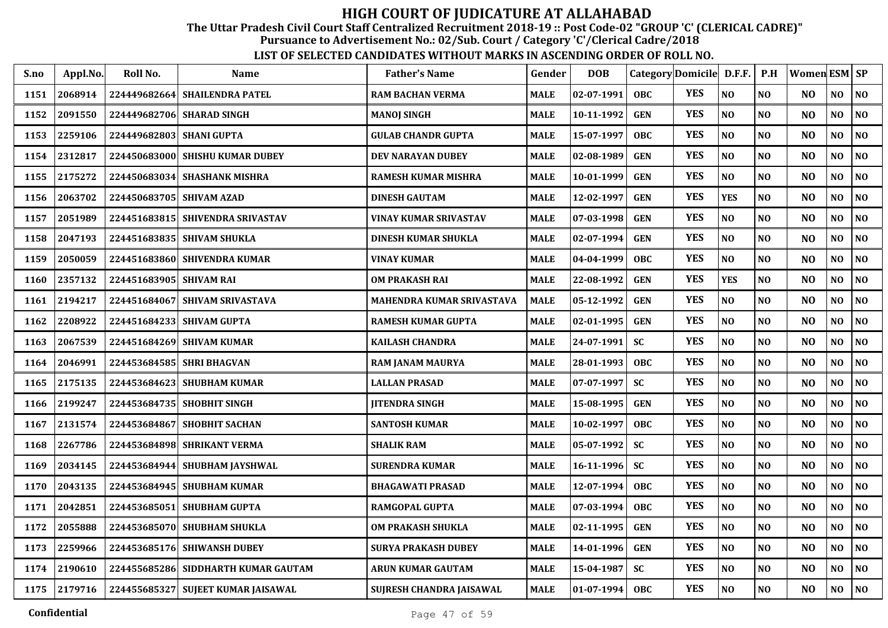The Uttar Pradesh Civil Court Staff Centralized Recruitment 2018-19 :: Post Code-02 "GROUP 'C' (CLERICAL CADRE)"

Pursuance to Advertisement No.: 02/Sub. Court / Category 'C'/Clerical Cadre/2018

| S.no | Appl.No. | Roll No.                 | <b>Name</b>                         | <b>Father's Name</b>       | Gender      | <b>DOB</b>   | Category Domicile D.F.F. |            |                | P.H            | Women ESM SP   |                |                |
|------|----------|--------------------------|-------------------------------------|----------------------------|-------------|--------------|--------------------------|------------|----------------|----------------|----------------|----------------|----------------|
| 1151 | 2068914  | 224449682664             | <b>SHAILENDRA PATEL</b>             | <b>RAM BACHAN VERMA</b>    | <b>MALE</b> | 02-07-1991   | <b>OBC</b>               | <b>YES</b> | N <sub>O</sub> | NO             | N <sub>O</sub> | NO             | N <sub>0</sub> |
| 1152 | 2091550  | 224449682706             | <b>SHARAD SINGH</b>                 | <b>MANOJ SINGH</b>         | <b>MALE</b> | 10-11-1992   | <b>GEN</b>               | <b>YES</b> | N <sub>O</sub> | N <sub>0</sub> | N <sub>O</sub> | NO             | NO             |
| 1153 | 2259106  | 224449682803 SHANI GUPTA |                                     | <b>GULAB CHANDR GUPTA</b>  | MALE        | 15-07-1997   | <b>OBC</b>               | <b>YES</b> | N <sub>O</sub> | N <sub>O</sub> | N <sub>O</sub> | NO             | N <sub>O</sub> |
| 1154 | 2312817  |                          | 224450683000 SHISHU KUMAR DUBEY     | <b>DEV NARAYAN DUBEY</b>   | <b>MALE</b> | 02-08-1989   | <b>GEN</b>               | <b>YES</b> | N <sub>O</sub> | N <sub>O</sub> | N <sub>O</sub> | NO             | NO             |
| 1155 | 2175272  | 224450683034             | <b>SHASHANK MISHRA</b>              | <b>RAMESH KUMAR MISHRA</b> | <b>MALE</b> | 10-01-1999   | <b>GEN</b>               | <b>YES</b> | N <sub>O</sub> | N <sub>O</sub> | N <sub>O</sub> | $\bf NO$       | NO             |
| 1156 | 2063702  | 224450683705             | <b>SHIVAM AZAD</b>                  | <b>DINESH GAUTAM</b>       | <b>MALE</b> | 12-02-1997   | <b>GEN</b>               | <b>YES</b> | <b>YES</b>     | NO             | N <sub>O</sub> | NO             | $\bf NO$       |
| 1157 | 2051989  | 224451683815             | <b>SHIVENDRA SRIVASTAV</b>          | VINAY KUMAR SRIVASTAV      | MALE        | 07-03-1998   | <b>GEN</b>               | <b>YES</b> | NO             | N <sub>0</sub> | N <sub>O</sub> | NO             | NO.            |
| 1158 | 2047193  |                          | 224451683835 SHIVAM SHUKLA          | <b>DINESH KUMAR SHUKLA</b> | <b>MALE</b> | 02-07-1994   | <b>GEN</b>               | <b>YES</b> | N <sub>O</sub> | N <sub>0</sub> | N <sub>O</sub> | NO             | $\bf NO$       |
| 1159 | 2050059  |                          | 224451683860 SHIVENDRA KUMAR        | VINAY KUMAR                | <b>MALE</b> | 04-04-1999   | <b>OBC</b>               | <b>YES</b> | NO             | NO             | NO             | NO.            | NO             |
| 1160 | 2357132  | 224451683905 SHIVAM RAI  |                                     | <b>OM PRAKASH RAI</b>      | <b>MALE</b> | 22-08-1992   | <b>GEN</b>               | <b>YES</b> | <b>YES</b>     | N <sub>0</sub> | N <sub>O</sub> | NO             | NO             |
| 1161 | 2194217  | 224451684067             | <b>SHIVAM SRIVASTAVA</b>            | MAHENDRA KUMAR SRIVASTAVA  | <b>MALE</b> | 05-12-1992   | <b>GEN</b>               | <b>YES</b> | N <sub>O</sub> | N <sub>O</sub> | N <sub>O</sub> | N <sub>O</sub> | N <sub>O</sub> |
| 1162 | 2208922  |                          | 224451684233 SHIVAM GUPTA           | <b>RAMESH KUMAR GUPTA</b>  | <b>MALE</b> | 02-01-1995   | <b>GEN</b>               | <b>YES</b> | $\bf NO$       | NO             | N <sub>O</sub> | NO             | $\bf NO$       |
| 1163 | 2067539  | 224451684269             | <b>SHIVAM KUMAR</b>                 | <b>KAILASH CHANDRA</b>     | MALE        | 24-07-1991   | <b>SC</b>                | <b>YES</b> | N <sub>O</sub> | N <sub>0</sub> | N <sub>O</sub> | $\bf NO$       | NO.            |
| 1164 | 2046991  | 224453684585             | <b>SHRI BHAGVAN</b>                 | RAM JANAM MAURYA           | <b>MALE</b> | 28-01-1993   | <b>OBC</b>               | <b>YES</b> | N <sub>O</sub> | NO             | N <sub>O</sub> | NO             | N <sub>0</sub> |
| 1165 | 2175135  | 224453684623             | <b>SHUBHAM KUMAR</b>                | <b>LALLAN PRASAD</b>       | <b>MALE</b> | 07-07-1997   | <b>SC</b>                | <b>YES</b> | N <sub>O</sub> | N <sub>0</sub> | N <sub>O</sub> | N <sub>O</sub> | N <sub>O</sub> |
| 1166 | 2199247  |                          | 224453684735 SHOBHIT SINGH          | <b>JITENDRA SINGH</b>      | <b>MALE</b> | 15-08-1995   | <b>GEN</b>               | <b>YES</b> | N <sub>O</sub> | NO             | N <sub>O</sub> | NO             | NO             |
| 1167 | 2131574  | 224453684867             | <b>SHOBHIT SACHAN</b>               | <b>SANTOSH KUMAR</b>       | <b>MALE</b> | 10-02-1997   | <b>OBC</b>               | <b>YES</b> | N <sub>O</sub> | NO             | N <sub>O</sub> | NO.            | NO             |
| 1168 | 2267786  | 224453684898             | <b>SHRIKANT VERMA</b>               | <b>SHALIK RAM</b>          | <b>MALE</b> | 05-07-1992   | <b>SC</b>                | <b>YES</b> | N <sub>O</sub> | N <sub>0</sub> | N <sub>O</sub> | NO             | N <sub>0</sub> |
| 1169 | 2034145  |                          | 224453684944 SHUBHAM JAYSHWAL       | <b>SURENDRA KUMAR</b>      | <b>MALE</b> | 16-11-1996   | <b>SC</b>                | <b>YES</b> | N <sub>O</sub> | N <sub>O</sub> | N <sub>O</sub> | NO             | NO             |
| 1170 | 2043135  |                          | 224453684945 SHUBHAM KUMAR          | <b>BHAGAWATI PRASAD</b>    | MALE        | 12-07-1994   | <b>OBC</b>               | <b>YES</b> | NO             | N <sub>O</sub> | N <sub>O</sub> | NO             | $\bf NO$       |
| 1171 | 2042851  | 224453685051             | <b>SHUBHAM GUPTA</b>                | <b>RAMGOPAL GUPTA</b>      | <b>MALE</b> | 07-03-1994   | <b>OBC</b>               | <b>YES</b> | N <sub>O</sub> | NO             | N <sub>O</sub> | NO             | N <sub>0</sub> |
| 1172 | 2055888  | 224453685070             | <b>SHUBHAM SHUKLA</b>               | <b>OM PRAKASH SHUKLA</b>   | <b>MALE</b> | 02-11-1995   | <b>GEN</b>               | <b>YES</b> | N <sub>O</sub> | NO             | N <sub>O</sub> | $\bf NO$       | N <sub>0</sub> |
| 1173 | 2259966  | 224453685176             | <b>SHIWANSH DUBEY</b>               | SURYA PRAKASH DUBEY        | <b>MALE</b> | 14-01-1996   | <b>GEN</b>               | <b>YES</b> | N <sub>O</sub> | N <sub>0</sub> | N <sub>O</sub> | NO             | N <sub>0</sub> |
| 1174 | 2190610  |                          | 224455685286 SIDDHARTH KUMAR GAUTAM | ARUN KUMAR GAUTAM          | <b>MALE</b> | 15-04-1987   | SC                       | <b>YES</b> | NO             | NO             | N <sub>O</sub> | NO             | $\bf NO$       |
| 1175 | 2179716  |                          | 224455685327 SUJEET KUMAR JAISAWAL  | SUJRESH CHANDRA JAISAWAL   | MALE        | $01-07-1994$ | <b>OBC</b>               | <b>YES</b> | N <sub>O</sub> | <b>NO</b>      | NO             | NO.            | NO             |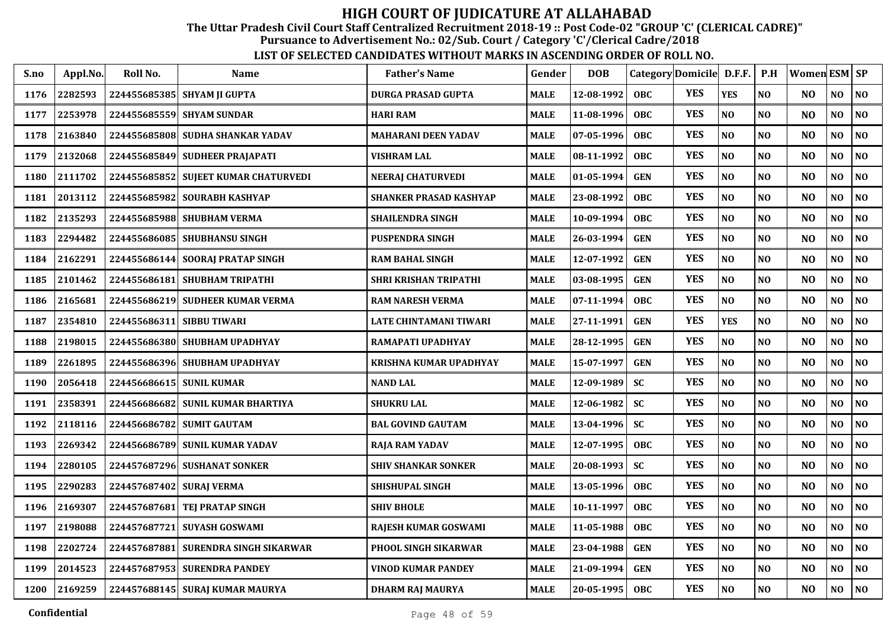The Uttar Pradesh Civil Court Staff Centralized Recruitment 2018-19 :: Post Code-02 "GROUP 'C' (CLERICAL CADRE)"

Pursuance to Advertisement No.: 02/Sub. Court / Category 'C'/Clerical Cadre/2018

| S.no | Appl.No. | Roll No.                 | <b>Name</b>                          | <b>Father's Name</b>          | Gender      | <b>DOB</b> | Category Domicile D.F.F. |            |                | P.H            | Women ESM SP   |                |                |
|------|----------|--------------------------|--------------------------------------|-------------------------------|-------------|------------|--------------------------|------------|----------------|----------------|----------------|----------------|----------------|
| 1176 | 2282593  |                          | 224455685385 SHYAM JI GUPTA          | <b>DURGA PRASAD GUPTA</b>     | <b>MALE</b> | 12-08-1992 | <b>OBC</b>               | <b>YES</b> | <b>YES</b>     | N <sub>O</sub> | N <sub>O</sub> | NO             | NO             |
| 1177 | 2253978  |                          | 224455685559 SHYAM SUNDAR            | <b>HARI RAM</b>               | <b>MALE</b> | 11-08-1996 | <b>OBC</b>               | <b>YES</b> | NO             | N <sub>O</sub> | N <sub>O</sub> | N <sub>O</sub> | N <sub>0</sub> |
| 1178 | 2163840  |                          | 224455685808 SUDHA SHANKAR YADAV     | <b>MAHARANI DEEN YADAV</b>    | <b>MALE</b> | 07-05-1996 | <b>OBC</b>               | <b>YES</b> | NO             | N <sub>O</sub> | N <sub>O</sub> | N <sub>O</sub> | NO             |
| 1179 | 2132068  | 224455685849             | <b>SUDHEER PRAJAPATI</b>             | VISHRAM LAL                   | <b>MALE</b> | 08-11-1992 | <b>OBC</b>               | <b>YES</b> | NO             | N <sub>O</sub> | N <sub>O</sub> | NO             | N <sub>0</sub> |
| 1180 | 2111702  |                          | 224455685852 SUJEET KUMAR CHATURVEDI | <b>NEERAJ CHATURVEDI</b>      | <b>MALE</b> | 01-05-1994 | <b>GEN</b>               | <b>YES</b> | N <sub>O</sub> | N <sub>O</sub> | N <sub>O</sub> | N <sub>O</sub> | N <sub>O</sub> |
| 1181 | 2013112  | 224455685982             | <b>SOURABH KASHYAP</b>               | <b>SHANKER PRASAD KASHYAP</b> | <b>MALE</b> | 23-08-1992 | <b>OBC</b>               | <b>YES</b> | NO             | N <sub>O</sub> | NO             | NO             | $\bf NO$       |
| 1182 | 2135293  |                          | 224455685988 SHUBHAM VERMA           | <b>SHAILENDRA SINGH</b>       | <b>MALE</b> | 10-09-1994 | <b>OBC</b>               | <b>YES</b> | N <sub>O</sub> | NO             | N <sub>O</sub> | NO.            | NO             |
| 1183 | 2294482  | 224455686085             | SHUBHANSU SINGH                      | <b>PUSPENDRA SINGH</b>        | <b>MALE</b> | 26-03-1994 | <b>GEN</b>               | <b>YES</b> | NO             | N <sub>O</sub> | N <sub>O</sub> | N <sub>O</sub> | N <sub>O</sub> |
| 1184 | 2162291  |                          | 224455686144 SOORAJ PRATAP SINGH     | <b>RAM BAHAL SINGH</b>        | <b>MALE</b> | 12-07-1992 | <b>GEN</b>               | <b>YES</b> | NO             | NO             | N <sub>O</sub> | N <sub>O</sub> | N <sub>0</sub> |
| 1185 | 2101462  |                          | 224455686181 SHUBHAM TRIPATHI        | <b>SHRI KRISHAN TRIPATHI</b>  | <b>MALE</b> | 03-08-1995 | <b>GEN</b>               | <b>YES</b> | $\bf NO$       | N <sub>O</sub> | N <sub>O</sub> | NO             | N <sub>0</sub> |
| 1186 | 2165681  |                          | 224455686219 SUDHEER KUMAR VERMA     | <b>RAM NARESH VERMA</b>       | <b>MALE</b> | 07-11-1994 | <b>OBC</b>               | <b>YES</b> | $\bf NO$       | NO             | NO             | NO             | $\bf NO$       |
| 1187 | 2354810  | 224455686311             | <b>SIBBU TIWARI</b>                  | LATE CHINTAMANI TIWARI        | <b>MALE</b> | 27-11-1991 | <b>GEN</b>               | <b>YES</b> | <b>YES</b>     | N <sub>O</sub> | N <sub>O</sub> | NO             | NO             |
| 1188 | 2198015  |                          | 224455686380 SHUBHAM UPADHYAY        | RAMAPATI UPADHYAY             | <b>MALE</b> | 28-12-1995 | <b>GEN</b>               | <b>YES</b> | NO             | NO             | N <sub>O</sub> | NO             | $\bf NO$       |
| 1189 | 2261895  |                          | 224455686396 SHUBHAM UPADHYAY        | <b>KRISHNA KUMAR UPADHYAY</b> | <b>MALE</b> | 15-07-1997 | <b>GEN</b>               | <b>YES</b> | NO             | N <sub>O</sub> | N <sub>O</sub> | NO             | NO             |
| 1190 | 2056418  | 224456686615 SUNIL KUMAR |                                      | <b>NAND LAL</b>               | <b>MALE</b> | 12-09-1989 | <b>SC</b>                | <b>YES</b> | NO             | NO             | NO             | NO             | $\bf NO$       |
| 1191 | 2358391  |                          | 224456686682 SUNIL KUMAR BHARTIYA    | <b>SHUKRU LAL</b>             | <b>MALE</b> | 12-06-1982 | <b>SC</b>                | <b>YES</b> | NO             | N <sub>O</sub> | N <sub>O</sub> | NO             | NO             |
| 1192 | 2118116  |                          | 224456686782 SUMIT GAUTAM            | <b>BAL GOVIND GAUTAM</b>      | <b>MALE</b> | 13-04-1996 | <b>SC</b>                | <b>YES</b> | NO             | N <sub>O</sub> | N <sub>O</sub> | NO             | NO             |
| 1193 | 2269342  |                          | 224456686789 SUNIL KUMAR YADAV       | <b>RAJA RAM YADAV</b>         | <b>MALE</b> | 12-07-1995 | <b>OBC</b>               | <b>YES</b> | NO             | N <sub>O</sub> | N <sub>O</sub> | NO             | NO             |
| 1194 | 2280105  |                          | 224457687296 SUSHANAT SONKER         | <b>SHIV SHANKAR SONKER</b>    | <b>MALE</b> | 20-08-1993 | <b>SC</b>                | <b>YES</b> | NO             | N <sub>O</sub> | N <sub>O</sub> | N <sub>O</sub> | NO             |
| 1195 | 2290283  | 224457687402             | <b>SURAI VERMA</b>                   | <b>SHISHUPAL SINGH</b>        | <b>MALE</b> | 13-05-1996 | <b>OBC</b>               | <b>YES</b> | NO             | N <sub>O</sub> | N <sub>O</sub> | NO             | NO             |
| 1196 | 2169307  | 224457687681             | <b>TEJ PRATAP SINGH</b>              | <b>SHIV BHOLE</b>             | <b>MALE</b> | 10-11-1997 | <b>OBC</b>               | <b>YES</b> | NO             | N <sub>O</sub> | N <sub>O</sub> | NO             | NO             |
| 1197 | 2198088  | 224457687721             | <b>SUYASH GOSWAMI</b>                | RAJESH KUMAR GOSWAMI          | <b>MALE</b> | 11-05-1988 | <b>OBC</b>               | <b>YES</b> | NO             | N <sub>O</sub> | N <sub>O</sub> | N <sub>O</sub> | NO             |
| 1198 | 2202724  | 224457687881             | SURENDRA SINGH SIKARWAR              | PHOOL SINGH SIKARWAR          | <b>MALE</b> | 23-04-1988 | <b>GEN</b>               | <b>YES</b> | NO             | NO             | N <sub>O</sub> | N <sub>O</sub> | NO             |
| 1199 | 2014523  |                          | 224457687953 SURENDRA PANDEY         | VINOD KUMAR PANDEY            | <b>MALE</b> | 21-09-1994 | <b>GEN</b>               | <b>YES</b> | NO             | NO             | N <sub>O</sub> | N <sub>O</sub> | NO             |
| 1200 | 2169259  |                          | 224457688145 SURAJ KUMAR MAURYA      | <b>DHARM RAJ MAURYA</b>       | <b>MALE</b> | 20-05-1995 | OBC                      | <b>YES</b> | NO             | N <sub>O</sub> | N <sub>O</sub> | N <sub>O</sub> | NO             |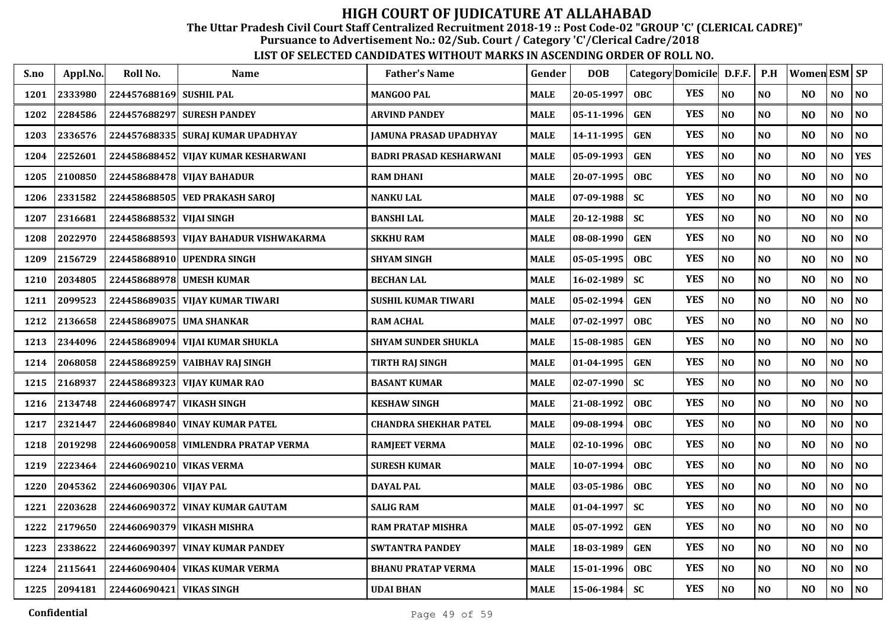The Uttar Pradesh Civil Court Staff Centralized Recruitment 2018-19 :: Post Code-02 "GROUP 'C' (CLERICAL CADRE)"

Pursuance to Advertisement No.: 02/Sub. Court / Category 'C'/Clerical Cadre/2018

| S.no | Appl.No. | Roll No.                 | <b>Name</b>                         | <b>Father's Name</b>           | Gender      | <b>DOB</b>       |            | Category Domicile D.F.F. |                | P.H            | Women ESM SP   |                |                |
|------|----------|--------------------------|-------------------------------------|--------------------------------|-------------|------------------|------------|--------------------------|----------------|----------------|----------------|----------------|----------------|
| 1201 | 2333980  | 224457688169 SUSHIL PAL  |                                     | <b>MANGOO PAL</b>              | <b>MALE</b> | 20-05-1997       | <b>OBC</b> | <b>YES</b>               | N <sub>O</sub> | N <sub>O</sub> | NO.            | NO             | N <sub>O</sub> |
| 1202 | 2284586  |                          | 224457688297 SURESH PANDEY          | <b>ARVIND PANDEY</b>           | MALE        | 05-11-1996       | <b>GEN</b> | <b>YES</b>               | NO             | NO             | N <sub>O</sub> | NO             | NO             |
| 1203 | 2336576  |                          | 224457688335 SURAJ KUMAR UPADHYAY   | <b>JAMUNA PRASAD UPADHYAY</b>  | <b>MALE</b> | 14-11-1995       | <b>GEN</b> | <b>YES</b>               | NO             | N <sub>O</sub> | N <sub>O</sub> | N <sub>O</sub> | NO             |
| 1204 | 2252601  | 224458688452             | VIJAY KUMAR KESHARWANI              | <b>BADRI PRASAD KESHARWANI</b> | MALE        | 05-09-1993       | <b>GEN</b> | <b>YES</b>               | NO             | N <sub>O</sub> | N <sub>O</sub> | N <sub>O</sub> | <b>YES</b>     |
| 1205 | 2100850  | 224458688478             | <b>VIJAY BAHADUR</b>                | <b>RAM DHANI</b>               | <b>MALE</b> | 20-07-1995       | <b>OBC</b> | <b>YES</b>               | NO             | N <sub>O</sub> | N <sub>O</sub> | NO             | NO             |
| 1206 | 2331582  | 224458688505             | <b>VED PRAKASH SAROI</b>            | <b>NANKU LAL</b>               | <b>MALE</b> | 07-09-1988       | <b>SC</b>  | <b>YES</b>               | N <sub>O</sub> | NO             | N <sub>O</sub> | NO             | NO             |
| 1207 | 2316681  | 224458688532 VIJAI SINGH |                                     | <b>BANSHI LAL</b>              | MALE        | 20-12-1988       | <b>SC</b>  | <b>YES</b>               | NO             | NO             | N <sub>O</sub> | NO             | NO             |
| 1208 | 2022970  | 224458688593             | VIJAY BAHADUR VISHWAKARMA           | <b>SKKHU RAM</b>               | MALE        | 08-08-1990       | <b>GEN</b> | <b>YES</b>               | NO             | NO             | N <sub>O</sub> | NO.            | NO             |
| 1209 | 2156729  |                          | 224458688910 UPENDRA SINGH          | <b>SHYAM SINGH</b>             | <b>MALE</b> | 05-05-1995       | <b>OBC</b> | <b>YES</b>               | NO             | NO             | N <sub>O</sub> | NO             | NO             |
| 1210 | 2034805  |                          | 224458688978 UMESH KUMAR            | <b>BECHAN LAL</b>              | <b>MALE</b> | 16-02-1989       | <b>SC</b>  | <b>YES</b>               | N <sub>O</sub> | N <sub>O</sub> | N <sub>O</sub> | NO             | NO             |
| 1211 | 2099523  |                          | 224458689035   VIJAY KUMAR TIWARI   | SUSHIL KUMAR TIWARI            | MALE        | $05 - 02 - 1994$ | <b>GEN</b> | <b>YES</b>               | $\bf NO$       | NO             | N <sub>O</sub> | N <sub>O</sub> | N <sub>O</sub> |
| 1212 | 2136658  | 224458689075             | <b>UMA SHANKAR</b>                  | <b>RAM ACHAL</b>               | <b>MALE</b> | 07-02-1997       | <b>OBC</b> | <b>YES</b>               | NO             | N <sub>O</sub> | N <sub>O</sub> | NO             | NO             |
| 1213 | 2344096  | 224458689094             | VIJAI KUMAR SHUKLA                  | <b>SHYAM SUNDER SHUKLA</b>     | <b>MALE</b> | 15-08-1985       | <b>GEN</b> | <b>YES</b>               | NO             | NO             | N <sub>O</sub> | NO             | NO             |
| 1214 | 2068058  | 224458689259             | VAIBHAV RAJ SINGH                   | <b>TIRTH RAJ SINGH</b>         | <b>MALE</b> | 01-04-1995       | <b>GEN</b> | <b>YES</b>               | NO             | NO             | N <sub>O</sub> | NO             | NO             |
| 1215 | 2168937  | 224458689323             | <b>VIJAY KUMAR RAO</b>              | <b>BASANT KUMAR</b>            | MALE        | 02-07-1990       | <b>SC</b>  | <b>YES</b>               | N <sub>O</sub> | N <sub>O</sub> | N <sub>O</sub> | NO             | NO             |
| 1216 | 2134748  | 224460689747             | <b>VIKASH SINGH</b>                 | <b>KESHAW SINGH</b>            | MALE        | 21-08-1992       | <b>OBC</b> | <b>YES</b>               | NO             | N <sub>0</sub> | N <sub>O</sub> | NO             | NO             |
| 1217 | 2321447  | 224460689840             | <b>VINAY KUMAR PATEL</b>            | CHANDRA SHEKHAR PATEL          | MALE        | 09-08-1994       | <b>OBC</b> | <b>YES</b>               | NO             | N <sub>0</sub> | N <sub>O</sub> | NO.            | NO             |
| 1218 | 2019298  |                          | 224460690058 VIMLENDRA PRATAP VERMA | <b>RAMJEET VERMA</b>           | MALE        | 02-10-1996       | <b>OBC</b> | <b>YES</b>               | N <sub>O</sub> | NO             | N <sub>O</sub> | NO             | NO             |
| 1219 | 2223464  | 224460690210 VIKAS VERMA |                                     | <b>SURESH KUMAR</b>            | MALE        | $10-07-1994$     | <b>OBC</b> | <b>YES</b>               | N <sub>O</sub> | N <sub>O</sub> | N <sub>O</sub> | NO             | NO             |
| 1220 | 2045362  | 224460690306 VIJAY PAL   |                                     | DAYAL PAL                      | MALE        | 03-05-1986       | <b>OBC</b> | <b>YES</b>               | $\bf NO$       | NO             | N <sub>O</sub> | NO             | $\bf NO$       |
| 1221 | 2203628  | 224460690372             | <b>VINAY KUMAR GAUTAM</b>           | <b>SALIG RAM</b>               | <b>MALE</b> | 01-04-1997       | <b>SC</b>  | <b>YES</b>               | NO             | NO             | N <sub>O</sub> | NO             | $\bf NO$       |
| 1222 | 2179650  | 224460690379             | <b>VIKASH MISHRA</b>                | <b>RAM PRATAP MISHRA</b>       | <b>MALE</b> | 05-07-1992       | <b>GEN</b> | <b>YES</b>               | NO             | NO             | N <sub>O</sub> | $\bf NO$       | NO             |
| 1223 | 2338622  | 224460690397             | <b>VINAY KUMAR PANDEY</b>           | <b>SWTANTRA PANDEY</b>         | <b>MALE</b> | 18-03-1989       | <b>GEN</b> | <b>YES</b>               | $\bf NO$       | NO             | N <sub>O</sub> | NO             | NO             |
| 1224 | 2115641  | 224460690404             | <b>VIKAS KUMAR VERMA</b>            | <b>BHANU PRATAP VERMA</b>      | MALE        | 15-01-1996       | <b>OBC</b> | <b>YES</b>               | $\bf NO$       | $\bf NO$       | N <sub>O</sub> | NO             | NO             |
| 1225 | 2094181  | 224460690421 VIKAS SINGH |                                     | <b>UDAI BHAN</b>               | <b>MALE</b> | 15-06-1984       | <b>SC</b>  | <b>YES</b>               | $\bf NO$       | $\bf NO$       | N <sub>O</sub> | NO             | NO             |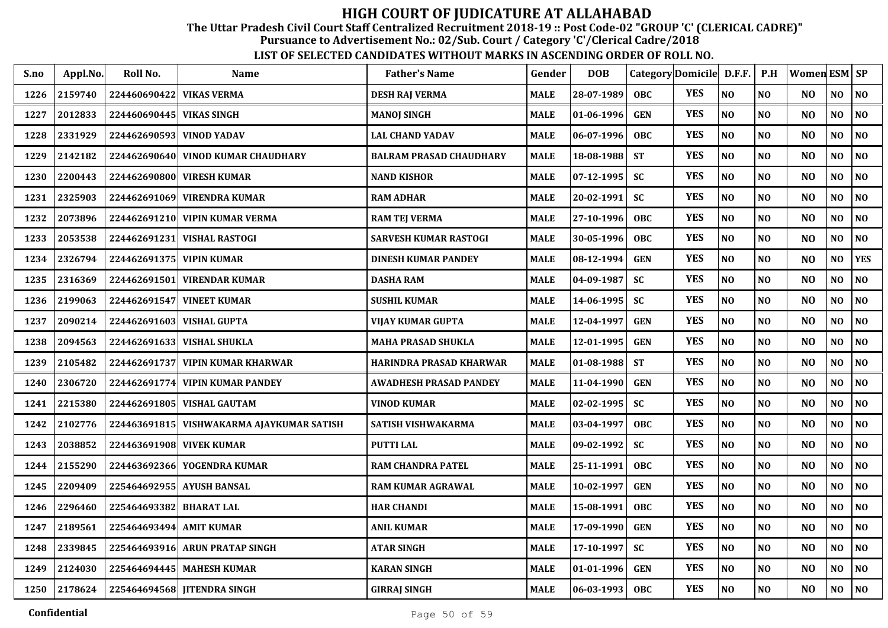The Uttar Pradesh Civil Court Staff Centralized Recruitment 2018-19 :: Post Code-02 "GROUP 'C' (CLERICAL CADRE)"

Pursuance to Advertisement No.: 02/Sub. Court / Category 'C'/Clerical Cadre/2018

| S.no | Appl.No. | Roll No.                 | <b>Name</b>                     | <b>Father's Name</b>           | Gender      | <b>DOB</b> | Category Domicile D.F.F. |            |                | P.H            | Women ESM SP   |                |                |
|------|----------|--------------------------|---------------------------------|--------------------------------|-------------|------------|--------------------------|------------|----------------|----------------|----------------|----------------|----------------|
| 1226 | 2159740  | 224460690422             | <b>VIKAS VERMA</b>              | <b>DESH RAJ VERMA</b>          | <b>MALE</b> | 28-07-1989 | <b>OBC</b>               | <b>YES</b> | NO             | N <sub>O</sub> | N <sub>O</sub> | NO             | NO             |
| 1227 | 2012833  | 224460690445             | <b>VIKAS SINGH</b>              | <b>MANOJ SINGH</b>             | <b>MALE</b> | 01-06-1996 | <b>GEN</b>               | <b>YES</b> | NO             | NO             | N <sub>O</sub> | NO             | N <sub>0</sub> |
| 1228 | 2331929  | 224462690593             | <b>VINOD YADAV</b>              | <b>LAL CHAND YADAV</b>         | <b>MALE</b> | 06-07-1996 | <b>OBC</b>               | <b>YES</b> | NO             | NO             | N <sub>O</sub> | NO             | NO             |
| 1229 | 2142182  | 224462690640             | <b>VINOD KUMAR CHAUDHARY</b>    | <b>BALRAM PRASAD CHAUDHARY</b> | <b>MALE</b> | 18-08-1988 | <b>ST</b>                | <b>YES</b> | NO             | NO             | N <sub>O</sub> | NO             | N <sub>0</sub> |
| 1230 | 2200443  |                          | 224462690800 VIRESH KUMAR       | <b>NAND KISHOR</b>             | <b>MALE</b> | 07-12-1995 | <b>SC</b>                | <b>YES</b> | NO             | N <sub>O</sub> | N <sub>O</sub> | N <sub>O</sub> | N <sub>0</sub> |
| 1231 | 2325903  | 224462691069             | <b>VIRENDRA KUMAR</b>           | <b>RAM ADHAR</b>               | <b>MALE</b> | 20-02-1991 | <b>SC</b>                | <b>YES</b> | NO             | N <sub>0</sub> | N <sub>O</sub> | NO             | $\bf NO$       |
| 1232 | 2073896  |                          | 224462691210 VIPIN KUMAR VERMA  | <b>RAM TEJ VERMA</b>           | <b>MALE</b> | 27-10-1996 | <b>OBC</b>               | <b>YES</b> | N <sub>O</sub> | N <sub>O</sub> | N <sub>O</sub> | NO.            | N <sub>O</sub> |
| 1233 | 2053538  |                          | 224462691231 VISHAL RASTOGI     | <b>SARVESH KUMAR RASTOGI</b>   | <b>MALE</b> | 30-05-1996 | <b>OBC</b>               | <b>YES</b> | N <sub>O</sub> | N <sub>O</sub> | N <sub>O</sub> | NO             | NO             |
| 1234 | 2326794  | 224462691375 VIPIN KUMAR |                                 | <b>DINESH KUMAR PANDEY</b>     | <b>MALE</b> | 08-12-1994 | <b>GEN</b>               | <b>YES</b> | N <sub>O</sub> | N <sub>O</sub> | N <sub>O</sub> | NO             | <b>YES</b>     |
| 1235 | 2316369  |                          | 224462691501 VIRENDAR KUMAR     | <b>DASHA RAM</b>               | <b>MALE</b> | 04-09-1987 | <b>SC</b>                | <b>YES</b> | NO             | N <sub>O</sub> | N <sub>O</sub> | NO             | NO             |
| 1236 | 2199063  | 224462691547             | <b>VINEET KUMAR</b>             | <b>SUSHIL KUMAR</b>            | <b>MALE</b> | 14-06-1995 | <b>SC</b>                | <b>YES</b> | N <sub>O</sub> | N <sub>O</sub> | N <sub>O</sub> | N <sub>O</sub> | NO             |
| 1237 | 2090214  | 224462691603             | <b>VISHAL GUPTA</b>             | <b>VIJAY KUMAR GUPTA</b>       | <b>MALE</b> | 12-04-1997 | <b>GEN</b>               | <b>YES</b> | N <sub>O</sub> | N <sub>O</sub> | N <sub>O</sub> | N <sub>O</sub> | NO             |
| 1238 | 2094563  | 224462691633             | <b>VISHAL SHUKLA</b>            | <b>MAHA PRASAD SHUKLA</b>      | <b>MALE</b> | 12-01-1995 | <b>GEN</b>               | <b>YES</b> | NO             | N <sub>O</sub> | N <sub>O</sub> | N <sub>O</sub> | NO             |
| 1239 | 2105482  | 224462691737             | <b>VIPIN KUMAR KHARWAR</b>      | HARINDRA PRASAD KHARWAR        | <b>MALE</b> | 01-08-1988 | <b>ST</b>                | <b>YES</b> | NO             | NO             | N <sub>O</sub> | N <sub>O</sub> | NO             |
| 1240 | 2306720  |                          | 224462691774 VIPIN KUMAR PANDEY | <b>AWADHESH PRASAD PANDEY</b>  | <b>MALE</b> | 11-04-1990 | <b>GEN</b>               | <b>YES</b> | NO             | NO             | N <sub>O</sub> | N <sub>O</sub> | NO             |
| 1241 | 2215380  | 224462691805             | <b>VISHAL GAUTAM</b>            | <b>VINOD KUMAR</b>             | <b>MALE</b> | 02-02-1995 | <b>SC</b>                | <b>YES</b> | NO             | NO             | N <sub>O</sub> | NO             | NO             |
| 1242 | 2102776  | 224463691815             | VISHWAKARMA AJAYKUMAR SATISH    | SATISH VISHWAKARMA             | <b>MALE</b> | 03-04-1997 | OBC                      | <b>YES</b> | NO             | N <sub>O</sub> | N <sub>O</sub> | NO             | NO             |
| 1243 | 2038852  | 224463691908 VIVEK KUMAR |                                 | <b>PUTTI LAL</b>               | <b>MALE</b> | 09-02-1992 | <b>SC</b>                | <b>YES</b> | NO             | N <sub>O</sub> | N <sub>O</sub> | NO             | NO             |
| 1244 | 2155290  | 224463692366             | YOGENDRA KUMAR                  | <b>RAM CHANDRA PATEL</b>       | <b>MALE</b> | 25-11-1991 | <b>OBC</b>               | <b>YES</b> | $\bf NO$       | N <sub>O</sub> | N <sub>O</sub> | NO             | NO             |
| 1245 | 2209409  | 225464692955             | <b>AYUSH BANSAL</b>             | <b>RAM KUMAR AGRAWAL</b>       | <b>MALE</b> | 10-02-1997 | <b>GEN</b>               | <b>YES</b> | NO             | N <sub>O</sub> | N <sub>O</sub> | NO             | $\bf NO$       |
| 1246 | 2296460  | 225464693382             | <b>BHARAT LAL</b>               | <b>HAR CHANDI</b>              | <b>MALE</b> | 15-08-1991 | <b>OBC</b>               | <b>YES</b> | NO             | NO             | N <sub>O</sub> | N <sub>O</sub> | N <sub>0</sub> |
| 1247 | 2189561  | 225464693494             | <b>AMIT KUMAR</b>               | <b>ANIL KUMAR</b>              | <b>MALE</b> | 17-09-1990 | <b>GEN</b>               | <b>YES</b> | NO             | N <sub>O</sub> | NO             | NO             | $\bf NO$       |
| 1248 | 2339845  |                          | 225464693916 ARUN PRATAP SINGH  | <b>ATAR SINGH</b>              | <b>MALE</b> | 17-10-1997 | <b>SC</b>                | <b>YES</b> | N <sub>O</sub> | N <sub>O</sub> | N <sub>O</sub> | N <sub>O</sub> | N <sub>O</sub> |
| 1249 | 2124030  |                          | 225464694445 MAHESH KUMAR       | <b>KARAN SINGH</b>             | <b>MALE</b> | 01-01-1996 | <b>GEN</b>               | <b>YES</b> | NO             | NO             | N <sub>O</sub> | N <sub>O</sub> | $\bf NO$       |
| 1250 | 2178624  |                          | 225464694568 JITENDRA SINGH     | <b>GIRRAJ SINGH</b>            | <b>MALE</b> | 06-03-1993 | <b>OBC</b>               | <b>YES</b> | NO             | NO             | N <sub>O</sub> | NO             | NO             |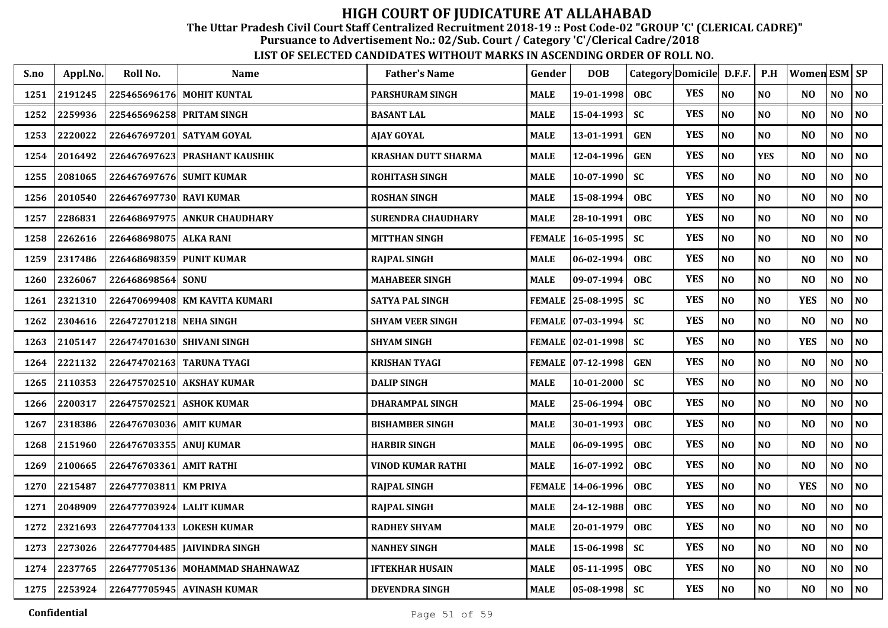The Uttar Pradesh Civil Court Staff Centralized Recruitment 2018-19 :: Post Code-02 "GROUP 'C' (CLERICAL CADRE)"

Pursuance to Advertisement No.: 02/Sub. Court / Category 'C'/Clerical Cadre/2018

| S.no | Appl.No.     | Roll No.                  | <b>Name</b>                   | <b>Father's Name</b>      | Gender        | <b>DOB</b>        | Category Domicile D.F.F. |            |                | P.H            | <b>Women ESM SP</b> |                |                |
|------|--------------|---------------------------|-------------------------------|---------------------------|---------------|-------------------|--------------------------|------------|----------------|----------------|---------------------|----------------|----------------|
| 1251 | 2191245      |                           | 225465696176 MOHIT KUNTAL     | <b>PARSHURAM SINGH</b>    | <b>MALE</b>   | 19-01-1998        | <b>OBC</b>               | <b>YES</b> | N <sub>O</sub> | N <sub>O</sub> | N <sub>O</sub>      | NO             | NO             |
| 1252 | 2259936      | 225465696258 PRITAM SINGH |                               | <b>BASANT LAL</b>         | <b>MALE</b>   | 15-04-1993        | <b>SC</b>                | <b>YES</b> | NO             | N <sub>O</sub> | N <sub>O</sub>      | NO             | N <sub>0</sub> |
| 1253 | 2220022      |                           | 226467697201 SATYAM GOYAL     | <b>AJAY GOYAL</b>         | <b>MALE</b>   | 13-01-1991        | <b>GEN</b>               | <b>YES</b> | NO             | N <sub>O</sub> | N <sub>O</sub>      | N <sub>O</sub> | NO             |
| 1254 | 2016492      | 226467697623              | <b>PRASHANT KAUSHIK</b>       | KRASHAN DUTT SHARMA       | <b>MALE</b>   | 12-04-1996        | <b>GEN</b>               | <b>YES</b> | NO             | <b>YES</b>     | N <sub>O</sub>      | N <sub>O</sub> | N <sub>0</sub> |
| 1255 | 2081065      | 226467697676 SUMIT KUMAR  |                               | <b>ROHITASH SINGH</b>     | <b>MALE</b>   | 10-07-1990        | <b>SC</b>                | <b>YES</b> | N <sub>O</sub> | N <sub>O</sub> | N <sub>O</sub>      | N <sub>O</sub> | N <sub>O</sub> |
| 1256 | 2010540      | 226467697730 RAVI KUMAR   |                               | <b>ROSHAN SINGH</b>       | <b>MALE</b>   | 15-08-1994        | <b>OBC</b>               | <b>YES</b> | NO             | N <sub>0</sub> | N <sub>O</sub>      | NO             | NO             |
| 1257 | 2286831      |                           | 226468697975 ANKUR CHAUDHARY  | <b>SURENDRA CHAUDHARY</b> | <b>MALE</b>   | 28-10-1991        | <b>OBC</b>               | <b>YES</b> | NO             | NO             | N <sub>O</sub>      | N <sub>O</sub> | NO             |
| 1258 | 2262616      | 226468698075 ALKA RANI    |                               | <b>MITTHAN SINGH</b>      | <b>FEMALE</b> | 16-05-1995        | <b>SC</b>                | <b>YES</b> | NO             | N <sub>O</sub> | N <sub>O</sub>      | NO             | NO             |
| 1259 | 2317486      | 226468698359 PUNIT KUMAR  |                               | <b>RAJPAL SINGH</b>       | <b>MALE</b>   | 06-02-1994        | <b>OBC</b>               | <b>YES</b> | NO             | N <sub>O</sub> | N <sub>O</sub>      | N <sub>O</sub> | NO             |
| 1260 | 2326067      | 226468698564 SONU         |                               | <b>MAHABEER SINGH</b>     | <b>MALE</b>   | 09-07-1994        | <b>OBC</b>               | <b>YES</b> | NO             | N <sub>O</sub> | N <sub>O</sub>      | NO             | NO             |
| 1261 | 2321310      |                           | 226470699408 KM KAVITA KUMARI | <b>SATYA PAL SINGH</b>    |               | FEMALE 25-08-1995 | <b>SC</b>                | <b>YES</b> | NO             | N <sub>O</sub> | <b>YES</b>          | NO             | NO             |
| 1262 | 2304616      | 226472701218 NEHA SINGH   |                               | <b>SHYAM VEER SINGH</b>   |               | FEMALE 07-03-1994 | <b>SC</b>                | <b>YES</b> | NO             | N <sub>O</sub> | N <sub>O</sub>      | N <sub>O</sub> | NO             |
| 1263 | 2105147      |                           | 226474701630 SHIVANI SINGH    | <b>SHYAM SINGH</b>        |               | FEMALE 02-01-1998 | <b>SC</b>                | <b>YES</b> | NO             | N <sub>O</sub> | <b>YES</b>          | NO             | NO             |
| 1264 | 2221132      |                           | 226474702163 TARUNA TYAGI     | <b>KRISHAN TYAGI</b>      |               | FEMALE 07-12-1998 | <b>GEN</b>               | <b>YES</b> | NO             | N <sub>O</sub> | N <sub>O</sub>      | N <sub>O</sub> | NO             |
| 1265 | 2110353      |                           | 226475702510 AKSHAY KUMAR     | <b>DALIP SINGH</b>        | <b>MALE</b>   | $10 - 01 - 2000$  | <b>SC</b>                | <b>YES</b> | NO             | NO             | N <sub>O</sub>      | NO             | NO             |
| 1266 | 2200317      | 226475702521              | <b>ASHOK KUMAR</b>            | <b>DHARAMPAL SINGH</b>    | <b>MALE</b>   | 25-06-1994        | <b>OBC</b>               | <b>YES</b> | N <sub>O</sub> | N <sub>O</sub> | N <sub>O</sub>      | NO.            | N <sub>O</sub> |
| 1267 | 2318386      | 226476703036 AMIT KUMAR   |                               | <b>BISHAMBER SINGH</b>    | <b>MALE</b>   | 30-01-1993        | OBC                      | <b>YES</b> | NO             | N <sub>O</sub> | N <sub>O</sub>      | NO             | NO             |
| 1268 | 2151960      | 226476703355 ANUI KUMAR   |                               | <b>HARBIR SINGH</b>       | <b>MALE</b>   | 06-09-1995        | <b>OBC</b>               | <b>YES</b> | N <sub>O</sub> | N <sub>O</sub> | N <sub>O</sub>      | NO             | NO             |
| 1269 | 2100665      | 226476703361 AMIT RATHI   |                               | <b>VINOD KUMAR RATHI</b>  | <b>MALE</b>   | 16-07-1992        | OBC                      | <b>YES</b> | NO             | N <sub>O</sub> | N <sub>O</sub>      | NO             | NO             |
| 1270 | 2215487      | 226477703811              | <b>KM PRIYA</b>               | <b>RAJPAL SINGH</b>       | <b>FEMALE</b> | 14-06-1996        | <b>OBC</b>               | <b>YES</b> | NO             | NO             | <b>YES</b>          | NO             | NO             |
| 1271 | 2048909      | 226477703924              | <b>LALIT KUMAR</b>            | <b>RAJPAL SINGH</b>       | <b>MALE</b>   | 24-12-1988        | <b>OBC</b>               | <b>YES</b> | NO             | N <sub>O</sub> | N <sub>O</sub>      | N <sub>O</sub> | N <sub>O</sub> |
| 1272 | 2321693      |                           | 226477704133 LOKESH KUMAR     | <b>RADHEY SHYAM</b>       | <b>MALE</b>   | 20-01-1979        | OBC                      | <b>YES</b> | NO             | N <sub>O</sub> | N <sub>O</sub>      | NO             | N <sub>0</sub> |
| 1273 | 2273026      |                           | 226477704485 JAIVINDRA SINGH  | <b>NANHEY SINGH</b>       | <b>MALE</b>   | 15-06-1998        | <b>SC</b>                | <b>YES</b> | N <sub>O</sub> | N <sub>O</sub> | N <sub>O</sub>      | N <sub>O</sub> | NO             |
| 1274 | 2237765      | 226477705136              | <b>MOHAMMAD SHAHNAWAZ</b>     | <b>IFTEKHAR HUSAIN</b>    | <b>MALE</b>   | 05-11-1995        | OBC                      | <b>YES</b> | NO             | <b>NO</b>      | N <sub>O</sub>      | NO             | N <sub>0</sub> |
|      | 1275 2253924 |                           | 226477705945 AVINASH KUMAR    | <b>DEVENDRA SINGH</b>     | <b>MALE</b>   | $05 - 08 - 1998$  | <b>SC</b>                | <b>YES</b> | NO             | <b>NO</b>      | N <sub>O</sub>      | NO.            | NO             |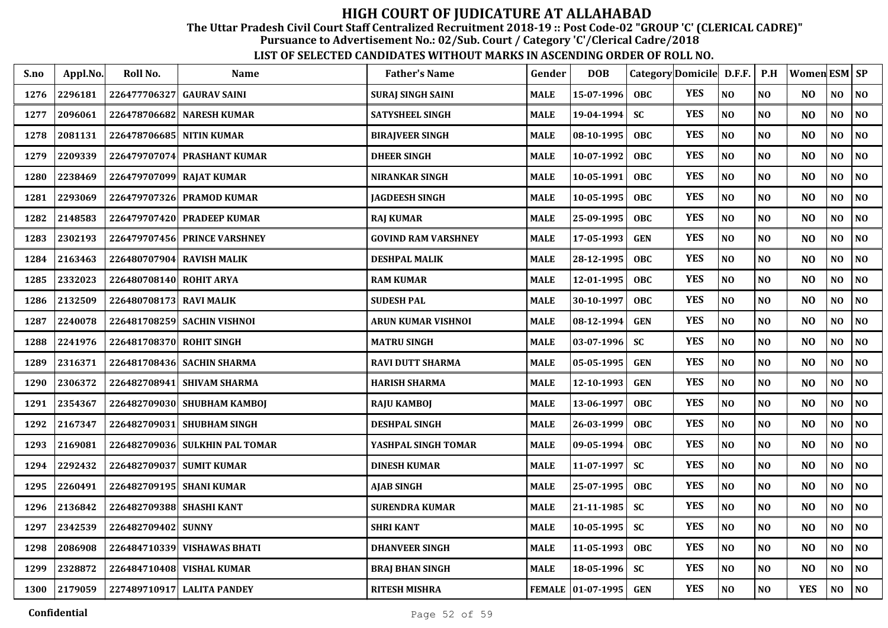The Uttar Pradesh Civil Court Staff Centralized Recruitment 2018-19 :: Post Code-02 "GROUP 'C' (CLERICAL CADRE)"

Pursuance to Advertisement No.: 02/Sub. Court / Category 'C'/Clerical Cadre/2018

| S.no | Appl.No. | Roll No.                  | <b>Name</b>                    | <b>Father's Name</b>       | Gender      | <b>DOB</b>        |            | Category Domicile D.F.F. |                | P.H            | Women ESM   SP |                |                |
|------|----------|---------------------------|--------------------------------|----------------------------|-------------|-------------------|------------|--------------------------|----------------|----------------|----------------|----------------|----------------|
| 1276 | 2296181  | 226477706327 GAURAV SAINI |                                | <b>SURAJ SINGH SAINI</b>   | <b>MALE</b> | 15-07-1996        | <b>OBC</b> | <b>YES</b>               | N <sub>O</sub> | N <sub>0</sub> | N <sub>O</sub> | NO             | N <sub>O</sub> |
| 1277 | 2096061  | 226478706682              | <b>NARESH KUMAR</b>            | <b>SATYSHEEL SINGH</b>     | <b>MALE</b> | 19-04-1994        | <b>SC</b>  | <b>YES</b>               | NO             | NO             | N <sub>O</sub> | NO             | NO             |
| 1278 | 2081131  | 226478706685 NITIN KUMAR  |                                | <b>BIRAJVEER SINGH</b>     | <b>MALE</b> | 08-10-1995        | <b>OBC</b> | <b>YES</b>               | N <sub>O</sub> | NO             | N <sub>O</sub> | NO             | N <sub>O</sub> |
| 1279 | 2209339  |                           | 226479707074 PRASHANT KUMAR    | <b>DHEER SINGH</b>         | <b>MALE</b> | 10-07-1992        | <b>OBC</b> | <b>YES</b>               | NO             | NO             | N <sub>O</sub> | NO             | NO             |
| 1280 | 2238469  | 226479707099 RAJAT KUMAR  |                                | <b>NIRANKAR SINGH</b>      | <b>MALE</b> | 10-05-1991        | <b>OBC</b> | <b>YES</b>               | NO             | N <sub>O</sub> | N <sub>O</sub> | NO             | N <sub>O</sub> |
| 1281 | 2293069  |                           | 226479707326 PRAMOD KUMAR      | <b>JAGDEESH SINGH</b>      | <b>MALE</b> | 10-05-1995        | <b>OBC</b> | <b>YES</b>               | N <sub>O</sub> | NO             | NO             | N <sub>O</sub> | NO             |
| 1282 | 2148583  |                           | 226479707420 PRADEEP KUMAR     | <b>RAJ KUMAR</b>           | <b>MALE</b> | 25-09-1995        | <b>OBC</b> | <b>YES</b>               | NO             | N <sub>O</sub> | N <sub>O</sub> | N <sub>O</sub> | N <sub>O</sub> |
| 1283 | 2302193  |                           | 226479707456 PRINCE VARSHNEY   | <b>GOVIND RAM VARSHNEY</b> | <b>MALE</b> | 17-05-1993        | <b>GEN</b> | <b>YES</b>               | N <sub>O</sub> | NO             | N <sub>O</sub> | NO             | NO             |
| 1284 | 2163463  |                           | 226480707904 RAVISH MALIK      | <b>DESHPAL MALIK</b>       | <b>MALE</b> | 28-12-1995        | <b>OBC</b> | <b>YES</b>               | NO             | NO             | N <sub>O</sub> | NO             | N <sub>O</sub> |
| 1285 | 2332023  | 226480708140 ROHIT ARYA   |                                | <b>RAM KUMAR</b>           | <b>MALE</b> | 12-01-1995        | <b>OBC</b> | <b>YES</b>               | N <sub>O</sub> | NO             | NO             | NO             | NO             |
| 1286 | 2132509  | 226480708173 RAVI MALIK   |                                | <b>SUDESH PAL</b>          | <b>MALE</b> | 30-10-1997        | <b>OBC</b> | <b>YES</b>               | $\bf NO$       | N <sub>O</sub> | N <sub>O</sub> | NO             | $\bf NO$       |
| 1287 | 2240078  |                           | 226481708259 SACHIN VISHNOI    | <b>ARUN KUMAR VISHNOI</b>  | <b>MALE</b> | 08-12-1994        | <b>GEN</b> | <b>YES</b>               | N <sub>O</sub> | N <sub>0</sub> | N <sub>O</sub> | NO             | N <sub>O</sub> |
| 1288 | 2241976  | 226481708370 ROHIT SINGH  |                                | <b>MATRU SINGH</b>         | <b>MALE</b> | $03-07-1996$      | <b>SC</b>  | <b>YES</b>               | NO             | NO             | N <sub>O</sub> | NO             | NO             |
| 1289 | 2316371  |                           | 226481708436 SACHIN SHARMA     | <b>RAVI DUTT SHARMA</b>    | <b>MALE</b> | 05-05-1995        | <b>GEN</b> | <b>YES</b>               | N <sub>O</sub> | NO             | N <sub>O</sub> | NO             | N <sub>0</sub> |
| 1290 | 2306372  |                           | 226482708941 SHIVAM SHARMA     | <b>HARISH SHARMA</b>       | <b>MALE</b> | 12-10-1993        | <b>GEN</b> | <b>YES</b>               | N <sub>O</sub> | NO             | N <sub>O</sub> | N <sub>O</sub> | NO             |
| 1291 | 2354367  |                           | 226482709030 SHUBHAM KAMBOJ    | <b>RAJU KAMBOJ</b>         | <b>MALE</b> | 13-06-1997        | <b>OBC</b> | <b>YES</b>               | NO             | NO             | N <sub>O</sub> | N <sub>O</sub> | N <sub>0</sub> |
| 1292 | 2167347  |                           | 226482709031 SHUBHAM SINGH     | <b>DESHPAL SINGH</b>       | <b>MALE</b> | 26-03-1999        | <b>OBC</b> | <b>YES</b>               | N <sub>O</sub> | NO             | N <sub>O</sub> | NO             | NO             |
| 1293 | 2169081  |                           | 226482709036 SULKHIN PAL TOMAR | YASHPAL SINGH TOMAR        | <b>MALE</b> | $09 - 05 - 1994$  | <b>OBC</b> | <b>YES</b>               | $\bf NO$       | N <sub>O</sub> | N <sub>O</sub> | NO.            | N <sub>O</sub> |
| 1294 | 2292432  |                           | 226482709037 SUMIT KUMAR       | <b>DINESH KUMAR</b>        | <b>MALE</b> | $11 - 07 - 1997$  | <b>SC</b>  | <b>YES</b>               | N <sub>O</sub> | N <sub>O</sub> | N <sub>O</sub> | NO             | N <sub>O</sub> |
| 1295 | 2260491  | 226482709195 SHANI KUMAR  |                                | <b>AJAB SINGH</b>          | <b>MALE</b> | 25-07-1995        | <b>OBC</b> | <b>YES</b>               | NO             | NO             | NO             | N <sub>O</sub> | NO             |
| 1296 | 2136842  | 226482709388 SHASHI KANT  |                                | <b>SURENDRA KUMAR</b>      | <b>MALE</b> | $21 - 11 - 1985$  | <b>SC</b>  | <b>YES</b>               | N <sub>O</sub> | NO             | NO             | NO             | NO             |
| 1297 | 2342539  | 226482709402              | <b>SUNNY</b>                   | <b>SHRI KANT</b>           | <b>MALE</b> | $10 - 05 - 1995$  | <b>SC</b>  | <b>YES</b>               | N <sub>O</sub> | NO             | N <sub>O</sub> | NO             | N <sub>0</sub> |
| 1298 | 2086908  |                           | 226484710339 VISHAWAS BHATI    | <b>DHANVEER SINGH</b>      | <b>MALE</b> | 11-05-1993        | <b>OBC</b> | <b>YES</b>               | NO             | NO             | N <sub>O</sub> | NO             | N <sub>0</sub> |
| 1299 | 2328872  |                           | 226484710408 VISHAL KUMAR      | <b>BRAJ BHAN SINGH</b>     | <b>MALE</b> | 18-05-1996        | <b>SC</b>  | <b>YES</b>               | $\bf NO$       | NO             | N <sub>O</sub> | NO             | NO             |
| 1300 | 2179059  |                           | 227489710917 LALITA PANDEY     | <b>RITESH MISHRA</b>       |             | FEMALE 01-07-1995 | <b>GEN</b> | <b>YES</b>               | $\bf NO$       | $\bf NO$       | <b>YES</b>     | NO             | $\bf NO$       |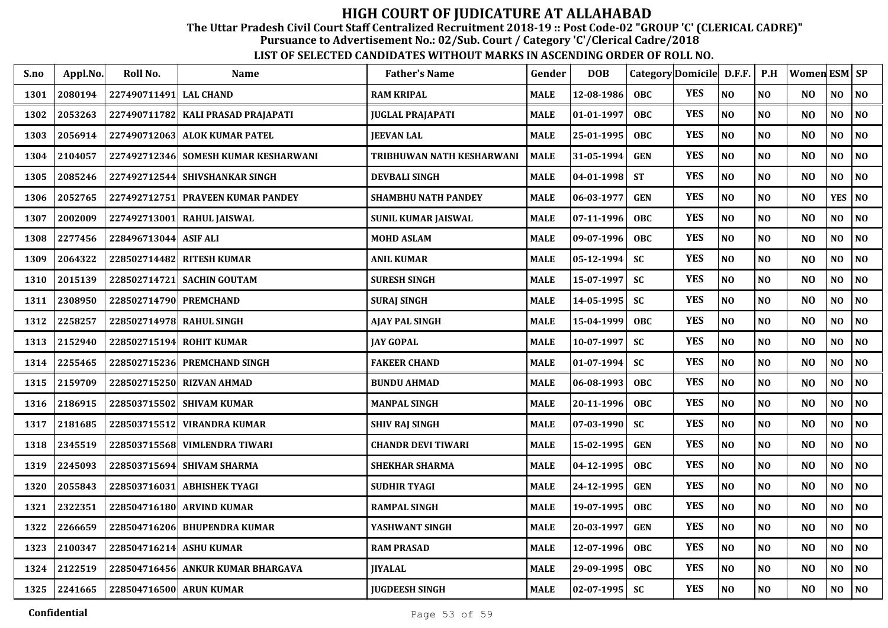The Uttar Pradesh Civil Court Staff Centralized Recruitment 2018-19 :: Post Code-02 "GROUP 'C' (CLERICAL CADRE)"

Pursuance to Advertisement No.: 02/Sub. Court / Category 'C'/Clerical Cadre/2018

| S.no | Appl.No. | Roll No.                 | Name                                   | <b>Father's Name</b>       | Gender      | <b>DOB</b>       |            | Category Domicile D.F.F. |          | P.H            | Women ESM   SP |            |                |
|------|----------|--------------------------|----------------------------------------|----------------------------|-------------|------------------|------------|--------------------------|----------|----------------|----------------|------------|----------------|
| 1301 | 2080194  | 227490711491 LAL CHAND   |                                        | <b>RAM KRIPAL</b>          | <b>MALE</b> | 12-08-1986       | OBC.       | <b>YES</b>               | NO       | NO             | NO.            | NO         | NO             |
| 1302 | 2053263  |                          | 227490711782   KALI PRASAD PRAJAPATI   | JUGLAL PRAJAPATI           | <b>MALE</b> | 01-01-1997       | <b>OBC</b> | <b>YES</b>               | NO       | N <sub>O</sub> | N <sub>O</sub> | NO         | N <sub>O</sub> |
| 1303 | 2056914  |                          | 227490712063 ALOK KUMAR PATEL          | <b>JEEVAN LAL</b>          | <b>MALE</b> | 25-01-1995       | <b>OBC</b> | <b>YES</b>               | NO       | NO             | N <sub>O</sub> | NO         | N <sub>O</sub> |
| 1304 | 2104057  |                          | 227492712346   SOMESH KUMAR KESHARWANI | TRIBHUWAN NATH KESHARWANI  | <b>MALE</b> | 31-05-1994       | <b>GEN</b> | <b>YES</b>               | NO       | NO             | NO             | NO         | N <sub>O</sub> |
| 1305 | 2085246  |                          | 227492712544 SHIVSHANKAR SINGH         | <b>DEVBALI SINGH</b>       | <b>MALE</b> | 04-01-1998       | <b>ST</b>  | <b>YES</b>               | NO       | NO             | NO             | NO         | NO             |
| 1306 | 2052765  |                          | 227492712751 PRAVEEN KUMAR PANDEY      | <b>SHAMBHU NATH PANDEY</b> | <b>MALE</b> | 06-03-1977       | <b>GEN</b> | <b>YES</b>               | $\bf NO$ | NO             | N <sub>O</sub> | <b>YES</b> | N <sub>O</sub> |
| 1307 | 2002009  |                          | 227492713001 RAHUL JAISWAL             | SUNIL KUMAR JAISWAL        | MALE        | 07-11-1996       | <b>OBC</b> | <b>YES</b>               | $\bf NO$ | NO             | NO             | NO         | $\bf NO$       |
| 1308 | 2277456  | 228496713044   ASIF ALI  |                                        | <b>MOHD ASLAM</b>          | <b>MALE</b> | 09-07-1996       | <b>OBC</b> | <b>YES</b>               | NO       | NO             | N <sub>O</sub> | NO         | NO             |
| 1309 | 2064322  |                          | 228502714482 RITESH KUMAR              | ANIL KUMAR                 | MALE        | 05-12-1994       | <b>SC</b>  | <b>YES</b>               | NO       | NO             | N <sub>O</sub> | NO         | NO             |
| 1310 | 2015139  |                          | 228502714721 SACHIN GOUTAM             | <b>SURESH SINGH</b>        | <b>MALE</b> | 15-07-1997       | <b>SC</b>  | <b>YES</b>               | NO       | N <sub>O</sub> | N <sub>O</sub> | NO         | N <sub>O</sub> |
| 1311 | 2308950  | 228502714790 PREMCHAND   |                                        | SURAJ SINGH                | MALE        | 14-05-1995       | <b>SC</b>  | <b>YES</b>               | $\bf NO$ | NO             | NO             | NO         | NO             |
| 1312 | 2258257  | 228502714978 RAHUL SINGH |                                        | AJAY PAL SINGH             | <b>MALE</b> | 15-04-1999       | <b>OBC</b> | <b>YES</b>               | NO       | NO             | N <sub>O</sub> | NO         | NO             |
| 1313 | 2152940  | 228502715194             | <b>ROHIT KUMAR</b>                     | <b>JAY GOPAL</b>           | <b>MALE</b> | 10-07-1997       | SC         | <b>YES</b>               | NO       | NO             | N <sub>O</sub> | NO         | N <sub>0</sub> |
| 1314 | 2255465  |                          | 228502715236 PREMCHAND SINGH           | <b>FAKEER CHAND</b>        | <b>MALE</b> | 01-07-1994       | <b>SC</b>  | <b>YES</b>               | NO       | NO             | N <sub>O</sub> | NO         | NO             |
| 1315 | 2159709  |                          | 228502715250 RIZVAN AHMAD              | <b>BUNDU AHMAD</b>         | <b>MALE</b> | 06-08-1993       | <b>OBC</b> | <b>YES</b>               | NO       | NO             | N <sub>O</sub> | NO         | N <sub>0</sub> |
| 1316 | 2186915  |                          | 228503715502 SHIVAM KUMAR              | <b>MANPAL SINGH</b>        | <b>MALE</b> | 20-11-1996       | <b>OBC</b> | <b>YES</b>               | NO       | NO             | N <sub>O</sub> | NO         | N <sub>0</sub> |
| 1317 | 2181685  |                          | 228503715512  VIRANDRA KUMAR           | <b>SHIV RAJ SINGH</b>      | <b>MALE</b> | 07-03-1990       | <b>SC</b>  | <b>YES</b>               | NO       | NO             | N <sub>O</sub> | NO         | NO             |
| 1318 | 2345519  |                          | 228503715568  VIMLENDRA TIWARI         | <b>CHANDR DEVI TIWARI</b>  | <b>MALE</b> | 15-02-1995       | <b>GEN</b> | <b>YES</b>               | NO       | NO             | N <sub>O</sub> | NO         | N <sub>O</sub> |
| 1319 | 2245093  |                          | 228503715694  SHIVAM SHARMA            | <b>SHEKHAR SHARMA</b>      | MALE        | 04-12-1995       | <b>OBC</b> | <b>YES</b>               | NO       | NO             | N <sub>O</sub> | NO         | N <sub>O</sub> |
| 1320 | 2055843  |                          | 228503716031   ABHISHEK TYAGI          | <b>SUDHIR TYAGI</b>        | <b>MALE</b> | 24-12-1995       | <b>GEN</b> | <b>YES</b>               | $\bf NO$ | NO             | N <sub>O</sub> | NO         | N <sub>O</sub> |
| 1321 | 2322351  |                          | 228504716180 ARVIND KUMAR              | <b>RAMPAL SINGH</b>        | <b>MALE</b> | 19-07-1995       | <b>OBC</b> | <b>YES</b>               | NO       | NO             | N <sub>O</sub> | NO         | N <sub>O</sub> |
| 1322 | 2266659  |                          | 228504716206 BHUPENDRA KUMAR           | YASHWANT SINGH             | <b>MALE</b> | 20-03-1997       | <b>GEN</b> | <b>YES</b>               | NO       | NO             | N <sub>O</sub> | NO         | NO             |
| 1323 | 2100347  | 228504716214 ASHU KUMAR  |                                        | <b>RAM PRASAD</b>          | <b>MALE</b> | 12-07-1996       | <b>OBC</b> | <b>YES</b>               | NO       | NO             | N <sub>O</sub> | NO         | N <sub>O</sub> |
| 1324 | 2122519  |                          | 228504716456 ANKUR KUMAR BHARGAVA      | <b>JIYALAL</b>             | <b>MALE</b> | 29-09-1995       | <b>OBC</b> | <b>YES</b>               | $\bf NO$ | NO             | N <sub>O</sub> | NO         | NO             |
| 1325 | 2241665  | 228504716500 ARUN KUMAR  |                                        | <b>JUGDEESH SINGH</b>      | MALE        | $02 - 07 - 1995$ | <b>SC</b>  | <b>YES</b>               | NO       | NO             | N <sub>O</sub> | NO         | N <sub>O</sub> |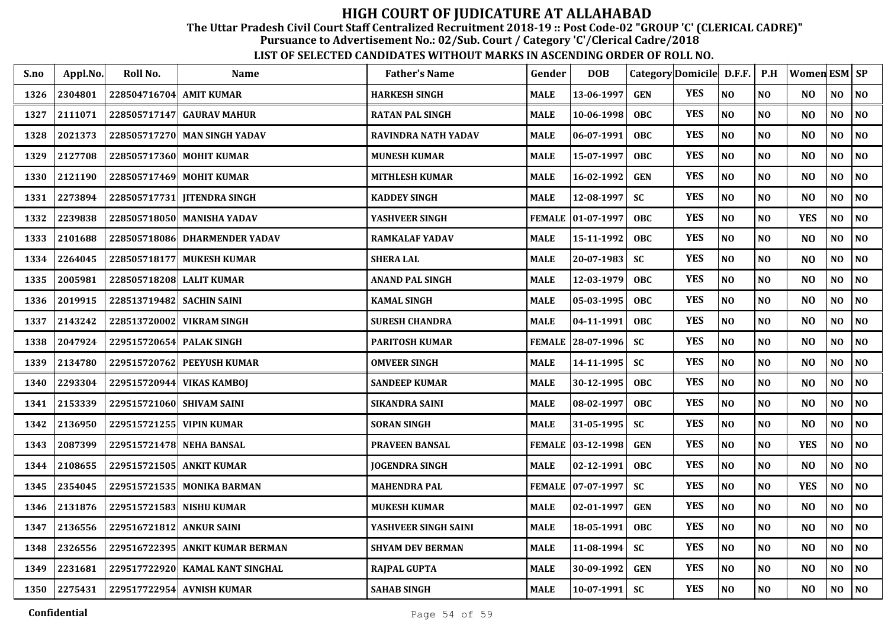The Uttar Pradesh Civil Court Staff Centralized Recruitment 2018-19 :: Post Code-02 "GROUP 'C' (CLERICAL CADRE)"

Pursuance to Advertisement No.: 02/Sub. Court / Category 'C'/Clerical Cadre/2018

| S.no | Appl.No. | Roll No.                    | <b>Name</b>                     | <b>Father's Name</b>       | Gender        | <b>DOB</b>          |            | Category Domicile D.F.F. |                | P.H            | Women ESM SP   |                |                |
|------|----------|-----------------------------|---------------------------------|----------------------------|---------------|---------------------|------------|--------------------------|----------------|----------------|----------------|----------------|----------------|
| 1326 | 2304801  | 228504716704 AMIT KUMAR     |                                 | <b>HARKESH SINGH</b>       | <b>MALE</b>   | 13-06-1997          | <b>GEN</b> | <b>YES</b>               | NO             | N <sub>O</sub> | N <sub>O</sub> | N <sub>O</sub> | $\bf NO$       |
| 1327 | 2111071  |                             | 228505717147 GAURAV MAHUR       | <b>RATAN PAL SINGH</b>     | <b>MALE</b>   | $10 - 06 - 1998$    | <b>OBC</b> | <b>YES</b>               | NO             | NO             | N <sub>O</sub> | NO             | N <sub>0</sub> |
| 1328 | 2021373  | 228505717270                | <b>MAN SINGH YADAV</b>          | <b>RAVINDRA NATH YADAV</b> | MALE          | 06-07-1991          | <b>OBC</b> | <b>YES</b>               | NO             | N <sub>O</sub> | N <sub>O</sub> | NO             | $\bf NO$       |
| 1329 | 2127708  | 228505717360                | <b>MOHIT KUMAR</b>              | <b>MUNESH KUMAR</b>        | MALE          | 15-07-1997          | <b>OBC</b> | <b>YES</b>               | NO             | NO             | N <sub>O</sub> | $\bf NO$       | $\bf NO$       |
| 1330 | 2121190  | 228505717469                | <b>MOHIT KUMAR</b>              | <b>MITHLESH KUMAR</b>      | <b>MALE</b>   | 16-02-1992          | <b>GEN</b> | <b>YES</b>               | NO             | NO             | N <sub>O</sub> | NO             | N <sub>0</sub> |
| 1331 | 2273894  | 228505717731                | <b>JITENDRA SINGH</b>           | <b>KADDEY SINGH</b>        | <b>MALE</b>   | 12-08-1997          | <b>SC</b>  | <b>YES</b>               | NO             | NO             | N <sub>O</sub> | NO             | N <sub>0</sub> |
| 1332 | 2239838  |                             | 228505718050 MANISHA YADAV      | YASHVEER SINGH             | <b>FEMALE</b> | $ 01-07-1997$       | <b>OBC</b> | <b>YES</b>               | NO             | NO             | <b>YES</b>     | NO             | N <sub>0</sub> |
| 1333 | 2101688  | 228505718086                | <b>DHARMENDER YADAV</b>         | <b>RAMKALAF YADAV</b>      | MALE          | 15-11-1992          | <b>OBC</b> | <b>YES</b>               | $\bf NO$       | NO             | N <sub>O</sub> | N <sub>0</sub> | $\bf NO$       |
| 1334 | 2264045  | 228505718177                | <b>MUKESH KUMAR</b>             | <b>SHERA LAL</b>           | MALE          | 20-07-1983          | <b>SC</b>  | <b>YES</b>               | NO             | NO             | N <sub>O</sub> | N <sub>O</sub> | NO             |
| 1335 | 2005981  | 228505718208 LALIT KUMAR    |                                 | <b>ANAND PAL SINGH</b>     | <b>MALE</b>   | 12-03-1979          | OBC        | <b>YES</b>               | NO             | N <sub>O</sub> | N <sub>O</sub> | N <sub>O</sub> | NO             |
| 1336 | 2019915  | 228513719482   SACHIN SAINI |                                 | <b>KAMAL SINGH</b>         | MALE          | $05 - 03 - 1995$    | <b>OBC</b> | <b>YES</b>               | NO             | N <sub>O</sub> | N <sub>O</sub> | N <sub>O</sub> | NO             |
| 1337 | 2143242  | 228513720002                | <b>VIKRAM SINGH</b>             | <b>SURESH CHANDRA</b>      | MALE          | 04-11-1991          | <b>OBC</b> | <b>YES</b>               | NO             | N <sub>O</sub> | N <sub>O</sub> | N <sub>0</sub> | NO             |
| 1338 | 2047924  | 229515720654 PALAK SINGH    |                                 | <b>PARITOSH KUMAR</b>      | <b>FEMALE</b> | 28-07-1996          | <b>SC</b>  | <b>YES</b>               | NO             | N <sub>O</sub> | N <sub>O</sub> | NO             | NO             |
| 1339 | 2134780  | 229515720762                | <b>PEEYUSH KUMAR</b>            | <b>OMVEER SINGH</b>        | <b>MALE</b>   | 14-11-1995          | <b>SC</b>  | <b>YES</b>               | NO             | N <sub>O</sub> | N <sub>O</sub> | NO             | NO             |
| 1340 | 2293304  | 229515720944                | <b>VIKAS KAMBOI</b>             | <b>SANDEEP KUMAR</b>       | <b>MALE</b>   | 30-12-1995          | <b>OBC</b> | <b>YES</b>               | NO             | N <sub>O</sub> | N <sub>O</sub> | NO             | NO             |
| 1341 | 2153339  | 229515721060 SHIVAM SAINI   |                                 | <b>SIKANDRA SAINI</b>      | MALE          | 08-02-1997          | OBC        | <b>YES</b>               | NO             | NO             | N <sub>O</sub> | N <sub>O</sub> | NO             |
| 1342 | 2136950  | 229515721255 VIPIN KUMAR    |                                 | <b>SORAN SINGH</b>         | <b>MALE</b>   | 31-05-1995          | <b>SC</b>  | <b>YES</b>               | NO             | NO             | N <sub>O</sub> | N <sub>O</sub> | NO             |
| 1343 | 2087399  |                             | 229515721478 NEHA BANSAL        | PRAVEEN BANSAL             |               | FEMALE 03-12-1998   | <b>GEN</b> | <b>YES</b>               | N <sub>O</sub> | NO             | <b>YES</b>     | NO             | NO             |
| 1344 | 2108655  |                             | 229515721505 ANKIT KUMAR        | <b>JOGENDRA SINGH</b>      | <b>MALE</b>   | 02-12-1991          | <b>OBC</b> | <b>YES</b>               | NO             | N <sub>O</sub> | N <sub>O</sub> | NO             | NO             |
| 1345 | 2354045  |                             | 229515721535 MONIKA BARMAN      | <b>MAHENDRA PAL</b>        |               | FEMALE   07-07-1997 | <b>SC</b>  | <b>YES</b>               | NO             | N <sub>O</sub> | <b>YES</b>     | NO             | NO             |
| 1346 | 2131876  |                             | 229515721583 NISHU KUMAR        | <b>MUKESH KUMAR</b>        | <b>MALE</b>   | 02-01-1997          | <b>GEN</b> | <b>YES</b>               | NO             | N <sub>O</sub> | N <sub>O</sub> | $\bf NO$       | NO             |
| 1347 | 2136556  | 229516721812                | <b>ANKUR SAINI</b>              | YASHVEER SINGH SAINI       | <b>MALE</b>   | 18-05-1991          | <b>OBC</b> | <b>YES</b>               | NO             | N <sub>O</sub> | N <sub>O</sub> | N <sub>O</sub> | N <sub>0</sub> |
| 1348 | 2326556  |                             | 229516722395 ANKIT KUMAR BERMAN | <b>SHYAM DEV BERMAN</b>    | <b>MALE</b>   | $11 - 08 - 1994$    | <b>SC</b>  | <b>YES</b>               | $\bf NO$       | NO             | N <sub>O</sub> | NO             | $\bf NO$       |
| 1349 | 2231681  |                             | 229517722920 KAMAL KANT SINGHAL | <b>RAJPAL GUPTA</b>        | MALE          | 30-09-1992          | <b>GEN</b> | <b>YES</b>               | $\bf NO$       | $\bf NO$       | N <sub>O</sub> | N <sub>O</sub> | $\bf NO$       |
| 1350 | 2275431  |                             | 229517722954 AVNISH KUMAR       | <b>SAHAB SINGH</b>         | <b>MALE</b>   | $10-07-1991$        | <b>SC</b>  | <b>YES</b>               | $\bf NO$       | $\bf NO$       | N <sub>O</sub> | NO             | <b>NO</b>      |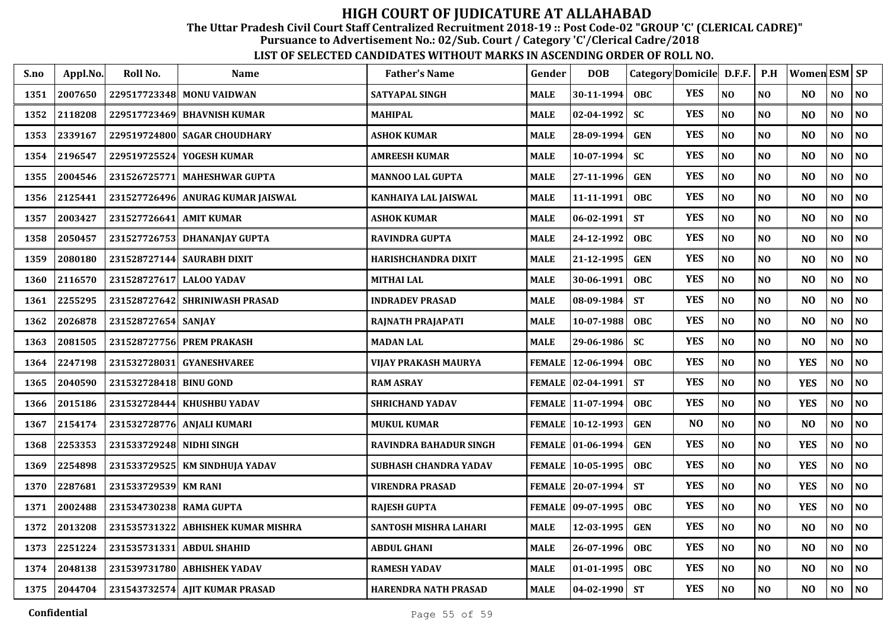The Uttar Pradesh Civil Court Staff Centralized Recruitment 2018-19 :: Post Code-02 "GROUP 'C' (CLERICAL CADRE)"

Pursuance to Advertisement No.: 02/Sub. Court / Category 'C'/Clerical Cadre/2018

| S.no | Appl.No. | Roll No.                 | <b>Name</b>                    | <b>Father's Name</b>          | Gender        | <b>DOB</b>        | Category Domicile D.F.F. P.H |                |                |                | Women ESM   SP |                |                             |
|------|----------|--------------------------|--------------------------------|-------------------------------|---------------|-------------------|------------------------------|----------------|----------------|----------------|----------------|----------------|-----------------------------|
| 1351 | 2007650  |                          | 229517723348 MONU VAIDWAN      | <b>SATYAPAL SINGH</b>         | <b>MALE</b>   | 30-11-1994        | <b>OBC</b>                   | <b>YES</b>     | N <sub>O</sub> | N <sub>O</sub> | N <sub>O</sub> | NO             | <b>NO</b>                   |
| 1352 | 2118208  |                          | 229517723469 BHAVNISH KUMAR    | <b>MAHIPAL</b>                | <b>MALE</b>   | 02-04-1992        | <b>SC</b>                    | <b>YES</b>     | NO             | N <sub>O</sub> | N <sub>O</sub> | N <sub>0</sub> | <b>NO</b>                   |
| 1353 | 2339167  | 229519724800             | <b>SAGAR CHOUDHARY</b>         | <b>ASHOK KUMAR</b>            | <b>MALE</b>   | 28-09-1994        | <b>GEN</b>                   | <b>YES</b>     | NO             | N <sub>O</sub> | N <sub>O</sub> | NO             | NO                          |
| 1354 | 2196547  | 229519725524             | YOGESH KUMAR                   | <b>AMREESH KUMAR</b>          | <b>MALE</b>   | 10-07-1994        | <b>SC</b>                    | <b>YES</b>     | NO             | N <sub>O</sub> | N <sub>O</sub> | NO             | NO                          |
| 1355 | 2004546  | 231526725771             | <b>MAHESHWAR GUPTA</b>         | <b>MANNOO LAL GUPTA</b>       | <b>MALE</b>   | 27-11-1996        | <b>GEN</b>                   | <b>YES</b>     | NO             | N <sub>O</sub> | N <sub>O</sub> | N <sub>0</sub> | NO                          |
| 1356 | 2125441  | 231527726496             | ANURAG KUMAR JAISWAL           | KANHAIYA LAL JAISWAL          | <b>MALE</b>   | 11-11-1991        | <b>OBC</b>                   | <b>YES</b>     | NO             | N <sub>O</sub> | N <sub>O</sub> | N <sub>0</sub> | NO                          |
| 1357 | 2003427  | 231527726641 AMIT KUMAR  |                                | <b>ASHOK KUMAR</b>            | <b>MALE</b>   | $ 06-02-1991$     | <b>ST</b>                    | <b>YES</b>     | $\bf NO$       | N <sub>O</sub> | N <sub>O</sub> | N <sub>0</sub> | NO                          |
| 1358 | 2050457  | 231527726753             | <b>DHANANJAY GUPTA</b>         | <b>RAVINDRA GUPTA</b>         | <b>MALE</b>   | 24-12-1992        | <b>OBC</b>                   | <b>YES</b>     | N <sub>O</sub> | N <sub>O</sub> | N <sub>O</sub> | N <sub>O</sub> | NO                          |
| 1359 | 2080180  | 231528727144             | <b>SAURABH DIXIT</b>           | <b>HARISHCHANDRA DIXIT</b>    | <b>MALE</b>   | 21-12-1995        | <b>GEN</b>                   | <b>YES</b>     | N <sub>O</sub> | N <sub>O</sub> | N <sub>O</sub> | N <sub>O</sub> | NO                          |
| 1360 | 2116570  | 231528727617 LALOO YADAV |                                | <b>MITHAI LAL</b>             | <b>MALE</b>   | 30-06-1991        | <b>OBC</b>                   | <b>YES</b>     | NO             | N <sub>0</sub> | N <sub>O</sub> | N <sub>O</sub> | NO                          |
| 1361 | 2255295  |                          | 231528727642 SHRINIWASH PRASAD | <b>INDRADEV PRASAD</b>        | <b>MALE</b>   | 08-09-1984        | <b>ST</b>                    | <b>YES</b>     | N <sub>O</sub> | N <sub>O</sub> | N <sub>O</sub> | N <sub>O</sub> | NO                          |
| 1362 | 2026878  | 231528727654             | <b>SANJAY</b>                  | RAJNATH PRAJAPATI             | <b>MALE</b>   | 10-07-1988        | <b>OBC</b>                   | <b>YES</b>     | NO             | N <sub>0</sub> | N <sub>O</sub> | NO             | NO                          |
| 1363 | 2081505  | 231528727756             | <b>PREM PRAKASH</b>            | <b>MADAN LAL</b>              | <b>MALE</b>   | 29-06-1986        | <b>SC</b>                    | <b>YES</b>     | NO             | NO             | N <sub>O</sub> | NO             | NO                          |
| 1364 | 2247198  | 231532728031             | <b>GYANESHVAREE</b>            | VIJAY PRAKASH MAURYA          |               | FEMALE 12-06-1994 | <b>OBC</b>                   | <b>YES</b>     | NO             | NO             | <b>YES</b>     | NO             | NO                          |
| 1365 | 2040590  | 231532728418             | <b>BINU GOND</b>               | <b>RAM ASRAY</b>              |               | FEMALE 02-04-1991 | <b>ST</b>                    | <b>YES</b>     | NO             | NO             | <b>YES</b>     | NO             | NO                          |
| 1366 | 2015186  |                          | 231532728444 KHUSHBU YADAV     | <b>SHRICHAND YADAV</b>        |               | FEMALE 11-07-1994 | <b>OBC</b>                   | <b>YES</b>     | N <sub>0</sub> | NO             | <b>YES</b>     | NO             | NO                          |
| 1367 | 2154174  |                          | 231532728776 ANJALI KUMARI     | <b>MUKUL KUMAR</b>            |               | FEMALE 10-12-1993 | <b>GEN</b>                   | N <sub>O</sub> | N <sub>O</sub> | N <sub>O</sub> | N <sub>O</sub> | N <sub>O</sub> | NO                          |
| 1368 | 2253353  | 231533729248 NIDHI SINGH |                                | <b>RAVINDRA BAHADUR SINGH</b> |               | FEMALE 01-06-1994 | <b>GEN</b>                   | <b>YES</b>     | N <sub>O</sub> | N <sub>O</sub> | <b>YES</b>     | N <sub>O</sub> | NO                          |
| 1369 | 2254898  |                          | 231533729525 KM SINDHUJA YADAV | <b>SUBHASH CHANDRA YADAV</b>  |               | FEMALE 10-05-1995 | <b>OBC</b>                   | <b>YES</b>     | N <sub>O</sub> | N <sub>O</sub> | <b>YES</b>     | N <sub>O</sub> | NO                          |
| 1370 | 2287681  | 231533729539 KM RANI     |                                | <b>VIRENDRA PRASAD</b>        |               | FEMALE 20-07-1994 | <b>ST</b>                    | <b>YES</b>     | N <sub>O</sub> | N <sub>O</sub> | <b>YES</b>     | N <sub>O</sub> | NO                          |
| 1371 | 2002488  | 231534730238 RAMA GUPTA  |                                | <b>RAJESH GUPTA</b>           | <b>FEMALE</b> | $ 09-07-1995$     | <b>OBC</b>                   | <b>YES</b>     | N <sub>O</sub> | N <sub>O</sub> | <b>YES</b>     | NO             | <b>NO</b>                   |
| 1372 | 2013208  | 231535731322             | <b>ABHISHEK KUMAR MISHRA</b>   | <b>SANTOSH MISHRA LAHARI</b>  | <b>MALE</b>   | 12-03-1995        | <b>GEN</b>                   | <b>YES</b>     | NO             | N <sub>0</sub> | N <sub>O</sub> | NO             | NO                          |
| 1373 | 2251224  | 231535731331             | <b>ABDUL SHAHID</b>            | <b>ABDUL GHANI</b>            | <b>MALE</b>   | 26-07-1996        | OBC                          | <b>YES</b>     | NO             | NO             | N <sub>O</sub> | N <sub>0</sub> | NO                          |
| 1374 | 2048138  |                          | 231539731780 ABHISHEK YADAV    | <b>RAMESH YADAV</b>           | <b>MALE</b>   | 01-01-1995        | <b>OBC</b>                   | <b>YES</b>     | NO             | N <sub>O</sub> | N <sub>O</sub> | NO             | NO                          |
| 1375 | 2044704  |                          | 231543732574 AJIT KUMAR PRASAD | <b>HARENDRA NATH PRASAD</b>   | <b>MALE</b>   | $ 04-02-1990 $    | <b>ST</b>                    | <b>YES</b>     | $\bf NO$       | NO             | N <sub>O</sub> | NO             | $\overline{\phantom{a}}$ NO |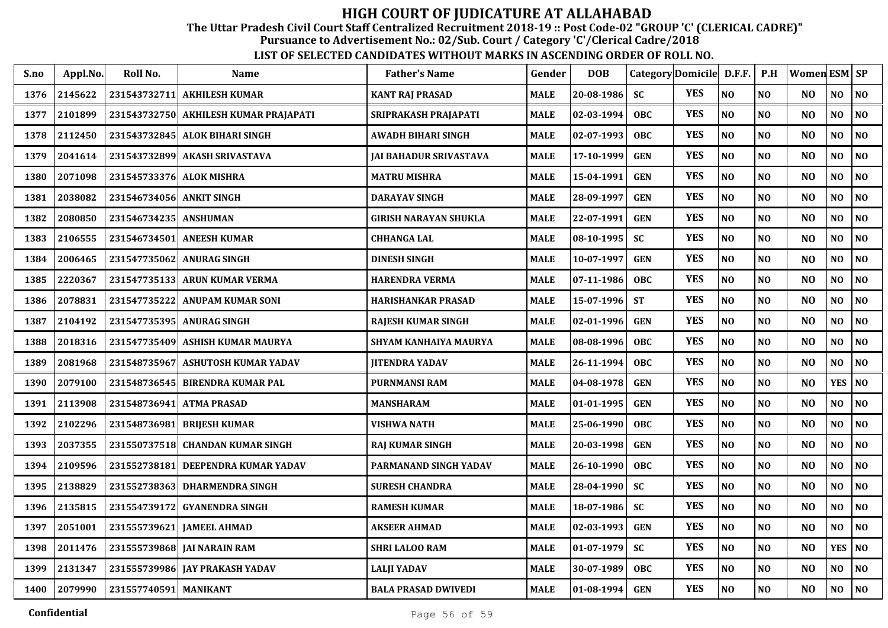The Uttar Pradesh Civil Court Staff Centralized Recruitment 2018-19 :: Post Code-02 "GROUP 'C' (CLERICAL CADRE)"

Pursuance to Advertisement No.: 02/Sub. Court / Category 'C'/Clerical Cadre/2018

| S.no | Appl.No. | Roll No.                 | Name                                   | <b>Father's Name</b>       | Gender      | <b>DOB</b> |            | Category Domicile D.F.F. |                | P.H            | Women ESM SP   |                |                |
|------|----------|--------------------------|----------------------------------------|----------------------------|-------------|------------|------------|--------------------------|----------------|----------------|----------------|----------------|----------------|
| 1376 | 2145622  | 231543732711             | <b>AKHILESH KUMAR</b>                  | <b>KANT RAJ PRASAD</b>     | <b>MALE</b> | 20-08-1986 | <b>SC</b>  | <b>YES</b>               | NO             | <b>NO</b>      | N <sub>O</sub> | NO             | <b>NO</b>      |
| 1377 | 2101899  |                          | 231543732750  AKHILESH KUMAR PRAJAPATI | SRIPRAKASH PRAJAPATI       | <b>MALE</b> | 02-03-1994 | <b>OBC</b> | <b>YES</b>               | N <sub>O</sub> | N <sub>O</sub> | N <sub>O</sub> | NO             | N <sub>O</sub> |
| 1378 | 2112450  |                          | 231543732845 ALOK BIHARI SINGH         | AWADH BIHARI SINGH         | <b>MALE</b> | 02-07-1993 | <b>OBC</b> | <b>YES</b>               | NO             | <b>NO</b>      | N <sub>O</sub> | NO             | <b>NO</b>      |
| 1379 | 2041614  |                          | 231543732899 AKASH SRIVASTAVA          | JAI BAHADUR SRIVASTAVA     | <b>MALE</b> | 17-10-1999 | <b>GEN</b> | <b>YES</b>               | N <sub>O</sub> | N <sub>O</sub> | N <sub>O</sub> | NO             | <b>NO</b>      |
| 1380 | 2071098  | 231545733376 ALOK MISHRA |                                        | <b>MATRU MISHRA</b>        | <b>MALE</b> | 15-04-1991 | <b>GEN</b> | <b>YES</b>               | N <sub>O</sub> | N <sub>O</sub> | N <sub>O</sub> | NO             | NO             |
| 1381 | 2038082  | 231546734056             | <b>ANKIT SINGH</b>                     | <b>DARAYAV SINGH</b>       | <b>MALE</b> | 28-09-1997 | <b>GEN</b> | <b>YES</b>               | N <sub>O</sub> | NO             | N <sub>O</sub> | NO             | NO             |
| 1382 | 2080850  | 231546734235 ANSHUMAN    |                                        | GIRISH NARAYAN SHUKLA      | <b>MALE</b> | 22-07-1991 | <b>GEN</b> | <b>YES</b>               | N <sub>O</sub> | N <sub>O</sub> | N <sub>O</sub> | N <sub>O</sub> | NO             |
| 1383 | 2106555  | 231546734501             | <b>ANEESH KUMAR</b>                    | <b>CHHANGA LAL</b>         | <b>MALE</b> | 08-10-1995 | <b>SC</b>  | <b>YES</b>               | NO             | NO             | N <sub>O</sub> | N <sub>O</sub> | N <sub>O</sub> |
| 1384 | 2006465  | 231547735062             | <b>ANURAG SINGH</b>                    | <b>DINESH SINGH</b>        | <b>MALE</b> | 10-07-1997 | <b>GEN</b> | <b>YES</b>               | NO             | N <sub>O</sub> | N <sub>O</sub> | N <sub>O</sub> | <b>NO</b>      |
| 1385 | 2220367  | 231547735133             | ARUN KUMAR VERMA                       | HARENDRA VERMA             | <b>MALE</b> | 07-11-1986 | <b>OBC</b> | <b>YES</b>               | N <sub>O</sub> | N <sub>O</sub> | N <sub>O</sub> | N <sub>O</sub> | <b>NO</b>      |
| 1386 | 2078831  | 231547735222             | <b>ANUPAM KUMAR SONI</b>               | HARISHANKAR PRASAD         | <b>MALE</b> | 15-07-1996 | <b>ST</b>  | <b>YES</b>               | N <sub>O</sub> | N <sub>O</sub> | N <sub>O</sub> | N <sub>O</sub> | N <sub>O</sub> |
| 1387 | 2104192  |                          | 231547735395 ANURAG SINGH              | <b>RAJESH KUMAR SINGH</b>  | <b>MALE</b> | 02-01-1996 | <b>GEN</b> | <b>YES</b>               | $\bf NO$       | N <sub>O</sub> | N <sub>O</sub> | $\bf NO$       | <b>NO</b>      |
| 1388 | 2018316  | 231547735409             | ASHISH KUMAR MAURYA                    | SHYAM KANHAIYA MAURYA      | <b>MALE</b> | 08-08-1996 | <b>OBC</b> | <b>YES</b>               | $\bf NO$       | N <sub>O</sub> | N <sub>O</sub> | N <sub>0</sub> | N <sub>O</sub> |
| 1389 | 2081968  | 231548735967             | <b>ASHUTOSH KUMAR YADAV</b>            | <b>JITENDRA YADAV</b>      | <b>MALE</b> | 26-11-1994 | <b>OBC</b> | <b>YES</b>               | $\bf NO$       | <b>NO</b>      | N <sub>O</sub> | NO             | NO             |
| 1390 | 2079100  | 231548736545             | <b>BIRENDRA KUMAR PAL</b>              | <b>PURNMANSI RAM</b>       | <b>MALE</b> | 04-08-1978 | <b>GEN</b> | <b>YES</b>               | N <sub>O</sub> | <b>NO</b>      | N <sub>O</sub> | <b>YES</b>     | <b>NO</b>      |
| 1391 | 2113908  | 231548736941             | <b>ATMA PRASAD</b>                     | MANSHARAM                  | <b>MALE</b> | 01-01-1995 | <b>GEN</b> | <b>YES</b>               | N <sub>O</sub> | <b>NO</b>      | N <sub>O</sub> | NO             | <b>NO</b>      |
| 1392 | 2102296  | 231548736981             | <b>BRIJESH KUMAR</b>                   | VISHWA NATH                | <b>MALE</b> | 25-06-1990 | <b>OBC</b> | <b>YES</b>               | N <sub>O</sub> | NO             | N <sub>O</sub> | NO.            | <b>NO</b>      |
| 1393 | 2037355  | 231550737518             | <b>CHANDAN KUMAR SINGH</b>             | <b>RAJ KUMAR SINGH</b>     | <b>MALE</b> | 20-03-1998 | <b>GEN</b> | <b>YES</b>               | N <sub>O</sub> | N <sub>O</sub> | N <sub>O</sub> | NO             | N <sub>O</sub> |
| 1394 | 2109596  | 231552738181             | DEEPENDRA KUMAR YADAV                  | PARMANAND SINGH YADAV      | <b>MALE</b> | 26-10-1990 | <b>OBC</b> | <b>YES</b>               | N <sub>O</sub> | N <sub>O</sub> | N <sub>O</sub> | NO             | N <sub>O</sub> |
| 1395 | 2138829  | 231552738363             | <b>DHARMENDRA SINGH</b>                | <b>SURESH CHANDRA</b>      | <b>MALE</b> | 28-04-1990 | <b>SC</b>  | <b>YES</b>               | NO             | N <sub>O</sub> | N <sub>O</sub> | $\bf NO$       | <b>NO</b>      |
| 1396 | 2135815  | 231554739172             | <b>GYANENDRA SINGH</b>                 | <b>RAMESH KUMAR</b>        | <b>MALE</b> | 18-07-1986 | <b>SC</b>  | <b>YES</b>               | N <sub>O</sub> | N <sub>O</sub> | N <sub>O</sub> | NO             | <b>NO</b>      |
| 1397 | 2051001  | 231555739621             | <b>JAMEEL AHMAD</b>                    | <b>AKSEER AHMAD</b>        | <b>MALE</b> | 02-03-1993 | <b>GEN</b> | <b>YES</b>               | NO             | <b>NO</b>      | N <sub>O</sub> | NO             | NO             |
| 1398 | 2011476  | 231555739868             | <b>JAI NARAIN RAM</b>                  | <b>SHRI LALOO RAM</b>      | <b>MALE</b> | 01-07-1979 | <b>SC</b>  | <b>YES</b>               | N <sub>O</sub> | N <sub>O</sub> | N <sub>O</sub> | <b>YES</b>     | <b>NO</b>      |
| 1399 | 2131347  | 231555739986             | <b>JAY PRAKASH YADAV</b>               | <b>LALJI YADAV</b>         | <b>MALE</b> | 30-07-1989 | <b>OBC</b> | <b>YES</b>               | N <sub>O</sub> | <b>NO</b>      | N <sub>O</sub> | N <sub>O</sub> | N <sub>O</sub> |
| 1400 | 2079990  | 231557740591 MANIKANT    |                                        | <b>BALA PRASAD DWIVEDI</b> | <b>MALE</b> | 01-08-1994 | <b>GEN</b> | <b>YES</b>               | N <sub>O</sub> | N <sub>O</sub> | N <sub>O</sub> | NO             | NO.            |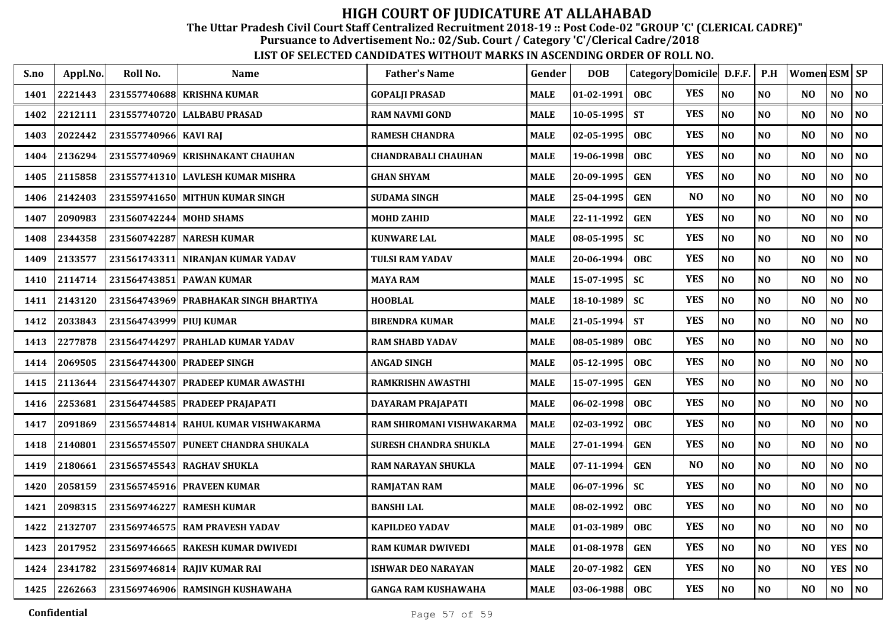The Uttar Pradesh Civil Court Staff Centralized Recruitment 2018-19 :: Post Code-02 "GROUP 'C' (CLERICAL CADRE)"

Pursuance to Advertisement No.: 02/Sub. Court / Category 'C'/Clerical Cadre/2018

| S.no | Appl.No. | Roll No.                | <b>Name</b>                           | <b>Father's Name</b>         | Gender      | <b>DOB</b>       |            | Category Domicile D.F.F. |                | P.H            | Women ESM   SP |                |                |
|------|----------|-------------------------|---------------------------------------|------------------------------|-------------|------------------|------------|--------------------------|----------------|----------------|----------------|----------------|----------------|
| 1401 | 2221443  |                         | 231557740688 KRISHNA KUMAR            | <b>GOPALJI PRASAD</b>        | <b>MALE</b> | 01-02-1991       | <b>OBC</b> | <b>YES</b>               | N <sub>O</sub> | NO             | NO.            | NO             | N <sub>O</sub> |
| 1402 | 2212111  |                         | 231557740720 LALBABU PRASAD           | <b>RAM NAVMI GOND</b>        | <b>MALE</b> | $10 - 05 - 1995$ | <b>ST</b>  | <b>YES</b>               | N <sub>O</sub> | NO             | N <sub>O</sub> | NO             | NO             |
| 1403 | 2022442  | 231557740966 KAVI RAJ   |                                       | <b>RAMESH CHANDRA</b>        | <b>MALE</b> | 02-05-1995       | <b>OBC</b> | <b>YES</b>               | NO             | NO             | N <sub>O</sub> | NO             | NO             |
| 1404 | 2136294  |                         | 231557740969 KRISHNAKANT CHAUHAN      | <b>CHANDRABALI CHAUHAN</b>   | <b>MALE</b> | 19-06-1998       | <b>OBC</b> | <b>YES</b>               | NO             | NO             | N <sub>O</sub> | NO             | NO             |
| 1405 | 2115858  |                         | 231557741310 LAVLESH KUMAR MISHRA     | <b>GHAN SHYAM</b>            | <b>MALE</b> | 20-09-1995       | <b>GEN</b> | <b>YES</b>               | NO             | N <sub>O</sub> | N <sub>O</sub> | NO.            | NO             |
| 1406 | 2142403  |                         | 231559741650 MITHUN KUMAR SINGH       | <b>SUDAMA SINGH</b>          | <b>MALE</b> | 25-04-1995       | <b>GEN</b> | N <sub>O</sub>           | N <sub>O</sub> | N <sub>0</sub> | N <sub>O</sub> | NO             | NO             |
| 1407 | 2090983  | 231560742244 MOHD SHAMS |                                       | <b>MOHD ZAHID</b>            | <b>MALE</b> | 22-11-1992       | <b>GEN</b> | <b>YES</b>               | NO             | <b>NO</b>      | NO             | NO             | NO             |
| 1408 | 2344358  |                         | 231560742287 NARESH KUMAR             | <b>KUNWARE LAL</b>           | <b>MALE</b> | 08-05-1995       | <b>SC</b>  | <b>YES</b>               | N <sub>O</sub> | N <sub>0</sub> | N <sub>O</sub> | NO             | N <sub>O</sub> |
| 1409 | 2133577  |                         | 231561743311 NIRANJAN KUMAR YADAV     | TULSI RAM YADAV              | <b>MALE</b> | 20-06-1994       | <b>OBC</b> | <b>YES</b>               | N <sub>O</sub> | N <sub>O</sub> | N <sub>O</sub> | NO             | N <sub>O</sub> |
| 1410 | 2114714  |                         | 231564743851 PAWAN KUMAR              | <b>MAYA RAM</b>              | <b>MALE</b> | 15-07-1995       | <b>SC</b>  | <b>YES</b>               | N <sub>O</sub> | N <sub>O</sub> | N <sub>O</sub> | NO             | N <sub>O</sub> |
| 1411 | 2143120  |                         | 231564743969 PRABHAKAR SINGH BHARTIYA | <b>HOOBLAL</b>               | <b>MALE</b> | 18-10-1989       | <b>SC</b>  | <b>YES</b>               | NO             | N <sub>O</sub> | NO             | NO             | NO             |
| 1412 | 2033843  | 231564743999 PIUJ KUMAR |                                       | <b>BIRENDRA KUMAR</b>        | <b>MALE</b> | $21 - 05 - 1994$ | <b>ST</b>  | <b>YES</b>               | N <sub>O</sub> | N <sub>O</sub> | NO             | NO             | N <sub>O</sub> |
| 1413 | 2277878  |                         | 231564744297 PRAHLAD KUMAR YADAV      | <b>RAM SHABD YADAV</b>       | <b>MALE</b> | 08-05-1989       | <b>OBC</b> | <b>YES</b>               | NO             | NO             | N <sub>O</sub> | NO             | NO             |
| 1414 | 2069505  |                         | 231564744300 PRADEEP SINGH            | <b>ANGAD SINGH</b>           | <b>MALE</b> | 05-12-1995       | <b>OBC</b> | <b>YES</b>               | N <sub>O</sub> | N <sub>O</sub> | N <sub>O</sub> | NO             | N <sub>O</sub> |
| 1415 | 2113644  |                         | 231564744307 PRADEEP KUMAR AWASTHI    | <b>RAMKRISHN AWASTHI</b>     | <b>MALE</b> | 15-07-1995       | <b>GEN</b> | <b>YES</b>               | N <sub>O</sub> | NO             | N <sub>O</sub> | N <sub>O</sub> | NO             |
| 1416 | 2253681  |                         | 231564744585 PRADEEP PRAJAPATI        | DAYARAM PRAJAPATI            | <b>MALE</b> | 06-02-1998       | <b>OBC</b> | <b>YES</b>               | N <sub>O</sub> | NO             | NO             | NO.            | N <sub>0</sub> |
| 1417 | 2091869  |                         | 231565744814 RAHUL KUMAR VISHWAKARMA  | RAM SHIROMANI VISHWAKARMA    | <b>MALE</b> | 02-03-1992       | OBC        | <b>YES</b>               | NO             | NO             | N <sub>O</sub> | NO             | N <sub>O</sub> |
| 1418 | 2140801  |                         | 231565745507 PUNEET CHANDRA SHUKALA   | <b>SURESH CHANDRA SHUKLA</b> | <b>MALE</b> | 27-01-1994       | <b>GEN</b> | <b>YES</b>               | NO             | NO             | N <sub>O</sub> | NO             | N <sub>O</sub> |
| 1419 | 2180661  |                         | 231565745543 RAGHAV SHUKLA            | <b>RAM NARAYAN SHUKLA</b>    | <b>MALE</b> | $07 - 11 - 1994$ | <b>GEN</b> | N <sub>O</sub>           | N <sub>O</sub> | NO             | N <sub>O</sub> | NO             | NO             |
| 1420 | 2058159  |                         | 231565745916 PRAVEEN KUMAR            | <b>RAMJATAN RAM</b>          | <b>MALE</b> | $06 - 07 - 1996$ | <b>SC</b>  | <b>YES</b>               | $\bf NO$       | NO             | N <sub>O</sub> | NO             | NO             |
| 1421 | 2098315  | 231569746227            | <b>RAMESH KUMAR</b>                   | <b>BANSHI LAL</b>            | <b>MALE</b> | 08-02-1992       | <b>OBC</b> | <b>YES</b>               | NO             | NO             | N <sub>O</sub> | NO.            | NO             |
| 1422 | 2132707  |                         | 231569746575 RAM PRAVESH YADAV        | <b>KAPILDEO YADAV</b>        | <b>MALE</b> | 01-03-1989       | <b>OBC</b> | <b>YES</b>               | NO             | NO             | N <sub>O</sub> | NO             | NO             |
| 1423 | 2017952  |                         | 231569746665 RAKESH KUMAR DWIVEDI     | <b>RAM KUMAR DWIVEDI</b>     | <b>MALE</b> | 01-08-1978       | <b>GEN</b> | <b>YES</b>               | NO             | NO             | N <sub>O</sub> | <b>YES</b>     | NO             |
| 1424 | 2341782  |                         | 231569746814 RAJIV KUMAR RAI          | <b>ISHWAR DEO NARAYAN</b>    | <b>MALE</b> | 20-07-1982       | <b>GEN</b> | <b>YES</b>               | $\bf NO$       | N <sub>O</sub> | N <sub>O</sub> | <b>YES</b>     | <b>NO</b>      |
| 1425 | 2262663  |                         | 231569746906 RAMSINGH KUSHAWAHA       | <b>GANGA RAM KUSHAWAHA</b>   | <b>MALE</b> | $03 - 06 - 1988$ | <b>OBC</b> | <b>YES</b>               | N <sub>O</sub> | N <sub>O</sub> | N <sub>O</sub> | NO             | N <sub>O</sub> |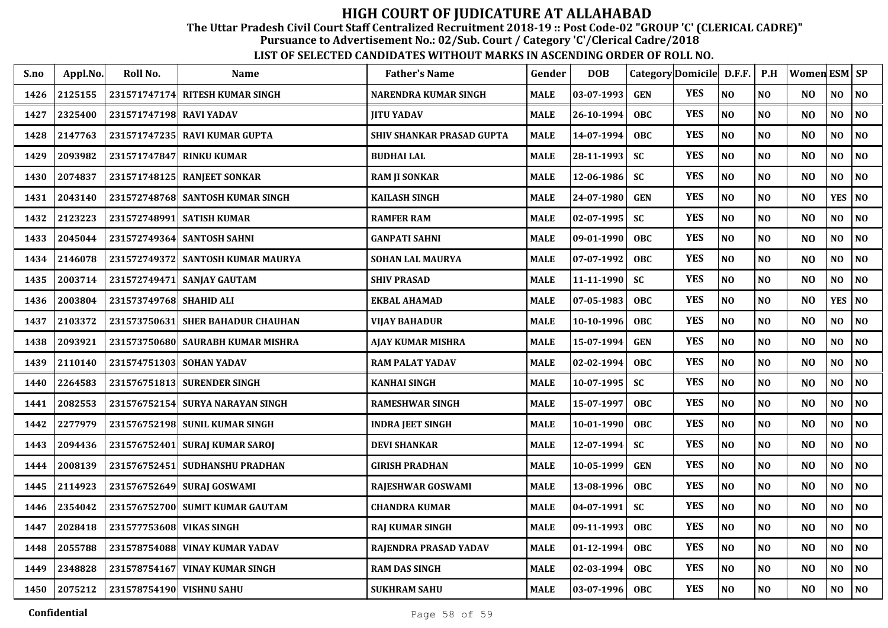The Uttar Pradesh Civil Court Staff Centralized Recruitment 2018-19 :: Post Code-02 "GROUP 'C' (CLERICAL CADRE)"

Pursuance to Advertisement No.: 02/Sub. Court / Category 'C'/Clerical Cadre/2018

| S.no | Appl.No. | Roll No.                 | Name                              | <b>Father's Name</b>      | Gender      | <b>DOB</b>       |            | Category Domicile D.F.F. |                | P.H            | Women ESM SP   |                |                |
|------|----------|--------------------------|-----------------------------------|---------------------------|-------------|------------------|------------|--------------------------|----------------|----------------|----------------|----------------|----------------|
| 1426 | 2125155  | 231571747174             | <b>RITESH KUMAR SINGH</b>         | NARENDRA KUMAR SINGH      | MALE        | 03-07-1993       | <b>GEN</b> | <b>YES</b>               | N <sub>O</sub> | NO             | N <sub>O</sub> | NO             | NO             |
| 1427 | 2325400  | 231571747198 RAVI YADAV  |                                   | <b>JITU YADAV</b>         | <b>MALE</b> | 26-10-1994       | <b>OBC</b> | <b>YES</b>               | N <sub>O</sub> | N <sub>O</sub> | N <sub>O</sub> | NO             | N <sub>0</sub> |
| 1428 | 2147763  |                          | 231571747235 RAVI KUMAR GUPTA     | SHIV SHANKAR PRASAD GUPTA | <b>MALE</b> | 14-07-1994       | <b>OBC</b> | <b>YES</b>               | NO             | N <sub>O</sub> | N <sub>O</sub> | NO             | N <sub>0</sub> |
| 1429 | 2093982  | 231571747847             | <b>RINKU KUMAR</b>                | <b>BUDHAI LAL</b>         | <b>MALE</b> | 28-11-1993       | <b>SC</b>  | <b>YES</b>               | NO             | N <sub>0</sub> | N <sub>O</sub> | NO             | N <sub>0</sub> |
| 1430 | 2074837  | 231571748125             | <b>RANJEET SONKAR</b>             | <b>RAM JI SONKAR</b>      | <b>MALE</b> | 12-06-1986       | SC         | <b>YES</b>               | NO             | N <sub>O</sub> | N <sub>O</sub> | NO             | NO             |
| 1431 | 2043140  |                          | 231572748768 SANTOSH KUMAR SINGH  | <b>KAILASH SINGH</b>      | <b>MALE</b> | 24-07-1980       | <b>GEN</b> | <b>YES</b>               | N <sub>O</sub> | NO             | N <sub>O</sub> | <b>YES</b>     | NO             |
| 1432 | 2123223  |                          | 231572748991 SATISH KUMAR         | <b>RAMFER RAM</b>         | <b>MALE</b> | $02 - 07 - 1995$ | <b>SC</b>  | <b>YES</b>               | N <sub>O</sub> | NO             | N <sub>O</sub> | NO             | NO             |
| 1433 | 2045044  |                          | 231572749364 SANTOSH SAHNI        | <b>GANPATI SAHNI</b>      | <b>MALE</b> | 09-01-1990       | <b>OBC</b> | <b>YES</b>               | N <sub>O</sub> | N <sub>O</sub> | NO             | NO             | NO             |
| 1434 | 2146078  |                          | 231572749372 SANTOSH KUMAR MAURYA | <b>SOHAN LAL MAURYA</b>   | <b>MALE</b> | 07-07-1992       | <b>OBC</b> | <b>YES</b>               | N <sub>O</sub> | N <sub>O</sub> | N <sub>O</sub> | NO.            | NO             |
| 1435 | 2003714  |                          | 231572749471 SANJAY GAUTAM        | <b>SHIV PRASAD</b>        | <b>MALE</b> | 11-11-1990       | <b>SC</b>  | <b>YES</b>               | N <sub>O</sub> | N <sub>O</sub> | N <sub>O</sub> | NO             | N <sub>0</sub> |
| 1436 | 2003804  | 231573749768 SHAHID ALI  |                                   | <b>EKBAL AHAMAD</b>       | <b>MALE</b> | 07-05-1983       | <b>OBC</b> | <b>YES</b>               | N <sub>O</sub> | N <sub>O</sub> | N <sub>O</sub> | <b>YES</b>     | <b>NO</b>      |
| 1437 | 2103372  |                          | 231573750631 SHER BAHADUR CHAUHAN | <b>VIJAY BAHADUR</b>      | MALE        | 10-10-1996       | <b>OBC</b> | <b>YES</b>               | $\bf NO$       | N <sub>O</sub> | N <sub>O</sub> | NO             | $\bf NO$       |
| 1438 | 2093921  |                          | 231573750680 SAURABH KUMAR MISHRA | AJAY KUMAR MISHRA         | MALE        | 15-07-1994       | <b>GEN</b> | <b>YES</b>               | N <sub>O</sub> | N <sub>O</sub> | NO             | NO             | NO             |
| 1439 | 2110140  | 231574751303 SOHAN YADAV |                                   | <b>RAM PALAT YADAV</b>    | <b>MALE</b> | 02-02-1994       | <b>OBC</b> | <b>YES</b>               | $\bf NO$       | NO             | N <sub>O</sub> | NO             | $\bf NO$       |
| 1440 | 2264583  |                          | 231576751813 SURENDER SINGH       | <b>KANHAI SINGH</b>       | <b>MALE</b> | 10-07-1995       | <b>SC</b>  | <b>YES</b>               | N <sub>O</sub> | N <sub>0</sub> | N <sub>O</sub> | NO             | NO.            |
| 1441 | 2082553  |                          | 231576752154 SURYA NARAYAN SINGH  | <b>RAMESHWAR SINGH</b>    | MALE        | 15-07-1997       | <b>OBC</b> | <b>YES</b>               | NO             | NO             | N <sub>O</sub> | NO             | $\bf NO$       |
| 1442 | 2277979  |                          | 231576752198 SUNIL KUMAR SINGH    | <b>INDRA JEET SINGH</b>   | <b>MALE</b> | 10-01-1990       | <b>OBC</b> | <b>YES</b>               | N <sub>O</sub> | N <sub>0</sub> | N <sub>O</sub> | NO.            | N <sub>0</sub> |
| 1443 | 2094436  |                          | 231576752401 SURAJ KUMAR SAROJ    | <b>DEVI SHANKAR</b>       | MALE        | 12-07-1994       | <b>SC</b>  | <b>YES</b>               | NO             | N <sub>O</sub> | N <sub>O</sub> | NO             | N <sub>0</sub> |
| 1444 | 2008139  |                          | 231576752451 SUDHANSHU PRADHAN    | <b>GIRISH PRADHAN</b>     | MALE        | 10-05-1999       | <b>GEN</b> | <b>YES</b>               | N <sub>O</sub> | NO             | N <sub>O</sub> | NO             | N <sub>0</sub> |
| 1445 | 2114923  |                          | 231576752649 SURAJ GOSWAMI        | <b>RAJESHWAR GOSWAMI</b>  | <b>MALE</b> | 13-08-1996       | <b>OBC</b> | <b>YES</b>               | NO             | NO             | N <sub>O</sub> | NO             | N <sub>0</sub> |
| 1446 | 2354042  |                          | 231576752700 SUMIT KUMAR GAUTAM   | <b>CHANDRA KUMAR</b>      | <b>MALE</b> | 04-07-1991       | <b>SC</b>  | <b>YES</b>               | N <sub>O</sub> | N <sub>O</sub> | N <sub>O</sub> | NO             | NO             |
| 1447 | 2028418  | 231577753608 VIKAS SINGH |                                   | <b>RAJ KUMAR SINGH</b>    | <b>MALE</b> | 09-11-1993       | <b>OBC</b> | <b>YES</b>               | NO             | N <sub>O</sub> | N <sub>O</sub> | NO             | N <sub>0</sub> |
| 1448 | 2055788  |                          | 231578754088 VINAY KUMAR YADAV    | RAJENDRA PRASAD YADAV     | <b>MALE</b> | 01-12-1994       | <b>OBC</b> | <b>YES</b>               | NO             | N <sub>O</sub> | N <sub>O</sub> | N <sub>O</sub> | N <sub>O</sub> |
| 1449 | 2348828  |                          | 231578754167 VINAY KUMAR SINGH    | <b>RAM DAS SINGH</b>      | <b>MALE</b> | 02-03-1994       | <b>OBC</b> | <b>YES</b>               | N <sub>O</sub> | <b>NO</b>      | N <sub>O</sub> | N <sub>O</sub> | NO             |
| 1450 | 2075212  | 231578754190 VISHNU SAHU |                                   | <b>SUKHRAM SAHU</b>       | <b>MALE</b> | 03-07-1996       | <b>OBC</b> | <b>YES</b>               | NO             | N <sub>0</sub> | NO             | NO.            | NO             |